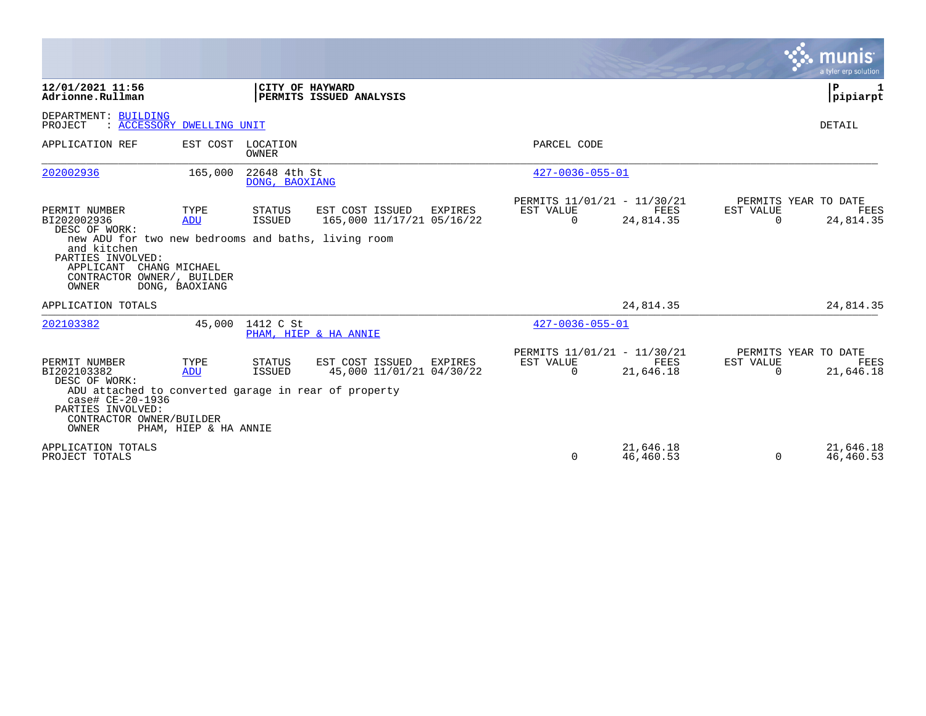|                                                                                                                                                                                                                   |                                      |                                   |                                                         |                                                      |                        |                       | munis<br>a tyler erp solution                    |
|-------------------------------------------------------------------------------------------------------------------------------------------------------------------------------------------------------------------|--------------------------------------|-----------------------------------|---------------------------------------------------------|------------------------------------------------------|------------------------|-----------------------|--------------------------------------------------|
| 12/01/2021 11:56<br>Adrionne.Rullman                                                                                                                                                                              |                                      | CITY OF HAYWARD                   | PERMITS ISSUED ANALYSIS                                 |                                                      |                        |                       | P.<br>1<br>pipiarpt                              |
| DEPARTMENT: BUILDING<br>PROJECT                                                                                                                                                                                   | : ACCESSORY DWELLING UNIT            |                                   |                                                         |                                                      |                        |                       | DETAIL                                           |
| APPLICATION REF                                                                                                                                                                                                   |                                      | EST COST LOCATION<br><b>OWNER</b> |                                                         | PARCEL CODE                                          |                        |                       |                                                  |
| 202002936                                                                                                                                                                                                         | 165,000                              | 22648 4th St<br>DONG, BAOXIANG    |                                                         | $427 - 0036 - 055 - 01$                              |                        |                       |                                                  |
| PERMIT NUMBER<br>BI202002936<br>DESC OF WORK:<br>new ADU for two new bedrooms and baths, living room<br>and kitchen<br>PARTIES INVOLVED:<br>APPLICANT CHANG MICHAEL<br>CONTRACTOR OWNER/, BUILDER<br><b>OWNER</b> | TYPE<br><b>ADU</b><br>DONG, BAOXIANG | STATUS<br>ISSUED                  | EST COST ISSUED<br>EXPIRES<br>165,000 11/17/21 05/16/22 | PERMITS 11/01/21 - 11/30/21<br>EST VALUE<br>$\Omega$ | FEES<br>24,814.35      | EST VALUE<br>$\Omega$ | PERMITS YEAR TO DATE<br><b>FEES</b><br>24,814.35 |
| APPLICATION TOTALS                                                                                                                                                                                                |                                      |                                   |                                                         |                                                      | 24,814.35              |                       | 24,814.35                                        |
| 202103382                                                                                                                                                                                                         |                                      | 45,000 1412 C St                  | PHAM, HIEP & HA ANNIE                                   | $427 - 0036 - 055 - 01$                              |                        |                       |                                                  |
| PERMIT NUMBER<br>BI202103382<br>DESC OF WORK:<br>ADU attached to converted garage in rear of property<br>case# CE-20-1936<br>PARTIES INVOLVED:<br>CONTRACTOR OWNER/BUILDER<br>OWNER                               | TYPE<br>ADU<br>PHAM, HIEP & HA ANNIE | <b>STATUS</b><br><b>ISSUED</b>    | EST COST ISSUED<br>EXPIRES<br>45,000 11/01/21 04/30/22  | PERMITS 11/01/21 - 11/30/21<br>EST VALUE<br>$\Omega$ | FEES<br>21,646.18      | EST VALUE<br>$\Omega$ | PERMITS YEAR TO DATE<br>FEES<br>21,646.18        |
| APPLICATION TOTALS<br>PROJECT TOTALS                                                                                                                                                                              |                                      |                                   |                                                         | $\Omega$                                             | 21,646.18<br>46,460.53 | $\Omega$              | 21,646.18<br>46,460.53                           |

 $\mathcal{L}^{\text{max}}$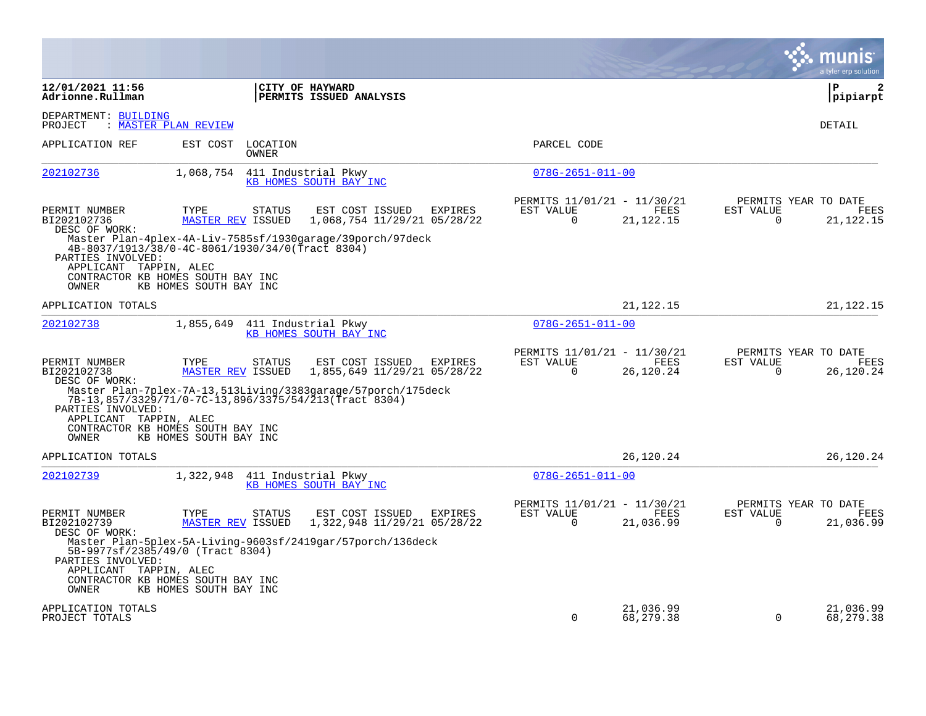|                                                                                                |                                  |                            |                                                                                                                       |                |                                                      |                         |                                               | a tyler erp solution             |
|------------------------------------------------------------------------------------------------|----------------------------------|----------------------------|-----------------------------------------------------------------------------------------------------------------------|----------------|------------------------------------------------------|-------------------------|-----------------------------------------------|----------------------------------|
| 12/01/2021 11:56<br>Adrionne.Rullman                                                           |                                  |                            | CITY OF HAYWARD<br>PERMITS ISSUED ANALYSIS                                                                            |                |                                                      |                         |                                               | $\mathbf{2}$<br>l P<br> pipiarpt |
| DEPARTMENT: BUILDING<br>PROJECT                                                                | : MASTER PLAN REVIEW             |                            |                                                                                                                       |                |                                                      |                         |                                               | DETAIL                           |
| APPLICATION REF                                                                                |                                  | EST COST LOCATION<br>OWNER |                                                                                                                       |                | PARCEL CODE                                          |                         |                                               |                                  |
| 202102736                                                                                      | 1,068,754                        |                            | 411 Industrial Pkwy<br>KB HOMES SOUTH BAY INC                                                                         |                | $078G - 2651 - 011 - 00$                             |                         |                                               |                                  |
| PERMIT NUMBER<br>BI202102736<br>DESC OF WORK:                                                  | TYPE<br><b>MASTER REV ISSUED</b> | <b>STATUS</b>              | EST COST ISSUED<br>1,068,754 11/29/21 05/28/22                                                                        | EXPIRES        | PERMITS 11/01/21 - 11/30/21<br>EST VALUE<br>$\Omega$ | FEES<br>21, 122. 15     | PERMITS YEAR TO DATE<br>EST VALUE<br>$\Omega$ | FEES<br>21, 122. 15              |
| 4B-8037/1913/38/0-4C-8061/1930/34/0(Tract 8304)<br>PARTIES INVOLVED:<br>APPLICANT TAPPIN, ALEC |                                  |                            | Master Plan-4plex-4A-Liv-7585sf/1930qaraqe/39porch/97deck                                                             |                |                                                      |                         |                                               |                                  |
| CONTRACTOR KB HOMES SOUTH BAY INC<br>OWNER                                                     | KB HOMES SOUTH BAY INC           |                            |                                                                                                                       |                |                                                      |                         |                                               |                                  |
| APPLICATION TOTALS                                                                             |                                  |                            |                                                                                                                       |                |                                                      | 21,122.15               |                                               | 21, 122. 15                      |
| 202102738                                                                                      | 1,855,649                        |                            | 411 Industrial Pkwy<br>KB HOMES SOUTH BAY INC                                                                         |                | $078G - 2651 - 011 - 00$                             |                         |                                               |                                  |
| PERMIT NUMBER<br>BI202102738<br>DESC OF WORK:                                                  | TYPE<br><b>MASTER REV ISSUED</b> | STATUS                     | EST COST ISSUED<br>1,855,649 11/29/21 05/28/22                                                                        | <b>EXPIRES</b> | PERMITS 11/01/21 - 11/30/21<br>EST VALUE<br>0        | FEES<br>26,120.24       | PERMITS YEAR TO DATE<br>EST VALUE<br>0        | <b>FEES</b><br>26,120.24         |
| PARTIES INVOLVED:                                                                              |                                  |                            | Master Plan-7plex-7A-13,513Living/3383garage/57porch/175deck<br>7B-13,857/3329/71/0-7C-13,896/3375/54/213(Tract 8304) |                |                                                      |                         |                                               |                                  |
| APPLICANT TAPPIN, ALEC<br>CONTRACTOR KB HOMES SOUTH BAY INC<br>OWNER                           | KB HOMES SOUTH BAY INC           |                            |                                                                                                                       |                |                                                      |                         |                                               |                                  |
| APPLICATION TOTALS                                                                             |                                  |                            |                                                                                                                       |                |                                                      | 26,120.24               |                                               | 26,120.24                        |
| 202102739                                                                                      | 1,322,948                        |                            | 411 Industrial Pkwy<br>KB HOMES SOUTH BAY INC                                                                         |                | $078G - 2651 - 011 - 00$                             |                         |                                               |                                  |
| PERMIT NUMBER<br>BI202102739<br>DESC OF WORK:                                                  | TYPE<br><b>MASTER REV ISSUED</b> | <b>STATUS</b>              | EST COST ISSUED<br>1,322,948 11/29/21 05/28/22                                                                        | EXPIRES        | PERMITS 11/01/21 - 11/30/21<br>EST VALUE<br>0        | FEES<br>21,036.99       | PERMITS YEAR TO DATE<br>EST VALUE<br>0        | FEES<br>21,036.99                |
| 5B-9977sf/2385/49/0 (Tract 8304)<br>PARTIES INVOLVED:<br>APPLICANT TAPPIN, ALEC                |                                  |                            | Master Plan-5plex-5A-Living-9603sf/2419gar/57porch/136deck                                                            |                |                                                      |                         |                                               |                                  |
| CONTRACTOR KB HOMES SOUTH BAY INC<br>OWNER                                                     | KB HOMES SOUTH BAY INC           |                            |                                                                                                                       |                |                                                      |                         |                                               |                                  |
| APPLICATION TOTALS<br>PROJECT TOTALS                                                           |                                  |                            |                                                                                                                       |                | $\Omega$                                             | 21,036.99<br>68, 279.38 | 0                                             | 21,036.99<br>68,279.38           |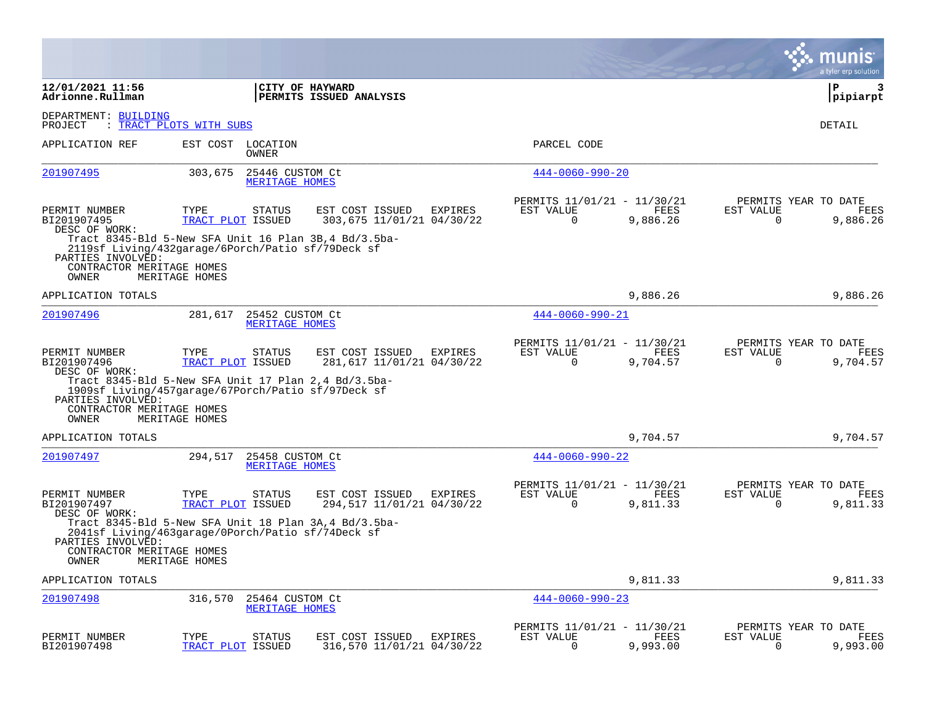|                                                         |                                                                                                                               |                                                                |                                                                             | munis<br>a tyler erp solution                                        |
|---------------------------------------------------------|-------------------------------------------------------------------------------------------------------------------------------|----------------------------------------------------------------|-----------------------------------------------------------------------------|----------------------------------------------------------------------|
| 12/01/2021 11:56<br>Adrionne.Rullman                    |                                                                                                                               | CITY OF HAYWARD<br>PERMITS ISSUED ANALYSIS                     |                                                                             | l P<br>3<br> pipiarpt                                                |
| DEPARTMENT: BUILDING<br>PROJECT                         | : TRACT PLOTS WITH SUBS                                                                                                       |                                                                |                                                                             | DETAIL                                                               |
| APPLICATION REF                                         | EST COST LOCATION<br>OWNER                                                                                                    |                                                                | PARCEL CODE                                                                 |                                                                      |
| 201907495                                               | 303,675<br>25446 CUSTOM Ct<br>MERITAGE HOMES                                                                                  |                                                                | $444 - 0060 - 990 - 20$                                                     |                                                                      |
| PERMIT NUMBER<br>BI201907495<br>DESC OF WORK:           | TYPE<br>STATUS<br>TRACT PLOT ISSUED                                                                                           | EST COST ISSUED<br>EXPIRES<br>303,675 11/01/21 04/30/22        | PERMITS 11/01/21 - 11/30/21<br>EST VALUE<br>FEES<br>0<br>9,886.26           | PERMITS YEAR TO DATE<br>EST VALUE<br>FEES<br>0<br>9,886.26           |
| PARTIES INVOLVED:<br>CONTRACTOR MERITAGE HOMES<br>OWNER | Tract 8345-Bld 5-New SFA Unit 16 Plan 3B, 4 Bd/3.5ba-<br>2119sf Living/432garage/6Porch/Patio sf/79Deck sf<br>MERITAGE HOMES  |                                                                |                                                                             |                                                                      |
| APPLICATION TOTALS                                      |                                                                                                                               |                                                                | 9,886.26                                                                    | 9,886.26                                                             |
| 201907496                                               | 281,617<br>25452 CUSTOM Ct<br>MERITAGE HOMES                                                                                  |                                                                | $444 - 0060 - 990 - 21$                                                     |                                                                      |
| PERMIT NUMBER<br>BI201907496<br>DESC OF WORK:           | TYPE<br><b>STATUS</b><br>TRACT PLOT ISSUED                                                                                    | EST COST ISSUED<br>EXPIRES<br>281,617 11/01/21 04/30/22        | PERMITS 11/01/21 - 11/30/21<br>EST VALUE<br>FEES<br>$\mathbf 0$<br>9,704.57 | PERMITS YEAR TO DATE<br>EST VALUE<br>FEES<br>$\mathbf 0$<br>9,704.57 |
| PARTIES INVOLVED:<br>CONTRACTOR MERITAGE HOMES<br>OWNER | Tract 8345-Bld 5-New SFA Unit 17 Plan $2,4$ Bd/3.5ba-<br>1909sf Living/457garage/67Porch/Patio sf/97Deck sf<br>MERITAGE HOMES |                                                                |                                                                             |                                                                      |
| APPLICATION TOTALS                                      |                                                                                                                               |                                                                | 9,704.57                                                                    | 9,704.57                                                             |
| 201907497                                               | 294,517<br>25458 CUSTOM Ct<br>MERITAGE HOMES                                                                                  |                                                                | $444 - 0060 - 990 - 22$                                                     |                                                                      |
| PERMIT NUMBER<br>BI201907497<br>DESC OF WORK:           | TYPE<br><b>STATUS</b><br>TRACT PLOT ISSUED                                                                                    | <b>EXPIRES</b><br>EST COST ISSUED<br>294,517 11/01/21 04/30/22 | PERMITS 11/01/21 - 11/30/21<br>EST VALUE<br>FEES<br>$\Omega$<br>9,811.33    | PERMITS YEAR TO DATE<br>EST VALUE<br>FEES<br>$\Omega$<br>9,811.33    |
| PARTIES INVOLVED:<br>CONTRACTOR MERITAGE HOMES<br>OWNER | Tract 8345-Bld 5-New SFA Unit 18 Plan 3A, 4 Bd/3.5ba-<br>2041sf Living/463garage/0Porch/Patio sf/74Deck sf<br>MERITAGE HOMES  |                                                                |                                                                             |                                                                      |
| APPLICATION TOTALS                                      |                                                                                                                               |                                                                | 9,811.33                                                                    | 9,811.33                                                             |
| 201907498                                               | 316,570<br>25464 CUSTOM Ct<br>MERITAGE HOMES                                                                                  |                                                                | $444 - 0060 - 990 - 23$                                                     |                                                                      |
| PERMIT NUMBER<br>BI201907498                            | TYPE<br><b>STATUS</b><br>TRACT PLOT<br>ISSUED                                                                                 | EST COST ISSUED<br><b>EXPIRES</b><br>316,570 11/01/21 04/30/22 | PERMITS 11/01/21 - 11/30/21<br>EST VALUE<br>FEES<br>$\Omega$<br>9,993.00    | PERMITS YEAR TO DATE<br>EST VALUE<br>FEES<br>9,993.00<br>$\Omega$    |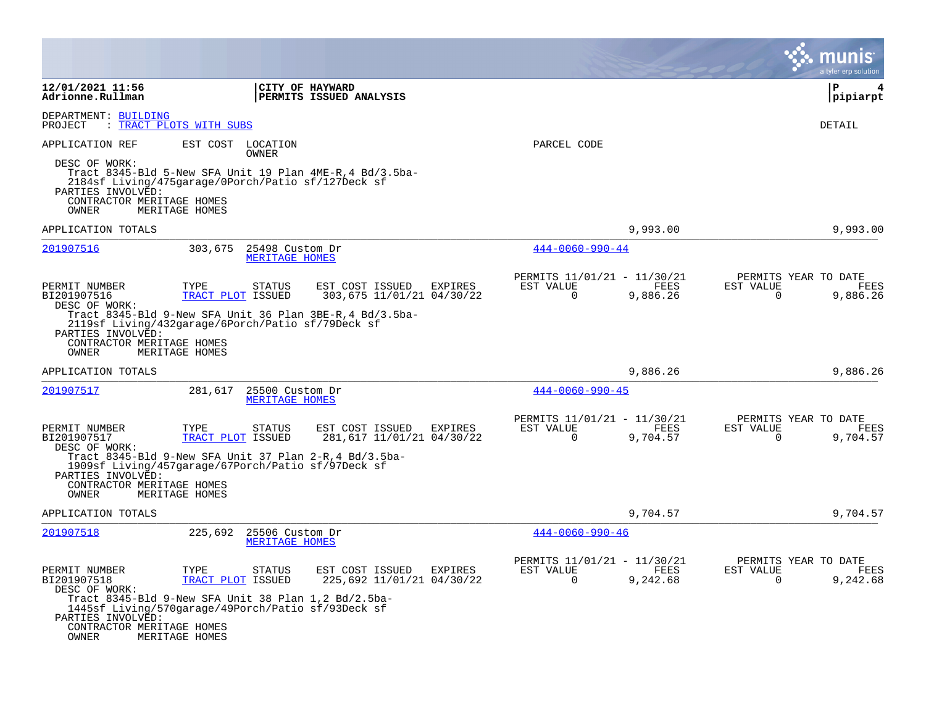|                                                                          |                                                                                                                                   |                                                         |                                                         |                  | a tyler erp solutior                                                 |
|--------------------------------------------------------------------------|-----------------------------------------------------------------------------------------------------------------------------------|---------------------------------------------------------|---------------------------------------------------------|------------------|----------------------------------------------------------------------|
| 12/01/2021 11:56<br>Adrionne.Rullman                                     | CITY OF HAYWARD                                                                                                                   | PERMITS ISSUED ANALYSIS                                 |                                                         |                  | ∣P<br> pipiarpt                                                      |
| DEPARTMENT: BUILDING<br>PROJECT                                          | : TRACT PLOTS WITH SUBS                                                                                                           |                                                         |                                                         |                  | <b>DETAIL</b>                                                        |
| APPLICATION REF                                                          | EST COST LOCATION<br>OWNER                                                                                                        |                                                         | PARCEL CODE                                             |                  |                                                                      |
| DESC OF WORK:<br>PARTIES INVOLVED:<br>CONTRACTOR MERITAGE HOMES<br>OWNER | Tract 8345-Bld 5-New SFA Unit 19 Plan 4ME-R, 4 Bd/3.5ba-<br>2184sf Living/475garage/0Porch/Patio sf/127Deck sf<br>MERITAGE HOMES  |                                                         |                                                         |                  |                                                                      |
| APPLICATION TOTALS                                                       |                                                                                                                                   |                                                         |                                                         | 9,993.00         | 9,993.00                                                             |
| 201907516                                                                | 303,675<br>25498 Custom Dr<br>MERITAGE HOMES                                                                                      |                                                         | $444 - 0060 - 990 - 44$                                 |                  |                                                                      |
| PERMIT NUMBER<br>BI201907516<br>DESC OF WORK:                            | TYPE<br><b>STATUS</b><br>TRACT PLOT ISSUED                                                                                        | EST COST ISSUED<br>EXPIRES<br>303,675 11/01/21 04/30/22 | PERMITS 11/01/21 - 11/30/21<br>EST VALUE<br>$\Omega$    | FEES<br>9,886.26 | PERMITS YEAR TO DATE<br>EST VALUE<br>FEES<br>$\Omega$<br>9,886.26    |
| PARTIES INVOLVED:<br>CONTRACTOR MERITAGE HOMES<br>OWNER                  | Tract 8345-Bld 9-New SFA Unit 36 Plan 3BE-R, 4 Bd/3.5ba-<br>2119sf Living/432garage/6Porch/Patio sf/79Deck sf<br>MERITAGE HOMES   |                                                         |                                                         |                  |                                                                      |
| APPLICATION TOTALS                                                       |                                                                                                                                   |                                                         |                                                         | 9,886.26         | 9,886.26                                                             |
| 201907517                                                                | 281,617<br>25500 Custom Dr<br>MERITAGE HOMES                                                                                      |                                                         | $444 - 0060 - 990 - 45$                                 |                  |                                                                      |
| PERMIT NUMBER<br>BI201907517<br>DESC OF WORK:                            | TYPE<br><b>STATUS</b><br>TRACT PLOT ISSUED                                                                                        | EST COST ISSUED<br>EXPIRES<br>281,617 11/01/21 04/30/22 | PERMITS 11/01/21 - 11/30/21<br>EST VALUE<br>$\Omega$    | FEES<br>9,704.57 | PERMITS YEAR TO DATE<br>EST VALUE<br>FEES<br>$\Omega$<br>9,704.57    |
| PARTIES INVOLVED:<br>CONTRACTOR MERITAGE HOMES<br>OWNER                  | Tract 8345-Bld 9-New SFA Unit 37 Plan $2-R$ , 4 Bd/3.5ba-<br>1909sf Living/457garage/67Porch/Patio sf/97Deck sf<br>MERITAGE HOMES |                                                         |                                                         |                  |                                                                      |
| APPLICATION TOTALS                                                       |                                                                                                                                   |                                                         |                                                         | 9,704.57         | 9,704.57                                                             |
| 201907518                                                                | 225,692<br>25506 Custom Dr<br>MERITAGE HOMES                                                                                      |                                                         | $444 - 0060 - 990 - 46$                                 |                  |                                                                      |
| PERMIT NUMBER<br>BI201907518<br>DESC OF WORK:                            | TYPE<br>STATUS<br>TRACT PLOT ISSUED                                                                                               | EST COST ISSUED<br>EXPIRES<br>225,692 11/01/21 04/30/22 | PERMITS 11/01/21 - 11/30/21<br>EST VALUE<br>$\mathbf 0$ | FEES<br>9,242.68 | PERMITS YEAR TO DATE<br>EST VALUE<br>FEES<br>$\mathbf 0$<br>9,242.68 |
| PARTIES INVOLVED:<br>CONTRACTOR MERITAGE HOMES<br>OWNER                  | Tract 8345-Bld 9-New SFA Unit 38 Plan $1,2$ Bd/2.5ba-<br>1445sf Living/570garage/49Porch/Patio sf/93Deck sf<br>MERITAGE HOMES     |                                                         |                                                         |                  |                                                                      |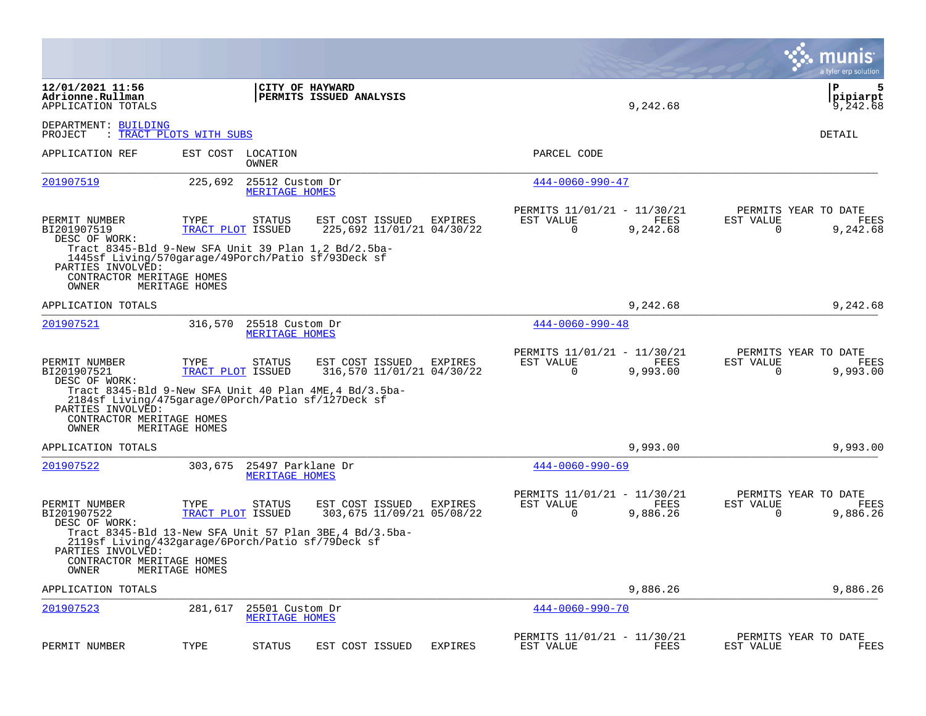|                                                                                                                                                                                                 |                           |                                            |                                                         |                |                                                      |                  | munis<br>a tyler erp solution                                     |
|-------------------------------------------------------------------------------------------------------------------------------------------------------------------------------------------------|---------------------------|--------------------------------------------|---------------------------------------------------------|----------------|------------------------------------------------------|------------------|-------------------------------------------------------------------|
| 12/01/2021 11:56<br>Adrionne.Rullman<br>APPLICATION TOTALS                                                                                                                                      |                           |                                            | CITY OF HAYWARD<br>PERMITS ISSUED ANALYSIS              |                |                                                      | 9,242.68         | ΙP<br>5<br> pipiarpt<br>9,242.68                                  |
| DEPARTMENT: BUILDING<br>PROJECT                                                                                                                                                                 | : TRACT PLOTS WITH SUBS   |                                            |                                                         |                |                                                      |                  | DETAIL                                                            |
| APPLICATION REF                                                                                                                                                                                 |                           | EST COST LOCATION<br>OWNER                 |                                                         |                | PARCEL CODE                                          |                  |                                                                   |
| 201907519                                                                                                                                                                                       | 225,692                   | 25512 Custom Dr<br>MERITAGE HOMES          |                                                         |                | $444 - 0060 - 990 - 47$                              |                  |                                                                   |
| PERMIT NUMBER<br>BI201907519<br>DESC OF WORK:<br>Tract $8345-\text{Bld }9-\text{New}$ SFA Unit 39 Plan 1,2 Bd/2.5ba-<br>1445sf Living/570garage/49Porch/Patio sf/93Deck sf<br>PARTIES INVOLVED: | TYPE<br>TRACT PLOT ISSUED | <b>STATUS</b>                              | EST COST ISSUED<br>225,692 11/01/21 04/30/22            | EXPIRES        | PERMITS 11/01/21 - 11/30/21<br>EST VALUE<br>$\Omega$ | FEES<br>9,242.68 | PERMITS YEAR TO DATE<br>EST VALUE<br>FEES<br>$\Omega$<br>9,242.68 |
| CONTRACTOR MERITAGE HOMES<br>OWNER                                                                                                                                                              | MERITAGE HOMES            |                                            |                                                         |                |                                                      |                  |                                                                   |
| APPLICATION TOTALS                                                                                                                                                                              |                           |                                            |                                                         |                |                                                      | 9,242.68         | 9,242.68                                                          |
| 201907521                                                                                                                                                                                       | 316,570                   | 25518 Custom Dr<br>MERITAGE HOMES          |                                                         |                | $444 - 0060 - 990 - 48$                              |                  |                                                                   |
| PERMIT NUMBER<br>BI201907521<br>DESC OF WORK:                                                                                                                                                   | TYPE<br>TRACT PLOT ISSUED | <b>STATUS</b>                              | EST COST ISSUED<br>316,570 11/01/21 04/30/22            | EXPIRES        | PERMITS 11/01/21 - 11/30/21<br>EST VALUE<br>0        | FEES<br>9,993.00 | PERMITS YEAR TO DATE<br>EST VALUE<br>FEES<br>9,993.00<br>0        |
| 2184sf Living/475garage/0Porch/Patio sf/127Deck sf<br>PARTIES INVOLVED:<br>CONTRACTOR MERITAGE HOMES<br>OWNER                                                                                   | MERITAGE HOMES            |                                            | Tract 8345-Bld 9-New SFA Unit 40 Plan 4ME, 4 Bd/3.5ba-  |                |                                                      |                  |                                                                   |
| APPLICATION TOTALS                                                                                                                                                                              |                           |                                            |                                                         |                |                                                      | 9,993.00         | 9,993.00                                                          |
| 201907522                                                                                                                                                                                       | 303,675                   | 25497 Parklane Dr<br><b>MERITAGE HOMES</b> |                                                         |                | $444 - 0060 - 990 - 69$                              |                  |                                                                   |
| PERMIT NUMBER<br>BI201907522<br>DESC OF WORK:                                                                                                                                                   | TYPE<br>TRACT PLOT ISSUED | <b>STATUS</b>                              | EST COST ISSUED<br>303,675 11/09/21 05/08/22            | EXPIRES        | PERMITS 11/01/21 - 11/30/21<br>EST VALUE<br>$\Omega$ | FEES<br>9,886.26 | PERMITS YEAR TO DATE<br>EST VALUE<br>FEES<br>$\Omega$<br>9,886.26 |
| 2119sf Living/432garage/6Porch/Patio sf/79Deck sf<br>PARTIES INVOLVED:<br>CONTRACTOR MERITAGE HOMES<br>OWNER                                                                                    | MERITAGE HOMES            |                                            | Tract 8345-Bld 13-New SFA Unit 57 Plan 3BE, 4 Bd/3.5ba- |                |                                                      |                  |                                                                   |
| APPLICATION TOTALS                                                                                                                                                                              |                           |                                            |                                                         |                |                                                      | 9,886.26         | 9,886.26                                                          |
| 201907523                                                                                                                                                                                       | 281,617                   | 25501 Custom Dr<br><b>MERITAGE HOMES</b>   |                                                         |                | $444 - 0060 - 990 - 70$                              |                  |                                                                   |
| PERMIT NUMBER                                                                                                                                                                                   | TYPE                      | <b>STATUS</b>                              | EST COST ISSUED                                         | <b>EXPIRES</b> | PERMITS 11/01/21 - 11/30/21<br>EST VALUE             | FEES             | PERMITS YEAR TO DATE<br>EST VALUE<br>FEES                         |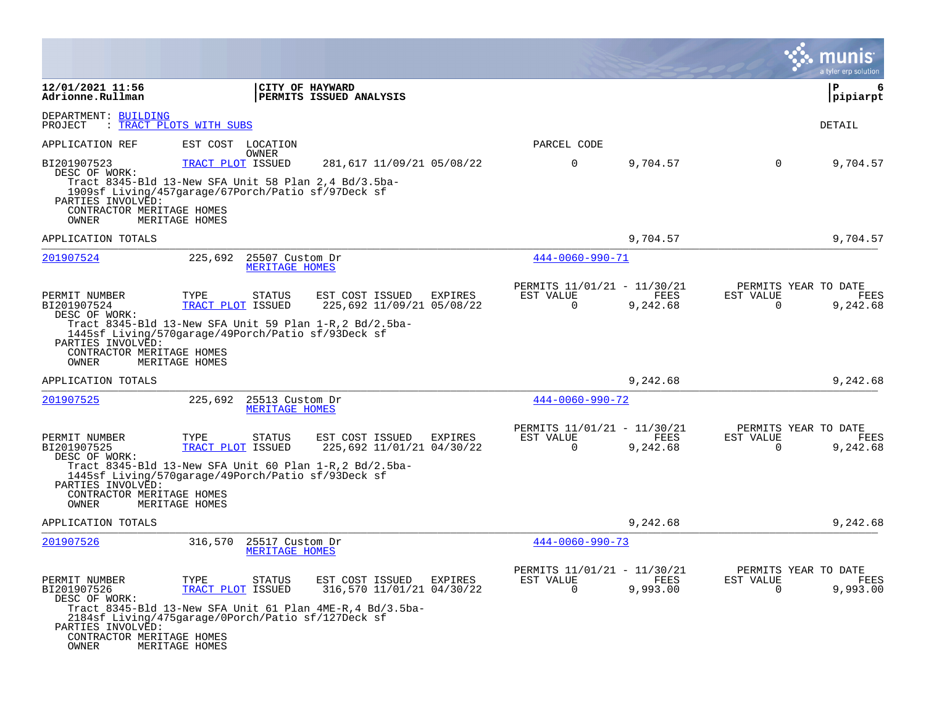|                                                                                                          |                                                                                                                                                   |                                                                                                                         |                                                      |                  | a tyler erp solution                                              |
|----------------------------------------------------------------------------------------------------------|---------------------------------------------------------------------------------------------------------------------------------------------------|-------------------------------------------------------------------------------------------------------------------------|------------------------------------------------------|------------------|-------------------------------------------------------------------|
| 12/01/2021 11:56<br>Adrionne.Rullman                                                                     |                                                                                                                                                   | CITY OF HAYWARD<br>PERMITS ISSUED ANALYSIS                                                                              |                                                      |                  | ΙP<br>6<br> pipiarpt                                              |
| DEPARTMENT: BUILDING<br>PROJECT<br>: TRACT PLOTS WITH SUBS                                               |                                                                                                                                                   |                                                                                                                         |                                                      |                  | DETAIL                                                            |
| APPLICATION REF                                                                                          | EST COST LOCATION<br>OWNER                                                                                                                        |                                                                                                                         | PARCEL CODE                                          |                  |                                                                   |
| BI201907523<br>DESC OF WORK:<br>PARTIES INVOLVED:<br>CONTRACTOR MERITAGE HOMES<br>OWNER                  | TRACT PLOT ISSUED<br>Tract 8345-Bld 13-New SFA Unit 58 Plan 2,4 Bd/3.5ba-<br>1909sf Living/457garage/67Porch/Patio sf/97Deck sf<br>MERITAGE HOMES | 281,617 11/09/21 05/08/22                                                                                               | $\mathbf 0$                                          | 9,704.57         | 9,704.57<br>$\overline{0}$                                        |
| APPLICATION TOTALS                                                                                       |                                                                                                                                                   |                                                                                                                         |                                                      | 9,704.57         | 9,704.57                                                          |
| 201907524                                                                                                | 225,692                                                                                                                                           | 25507 Custom Dr<br>MERITAGE HOMES                                                                                       | 444-0060-990-71                                      |                  |                                                                   |
| PERMIT NUMBER<br>BI201907524<br>DESC OF WORK:<br>PARTIES INVOLVED:<br>CONTRACTOR MERITAGE HOMES<br>OWNER | TYPE<br>STATUS<br>TRACT PLOT ISSUED<br>1445sf Living/570garage/49Porch/Patio sf/93Deck sf<br>MERITAGE HOMES                                       | EST COST ISSUED<br>EXPIRES<br>225,692 11/09/21 05/08/22<br>Tract 8345-Bld 13-New SFA Unit 59 Plan 1-R, 2 Bd/2.5ba-      | PERMITS 11/01/21 - 11/30/21<br>EST VALUE<br>$\Omega$ | FEES<br>9,242.68 | PERMITS YEAR TO DATE<br>EST VALUE<br>FEES<br>$\Omega$<br>9,242.68 |
| APPLICATION TOTALS                                                                                       |                                                                                                                                                   |                                                                                                                         |                                                      | 9,242.68         | 9,242.68                                                          |
| 201907525                                                                                                | 225,692 25513 Custom Dr                                                                                                                           | MERITAGE HOMES                                                                                                          | $444 - 0060 - 990 - 72$                              |                  |                                                                   |
| PERMIT NUMBER<br>BI201907525<br>DESC OF WORK:<br>PARTIES INVOLVED:<br>CONTRACTOR MERITAGE HOMES<br>OWNER | TYPE<br><b>STATUS</b><br>TRACT PLOT ISSUED<br>1445sf Living/570garage/49Porch/Patio sf/93Deck sf<br>MERITAGE HOMES                                | EST COST ISSUED<br>EXPIRES<br>225,692 11/01/21 04/30/22<br>Tract 8345-Bld 13-New SFA Unit 60 Plan $1-R$ , 2 Bd/2.5ba-   | PERMITS 11/01/21 - 11/30/21<br>EST VALUE<br>0        | FEES<br>9,242.68 | PERMITS YEAR TO DATE<br>EST VALUE<br>FEES<br>0<br>9,242.68        |
| APPLICATION TOTALS                                                                                       |                                                                                                                                                   |                                                                                                                         |                                                      | 9,242.68         | 9,242.68                                                          |
| 201907526                                                                                                | 316,570                                                                                                                                           | 25517 Custom Dr<br>MERITAGE HOMES                                                                                       | $444 - 0060 - 990 - 73$                              |                  |                                                                   |
| PERMIT NUMBER<br>BI201907526<br>DESC OF WORK:<br>PARTIES INVOLVED:<br>CONTRACTOR MERITAGE HOMES<br>OWNER | TYPE<br>STATUS<br>TRACT PLOT ISSUED<br>2184sf Living/475garage/0Porch/Patio sf/127Deck sf<br>MERITAGE HOMES                                       | EST COST ISSUED<br>EXPIRES<br>316,570 11/01/21 04/30/22<br>Tract 8345-Bld 13-New SFA Unit 61 Plan $4ME-R$ , 4 Bd/3.5ba- | PERMITS 11/01/21 - 11/30/21<br>EST VALUE<br>$\Omega$ | FEES<br>9,993.00 | PERMITS YEAR TO DATE<br>EST VALUE<br>FEES<br>9,993.00<br>$\Omega$ |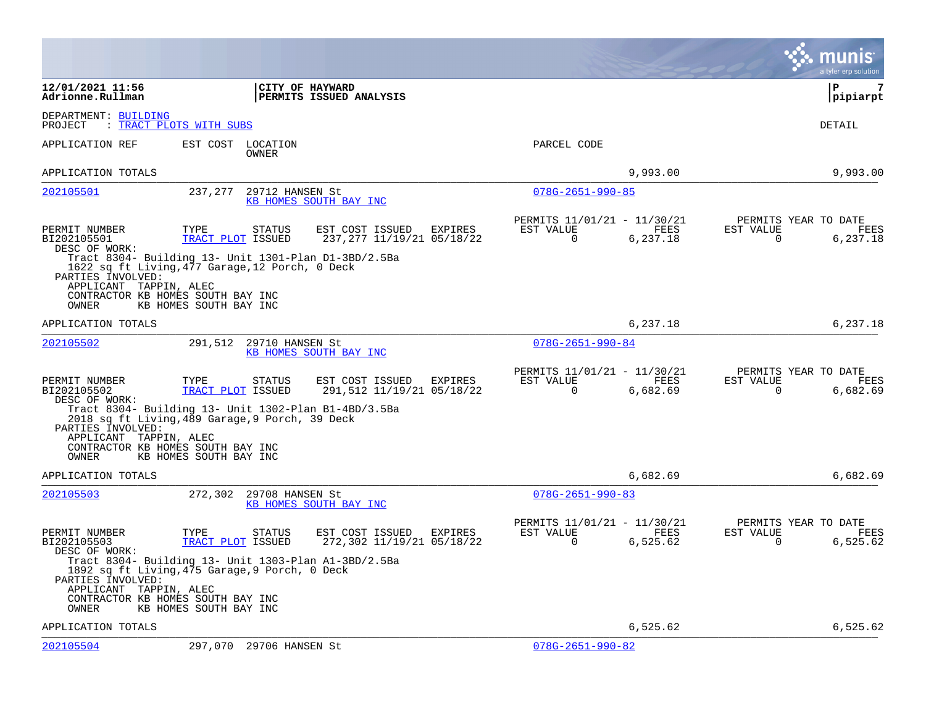|                                                                                              |                                                                                                                                                                                                                                                |                                                                                | munis<br>a tyler erp solution                                        |
|----------------------------------------------------------------------------------------------|------------------------------------------------------------------------------------------------------------------------------------------------------------------------------------------------------------------------------------------------|--------------------------------------------------------------------------------|----------------------------------------------------------------------|
| 12/01/2021 11:56<br>Adrionne.Rullman                                                         | <b>CITY OF HAYWARD</b><br><b>PERMITS ISSUED ANALYSIS</b>                                                                                                                                                                                       |                                                                                | l P<br>7<br> pipiarpt                                                |
| DEPARTMENT: BUILDING<br>PROJECT                                                              | : TRACT PLOTS WITH SUBS                                                                                                                                                                                                                        |                                                                                | DETAIL                                                               |
| APPLICATION REF                                                                              | EST COST<br>LOCATION<br>OWNER                                                                                                                                                                                                                  | PARCEL CODE                                                                    |                                                                      |
| APPLICATION TOTALS                                                                           |                                                                                                                                                                                                                                                | 9,993.00                                                                       | 9,993.00                                                             |
| 202105501                                                                                    | 237,277<br>29712 HANSEN St<br>KB HOMES SOUTH BAY INC                                                                                                                                                                                           | $078G - 2651 - 990 - 85$                                                       |                                                                      |
| PERMIT NUMBER<br>BI202105501<br>DESC OF WORK:                                                | TYPE<br>EST COST ISSUED<br>EXPIRES<br>STATUS<br>237, 277 11/19/21 05/18/22<br>TRACT PLOT ISSUED<br>Tract 8304- Building 13- Unit 1301-Plan D1-3BD/2.5Ba                                                                                        | PERMITS 11/01/21 - 11/30/21<br>EST VALUE<br>FEES<br>$\overline{0}$<br>6,237.18 | PERMITS YEAR TO DATE<br>EST VALUE<br>FEES<br>$\mathbf 0$<br>6,237.18 |
| PARTIES INVOLVED:<br>APPLICANT TAPPIN, ALEC<br>OWNER                                         | 1622 sq ft Living, 477 Garage, 12 Porch, 0 Deck<br>CONTRACTOR KB HOMES SOUTH BAY INC<br>KB HOMES SOUTH BAY INC                                                                                                                                 |                                                                                |                                                                      |
| APPLICATION TOTALS                                                                           |                                                                                                                                                                                                                                                | 6,237.18                                                                       | 6,237.18                                                             |
| 202105502                                                                                    | 291,512<br>29710 HANSEN St<br>KB HOMES SOUTH BAY INC                                                                                                                                                                                           | $078G - 2651 - 990 - 84$                                                       |                                                                      |
| PERMIT NUMBER<br>BI202105502<br>DESC OF WORK:<br>PARTIES INVOLVED:<br>APPLICANT TAPPIN, ALEC | TYPE<br>EST COST ISSUED<br>EXPIRES<br>STATUS<br>TRACT PLOT ISSUED<br>291,512 11/19/21 05/18/22<br>Tract 8304- Building 13- Unit 1302-Plan B1-4BD/3.5Ba<br>2018 sq ft Living, 489 Garage, 9 Porch, 39 Deck<br>CONTRACTOR KB HOMES SOUTH BAY INC | PERMITS 11/01/21 - 11/30/21<br>EST VALUE<br>FEES<br>0<br>6,682.69              | PERMITS YEAR TO DATE<br>EST VALUE<br>FEES<br>6,682.69<br>0           |
| OWNER                                                                                        | KB HOMES SOUTH BAY INC                                                                                                                                                                                                                         |                                                                                |                                                                      |
| APPLICATION TOTALS<br>202105503                                                              | 272,302<br>29708 HANSEN St<br>KB HOMES SOUTH BAY INC                                                                                                                                                                                           | 6,682.69<br>$078G - 2651 - 990 - 83$                                           | 6,682.69                                                             |
| PERMIT NUMBER<br>BI202105503<br>DESC OF WORK:<br>PARTIES INVOLVED:                           | TYPE<br>STATUS<br>EST COST ISSUED<br>EXPIRES<br>TRACT PLOT ISSUED<br>272,302 11/19/21 05/18/22<br>Tract 8304- Building 13- Unit 1303-Plan A1-3BD/2.5Ba<br>1892 sq ft Living, 475 Garage, 9 Porch, 0 Deck                                       | PERMITS 11/01/21 - 11/30/21<br>EST VALUE<br>FEES<br>0<br>6,525.62              | PERMITS YEAR TO DATE<br>EST VALUE<br>FEES<br>0<br>6,525.62           |
| APPLICANT TAPPIN, ALEC<br>OWNER                                                              | CONTRACTOR KB HOMES SOUTH BAY INC<br>KB HOMES SOUTH BAY INC                                                                                                                                                                                    |                                                                                |                                                                      |
| APPLICATION TOTALS                                                                           |                                                                                                                                                                                                                                                | 6,525.62                                                                       | 6,525.62                                                             |
| 202105504                                                                                    | 297,070 29706 HANSEN St                                                                                                                                                                                                                        | $078G - 2651 - 990 - 82$                                                       |                                                                      |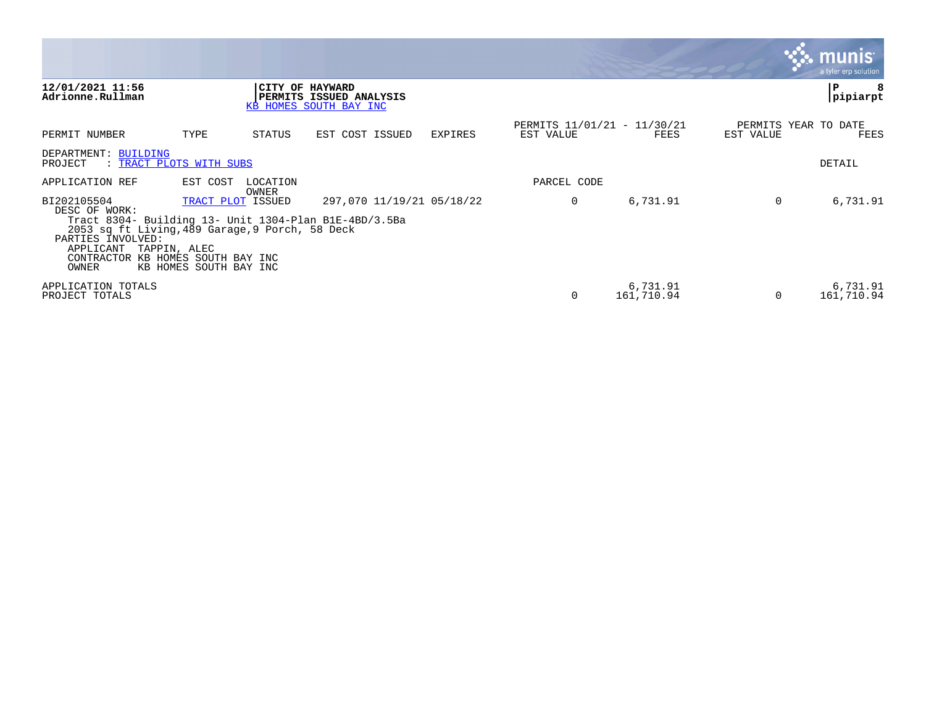|                                                                                                                                                                                                                                       |                                             |                   |                                                                      |         |                                          |                        |                                   | <b>R.MUNIS</b><br>a tyler erp solution |
|---------------------------------------------------------------------------------------------------------------------------------------------------------------------------------------------------------------------------------------|---------------------------------------------|-------------------|----------------------------------------------------------------------|---------|------------------------------------------|------------------------|-----------------------------------|----------------------------------------|
| 12/01/2021 11:56<br>Adrionne.Rullman                                                                                                                                                                                                  |                                             |                   | CITY OF HAYWARD<br>PERMITS ISSUED ANALYSIS<br>KB HOMES SOUTH BAY INC |         |                                          |                        |                                   | P<br>pipiarpt                          |
| PERMIT NUMBER                                                                                                                                                                                                                         | TYPE                                        | STATUS            | EST COST ISSUED                                                      | EXPIRES | PERMITS 11/01/21 - 11/30/21<br>EST VALUE | FEES                   | PERMITS YEAR TO DATE<br>EST VALUE | FEES                                   |
| DEPARTMENT: BUILDING<br>: TRACT PLOTS WITH SUBS<br>PROJECT                                                                                                                                                                            |                                             |                   |                                                                      |         |                                          |                        |                                   | DETAIL                                 |
| APPLICATION REF                                                                                                                                                                                                                       | EST COST                                    | LOCATION<br>OWNER |                                                                      |         | PARCEL CODE                              |                        |                                   |                                        |
| BI202105504<br>DESC OF WORK:<br>Tract 8304- Building 13- Unit 1304-Plan B1E-4BD/3.5Ba<br>2053 sq ft Living, 489 Garage, 9 Porch, 58 Deck<br>PARTIES INVOLVED:<br>APPLICANT TAPPIN, ALEC<br>CONTRACTOR KB HOMES SOUTH BAY INC<br>OWNER | TRACT PLOT ISSUED<br>KB HOMES SOUTH BAY INC |                   | 297,070 11/19/21 05/18/22                                            |         | 0                                        | 6,731.91               | $\Omega$                          | 6,731.91                               |
| APPLICATION TOTALS<br>PROJECT TOTALS                                                                                                                                                                                                  |                                             |                   |                                                                      |         |                                          | 6,731.91<br>161,710.94 | $\Omega$                          | 6,731.91<br>161,710.94                 |

and the contract of the contract of the contract of the contract of the contract of the contract of the contract of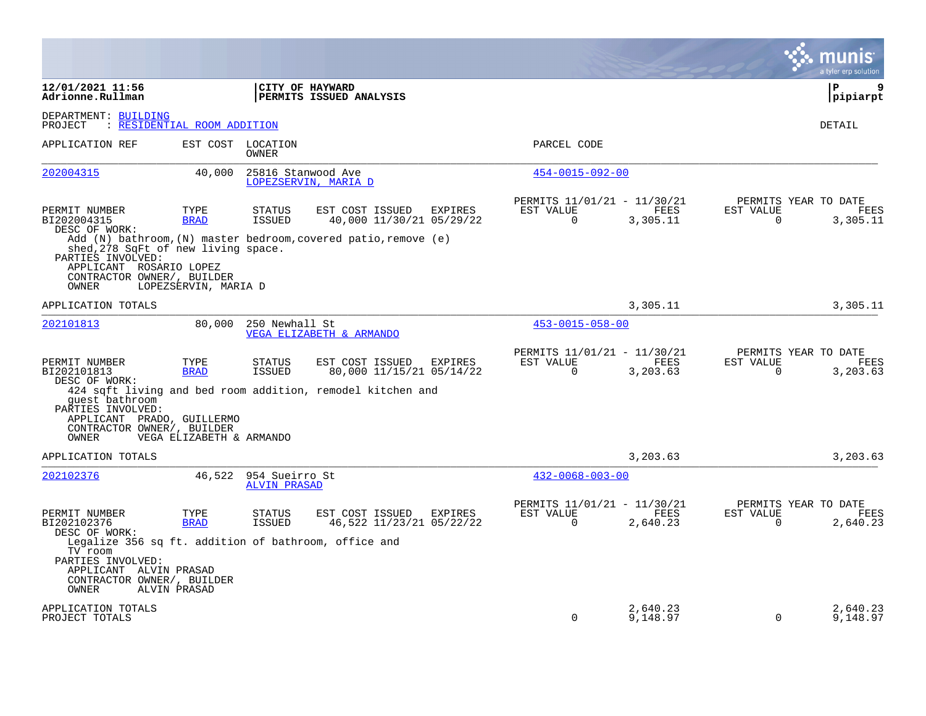|                                                                                                                                                       |                          |                                       |                                                                                                           |         |                                                         |                      |                          | munis<br>a tyler erp solution            |
|-------------------------------------------------------------------------------------------------------------------------------------------------------|--------------------------|---------------------------------------|-----------------------------------------------------------------------------------------------------------|---------|---------------------------------------------------------|----------------------|--------------------------|------------------------------------------|
| 12/01/2021 11:56<br>Adrionne.Rullman                                                                                                                  |                          |                                       | <b>CITY OF HAYWARD</b><br><b>PERMITS ISSUED ANALYSIS</b>                                                  |         |                                                         |                      |                          | l P<br>9<br> pipiarpt                    |
| DEPARTMENT: BUILDING<br>: RESIDENTIAL ROOM ADDITION<br>PROJECT                                                                                        |                          |                                       |                                                                                                           |         |                                                         |                      |                          | DETAIL                                   |
| APPLICATION REF                                                                                                                                       |                          | EST COST LOCATION<br>OWNER            |                                                                                                           |         | PARCEL CODE                                             |                      |                          |                                          |
| 202004315                                                                                                                                             | 40,000                   |                                       | 25816 Stanwood Ave<br>LOPEZSERVIN, MARIA D                                                                |         | $454 - 0015 - 092 - 00$                                 |                      |                          |                                          |
| PERMIT NUMBER<br>BI202004315<br>DESC OF WORK:                                                                                                         | TYPE<br><b>BRAD</b>      | <b>STATUS</b><br><b>ISSUED</b>        | EST COST ISSUED<br>40,000 11/30/21 05/29/22                                                               | EXPIRES | PERMITS 11/01/21 - 11/30/21<br>EST VALUE<br>$\Omega$    | FEES<br>3,305.11     | EST VALUE<br>0           | PERMITS YEAR TO DATE<br>FEES<br>3,305.11 |
| shed, 278 SqFt of new living space.<br>PARTIES INVOLVED:                                                                                              |                          |                                       | Add (N) bathroom, (N) master bedroom, covered patio, remove $(e)$                                         |         |                                                         |                      |                          |                                          |
| APPLICANT ROSARIO LOPEZ<br>CONTRACTOR OWNER/, BUILDER<br>OWNER                                                                                        | LOPEZSERVIN, MARIA D     |                                       |                                                                                                           |         |                                                         |                      |                          |                                          |
| APPLICATION TOTALS                                                                                                                                    |                          |                                       |                                                                                                           |         |                                                         | 3,305.11             |                          | 3,305.11                                 |
| 202101813                                                                                                                                             | 80,000                   | 250 Newhall St                        | VEGA ELIZABETH & ARMANDO                                                                                  |         | $453 - 0015 - 058 - 00$                                 |                      |                          |                                          |
| PERMIT NUMBER<br>BI202101813<br>DESC OF WORK:<br>quest bathroom<br>PARTIES INVOLVED:                                                                  | TYPE<br><b>BRAD</b>      | STATUS<br>ISSUED                      | EST COST ISSUED<br>80,000 11/15/21 05/14/22<br>424 sqft living and bed room addition, remodel kitchen and | EXPIRES | PERMITS 11/01/21 - 11/30/21<br>EST VALUE<br>$\mathbf 0$ | FEES<br>3,203.63     | EST VALUE<br>$\mathbf 0$ | PERMITS YEAR TO DATE<br>FEES<br>3,203.63 |
| APPLICANT PRADO, GUILLERMO<br>CONTRACTOR OWNER/, BUILDER<br>OWNER                                                                                     | VEGA ELIZABETH & ARMANDO |                                       |                                                                                                           |         |                                                         |                      |                          |                                          |
| APPLICATION TOTALS                                                                                                                                    |                          |                                       |                                                                                                           |         |                                                         | 3,203.63             |                          | 3,203.63                                 |
| 202102376                                                                                                                                             | 46,522                   | 954 Sueirro St<br><b>ALVIN PRASAD</b> |                                                                                                           |         | $432 - 0068 - 003 - 00$                                 |                      |                          |                                          |
| PERMIT NUMBER<br>BI202102376<br>DESC OF WORK:                                                                                                         | TYPE<br><b>BRAD</b>      | <b>STATUS</b><br>ISSUED               | EST COST ISSUED<br>46,522 11/23/21 05/22/22                                                               | EXPIRES | PERMITS 11/01/21 - 11/30/21<br>EST VALUE<br>$\Omega$    | FEES<br>2,640.23     | EST VALUE<br>0           | PERMITS YEAR TO DATE<br>FEES<br>2,640.23 |
| Legalize 356 sq ft. addition of bathroom, office and<br>TV room<br>PARTIES INVOLVED:<br>APPLICANT ALVIN PRASAD<br>CONTRACTOR OWNER/, BUILDER<br>OWNER | ALVIN PRASAD             |                                       |                                                                                                           |         |                                                         |                      |                          |                                          |
| APPLICATION TOTALS<br>PROJECT TOTALS                                                                                                                  |                          |                                       |                                                                                                           |         | $\Omega$                                                | 2,640.23<br>9,148.97 | $\Omega$                 | 2,640.23<br>9,148.97                     |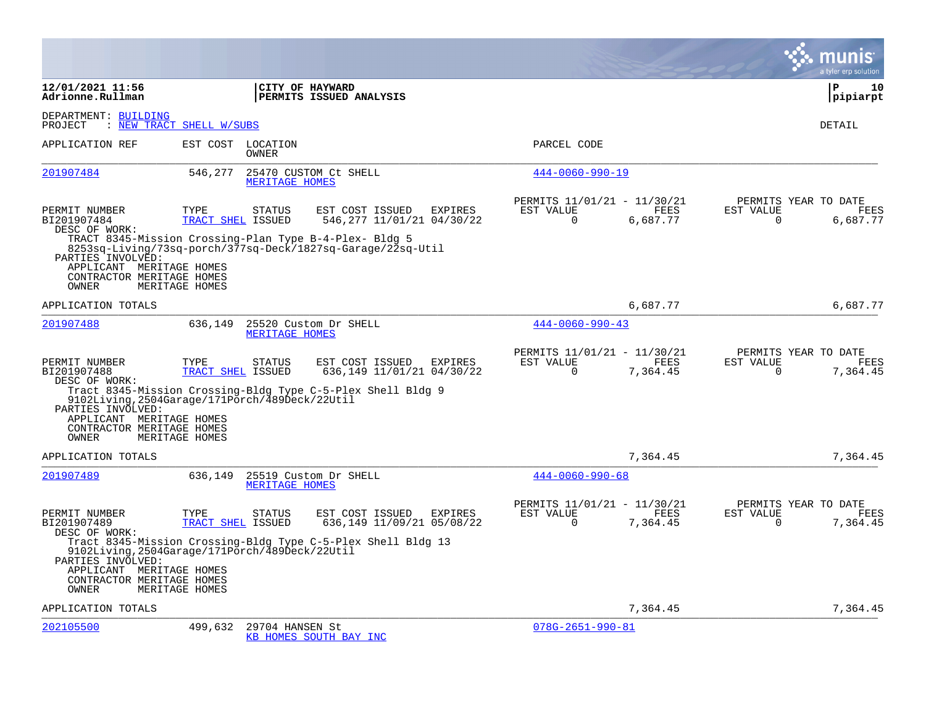|                                                                                                                      |                           |                       |                                                                                                                       |                |                                                      |                         |                       | munis<br>a tyler erp solution            |
|----------------------------------------------------------------------------------------------------------------------|---------------------------|-----------------------|-----------------------------------------------------------------------------------------------------------------------|----------------|------------------------------------------------------|-------------------------|-----------------------|------------------------------------------|
| 12/01/2021 11:56<br>Adrionne.Rullman                                                                                 |                           |                       | CITY OF HAYWARD<br>PERMITS ISSUED ANALYSIS                                                                            |                |                                                      |                         |                       | ΙP<br>10<br>pipiarpt                     |
| DEPARTMENT: BUILDING<br>PROJECT                                                                                      | : NEW TRACT SHELL W/SUBS  |                       |                                                                                                                       |                |                                                      |                         |                       | DETAIL                                   |
| APPLICATION REF                                                                                                      | EST COST                  | LOCATION<br>OWNER     |                                                                                                                       |                | PARCEL CODE                                          |                         |                       |                                          |
| 201907484                                                                                                            | 546,277                   | MERITAGE HOMES        | 25470 CUSTOM Ct SHELL                                                                                                 |                | $444 - 0060 - 990 - 19$                              |                         |                       |                                          |
| PERMIT NUMBER<br>BI201907484<br>DESC OF WORK:                                                                        | TYPE<br>TRACT SHEL ISSUED | <b>STATUS</b>         | EST COST ISSUED<br>546, 277 11/01/21 04/30/22                                                                         | <b>EXPIRES</b> | PERMITS 11/01/21 - 11/30/21<br>EST VALUE<br>$\Omega$ | <b>FEES</b><br>6,687.77 | EST VALUE<br>$\Omega$ | PERMITS YEAR TO DATE<br>FEES<br>6,687.77 |
| PARTIES INVOLVED:<br>APPLICANT MERITAGE HOMES<br>CONTRACTOR MERITAGE HOMES<br>OWNER                                  | MERITAGE HOMES            |                       | TRACT 8345-Mission Crossing-Plan Type B-4-Plex- Bldg 5<br>8253sq-Living/73sq-porch/377sq-Deck/1827sq-Garage/22sq-Util |                |                                                      |                         |                       |                                          |
| APPLICATION TOTALS                                                                                                   |                           |                       |                                                                                                                       |                |                                                      | 6,687.77                |                       | 6,687.77                                 |
| 201907488                                                                                                            | 636,149                   | MERITAGE HOMES        | 25520 Custom Dr SHELL                                                                                                 |                | $444 - 0060 - 990 - 43$                              |                         |                       |                                          |
| PERMIT NUMBER<br>BI201907488<br>DESC OF WORK:<br>9102Living, 2504Garage/171Porch/489Deck/22Util<br>PARTIES INVOLVED: | TYPE<br>TRACT SHEL ISSUED | STATUS                | EST COST ISSUED<br>636,149 11/01/21 04/30/22<br>Tract 8345-Mission Crossing-Bldg Type C-5-Plex Shell Bldg 9           | EXPIRES        | PERMITS 11/01/21 - 11/30/21<br>EST VALUE<br>$\Omega$ | FEES<br>7,364.45        | EST VALUE<br>$\Omega$ | PERMITS YEAR TO DATE<br>FEES<br>7,364.45 |
| APPLICANT MERITAGE HOMES<br>CONTRACTOR MERITAGE HOMES<br>OWNER                                                       | MERITAGE HOMES            |                       |                                                                                                                       |                |                                                      |                         |                       |                                          |
| APPLICATION TOTALS                                                                                                   |                           |                       |                                                                                                                       |                |                                                      | 7,364.45                |                       | 7,364.45                                 |
| 201907489                                                                                                            | 636,149                   | <b>MERITAGE HOMES</b> | 25519 Custom Dr SHELL                                                                                                 |                | $444 - 0060 - 990 - 68$                              |                         |                       |                                          |
| PERMIT NUMBER<br>BI201907489<br>DESC OF WORK:                                                                        | TYPE<br>TRACT SHEL ISSUED | <b>STATUS</b>         | EST COST ISSUED<br>636,149 11/09/21 05/08/22                                                                          | <b>EXPIRES</b> | PERMITS 11/01/21 - 11/30/21<br>EST VALUE<br>$\Omega$ | FEES<br>7,364.45        | EST VALUE<br>0        | PERMITS YEAR TO DATE<br>FEES<br>7,364.45 |
| 9102Living, 2504Garage/171Porch/489Deck/22Util<br>PARTIES INVOLVED:<br>APPLICANT MERITAGE HOMES                      |                           |                       | Tract 8345-Mission Crossing-Bldg Type C-5-Plex Shell Bldg 13                                                          |                |                                                      |                         |                       |                                          |
| CONTRACTOR MERITAGE HOMES<br>OWNER                                                                                   | MERITAGE HOMES            |                       |                                                                                                                       |                |                                                      |                         |                       |                                          |
| APPLICATION TOTALS                                                                                                   |                           |                       |                                                                                                                       |                |                                                      | 7,364.45                |                       | 7,364.45                                 |
| 202105500                                                                                                            | 499,632                   | 29704 HANSEN St       | KB HOMES SOUTH BAY INC                                                                                                |                | $078G - 2651 - 990 - 81$                             |                         |                       |                                          |

**Contract**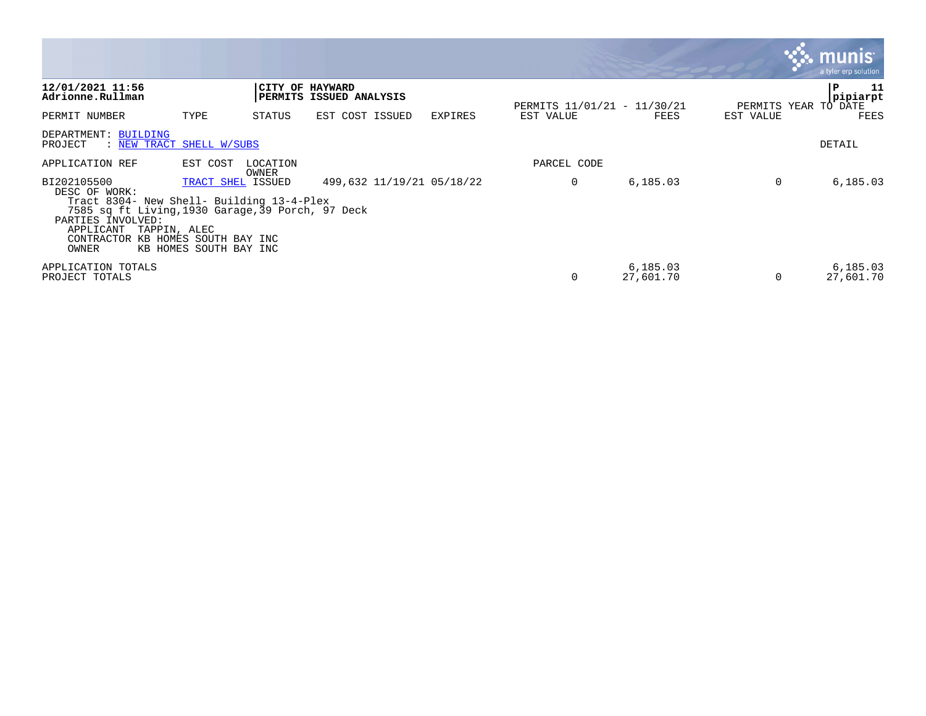|                                                                                                                                                                                                         |                                                                       |                   |                           |                |                                          |                       |                                   | munis<br>a tyler erp solution |
|---------------------------------------------------------------------------------------------------------------------------------------------------------------------------------------------------------|-----------------------------------------------------------------------|-------------------|---------------------------|----------------|------------------------------------------|-----------------------|-----------------------------------|-------------------------------|
| 12/01/2021 11:56<br>Adrionne.Rullman                                                                                                                                                                    |                                                                       | CITY OF HAYWARD   | PERMITS ISSUED ANALYSIS   |                |                                          |                       |                                   | P<br>11<br>pipiarpt           |
| PERMIT NUMBER                                                                                                                                                                                           | TYPE                                                                  | STATUS            | EST COST ISSUED           | <b>EXPIRES</b> | PERMITS 11/01/21 - 11/30/21<br>EST VALUE | FEES                  | PERMITS YEAR TO DATE<br>EST VALUE | FEES                          |
| DEPARTMENT: BUILDING<br>PROJECT<br>: NEW TRACT SHELL W/SUBS                                                                                                                                             |                                                                       |                   |                           |                |                                          |                       |                                   | DETAIL                        |
| APPLICATION REF                                                                                                                                                                                         | EST COST                                                              | LOCATION<br>OWNER |                           |                | PARCEL CODE                              |                       |                                   |                               |
| BI202105500<br>DESC OF WORK:<br>Tract 8304- New Shell- Building 13-4-Plex<br>7585 sq ft Living, 1930 Garage, 39 Porch, 97 Deck<br>PARTIES INVOLVED:<br>APPLICANT<br>TAPPIN, ALEC<br>CONTRACTOR<br>OWNER | TRACT SHEL ISSUED<br>KB HOMES SOUTH BAY INC<br>KB HOMES SOUTH BAY INC |                   | 499,632 11/19/21 05/18/22 |                | 0                                        | 6,185.03              | 0                                 | 6,185.03                      |
| APPLICATION TOTALS<br>PROJECT TOTALS                                                                                                                                                                    |                                                                       |                   |                           |                | 0                                        | 6,185.03<br>27,601.70 | $\Omega$                          | 6,185.03<br>27,601.70         |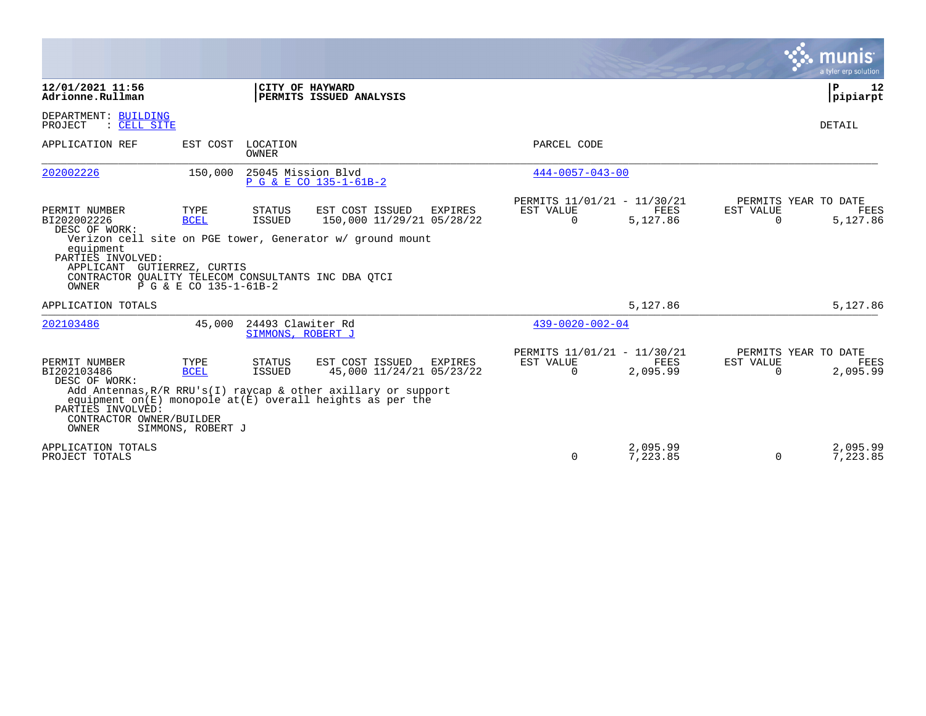|                                                                                                                                                                                |                                               |                                        |                                                                                                                                                                                              |                                                      |                      |                       | munis<br>a tyler erp solution            |
|--------------------------------------------------------------------------------------------------------------------------------------------------------------------------------|-----------------------------------------------|----------------------------------------|----------------------------------------------------------------------------------------------------------------------------------------------------------------------------------------------|------------------------------------------------------|----------------------|-----------------------|------------------------------------------|
| 12/01/2021 11:56<br>Adrionne.Rullman                                                                                                                                           |                                               |                                        | CITY OF HAYWARD<br>PERMITS ISSUED ANALYSIS                                                                                                                                                   |                                                      |                      |                       | P<br>12<br>pipiarpt                      |
| DEPARTMENT: BUILDING<br>: CELL SITE<br>PROJECT                                                                                                                                 |                                               |                                        |                                                                                                                                                                                              |                                                      |                      |                       | DETAIL                                   |
| APPLICATION REF                                                                                                                                                                |                                               | EST COST LOCATION<br><b>OWNER</b>      |                                                                                                                                                                                              | PARCEL CODE                                          |                      |                       |                                          |
| 202002226                                                                                                                                                                      | 150,000                                       | 25045 Mission Blvd                     | P G & E CO 135-1-61B-2                                                                                                                                                                       | $444 - 0057 - 043 - 00$                              |                      |                       |                                          |
| PERMIT NUMBER<br>BI202002226<br>DESC OF WORK:<br>equipment<br>PARTIES INVOLVED:<br>APPLICANT GUTIERREZ, CURTIS<br>CONTRACTOR QUALITY TELECOM CONSULTANTS INC DBA QTCI<br>OWNER | TYPE<br><b>BCEL</b><br>P G & E CO 135-1-61B-2 | <b>STATUS</b><br><b>ISSUED</b>         | EST COST ISSUED<br><b>EXPIRES</b><br>150,000 11/29/21 05/28/22<br>Verizon cell site on PGE tower, Generator w/ ground mount                                                                  | PERMITS 11/01/21 - 11/30/21<br>EST VALUE<br>$\Omega$ | FEES<br>5,127.86     | EST VALUE<br>$\Omega$ | PERMITS YEAR TO DATE<br>FEES<br>5,127.86 |
| APPLICATION TOTALS                                                                                                                                                             |                                               |                                        |                                                                                                                                                                                              |                                                      | 5,127.86             |                       | 5,127.86                                 |
| 202103486                                                                                                                                                                      | 45,000                                        | 24493 Clawiter Rd<br>SIMMONS, ROBERT J |                                                                                                                                                                                              | $439 - 0020 - 002 - 04$                              |                      |                       |                                          |
| PERMIT NUMBER<br>BI202103486<br>DESC OF WORK:<br>PARTIES INVOLVED:<br>CONTRACTOR OWNER/BUILDER<br><b>OWNER</b>                                                                 | TYPE<br><b>BCEL</b><br>SIMMONS, ROBERT J      | STATUS<br><b>ISSUED</b>                | EST COST ISSUED<br>EXPIRES<br>45,000 11/24/21 05/23/22<br>Add Antennas, $R/R$ RRU's(I) raycap & other axillary or support<br>equipment on $(E)$ monopole at $(E)$ overall heights as per the | PERMITS 11/01/21 - 11/30/21<br>EST VALUE<br>$\Omega$ | FEES<br>2,095.99     | EST VALUE<br>$\Omega$ | PERMITS YEAR TO DATE<br>FEES<br>2,095.99 |
| APPLICATION TOTALS<br>PROJECT TOTALS                                                                                                                                           |                                               |                                        |                                                                                                                                                                                              | $\Omega$                                             | 2,095.99<br>7,223.85 | $\mathbf 0$           | 2,095.99<br>7,223.85                     |

**Contract**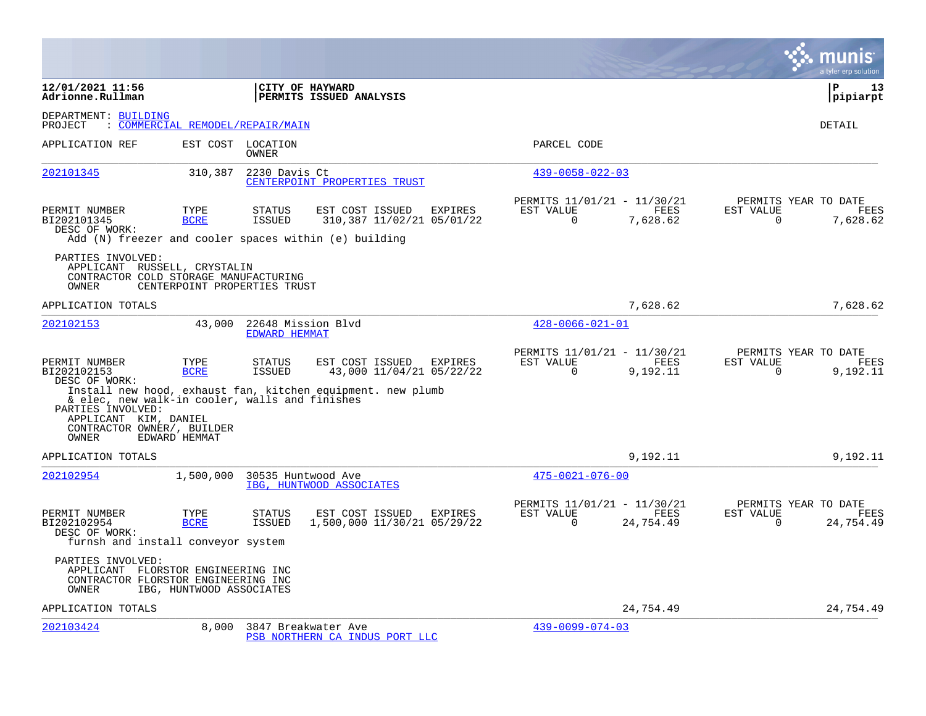|                                                                                                                                                                             |                                  |                                            |                                                                                                            |                |                                                      |                   |                       | a tyler erp solution                      |
|-----------------------------------------------------------------------------------------------------------------------------------------------------------------------------|----------------------------------|--------------------------------------------|------------------------------------------------------------------------------------------------------------|----------------|------------------------------------------------------|-------------------|-----------------------|-------------------------------------------|
| 12/01/2021 11:56<br>Adrionne.Rullman                                                                                                                                        |                                  | CITY OF HAYWARD                            | PERMITS ISSUED ANALYSIS                                                                                    |                |                                                      |                   |                       | $\mathbf{P}$<br>13<br>pipiarpt            |
| DEPARTMENT: BUILDING<br>PROJECT                                                                                                                                             | : COMMERCIAL REMODEL/REPAIR/MAIN |                                            |                                                                                                            |                |                                                      |                   |                       | DETAIL                                    |
| APPLICATION REF                                                                                                                                                             |                                  | EST COST LOCATION<br><b>OWNER</b>          |                                                                                                            |                | PARCEL CODE                                          |                   |                       |                                           |
| 202101345                                                                                                                                                                   | 310,387                          | 2230 Davis Ct                              | CENTERPOINT PROPERTIES TRUST                                                                               |                | $439 - 0058 - 022 - 03$                              |                   |                       |                                           |
| PERMIT NUMBER<br>BI202101345<br>DESC OF WORK:                                                                                                                               | TYPE<br><b>BCRE</b>              | <b>STATUS</b><br><b>ISSUED</b>             | EST COST ISSUED<br>310,387 11/02/21 05/01/22<br>Add (N) freezer and cooler spaces within (e) building      | EXPIRES        | PERMITS 11/01/21 - 11/30/21<br>EST VALUE<br>$\Omega$ | FEES<br>7,628.62  | EST VALUE<br>$\Omega$ | PERMITS YEAR TO DATE<br>FEES<br>7,628.62  |
| PARTIES INVOLVED:<br>APPLICANT RUSSELL, CRYSTALIN<br>CONTRACTOR COLD STORAGE MANUFACTURING<br>OWNER                                                                         | CENTERPOINT PROPERTIES TRUST     |                                            |                                                                                                            |                |                                                      |                   |                       |                                           |
| APPLICATION TOTALS                                                                                                                                                          |                                  |                                            |                                                                                                            |                |                                                      | 7,628.62          |                       | 7,628.62                                  |
| 202102153                                                                                                                                                                   | 43,000                           | 22648 Mission Blvd<br><b>EDWARD HEMMAT</b> |                                                                                                            |                | $428 - 0066 - 021 - 01$                              |                   |                       |                                           |
| PERMIT NUMBER<br>BI202102153<br>DESC OF WORK:<br>& elec, new walk-in cooler, walls and finishes<br>PARTIES INVOLVED:<br>APPLICANT KIM, DANIEL<br>CONTRACTOR OWNER/, BUILDER | TYPE<br><b>BCRE</b>              | <b>STATUS</b><br><b>ISSUED</b>             | EST COST ISSUED<br>43,000 11/04/21 05/22/22<br>Install new hood, exhaust fan, kitchen equipment. new plumb | EXPIRES        | PERMITS 11/01/21 - 11/30/21<br>EST VALUE<br>$\Omega$ | FEES<br>9,192.11  | EST VALUE<br>$\Omega$ | PERMITS YEAR TO DATE<br>FEES<br>9,192.11  |
| OWNER                                                                                                                                                                       | EDWARD HEMMAT                    |                                            |                                                                                                            |                |                                                      |                   |                       |                                           |
| APPLICATION TOTALS                                                                                                                                                          |                                  |                                            |                                                                                                            |                |                                                      | 9,192.11          |                       | 9,192.11                                  |
| 202102954                                                                                                                                                                   | 1,500,000                        | 30535 Huntwood Ave                         | IBG, HUNTWOOD ASSOCIATES                                                                                   |                | $475 - 0021 - 076 - 00$                              |                   |                       |                                           |
| PERMIT NUMBER<br>BI202102954<br>DESC OF WORK:<br>furnsh and install conveyor system                                                                                         | TYPE<br><b>BCRE</b>              | <b>STATUS</b><br>ISSUED                    | EST COST ISSUED<br>1,500,000 11/30/21 05/29/22                                                             | <b>EXPIRES</b> | PERMITS 11/01/21 - 11/30/21<br>EST VALUE<br>$\Omega$ | FEES<br>24,754.49 | EST VALUE<br>$\Omega$ | PERMITS YEAR TO DATE<br>FEES<br>24,754.49 |
| PARTIES INVOLVED:<br>APPLICANT FLORSTOR ENGINEERING INC<br>CONTRACTOR FLORSTOR ENGINEERING INC<br>OWNER                                                                     | IBG, HUNTWOOD ASSOCIATES         |                                            |                                                                                                            |                |                                                      |                   |                       |                                           |
| APPLICATION TOTALS                                                                                                                                                          |                                  |                                            |                                                                                                            |                |                                                      | 24,754.49         |                       | 24,754.49                                 |
| 202103424                                                                                                                                                                   | 8,000                            | 3847 Breakwater Ave                        | PSB NORTHERN CA INDUS PORT LLC                                                                             |                | $439 - 0099 - 074 - 03$                              |                   |                       |                                           |

 $\mathcal{L}^{\text{max}}$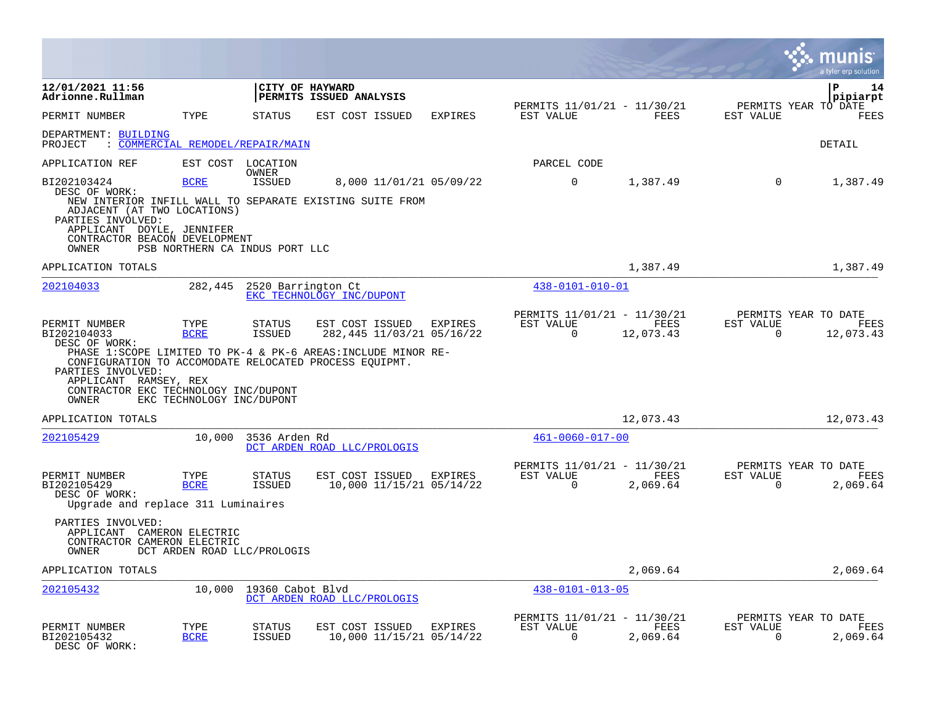|                                                                                                                         |                           |                                  |                                                                                                               |                |                                                         |                   |                                                  | a tyler erp solutior    |
|-------------------------------------------------------------------------------------------------------------------------|---------------------------|----------------------------------|---------------------------------------------------------------------------------------------------------------|----------------|---------------------------------------------------------|-------------------|--------------------------------------------------|-------------------------|
| 12/01/2021 11:56<br>Adrionne.Rullman                                                                                    |                           | CITY OF HAYWARD                  | PERMITS ISSUED ANALYSIS                                                                                       |                |                                                         |                   |                                                  | 14<br>P<br>pipiarpt     |
| PERMIT NUMBER                                                                                                           | TYPE                      | <b>STATUS</b>                    | EST COST ISSUED                                                                                               | EXPIRES        | PERMITS 11/01/21 - 11/30/21<br>EST VALUE                | FEES              | PERMITS YEAR TO DATE<br>EST VALUE                | <b>FEES</b>             |
| DEPARTMENT: BUILDING<br>PROJECT                                                                                         |                           | : COMMERCIAL REMODEL/REPAIR/MAIN |                                                                                                               |                |                                                         |                   |                                                  | DETAIL                  |
| APPLICATION REF                                                                                                         |                           | EST COST LOCATION<br>OWNER       |                                                                                                               |                | PARCEL CODE                                             |                   |                                                  |                         |
| BI202103424<br>DESC OF WORK:                                                                                            | <b>BCRE</b>               | <b>ISSUED</b>                    | 8,000 11/01/21 05/09/22<br>NEW INTERIOR INFILL WALL TO SEPARATE EXISTING SUITE FROM                           |                | $\mathbf 0$                                             | 1,387.49          | $\Omega$                                         | 1,387.49                |
| ADJACENT (AT TWO LOCATIONS)<br>PARTIES INVOLVED:<br>APPLICANT DOYLE, JENNIFER<br>CONTRACTOR BEACON DEVELOPMENT<br>OWNER |                           | PSB NORTHERN CA INDUS PORT LLC   |                                                                                                               |                |                                                         |                   |                                                  |                         |
| APPLICATION TOTALS                                                                                                      |                           |                                  |                                                                                                               |                |                                                         | 1,387.49          |                                                  | 1,387.49                |
| 202104033                                                                                                               | 282,445                   | 2520 Barrington Ct               | EKC TECHNOLOGY INC/DUPONT                                                                                     |                | $438 - 0101 - 010 - 01$                                 |                   |                                                  |                         |
| PERMIT NUMBER<br>BI202104033<br>DESC OF WORK:<br>CONFIGURATION TO ACCOMODATE RELOCATED PROCESS EQUIPMT.                 | TYPE<br><b>BCRE</b>       | <b>STATUS</b><br><b>ISSUED</b>   | EST COST ISSUED<br>282,445 11/03/21 05/16/22<br>PHASE 1:SCOPE LIMITED TO PK-4 & PK-6 AREAS: INCLUDE MINOR RE- | <b>EXPIRES</b> | PERMITS 11/01/21 - 11/30/21<br>EST VALUE<br>$\Omega$    | FEES<br>12,073.43 | PERMITS YEAR TO DATE<br>EST VALUE<br>$\Omega$    | FEES<br>12,073.43       |
| PARTIES INVOLVED:<br>APPLICANT RAMSEY, REX<br>CONTRACTOR EKC TECHNOLOGY INC/DUPONT<br>OWNER                             | EKC TECHNOLOGY INC/DUPONT |                                  |                                                                                                               |                |                                                         |                   |                                                  |                         |
| APPLICATION TOTALS                                                                                                      |                           |                                  |                                                                                                               |                |                                                         | 12,073.43         |                                                  | 12,073.43               |
| 202105429                                                                                                               | 10,000                    | 3536 Arden Rd                    | DCT ARDEN ROAD LLC/PROLOGIS                                                                                   |                | $461 - 0060 - 017 - 00$                                 |                   |                                                  |                         |
| PERMIT NUMBER<br>BI202105429<br>DESC OF WORK:<br>Upgrade and replace 311 Luminaires                                     | TYPE<br><b>BCRE</b>       | <b>STATUS</b><br><b>ISSUED</b>   | EST COST ISSUED<br>10,000 11/15/21 05/14/22                                                                   | EXPIRES        | PERMITS 11/01/21 - 11/30/21<br>EST VALUE<br>$\mathbf 0$ | FEES<br>2,069.64  | PERMITS YEAR TO DATE<br>EST VALUE<br>$\mathbf 0$ | <b>FEES</b><br>2,069.64 |
| PARTIES INVOLVED:<br>APPLICANT<br>CONTRACTOR CAMERON ELECTRIC<br>OWNER                                                  | CAMERON ELECTRIC          | DCT ARDEN ROAD LLC/PROLOGIS      |                                                                                                               |                |                                                         |                   |                                                  |                         |
| APPLICATION TOTALS                                                                                                      |                           |                                  |                                                                                                               |                |                                                         | 2,069.64          |                                                  | 2,069.64                |
| 202105432                                                                                                               | 10,000                    | 19360 Cabot Blvd                 | DCT ARDEN ROAD LLC/PROLOGIS                                                                                   |                | 438-0101-013-05                                         |                   |                                                  |                         |
| PERMIT NUMBER<br>BI202105432<br>DESC OF WORK:                                                                           | TYPE<br><b>BCRE</b>       | <b>STATUS</b><br><b>ISSUED</b>   | EST COST ISSUED<br>10,000 11/15/21 05/14/22                                                                   | EXPIRES        | PERMITS 11/01/21 - 11/30/21<br>EST VALUE<br>$\Omega$    | FEES<br>2,069.64  | PERMITS YEAR TO DATE<br>EST VALUE<br>$\mathbf 0$ | FEES<br>2,069.64        |

**The Co**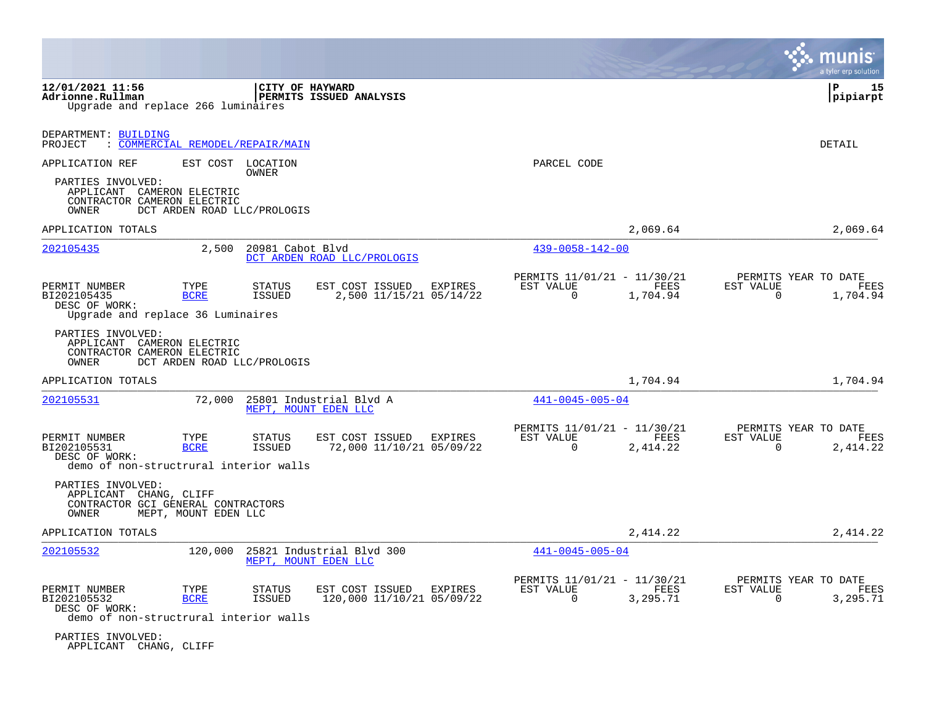|                                                                                                            |                                  |                            |                                                    |                |                                                         |                  | munis<br>a tyler erp solution                                        |
|------------------------------------------------------------------------------------------------------------|----------------------------------|----------------------------|----------------------------------------------------|----------------|---------------------------------------------------------|------------------|----------------------------------------------------------------------|
| 12/01/2021 11:56<br>Adrionne.Rullman<br>Upgrade and replace 266 luminaires                                 |                                  | CITY OF HAYWARD            | <b>  PERMITS ISSUED ANALYSIS</b>                   |                |                                                         |                  | ΙP<br>15<br> pipiarpt                                                |
| DEPARTMENT: BUILDING<br>PROJECT                                                                            | : COMMERCIAL REMODEL/REPAIR/MAIN |                            |                                                    |                |                                                         |                  | DETAIL                                                               |
| APPLICATION REF<br>PARTIES INVOLVED:<br>APPLICANT CAMERON ELECTRIC<br>CONTRACTOR CAMERON ELECTRIC<br>OWNER | DCT ARDEN ROAD LLC/PROLOGIS      | EST COST LOCATION<br>OWNER |                                                    |                | PARCEL CODE                                             |                  |                                                                      |
| APPLICATION TOTALS                                                                                         |                                  |                            |                                                    |                |                                                         | 2,069.64         | 2,069.64                                                             |
| 202105435                                                                                                  | 2,500                            | 20981 Cabot Blvd           | DCT ARDEN ROAD LLC/PROLOGIS                        |                | $439 - 0058 - 142 - 00$                                 |                  |                                                                      |
| PERMIT NUMBER<br>BI202105435<br>DESC OF WORK:<br>Upgrade and replace 36 Luminaires                         | TYPE<br><b>BCRE</b>              | <b>STATUS</b><br>ISSUED    | EST COST ISSUED EXPIRES<br>2,500 11/15/21 05/14/22 |                | PERMITS 11/01/21 - 11/30/21<br>EST VALUE<br>$\mathbf 0$ | FEES<br>1,704.94 | PERMITS YEAR TO DATE<br>EST VALUE<br>FEES<br>$\Omega$<br>1,704.94    |
| PARTIES INVOLVED:<br>APPLICANT CAMERON ELECTRIC<br>CONTRACTOR CAMERON ELECTRIC<br>OWNER                    | DCT ARDEN ROAD LLC/PROLOGIS      |                            |                                                    |                |                                                         |                  |                                                                      |
| APPLICATION TOTALS                                                                                         |                                  |                            |                                                    |                |                                                         | 1,704.94         | 1,704.94                                                             |
| 202105531                                                                                                  | 72,000                           |                            | 25801 Industrial Blvd A<br>MEPT, MOUNT EDEN LLC    |                | 441-0045-005-04                                         |                  |                                                                      |
| PERMIT NUMBER<br>BI202105531<br>DESC OF WORK:<br>demo of non-structrural interior walls                    | TYPE<br><b>BCRE</b>              | <b>STATUS</b><br>ISSUED    | EST COST ISSUED<br>72,000 11/10/21 05/09/22        | <b>EXPIRES</b> | PERMITS 11/01/21 - 11/30/21<br>EST VALUE<br>$\Omega$    | FEES<br>2,414.22 | PERMITS YEAR TO DATE<br>EST VALUE<br>FEES<br>2,414.22<br>$\Omega$    |
| PARTIES INVOLVED:<br>APPLICANT CHANG, CLIFF<br>CONTRACTOR GCI GENERAL CONTRACTORS<br>OWNER                 | MEPT, MOUNT EDEN LLC             |                            |                                                    |                |                                                         |                  |                                                                      |
| APPLICATION TOTALS                                                                                         |                                  |                            |                                                    |                |                                                         | 2,414.22         | 2,414.22                                                             |
| 202105532                                                                                                  | 120,000                          |                            | 25821 Industrial Blvd 300<br>MEPT, MOUNT EDEN LLC  |                | $441 - 0045 - 005 - 04$                                 |                  |                                                                      |
| PERMIT NUMBER<br>BI202105532<br>DESC OF WORK:<br>demo of non-structrural interior walls                    | TYPE<br><b>BCRE</b>              | <b>STATUS</b><br>ISSUED    | EST COST ISSUED<br>120,000 11/10/21 05/09/22       | EXPIRES        | PERMITS 11/01/21 - 11/30/21<br>EST VALUE<br>$\mathbf 0$ | FEES<br>3,295.71 | PERMITS YEAR TO DATE<br>EST VALUE<br>FEES<br>$\mathbf 0$<br>3,295.71 |
| PARTIES INVOLVED:<br>APPLICANT CHANG, CLIFF                                                                |                                  |                            |                                                    |                |                                                         |                  |                                                                      |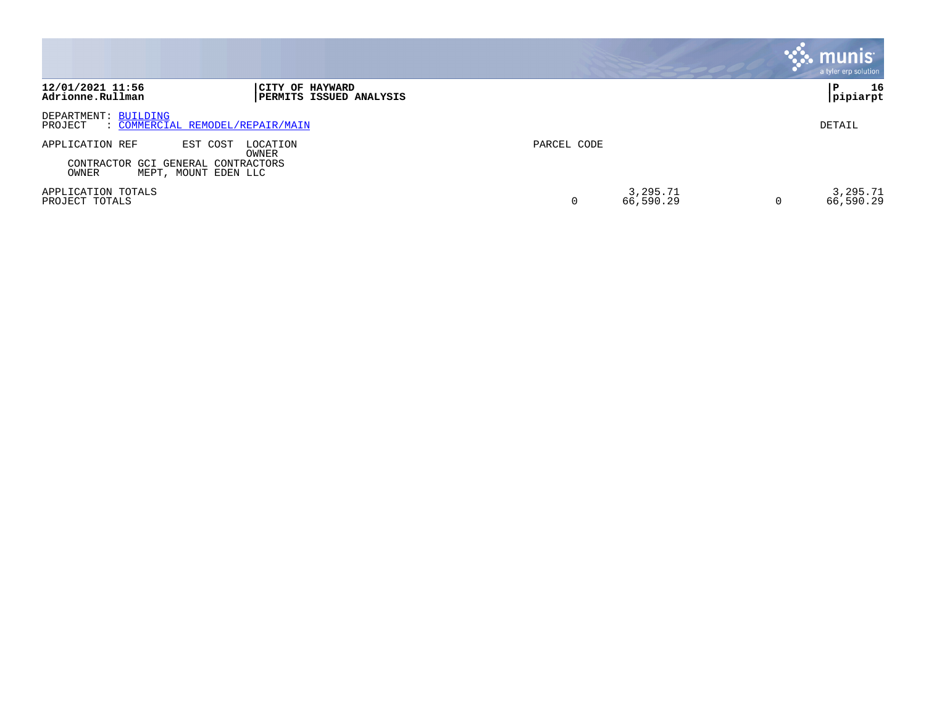|                                                                                                                         | $\mathbb{C}$ munis $^{\shortparallel}$<br>a tyler erp solution |
|-------------------------------------------------------------------------------------------------------------------------|----------------------------------------------------------------|
| 12/01/2021 11:56<br>CITY OF HAYWARD<br>Adrionne.Rullman<br>PERMITS ISSUED ANALYSIS                                      | 16<br>P<br>pipiarpt                                            |
| DEPARTMENT: BUILDING<br>: COMMERCIAL REMODEL/REPAIR/MAIN<br>PROJECT                                                     | DETAIL                                                         |
| APPLICATION REF<br>EST COST<br>LOCATION<br>OWNER<br>CONTRACTOR GCI GENERAL CONTRACTORS<br>OWNER<br>MEPT, MOUNT EDEN LLC | PARCEL CODE                                                    |
| APPLICATION TOTALS<br>PROJECT TOTALS                                                                                    | 3,295.71<br>3,295.71<br>66,590.29<br>66,590.29                 |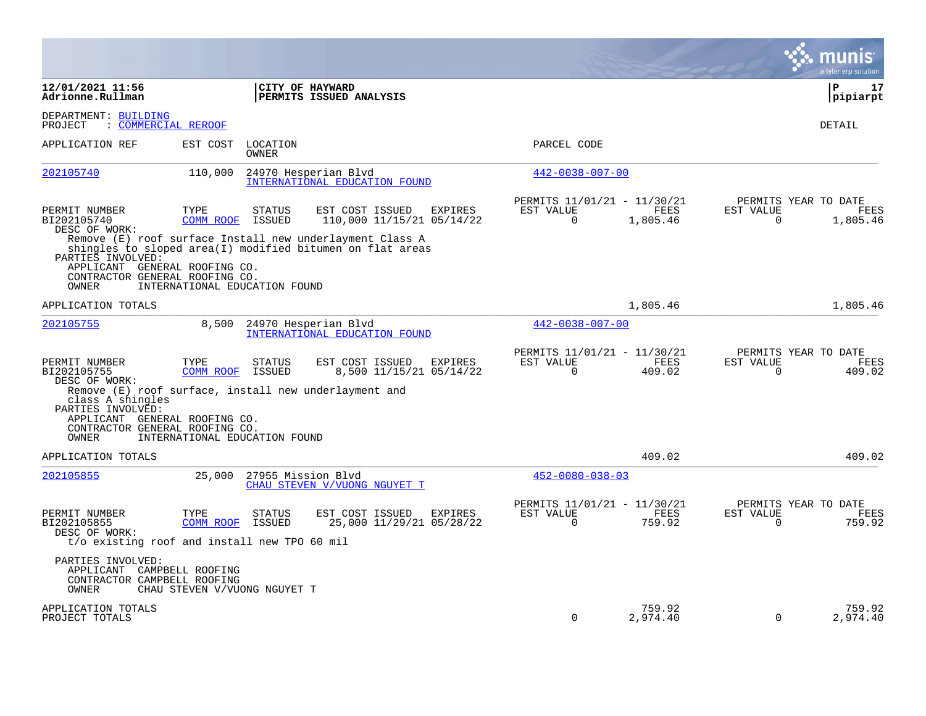|                                                                                                                   |                                                                                       |                                                                                                                       |                                                      |                       |                       | a tyler erp solution                          |
|-------------------------------------------------------------------------------------------------------------------|---------------------------------------------------------------------------------------|-----------------------------------------------------------------------------------------------------------------------|------------------------------------------------------|-----------------------|-----------------------|-----------------------------------------------|
| 12/01/2021 11:56<br>Adrionne.Rullman                                                                              |                                                                                       | CITY OF HAYWARD<br>PERMITS ISSUED ANALYSIS                                                                            |                                                      |                       |                       | l P<br>17<br>pipiarpt                         |
| DEPARTMENT: BUILDING<br>PROJECT                                                                                   | : COMMERCIAL REROOF                                                                   |                                                                                                                       |                                                      |                       |                       | DETAIL                                        |
| APPLICATION REF                                                                                                   | EST COST<br>LOCATION<br>OWNER                                                         |                                                                                                                       | PARCEL CODE                                          |                       |                       |                                               |
| 202105740                                                                                                         | 110,000                                                                               | 24970 Hesperian Blvd<br>INTERNATIONAL EDUCATION FOUND                                                                 | $442 - 0038 - 007 - 00$                              |                       |                       |                                               |
| PERMIT NUMBER<br>BI202105740<br>DESC OF WORK:                                                                     | TYPE<br><b>STATUS</b><br>COMM ROOF<br>ISSUED                                          | EST COST ISSUED<br>EXPIRES<br>110,000 11/15/21 05/14/22                                                               | PERMITS 11/01/21 - 11/30/21<br>EST VALUE<br>$\Omega$ | FEES<br>1,805.46      | EST VALUE<br>$\Omega$ | PERMITS YEAR TO DATE<br>FEES<br>1,805.46      |
| PARTIES INVOLVED:                                                                                                 |                                                                                       | Remove (E) roof surface Install new underlayment Class A<br>shingles to sloped area(I) modified bitumen on flat areas |                                                      |                       |                       |                                               |
| APPLICANT GENERAL ROOFING CO.<br>CONTRACTOR GENERAL ROOFING CO.<br>OWNER                                          | INTERNATIONAL EDUCATION FOUND                                                         |                                                                                                                       |                                                      |                       |                       |                                               |
| APPLICATION TOTALS                                                                                                |                                                                                       |                                                                                                                       |                                                      | 1,805.46              |                       | 1,805.46                                      |
| 202105755                                                                                                         | 8,500                                                                                 | 24970 Hesperian Blvd<br>INTERNATIONAL EDUCATION FOUND                                                                 | $442 - 0038 - 007 - 00$                              |                       |                       |                                               |
| PERMIT NUMBER<br>BI202105755<br>DESC OF WORK:                                                                     | TYPE<br><b>STATUS</b><br>COMM ROOF<br>ISSUED                                          | EST COST ISSUED<br><b>EXPIRES</b><br>8,500 11/15/21 05/14/22                                                          | PERMITS 11/01/21 - 11/30/21<br>EST VALUE<br>$\Omega$ | <b>FEES</b><br>409.02 | EST VALUE<br>$\Omega$ | PERMITS YEAR TO DATE<br><b>FEES</b><br>409.02 |
| class A shingles<br>PARTIES INVOLVED:<br>APPLICANT GENERAL ROOFING CO.<br>CONTRACTOR GENERAL ROOFING CO.<br>OWNER | INTERNATIONAL EDUCATION FOUND                                                         | Remove (E) roof surface, install new underlayment and                                                                 |                                                      |                       |                       |                                               |
| APPLICATION TOTALS                                                                                                |                                                                                       |                                                                                                                       |                                                      | 409.02                |                       | 409.02                                        |
| 202105855                                                                                                         | 25,000                                                                                | 27955 Mission Blvd<br>CHAU STEVEN V/VUONG NGUYET T                                                                    | $452 - 0080 - 038 - 03$                              |                       |                       |                                               |
| PERMIT NUMBER<br>BI202105855<br>DESC OF WORK:                                                                     | TYPE<br>STATUS<br>ISSUED<br>COMM ROOF<br>t/o existing roof and install new TPO 60 mil | EST COST ISSUED<br>EXPIRES<br>25,000 11/29/21 05/28/22                                                                | PERMITS 11/01/21 - 11/30/21<br>EST VALUE<br>0        | FEES<br>759.92        | EST VALUE<br>0        | PERMITS YEAR TO DATE<br>FEES<br>759.92        |
| PARTIES INVOLVED:<br>APPLICANT CAMPBELL ROOFING<br>CONTRACTOR CAMPBELL ROOFING<br>OWNER                           | CHAU STEVEN V/VUONG NGUYET T                                                          |                                                                                                                       |                                                      |                       |                       |                                               |
| APPLICATION TOTALS<br>PROJECT TOTALS                                                                              |                                                                                       |                                                                                                                       | $\Omega$                                             | 759.92<br>2,974.40    | 0                     | 759.92<br>2,974.40                            |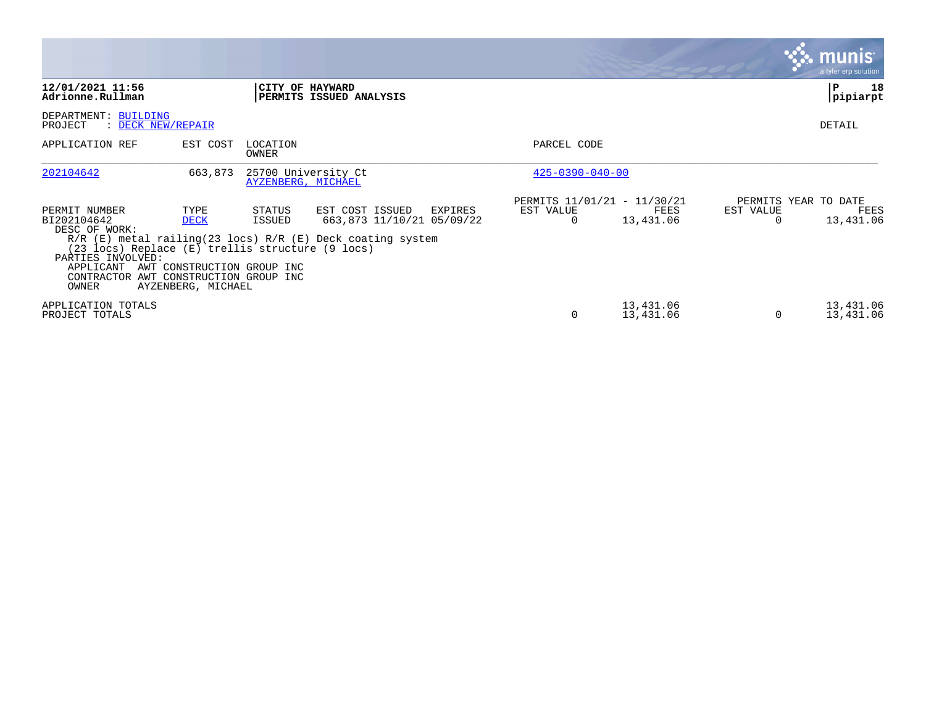|                                                                                                                                                                                       |                                                                         |                                           |                                                                                                                            |                                                      |                        |           | <b>munis</b><br>a tyler erp solution      |
|---------------------------------------------------------------------------------------------------------------------------------------------------------------------------------------|-------------------------------------------------------------------------|-------------------------------------------|----------------------------------------------------------------------------------------------------------------------------|------------------------------------------------------|------------------------|-----------|-------------------------------------------|
| 12/01/2021 11:56<br>Adrionne.Rullman                                                                                                                                                  |                                                                         | CITY OF HAYWARD                           | PERMITS ISSUED ANALYSIS                                                                                                    |                                                      |                        |           | 18<br>P<br>pipiarpt                       |
| DEPARTMENT: BUILDING<br>PROJECT<br>: DECK NEW/REPAIR                                                                                                                                  |                                                                         |                                           |                                                                                                                            |                                                      |                        |           | DETAIL                                    |
| APPLICATION REF                                                                                                                                                                       | EST COST                                                                | LOCATION<br>OWNER                         |                                                                                                                            | PARCEL CODE                                          |                        |           |                                           |
| 202104642                                                                                                                                                                             | 663,873                                                                 | 25700 University Ct<br>AYZENBERG, MICHAEL |                                                                                                                            | $425 - 0390 - 040 - 00$                              |                        |           |                                           |
| PERMIT NUMBER<br>BI202104642<br>DESC OF WORK:<br>(23 locs) Replace (E) trellis structure (9 locs)<br>PARTIES INVOLVED:<br>APPLICANT<br>CONTRACTOR AWT CONSTRUCTION GROUP INC<br>OWNER | TYPE<br><b>DECK</b><br>AWT CONSTRUCTION GROUP INC<br>AYZENBERG, MICHAEL | STATUS<br>ISSUED                          | EST COST ISSUED<br>EXPIRES<br>663,873 11/10/21 05/09/22<br>$R/R$ (E) metal railing (23 locs) $R/R$ (E) Deck coating system | PERMITS 11/01/21 - 11/30/21<br>EST VALUE<br>$\Omega$ | FEES<br>13,431.06      | EST VALUE | PERMITS YEAR TO DATE<br>FEES<br>13,431.06 |
| APPLICATION TOTALS<br>PROJECT TOTALS                                                                                                                                                  |                                                                         |                                           |                                                                                                                            | 0                                                    | 13,431.06<br>13,431.06 | 0         | 13,431.06<br>13,431.06                    |

 $\sim$ 

The Control of the Control of

the contract of the contract of the contract of the contract of the contract of the contract of the contract of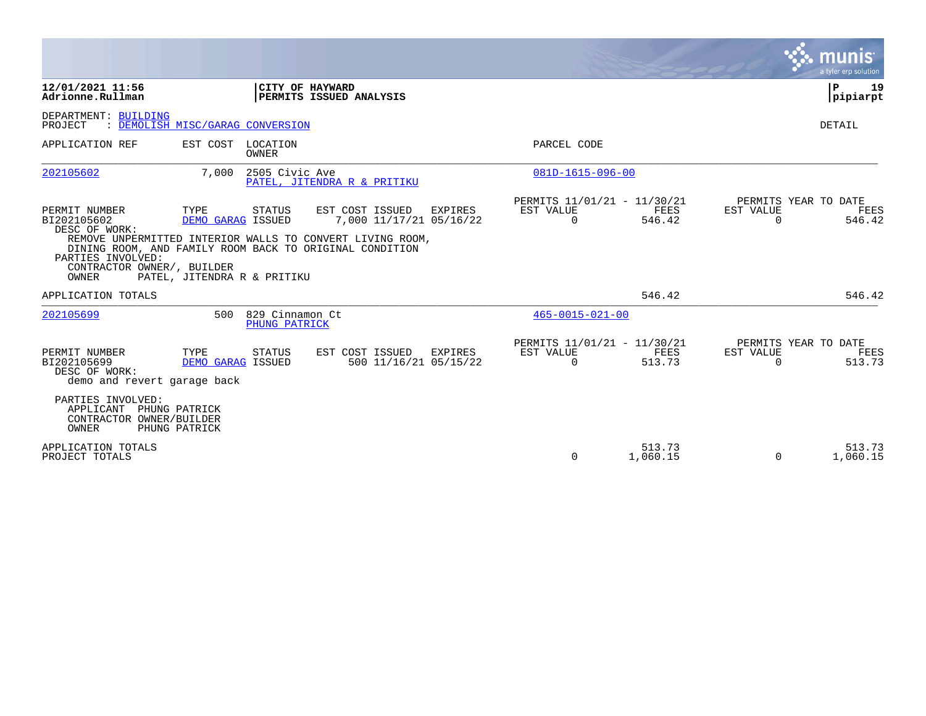|                                                                                                           |                                                          |                                  |                                                                                                                                                                    |                |                                                      |                    |                       | munis<br>a tyler erp solution          |
|-----------------------------------------------------------------------------------------------------------|----------------------------------------------------------|----------------------------------|--------------------------------------------------------------------------------------------------------------------------------------------------------------------|----------------|------------------------------------------------------|--------------------|-----------------------|----------------------------------------|
| 12/01/2021 11:56<br>Adrionne.Rullman                                                                      |                                                          | CITY OF HAYWARD                  | PERMITS ISSUED ANALYSIS                                                                                                                                            |                |                                                      |                    |                       | 19<br>P<br> pipiarpt                   |
| DEPARTMENT: BUILDING<br>PROJECT                                                                           | : DEMOLISH MISC/GARAG CONVERSION                         |                                  |                                                                                                                                                                    |                |                                                      |                    |                       | DETAIL                                 |
| APPLICATION REF                                                                                           | EST COST LOCATION                                        | <b>OWNER</b>                     |                                                                                                                                                                    |                | PARCEL CODE                                          |                    |                       |                                        |
| 202105602                                                                                                 | 7,000                                                    | 2505 Civic Ave                   | PATEL, JITENDRA R & PRITIKU                                                                                                                                        |                | 081D-1615-096-00                                     |                    |                       |                                        |
| PERMIT NUMBER<br>BI202105602<br>DESC OF WORK:<br>PARTIES INVOLVED:<br>CONTRACTOR OWNER/, BUILDER<br>OWNER | TYPE<br>DEMO GARAG ISSUED<br>PATEL, JITENDRA R & PRITIKU | STATUS                           | EST COST ISSUED<br>7,000 11/17/21 05/16/22<br>REMOVE UNPERMITTED INTERIOR WALLS TO CONVERT LIVING ROOM,<br>DINING ROOM, AND FAMILY ROOM BACK TO ORIGINAL CONDITION | <b>EXPIRES</b> | PERMITS 11/01/21 - 11/30/21<br>EST VALUE<br>0        | FEES<br>546.42     | EST VALUE<br>0        | PERMITS YEAR TO DATE<br>FEES<br>546.42 |
| APPLICATION TOTALS                                                                                        |                                                          |                                  |                                                                                                                                                                    |                |                                                      | 546.42             |                       | 546.42                                 |
| 202105699                                                                                                 | 500                                                      | 829 Cinnamon Ct<br>PHUNG PATRICK |                                                                                                                                                                    |                | $465 - 0015 - 021 - 00$                              |                    |                       |                                        |
| PERMIT NUMBER<br>BI202105699<br>DESC OF WORK:<br>demo and revert garage back<br>PARTIES INVOLVED:         | TYPE<br>DEMO GARAG ISSUED                                | <b>STATUS</b>                    | EST COST ISSUED<br>500 11/16/21 05/15/22                                                                                                                           | <b>EXPIRES</b> | PERMITS 11/01/21 - 11/30/21<br>EST VALUE<br>$\Omega$ | FEES<br>513.73     | EST VALUE<br>$\Omega$ | PERMITS YEAR TO DATE<br>FEES<br>513.73 |
| APPLICANT<br>CONTRACTOR OWNER/BUILDER<br><b>OWNER</b>                                                     | PHUNG PATRICK<br>PHUNG PATRICK                           |                                  |                                                                                                                                                                    |                |                                                      |                    |                       |                                        |
| APPLICATION TOTALS<br>PROJECT TOTALS                                                                      |                                                          |                                  |                                                                                                                                                                    |                | $\Omega$                                             | 513.73<br>1,060.15 | $\Omega$              | 513.73<br>1,060.15                     |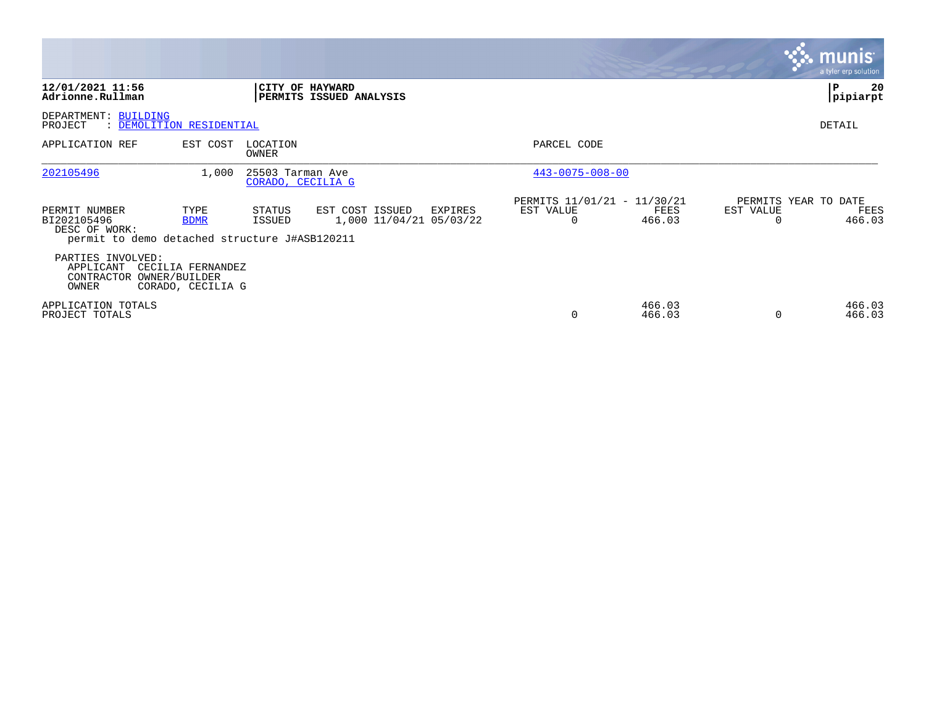|                                                                                                |                                        |                                       |                                            |         |                                               |                  |                       | <b>munis</b><br>a tyler erp solution   |
|------------------------------------------------------------------------------------------------|----------------------------------------|---------------------------------------|--------------------------------------------|---------|-----------------------------------------------|------------------|-----------------------|----------------------------------------|
| 12/01/2021 11:56<br>Adrionne.Rullman                                                           |                                        |                                       | CITY OF HAYWARD<br>PERMITS ISSUED ANALYSIS |         |                                               |                  |                       | 20<br>P<br>pipiarpt                    |
| DEPARTMENT: BUILDING<br>PROJECT                                                                | : DEMOLITION RESIDENTIAL               |                                       |                                            |         |                                               |                  |                       | DETAIL                                 |
| APPLICATION REF                                                                                | EST COST                               | LOCATION<br>OWNER                     |                                            |         | PARCEL CODE                                   |                  |                       |                                        |
| 202105496                                                                                      | 1,000                                  | 25503 Tarman Ave<br>CORADO, CECILIA G |                                            |         | $443 - 0075 - 008 - 00$                       |                  |                       |                                        |
| PERMIT NUMBER<br>BI202105496<br>DESC OF WORK:<br>permit to demo detached structure J#ASB120211 | TYPE<br><b>BDMR</b>                    | STATUS<br>ISSUED                      | EST COST ISSUED<br>1,000 11/04/21 05/03/22 | EXPIRES | PERMITS 11/01/21 - 11/30/21<br>EST VALUE<br>0 | FEES<br>466.03   | EST VALUE<br>$\Omega$ | PERMITS YEAR TO DATE<br>FEES<br>466.03 |
| PARTIES INVOLVED:<br>APPLICANT<br>CONTRACTOR OWNER/BUILDER<br>OWNER                            | CECILIA FERNANDEZ<br>CORADO, CECILIA G |                                       |                                            |         |                                               |                  |                       |                                        |
| APPLICATION TOTALS<br>PROJECT TOTALS                                                           |                                        |                                       |                                            |         | $\Omega$                                      | 466.03<br>466.03 | $\Omega$              | 466.03<br>466.03                       |

the contract of the contract of

and the contract of the contract of the contract of the contract of the contract of the contract of the contract of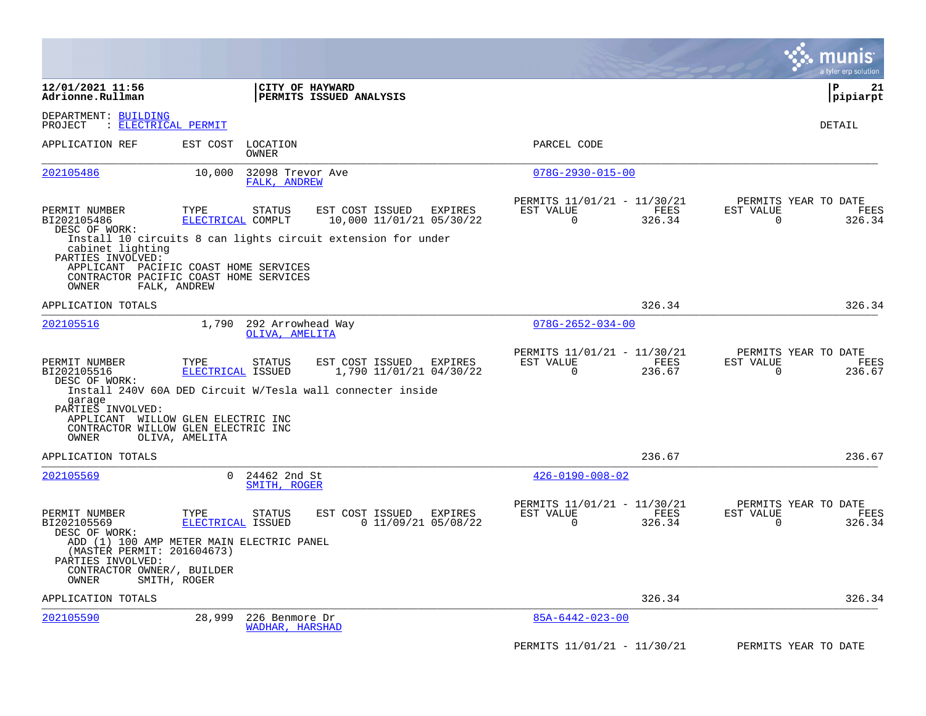|                                                                                        |                                                                                                                                                           |                                                                                                                      | munis<br>a tyler erp solution                                   |
|----------------------------------------------------------------------------------------|-----------------------------------------------------------------------------------------------------------------------------------------------------------|----------------------------------------------------------------------------------------------------------------------|-----------------------------------------------------------------|
| 12/01/2021 11:56<br>Adrionne.Rullman                                                   | CITY OF HAYWARD<br>PERMITS ISSUED ANALYSIS                                                                                                                |                                                                                                                      | l P<br>21<br> pipiarpt                                          |
| DEPARTMENT: BUILDING<br>: ELECTRICAL PERMIT<br>PROJECT                                 |                                                                                                                                                           |                                                                                                                      | DETAIL                                                          |
| APPLICATION REF                                                                        | EST COST<br>LOCATION<br>OWNER                                                                                                                             | PARCEL CODE                                                                                                          |                                                                 |
| 202105486                                                                              | 10,000<br>32098 Trevor Ave<br>FALK, ANDREW                                                                                                                | $078G - 2930 - 015 - 00$                                                                                             |                                                                 |
| PERMIT NUMBER<br>BI202105486<br>DESC OF WORK:                                          | TYPE<br>EST COST ISSUED<br>STATUS<br>ELECTRICAL COMPLT<br>Install 10 circuits 8 can lights circuit extension for under                                    | PERMITS 11/01/21 - 11/30/21<br>EXPIRES<br>EST VALUE<br>FEES<br>10,000 11/01/21 05/30/22<br>0<br>326.34               | PERMITS YEAR TO DATE<br>EST VALUE<br>FEES<br>0<br>326.34        |
| cabinet lighting<br>PARTIES INVOLVED:<br>OWNER                                         | APPLICANT PACIFIC COAST HOME SERVICES<br>CONTRACTOR PACIFIC COAST HOME SERVICES<br>FALK, ANDREW                                                           |                                                                                                                      |                                                                 |
| APPLICATION TOTALS                                                                     |                                                                                                                                                           | 326.34                                                                                                               | 326.34                                                          |
| 202105516                                                                              | 1,790<br>292 Arrowhead Way<br>OLIVA, AMELITA                                                                                                              | $078G - 2652 - 034 - 00$                                                                                             |                                                                 |
| PERMIT NUMBER<br>BI202105516<br>DESC OF WORK:                                          | EST COST ISSUED<br>TYPE<br><b>STATUS</b><br>ELECTRICAL ISSUED                                                                                             | PERMITS 11/01/21 - 11/30/21<br>EST VALUE<br><b>EXPIRES</b><br>FEES<br>1,790 11/01/21 04/30/22<br>$\Omega$<br>236.67  | PERMITS YEAR TO DATE<br>EST VALUE<br>FEES<br>0<br>236.67        |
| garage<br>PARTIES INVOLVED:<br>OWNER                                                   | Install 240V 60A DED Circuit W/Tesla wall connecter inside<br>APPLICANT WILLOW GLEN ELECTRIC INC<br>CONTRACTOR WILLOW GLEN ELECTRIC INC<br>OLIVA, AMELITA |                                                                                                                      |                                                                 |
| APPLICATION TOTALS                                                                     |                                                                                                                                                           | 236.67                                                                                                               | 236.67                                                          |
| 202105569                                                                              | 24462 2nd St<br>$\Omega$<br>SMITH, ROGER                                                                                                                  | $426 - 0190 - 008 - 02$                                                                                              |                                                                 |
| PERMIT NUMBER<br>BI202105569<br>DESC OF WORK:                                          | TYPE<br>EST COST ISSUED<br>STATUS<br>ELECTRICAL ISSUED                                                                                                    | PERMITS 11/01/21 - 11/30/21<br><b>EXPIRES</b><br>EST VALUE<br>FEES<br>$0$ 11/09/21 05/08/22<br>$\mathbf 0$<br>326.34 | PERMITS YEAR TO DATE<br>EST VALUE<br>FEES<br>$\Omega$<br>326.34 |
| (MASTER PERMIT: 201604673)<br>PARTIES INVOLVED:<br>CONTRACTOR OWNER/, BUILDER<br>OWNER | ADD (1) 100 AMP METER MAIN ELECTRIC PANEL<br>SMITH, ROGER                                                                                                 |                                                                                                                      |                                                                 |
| APPLICATION TOTALS                                                                     |                                                                                                                                                           | 326.34                                                                                                               | 326.34                                                          |
| 202105590                                                                              | 28,999<br>226 Benmore Dr<br><b>WADHAR, HARSHAD</b>                                                                                                        | $85A-6442-023-00$                                                                                                    |                                                                 |
|                                                                                        |                                                                                                                                                           | PERMITS 11/01/21 - 11/30/21                                                                                          | PERMITS YEAR TO DATE                                            |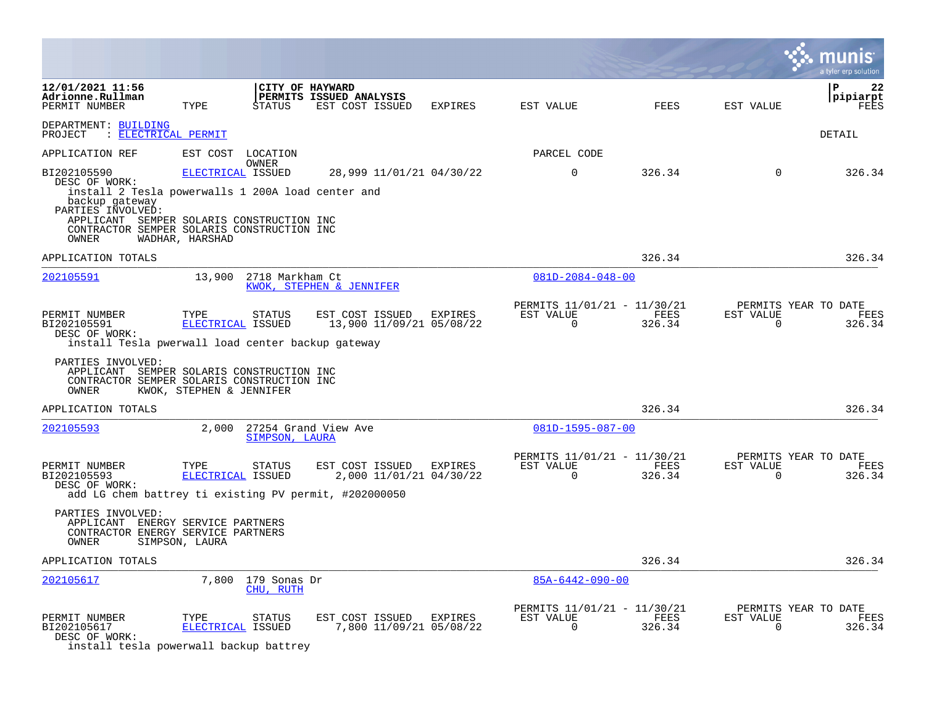|                                                                                                                                                                                                                              |                                      |                           |                                                    |         |                                                         |                |                          | a tyler erp solution                   |
|------------------------------------------------------------------------------------------------------------------------------------------------------------------------------------------------------------------------------|--------------------------------------|---------------------------|----------------------------------------------------|---------|---------------------------------------------------------|----------------|--------------------------|----------------------------------------|
| 12/01/2021 11:56<br>Adrionne.Rullman<br>PERMIT NUMBER                                                                                                                                                                        | TYPE                                 | CITY OF HAYWARD<br>STATUS | PERMITS ISSUED ANALYSIS<br>EST COST ISSUED         | EXPIRES | EST VALUE                                               | FEES           | EST VALUE                | P<br>22<br>pipiarpt<br><b>FEES</b>     |
| DEPARTMENT: BUILDING<br>PROJECT : ELECTRICAL PERMIT                                                                                                                                                                          |                                      |                           |                                                    |         |                                                         |                |                          | DETAIL                                 |
| APPLICATION REF                                                                                                                                                                                                              | EST COST                             | LOCATION                  |                                                    |         | PARCEL CODE                                             |                |                          |                                        |
| BI202105590<br>DESC OF WORK:<br>install 2 Tesla powerwalls 1 200A load center and<br>backup gateway<br>PARTIES INVOLVED:<br>APPLICANT SEMPER SOLARIS CONSTRUCTION INC<br>CONTRACTOR SEMPER SOLARIS CONSTRUCTION INC<br>OWNER | ELECTRICAL ISSUED<br>WADHAR, HARSHAD | OWNER                     | 28,999 11/01/21 04/30/22                           |         | $\mathbf 0$                                             | 326.34         | $\mathbf 0$              | 326.34                                 |
| APPLICATION TOTALS                                                                                                                                                                                                           |                                      |                           |                                                    |         |                                                         | 326.34         |                          | 326.34                                 |
| 202105591                                                                                                                                                                                                                    | 13,900                               | 2718 Markham Ct           | KWOK, STEPHEN & JENNIFER                           |         | $081D - 2084 - 048 - 00$                                |                |                          |                                        |
| PERMIT NUMBER<br>BI202105591<br>DESC OF WORK:<br>install Tesla pwerwall load center backup gateway<br>PARTIES INVOLVED:<br>APPLICANT SEMPER SOLARIS CONSTRUCTION INC<br>CONTRACTOR SEMPER SOLARIS CONSTRUCTION INC           | TYPE<br>ELECTRICAL ISSUED            | STATUS                    | EST COST ISSUED<br>13,900 11/09/21 05/08/22        | EXPIRES | PERMITS 11/01/21 - 11/30/21<br>EST VALUE<br>$\mathbf 0$ | FEES<br>326.34 | EST VALUE<br>$\mathbf 0$ | PERMITS YEAR TO DATE<br>FEES<br>326.34 |
| OWNER                                                                                                                                                                                                                        | KWOK, STEPHEN & JENNIFER             |                           |                                                    |         |                                                         |                |                          |                                        |
| APPLICATION TOTALS                                                                                                                                                                                                           |                                      |                           |                                                    |         |                                                         | 326.34         |                          | 326.34                                 |
| 202105593                                                                                                                                                                                                                    | 2,000                                | SIMPSON, LAURA            | 27254 Grand View Ave                               |         | 081D-1595-087-00                                        |                |                          |                                        |
| PERMIT NUMBER<br>BI202105593<br>DESC OF WORK:<br>add LG chem battrey ti existing PV permit, #202000050                                                                                                                       | TYPE<br>ELECTRICAL ISSUED            | STATUS                    | EST COST ISSUED<br>2,000 11/01/21 04/30/22         | EXPIRES | PERMITS 11/01/21 - 11/30/21<br>EST VALUE<br>$\mathbf 0$ | FEES<br>326.34 | EST VALUE<br>$\mathbf 0$ | PERMITS YEAR TO DATE<br>FEES<br>326.34 |
| PARTIES INVOLVED:<br>APPLICANT ENERGY SERVICE PARTNERS<br>CONTRACTOR ENERGY SERVICE PARTNERS<br>OWNER                                                                                                                        | SIMPSON, LAURA                       |                           |                                                    |         |                                                         |                |                          |                                        |
| APPLICATION TOTALS                                                                                                                                                                                                           |                                      |                           |                                                    |         |                                                         | 326.34         |                          | 326.34                                 |
| 202105617                                                                                                                                                                                                                    | 7,800                                | 179 Sonas Dr<br>CHU, RUTH |                                                    |         | $85A - 6442 - 090 - 00$                                 |                |                          |                                        |
| PERMIT NUMBER<br>BI202105617<br>DESC OF WORK:<br>install tesla powerwall backup battrey                                                                                                                                      | TYPE<br>ELECTRICAL ISSUED            | STATUS                    | EST COST ISSUED EXPIRES<br>7,800 11/09/21 05/08/22 |         | PERMITS 11/01/21 - 11/30/21<br>EST VALUE<br>0           | FEES<br>326.34 | EST VALUE<br>0           | PERMITS YEAR TO DATE<br>FEES<br>326.34 |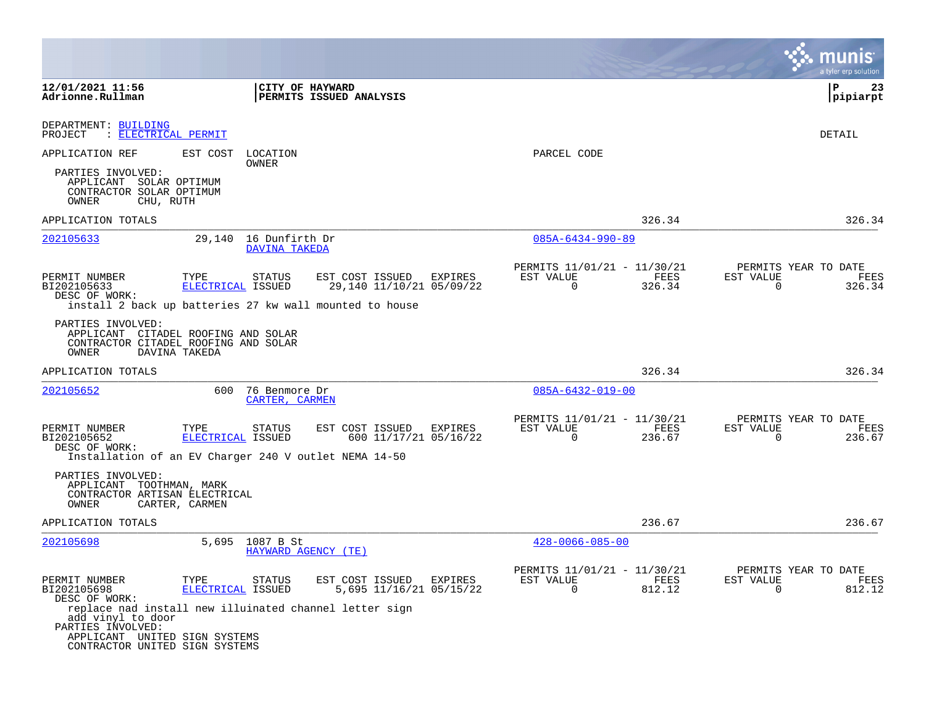|                                                                                                                                                                     |                           |                                               |                                                                                                        |         |                                                         |                |                          | a tyler erp solution                   |
|---------------------------------------------------------------------------------------------------------------------------------------------------------------------|---------------------------|-----------------------------------------------|--------------------------------------------------------------------------------------------------------|---------|---------------------------------------------------------|----------------|--------------------------|----------------------------------------|
| 12/01/2021 11:56<br>Adrionne.Rullman                                                                                                                                |                           | CITY OF HAYWARD                               | PERMITS ISSUED ANALYSIS                                                                                |         |                                                         |                |                          | l P<br>23<br> pipiarpt                 |
| DEPARTMENT: BUILDING<br>: ELECTRICAL PERMIT<br>PROJECT                                                                                                              |                           |                                               |                                                                                                        |         |                                                         |                |                          | DETAIL                                 |
| APPLICATION REF                                                                                                                                                     | EST COST                  | LOCATION<br>OWNER                             |                                                                                                        |         | PARCEL CODE                                             |                |                          |                                        |
| PARTIES INVOLVED:<br>APPLICANT SOLAR OPTIMUM<br>CONTRACTOR SOLAR OPTIMUM<br>OWNER<br>CHU, RUTH                                                                      |                           |                                               |                                                                                                        |         |                                                         |                |                          |                                        |
| APPLICATION TOTALS                                                                                                                                                  |                           |                                               |                                                                                                        |         |                                                         | 326.34         |                          | 326.34                                 |
| 202105633                                                                                                                                                           |                           | 29,140 16 Dunfirth Dr<br><b>DAVINA TAKEDA</b> |                                                                                                        |         | $085A - 6434 - 990 - 89$                                |                |                          |                                        |
| PERMIT NUMBER<br>BI202105633<br>DESC OF WORK:                                                                                                                       | TYPE<br>ELECTRICAL ISSUED | STATUS                                        | EST COST ISSUED<br>29,140 11/10/21 05/09/22<br>install 2 back up batteries 27 kw wall mounted to house | EXPIRES | PERMITS 11/01/21 - 11/30/21<br>EST VALUE<br>$\mathbf 0$ | FEES<br>326.34 | EST VALUE<br>$\mathbf 0$ | PERMITS YEAR TO DATE<br>FEES<br>326.34 |
| PARTIES INVOLVED:<br>APPLICANT CITADEL ROOFING AND SOLAR<br>CONTRACTOR CITADEL ROOFING AND SOLAR<br>OWNER                                                           | DAVINA TAKEDA             |                                               |                                                                                                        |         |                                                         |                |                          |                                        |
| APPLICATION TOTALS                                                                                                                                                  |                           |                                               |                                                                                                        |         |                                                         | 326.34         |                          | 326.34                                 |
| 202105652                                                                                                                                                           | 600                       | 76 Benmore Dr<br>CARTER, CARMEN               |                                                                                                        |         | $085A - 6432 - 019 - 00$                                |                |                          |                                        |
| PERMIT NUMBER<br>BI202105652<br>DESC OF WORK:<br>Installation of an EV Charger 240 V outlet NEMA 14-50                                                              | TYPE<br>ELECTRICAL ISSUED | <b>STATUS</b>                                 | EST COST ISSUED<br>600 11/17/21 05/16/22                                                               | EXPIRES | PERMITS 11/01/21 - 11/30/21<br>EST VALUE<br>$\mathbf 0$ | FEES<br>236.67 | EST VALUE<br>$\mathbf 0$ | PERMITS YEAR TO DATE<br>FEES<br>236.67 |
| PARTIES INVOLVED:<br>APPLICANT TOOTHMAN, MARK<br>CONTRACTOR ARTISAN ELECTRICAL<br>OWNER                                                                             | CARTER, CARMEN            |                                               |                                                                                                        |         |                                                         |                |                          |                                        |
| APPLICATION TOTALS                                                                                                                                                  |                           |                                               |                                                                                                        |         |                                                         | 236.67         |                          | 236.67                                 |
| 202105698                                                                                                                                                           |                           | 5,695 1087 B St                               | HAYWARD AGENCY (TE)                                                                                    |         | $428 - 0066 - 085 - 00$                                 |                |                          |                                        |
| PERMIT NUMBER<br>BI202105698<br>DESC OF WORK:                                                                                                                       | TYPE<br>ELECTRICAL ISSUED | STATUS                                        | EST COST ISSUED<br>5,695 11/16/21 05/15/22                                                             | EXPIRES | PERMITS 11/01/21 - 11/30/21<br>EST VALUE<br>0           | FEES<br>812.12 | EST VALUE<br>0           | PERMITS YEAR TO DATE<br>FEES<br>812.12 |
| replace nad install new illuinated channel letter sign<br>add vinyl to door<br>PARTIES INVOLVED:<br>APPLICANT UNITED SIGN SYSTEMS<br>CONTRACTOR UNITED SIGN SYSTEMS |                           |                                               |                                                                                                        |         |                                                         |                |                          |                                        |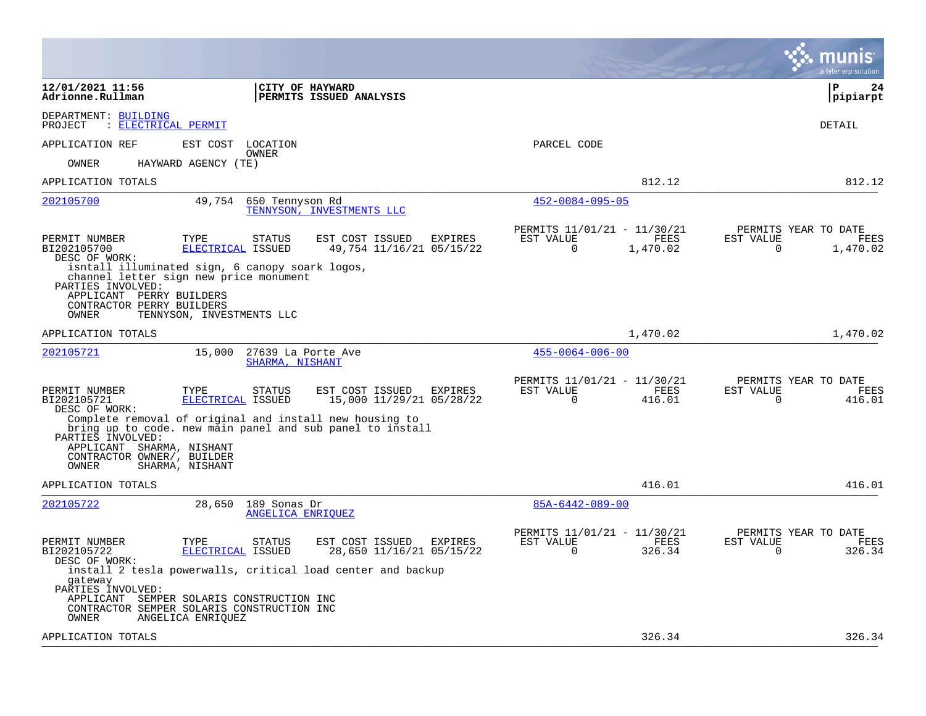| 12/01/2021 11:56<br><b>CITY OF HAYWARD</b><br>l P<br>24<br>Adrionne.Rullman<br><b>PERMITS ISSUED ANALYSIS</b><br> pipiarpt<br>DEPARTMENT: BUILDING<br>PROJECT<br>: ELECTRICAL PERMIT<br><b>DETAIL</b><br>APPLICATION REF<br>EST COST<br>PARCEL CODE<br>LOCATION<br><b>OWNER</b><br><b>OWNER</b><br>HAYWARD AGENCY (TE)<br>812.12<br>812.12<br>APPLICATION TOTALS<br>202105700<br>49,754<br>650 Tennyson Rd<br>$452 - 0084 - 095 - 05$<br>TENNYSON, INVESTMENTS LLC<br>PERMITS 11/01/21 - 11/30/21<br>PERMITS YEAR TO DATE<br>PERMIT NUMBER<br>TYPE<br><b>STATUS</b><br>EST COST ISSUED<br>EXPIRES<br>EST VALUE<br>FEES<br>EST VALUE<br>FEES<br>BI202105700<br>ELECTRICAL ISSUED<br>49,754 11/16/21 05/15/22<br>$\mathbf 0$<br>0<br>1,470.02<br>1,470.02<br>DESC OF WORK:<br>isntall illuminated sign, 6 canopy soark logos,<br>channel letter sign new price monument<br>PARTIES INVOLVED:<br>APPLICANT PERRY BUILDERS<br>CONTRACTOR PERRY BUILDERS<br>OWNER<br>TENNYSON, INVESTMENTS LLC<br>1,470.02<br>1,470.02<br>APPLICATION TOTALS<br>15,000<br>27639 La Porte Ave<br>$455 - 0064 - 006 - 00$<br>202105721<br>SHARMA, NISHANT<br>PERMITS 11/01/21 - 11/30/21<br>PERMITS YEAR TO DATE<br>EST COST ISSUED<br>FEES<br>FEES<br>PERMIT NUMBER<br>TYPE<br><b>STATUS</b><br>EST VALUE<br>EST VALUE<br>EXPIRES<br>15,000 11/29/21 05/28/22<br>416.01<br>416.01<br>BI202105721<br>ELECTRICAL ISSUED<br>0<br>0<br>DESC OF WORK:<br>Complete removal of original and install new housing to<br>bring up to code. new main panel and sub panel to install<br>PARTIES INVOLVED:<br>APPLICANT SHARMA, NISHANT<br>CONTRACTOR OWNER/, BUILDER<br>SHARMA, NISHANT<br>OWNER<br>416.01<br>416.01<br>APPLICATION TOTALS<br>202105722<br>28,650<br>189 Sonas Dr<br>$85A-6442-089-00$<br>ANGELICA ENRIOUEZ<br>PERMITS 11/01/21 - 11/30/21<br>PERMITS YEAR TO DATE<br>PERMIT NUMBER<br>TYPE<br>STATUS<br>EST COST ISSUED<br>EXPIRES<br>EST VALUE<br>FEES<br>EST VALUE<br>FEES<br>326.34<br>326.34<br>BI202105722<br>ELECTRICAL ISSUED<br>28,650 11/16/21 05/15/22<br>$\Omega$<br>$\Omega$<br>DESC OF WORK:<br>install 2 tesla powerwalls, critical load center and backup<br>gateway<br>PARTIES INVOLVED:<br>APPLICANT SEMPER SOLARIS CONSTRUCTION INC<br>CONTRACTOR SEMPER SOLARIS CONSTRUCTION INC<br>OWNER<br>ANGELICA ENRIQUEZ<br>326.34<br>APPLICATION TOTALS |  | a tyler erp solution |
|--------------------------------------------------------------------------------------------------------------------------------------------------------------------------------------------------------------------------------------------------------------------------------------------------------------------------------------------------------------------------------------------------------------------------------------------------------------------------------------------------------------------------------------------------------------------------------------------------------------------------------------------------------------------------------------------------------------------------------------------------------------------------------------------------------------------------------------------------------------------------------------------------------------------------------------------------------------------------------------------------------------------------------------------------------------------------------------------------------------------------------------------------------------------------------------------------------------------------------------------------------------------------------------------------------------------------------------------------------------------------------------------------------------------------------------------------------------------------------------------------------------------------------------------------------------------------------------------------------------------------------------------------------------------------------------------------------------------------------------------------------------------------------------------------------------------------------------------------------------------------------------------------------------------------------------------------------------------------------------------------------------------------------------------------------------------------------------------------------------------------------------------------------------------------------------------------------------------------------------------------------------------------------------------------------------------------------------------------|--|----------------------|
|                                                                                                                                                                                                                                                                                                                                                                                                                                                                                                                                                                                                                                                                                                                                                                                                                                                                                                                                                                                                                                                                                                                                                                                                                                                                                                                                                                                                                                                                                                                                                                                                                                                                                                                                                                                                                                                                                                                                                                                                                                                                                                                                                                                                                                                                                                                                                  |  |                      |
| 326.34                                                                                                                                                                                                                                                                                                                                                                                                                                                                                                                                                                                                                                                                                                                                                                                                                                                                                                                                                                                                                                                                                                                                                                                                                                                                                                                                                                                                                                                                                                                                                                                                                                                                                                                                                                                                                                                                                                                                                                                                                                                                                                                                                                                                                                                                                                                                           |  |                      |
|                                                                                                                                                                                                                                                                                                                                                                                                                                                                                                                                                                                                                                                                                                                                                                                                                                                                                                                                                                                                                                                                                                                                                                                                                                                                                                                                                                                                                                                                                                                                                                                                                                                                                                                                                                                                                                                                                                                                                                                                                                                                                                                                                                                                                                                                                                                                                  |  |                      |
|                                                                                                                                                                                                                                                                                                                                                                                                                                                                                                                                                                                                                                                                                                                                                                                                                                                                                                                                                                                                                                                                                                                                                                                                                                                                                                                                                                                                                                                                                                                                                                                                                                                                                                                                                                                                                                                                                                                                                                                                                                                                                                                                                                                                                                                                                                                                                  |  |                      |
|                                                                                                                                                                                                                                                                                                                                                                                                                                                                                                                                                                                                                                                                                                                                                                                                                                                                                                                                                                                                                                                                                                                                                                                                                                                                                                                                                                                                                                                                                                                                                                                                                                                                                                                                                                                                                                                                                                                                                                                                                                                                                                                                                                                                                                                                                                                                                  |  |                      |
|                                                                                                                                                                                                                                                                                                                                                                                                                                                                                                                                                                                                                                                                                                                                                                                                                                                                                                                                                                                                                                                                                                                                                                                                                                                                                                                                                                                                                                                                                                                                                                                                                                                                                                                                                                                                                                                                                                                                                                                                                                                                                                                                                                                                                                                                                                                                                  |  |                      |
|                                                                                                                                                                                                                                                                                                                                                                                                                                                                                                                                                                                                                                                                                                                                                                                                                                                                                                                                                                                                                                                                                                                                                                                                                                                                                                                                                                                                                                                                                                                                                                                                                                                                                                                                                                                                                                                                                                                                                                                                                                                                                                                                                                                                                                                                                                                                                  |  |                      |
|                                                                                                                                                                                                                                                                                                                                                                                                                                                                                                                                                                                                                                                                                                                                                                                                                                                                                                                                                                                                                                                                                                                                                                                                                                                                                                                                                                                                                                                                                                                                                                                                                                                                                                                                                                                                                                                                                                                                                                                                                                                                                                                                                                                                                                                                                                                                                  |  |                      |
|                                                                                                                                                                                                                                                                                                                                                                                                                                                                                                                                                                                                                                                                                                                                                                                                                                                                                                                                                                                                                                                                                                                                                                                                                                                                                                                                                                                                                                                                                                                                                                                                                                                                                                                                                                                                                                                                                                                                                                                                                                                                                                                                                                                                                                                                                                                                                  |  |                      |
|                                                                                                                                                                                                                                                                                                                                                                                                                                                                                                                                                                                                                                                                                                                                                                                                                                                                                                                                                                                                                                                                                                                                                                                                                                                                                                                                                                                                                                                                                                                                                                                                                                                                                                                                                                                                                                                                                                                                                                                                                                                                                                                                                                                                                                                                                                                                                  |  |                      |
|                                                                                                                                                                                                                                                                                                                                                                                                                                                                                                                                                                                                                                                                                                                                                                                                                                                                                                                                                                                                                                                                                                                                                                                                                                                                                                                                                                                                                                                                                                                                                                                                                                                                                                                                                                                                                                                                                                                                                                                                                                                                                                                                                                                                                                                                                                                                                  |  |                      |
|                                                                                                                                                                                                                                                                                                                                                                                                                                                                                                                                                                                                                                                                                                                                                                                                                                                                                                                                                                                                                                                                                                                                                                                                                                                                                                                                                                                                                                                                                                                                                                                                                                                                                                                                                                                                                                                                                                                                                                                                                                                                                                                                                                                                                                                                                                                                                  |  |                      |
|                                                                                                                                                                                                                                                                                                                                                                                                                                                                                                                                                                                                                                                                                                                                                                                                                                                                                                                                                                                                                                                                                                                                                                                                                                                                                                                                                                                                                                                                                                                                                                                                                                                                                                                                                                                                                                                                                                                                                                                                                                                                                                                                                                                                                                                                                                                                                  |  |                      |
|                                                                                                                                                                                                                                                                                                                                                                                                                                                                                                                                                                                                                                                                                                                                                                                                                                                                                                                                                                                                                                                                                                                                                                                                                                                                                                                                                                                                                                                                                                                                                                                                                                                                                                                                                                                                                                                                                                                                                                                                                                                                                                                                                                                                                                                                                                                                                  |  |                      |
|                                                                                                                                                                                                                                                                                                                                                                                                                                                                                                                                                                                                                                                                                                                                                                                                                                                                                                                                                                                                                                                                                                                                                                                                                                                                                                                                                                                                                                                                                                                                                                                                                                                                                                                                                                                                                                                                                                                                                                                                                                                                                                                                                                                                                                                                                                                                                  |  |                      |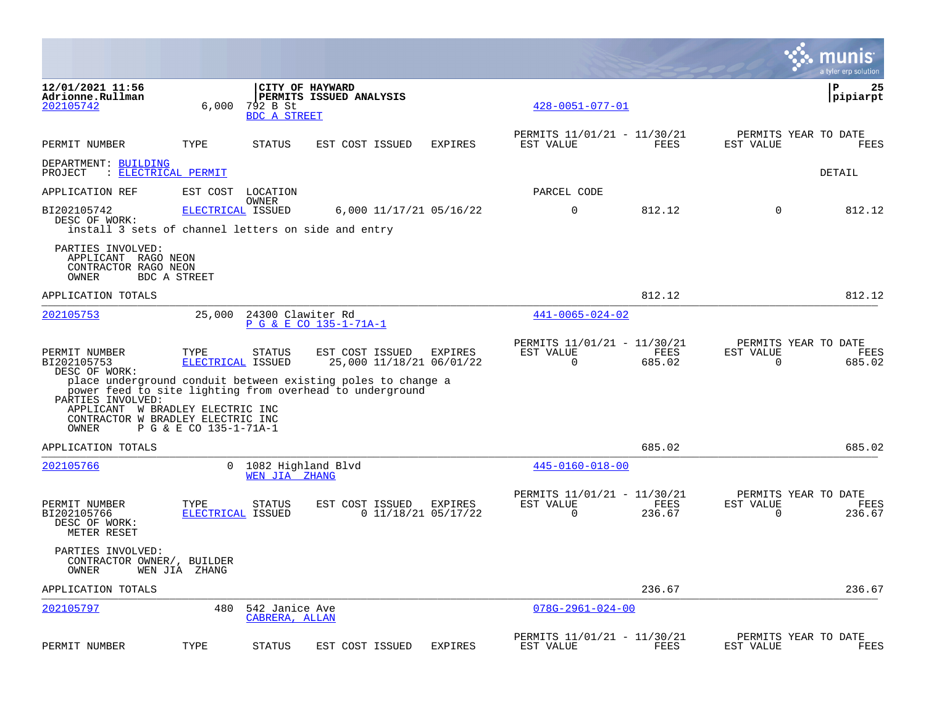|                                                                                                     |                           |                                       |                                                                                                                          |                                  |                                                      |                |                                                  | munis<br>a tyler erp solution |
|-----------------------------------------------------------------------------------------------------|---------------------------|---------------------------------------|--------------------------------------------------------------------------------------------------------------------------|----------------------------------|------------------------------------------------------|----------------|--------------------------------------------------|-------------------------------|
| 12/01/2021 11:56<br>Adrionne.Rullman<br>202105742                                                   | 6,000                     | 792 B St<br><b>BDC A STREET</b>       | CITY OF HAYWARD<br>PERMITS ISSUED ANALYSIS                                                                               |                                  | $428 - 0051 - 077 - 01$                              |                |                                                  | P<br>25<br> pipiarpt          |
| PERMIT NUMBER                                                                                       | TYPE                      | <b>STATUS</b>                         | EST COST ISSUED                                                                                                          | <b>EXPIRES</b>                   | PERMITS 11/01/21 - 11/30/21<br>EST VALUE             | FEES           | PERMITS YEAR TO DATE<br>EST VALUE                | <b>FEES</b>                   |
| DEPARTMENT: BUILDING<br>PROJECT                                                                     | : ELECTRICAL PERMIT       |                                       |                                                                                                                          |                                  |                                                      |                |                                                  | DETAIL                        |
| APPLICATION REF                                                                                     |                           | EST COST LOCATION                     |                                                                                                                          |                                  | PARCEL CODE                                          |                |                                                  |                               |
| BI202105742<br>DESC OF WORK:<br>install 3 sets of channel letters on side and entry                 | ELECTRICAL ISSUED         | OWNER                                 | 6,000 11/17/21 05/16/22                                                                                                  |                                  | $\mathbf 0$                                          | 812.12         | $\Omega$                                         | 812.12                        |
| PARTIES INVOLVED:<br>APPLICANT RAGO NEON<br>CONTRACTOR RAGO NEON<br>OWNER                           | BDC A STREET              |                                       |                                                                                                                          |                                  |                                                      |                |                                                  |                               |
| APPLICATION TOTALS                                                                                  |                           |                                       |                                                                                                                          |                                  |                                                      | 812.12         |                                                  | 812.12                        |
| 202105753                                                                                           | 25,000                    | 24300 Clawiter Rd                     | P G & E CO 135-1-71A-1                                                                                                   |                                  | $441 - 0065 - 024 - 02$                              |                |                                                  |                               |
| PERMIT NUMBER<br>BI202105753<br>DESC OF WORK:                                                       | TYPE<br>ELECTRICAL ISSUED | <b>STATUS</b>                         | EST COST ISSUED<br>25,000 11/18/21 06/01/22                                                                              | EXPIRES                          | PERMITS 11/01/21 - 11/30/21<br>EST VALUE<br>$\Omega$ | FEES<br>685.02 | PERMITS YEAR TO DATE<br>EST VALUE<br>$\mathbf 0$ | FEES<br>685.02                |
| PARTIES INVOLVED:<br>APPLICANT W BRADLEY ELECTRIC INC<br>CONTRACTOR W BRADLEY ELECTRIC INC<br>OWNER | P G & E CO 135-1-71A-1    |                                       | place underground conduit between existing poles to change a<br>power feed to site lighting from overhead to underground |                                  |                                                      |                |                                                  |                               |
| APPLICATION TOTALS                                                                                  |                           |                                       |                                                                                                                          |                                  |                                                      | 685.02         |                                                  | 685.02                        |
| 202105766                                                                                           |                           | 0 1082 Highland Blvd<br>WEN JIA ZHANG |                                                                                                                          |                                  | $445 - 0160 - 018 - 00$                              |                |                                                  |                               |
| PERMIT NUMBER<br>BI202105766<br>DESC OF WORK:<br>METER RESET                                        | TYPE<br>ELECTRICAL ISSUED | <b>STATUS</b>                         | EST COST ISSUED                                                                                                          | EXPIRES<br>$0$ 11/18/21 05/17/22 | PERMITS 11/01/21 - 11/30/21<br>EST VALUE<br>0        | FEES<br>236.67 | PERMITS YEAR TO DATE<br>EST VALUE<br>0           | FEES<br>236.67                |
| PARTIES INVOLVED:<br>CONTRACTOR OWNER/, BUILDER<br>OWNER                                            | WEN JIA ZHANG             |                                       |                                                                                                                          |                                  |                                                      |                |                                                  |                               |
| APPLICATION TOTALS                                                                                  |                           |                                       |                                                                                                                          |                                  |                                                      | 236.67         |                                                  | 236.67                        |
| 202105797                                                                                           | 480                       | 542 Janice Ave<br>CABRERA, ALLAN      |                                                                                                                          |                                  | $078G - 2961 - 024 - 00$                             |                |                                                  |                               |
| PERMIT NUMBER                                                                                       | TYPE                      | <b>STATUS</b>                         | EST COST ISSUED                                                                                                          | <b>EXPIRES</b>                   | PERMITS 11/01/21 - 11/30/21<br>EST VALUE             | FEES           | PERMITS YEAR TO DATE<br>EST VALUE                | FEES                          |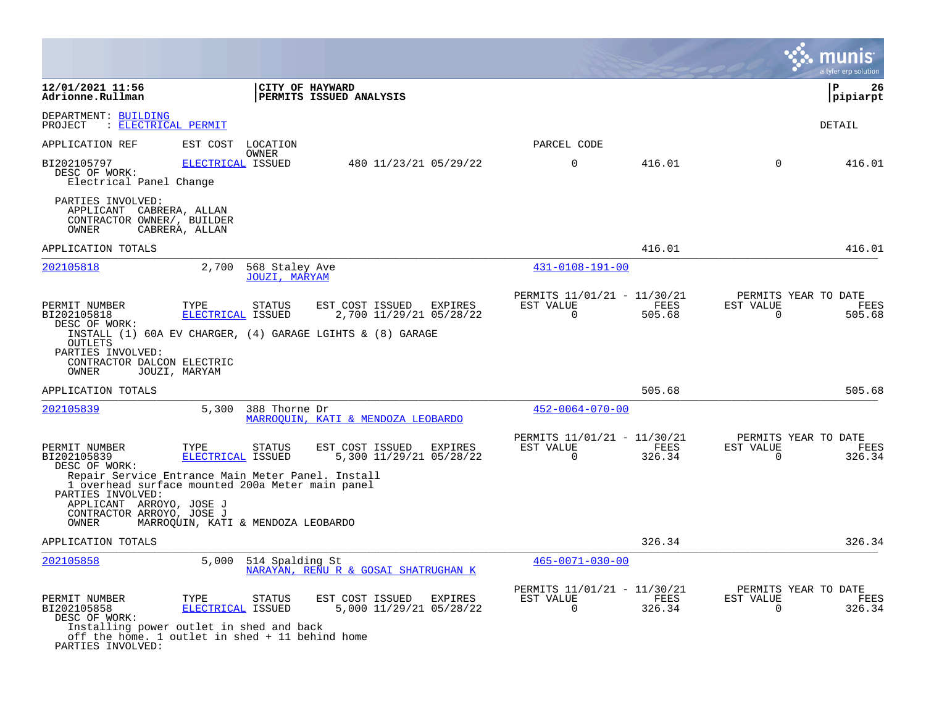|                                                                                                                    |                                                                                                                                                     |                                                                                                                     |                                                      |                |                                               | a tyler erp solution   |
|--------------------------------------------------------------------------------------------------------------------|-----------------------------------------------------------------------------------------------------------------------------------------------------|---------------------------------------------------------------------------------------------------------------------|------------------------------------------------------|----------------|-----------------------------------------------|------------------------|
| 12/01/2021 11:56<br>Adrionne.Rullman                                                                               |                                                                                                                                                     | CITY OF HAYWARD<br>PERMITS ISSUED ANALYSIS                                                                          |                                                      |                |                                               | ΙP<br>-26<br> pipiarpt |
| DEPARTMENT: BUILDING<br>PROJECT<br>: ELECTRICAL PERMIT                                                             |                                                                                                                                                     |                                                                                                                     |                                                      |                |                                               | DETAIL                 |
| APPLICATION REF                                                                                                    | EST COST<br>LOCATION<br>OWNER                                                                                                                       |                                                                                                                     | PARCEL CODE                                          |                |                                               |                        |
| BI202105797<br>DESC OF WORK:<br>Electrical Panel Change                                                            | ELECTRICAL ISSUED                                                                                                                                   | 480 11/23/21 05/29/22                                                                                               | $\mathbf 0$                                          | 416.01         | $\mathbf 0$                                   | 416.01                 |
| PARTIES INVOLVED:<br>APPLICANT CABRERA, ALLAN<br>CONTRACTOR OWNER/, BUILDER<br>OWNER                               | CABRERA, ALLAN                                                                                                                                      |                                                                                                                     |                                                      |                |                                               |                        |
| APPLICATION TOTALS                                                                                                 |                                                                                                                                                     |                                                                                                                     |                                                      | 416.01         |                                               | 416.01                 |
| 202105818                                                                                                          | 2,700<br><b>JOUZI, MARYAM</b>                                                                                                                       | 568 Staley Ave                                                                                                      | $431 - 0108 - 191 - 00$                              |                |                                               |                        |
| PERMIT NUMBER<br>BI202105818<br>DESC OF WORK:<br><b>OUTLETS</b><br>PARTIES INVOLVED:<br>CONTRACTOR DALCON ELECTRIC | TYPE<br><b>STATUS</b><br>ELECTRICAL ISSUED                                                                                                          | EST COST ISSUED<br>EXPIRES<br>2,700 11/29/21 05/28/22<br>INSTALL (1) 60A EV CHARGER, (4) GARAGE LGIHTS & (8) GARAGE | PERMITS 11/01/21 - 11/30/21<br>EST VALUE<br>$\Omega$ | FEES<br>505.68 | PERMITS YEAR TO DATE<br>EST VALUE<br>$\Omega$ | FEES<br>505.68         |
| OWNER<br>APPLICATION TOTALS                                                                                        | JOUZI, MARYAM                                                                                                                                       |                                                                                                                     |                                                      | 505.68         |                                               | 505.68                 |
| 202105839                                                                                                          | 5,300<br>388 Thorne Dr                                                                                                                              | MARROOUIN, KATI & MENDOZA LEOBARDO                                                                                  | $452 - 0064 - 070 - 00$                              |                |                                               |                        |
| PERMIT NUMBER<br>BI202105839<br>DESC OF WORK:<br>PARTIES INVOLVED:<br>APPLICANT ARROYO, JOSE J                     | TYPE<br><b>STATUS</b><br>ELECTRICAL ISSUED<br>Repair Service Entrance Main Meter Panel. Install<br>1 overhead surface mounted 200a Meter main panel | EST COST ISSUED<br><b>EXPIRES</b><br>5,300 11/29/21 05/28/22                                                        | PERMITS 11/01/21 - 11/30/21<br>EST VALUE<br>$\Omega$ | FEES<br>326.34 | PERMITS YEAR TO DATE<br>EST VALUE<br>$\Omega$ | FEES<br>326.34         |
| CONTRACTOR ARROYO, JOSE J<br>OWNER                                                                                 | MARROQUIN, KATI & MENDOZA LEOBARDO                                                                                                                  |                                                                                                                     |                                                      |                |                                               |                        |
| APPLICATION TOTALS                                                                                                 |                                                                                                                                                     |                                                                                                                     |                                                      | 326.34         |                                               | 326.34                 |
| 202105858                                                                                                          | 5,000                                                                                                                                               | 514 Spalding St<br>NARAYAN, RENU R & GOSAI SHATRUGHAN K                                                             | $465 - 0071 - 030 - 00$                              |                |                                               |                        |
| PERMIT NUMBER<br>BI202105858<br>DESC OF WORK:<br>PARTIES INVOLVED:                                                 | TYPE<br><b>STATUS</b><br>ELECTRICAL ISSUED<br>Installing power outlet in shed and back<br>off the home. 1 outlet in shed + 11 behind home           | EST COST ISSUED<br><b>EXPIRES</b><br>5,000 11/29/21 05/28/22                                                        | PERMITS 11/01/21 - 11/30/21<br>EST VALUE<br>0        | FEES<br>326.34 | PERMITS YEAR TO DATE<br>EST VALUE<br>0        | FEES<br>326.34         |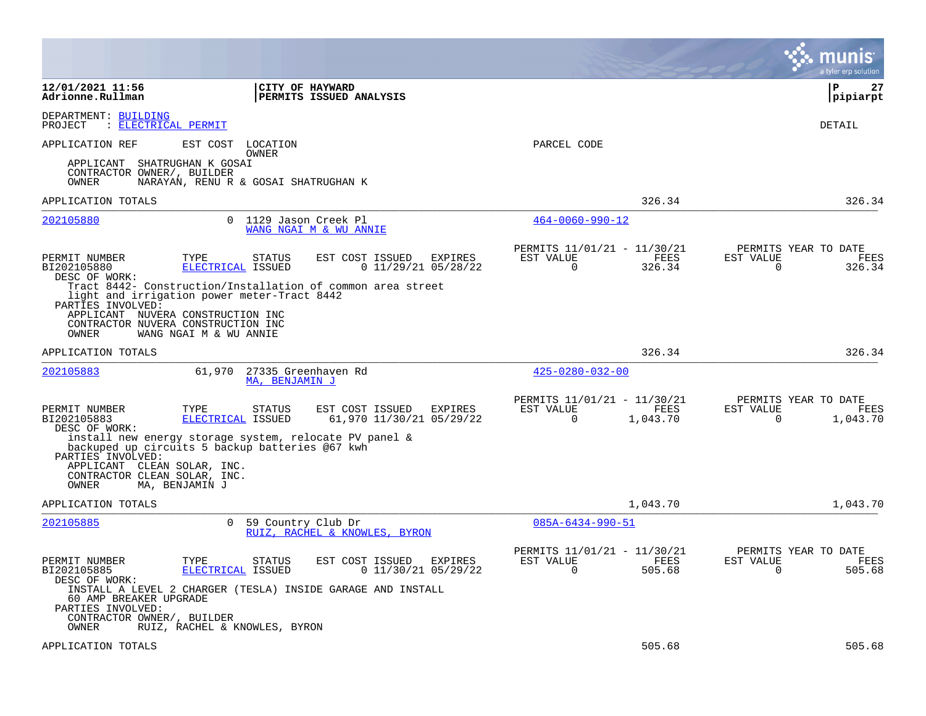|                                                                                                       |                                                                                                                             |                                                                                                                    |                                                         |                  | a tyler erp solution                                               |
|-------------------------------------------------------------------------------------------------------|-----------------------------------------------------------------------------------------------------------------------------|--------------------------------------------------------------------------------------------------------------------|---------------------------------------------------------|------------------|--------------------------------------------------------------------|
| 12/01/2021 11:56<br>Adrionne.Rullman                                                                  | CITY OF HAYWARD                                                                                                             | <b>PERMITS ISSUED ANALYSIS</b>                                                                                     |                                                         |                  | l P<br>27<br> pipiarpt                                             |
| DEPARTMENT: BUILDING<br>: ELECTRICAL PERMIT<br>PROJECT                                                |                                                                                                                             |                                                                                                                    |                                                         |                  | DETAIL                                                             |
| APPLICATION REF                                                                                       | EST COST LOCATION<br>OWNER                                                                                                  |                                                                                                                    | PARCEL CODE                                             |                  |                                                                    |
| APPLICANT<br>CONTRACTOR OWNER/, BUILDER<br>OWNER                                                      | SHATRUGHAN K GOSAI<br>NARAYAN, RENU R & GOSAI SHATRUGHAN K                                                                  |                                                                                                                    |                                                         |                  |                                                                    |
| APPLICATION TOTALS                                                                                    |                                                                                                                             |                                                                                                                    |                                                         | 326.34           | 326.34                                                             |
| 202105880                                                                                             | $\mathbf{0}$<br>1129 Jason Creek Pl                                                                                         | WANG NGAI M & WU ANNIE                                                                                             | $464 - 0060 - 990 - 12$                                 |                  |                                                                    |
| PERMIT NUMBER<br>BI202105880<br>DESC OF WORK:                                                         | TYPE<br>STATUS<br>ELECTRICAL ISSUED                                                                                         | EST COST ISSUED<br><b>EXPIRES</b><br>0 11/29/21 05/28/22                                                           | PERMITS 11/01/21 - 11/30/21<br>EST VALUE<br>0           | FEES<br>326.34   | PERMITS YEAR TO DATE<br>EST VALUE<br>FEES<br>326.34<br>0           |
| PARTIES INVOLVED:<br>APPLICANT NUVERA CONSTRUCTION INC<br>CONTRACTOR NUVERA CONSTRUCTION INC<br>OWNER | light and irrigation power meter-Tract 8442<br>WANG NGAI M & WU ANNIE                                                       | Tract 8442- Construction/Installation of common area street                                                        |                                                         |                  |                                                                    |
| APPLICATION TOTALS                                                                                    |                                                                                                                             |                                                                                                                    |                                                         | 326.34           | 326.34                                                             |
| 202105883                                                                                             | 61,970<br>27335 Greenhaven Rd<br>MA, BENJAMIN J                                                                             |                                                                                                                    | $425 - 0280 - 032 - 00$                                 |                  |                                                                    |
| PERMIT NUMBER<br>BI202105883<br>DESC OF WORK:                                                         | <b>STATUS</b><br>TYPE<br>ELECTRICAL ISSUED                                                                                  | EST COST ISSUED<br><b>EXPIRES</b><br>61,970 11/30/21 05/29/22                                                      | PERMITS 11/01/21 - 11/30/21<br>EST VALUE<br>0           | FEES<br>1,043.70 | PERMITS YEAR TO DATE<br>FEES<br>EST VALUE<br>0<br>1,043.70         |
| PARTIES INVOLVED:<br>APPLICANT CLEAN SOLAR, INC.<br>CONTRACTOR CLEAN SOLAR, INC.<br>OWNER             | install new energy storage system, relocate PV panel &<br>backuped up circuits 5 backup batteries @67 kwh<br>MA, BENJAMIN J |                                                                                                                    |                                                         |                  |                                                                    |
| APPLICATION TOTALS                                                                                    |                                                                                                                             |                                                                                                                    |                                                         | 1,043.70         | 1,043.70                                                           |
| 202105885                                                                                             | 59 Country Club Dr<br>$\Omega$                                                                                              | RUIZ, RACHEL & KNOWLES, BYRON                                                                                      | $085A - 6434 - 990 - 51$                                |                  |                                                                    |
| PERMIT NUMBER<br>BI202105885<br>DESC OF WORK:                                                         | TYPE<br>STATUS<br>ELECTRICAL ISSUED                                                                                         | EST COST ISSUED<br>EXPIRES<br>$0$ 11/30/21 05/29/22<br>INSTALL A LEVEL 2 CHARGER (TESLA) INSIDE GARAGE AND INSTALL | PERMITS 11/01/21 - 11/30/21<br>EST VALUE<br>$\mathbf 0$ | FEES<br>505.68   | PERMITS YEAR TO DATE<br>EST VALUE<br>FEES<br>$\mathbf 0$<br>505.68 |
| 60 AMP BREAKER UPGRADE<br>PARTIES INVOLVED:<br>CONTRACTOR OWNER/, BUILDER<br>OWNER                    | RUIZ, RACHEL & KNOWLES, BYRON                                                                                               |                                                                                                                    |                                                         |                  |                                                                    |
| APPLICATION TOTALS                                                                                    |                                                                                                                             |                                                                                                                    |                                                         | 505.68           | 505.68                                                             |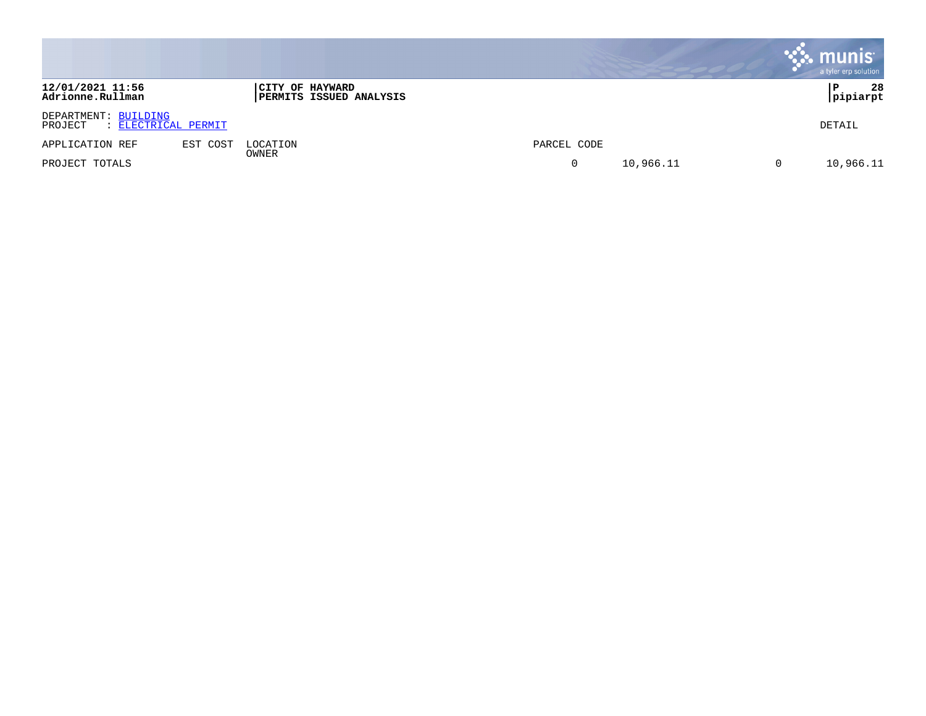|                                                        |          |                                                   |             | munis<br>a tyler erp solution |
|--------------------------------------------------------|----------|---------------------------------------------------|-------------|-------------------------------|
| 12/01/2021 11:56<br>Adrionne.Rullman                   |          | CITY OF HAYWARD<br><b>PERMITS ISSUED ANALYSIS</b> |             | 28<br>Р<br> pipiarpt          |
| DEPARTMENT: BUILDING<br>: ELECTRICAL PERMIT<br>PROJECT |          |                                                   |             | DETAIL                        |
| APPLICATION REF                                        | EST COST | LOCATION                                          | PARCEL CODE |                               |
| PROJECT TOTALS                                         |          | OWNER                                             | 10,966.11   | 10,966.11                     |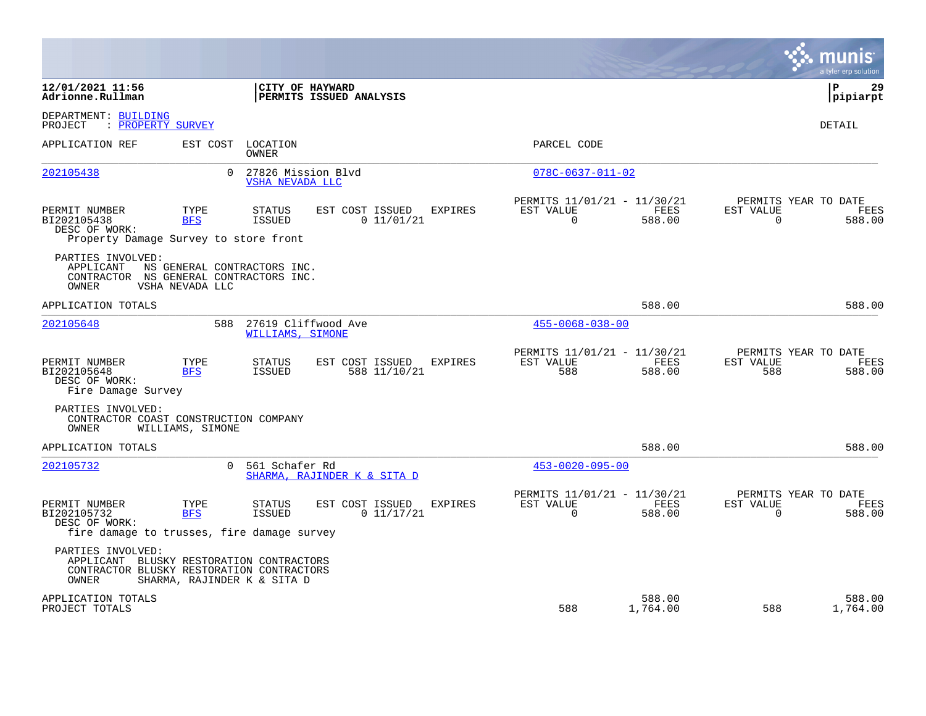|                                                                                                                                                    |                                                                                   |                                                                              | a tyler erp solution                                               |
|----------------------------------------------------------------------------------------------------------------------------------------------------|-----------------------------------------------------------------------------------|------------------------------------------------------------------------------|--------------------------------------------------------------------|
| 12/01/2021 11:56<br>Adrionne.Rullman                                                                                                               | CITY OF HAYWARD<br>PERMITS ISSUED ANALYSIS                                        |                                                                              | 29<br>P<br>pipiarpt                                                |
| DEPARTMENT: BUILDING<br>: PROPERTY SURVEY<br>PROJECT                                                                                               |                                                                                   |                                                                              | <b>DETAIL</b>                                                      |
| APPLICATION REF<br>EST COST                                                                                                                        | LOCATION<br><b>OWNER</b>                                                          | PARCEL CODE                                                                  |                                                                    |
| 202105438<br>$\Omega$                                                                                                                              | 27826 Mission Blvd<br><b>VSHA NEVADA LLC</b>                                      | $078C - 0637 - 011 - 02$                                                     |                                                                    |
| PERMIT NUMBER<br>TYPE<br>BI202105438<br><b>BFS</b><br>DESC OF WORK:<br>Property Damage Survey to store front                                       | STATUS<br>EST COST ISSUED<br><b>EXPIRES</b><br><b>ISSUED</b><br>0 11/01/21        | PERMITS 11/01/21 - 11/30/21<br>EST VALUE<br>FEES<br>$\overline{0}$<br>588.00 | PERMITS YEAR TO DATE<br>EST VALUE<br>FEES<br>$\mathbf 0$<br>588.00 |
| PARTIES INVOLVED:<br>APPLICANT<br>NS GENERAL CONTRACTORS INC.<br>CONTRACTOR NS GENERAL CONTRACTORS INC.<br>OWNER<br>VSHA NEVADA LLC                |                                                                                   |                                                                              |                                                                    |
| APPLICATION TOTALS                                                                                                                                 |                                                                                   | 588.00                                                                       | 588.00                                                             |
| 588<br>202105648                                                                                                                                   | 27619 Cliffwood Ave<br>WILLIAMS, SIMONE                                           | $455 - 0068 - 038 - 00$                                                      |                                                                    |
| PERMIT NUMBER<br>TYPE<br><b>BFS</b><br>BI202105648<br>DESC OF WORK:<br>Fire Damage Survey                                                          | STATUS<br>EST COST ISSUED<br><b>EXPIRES</b><br><b>ISSUED</b><br>588 11/10/21      | PERMITS 11/01/21 - 11/30/21<br>EST VALUE<br>FEES<br>588<br>588.00            | PERMITS YEAR TO DATE<br>EST VALUE<br>FEES<br>588<br>588.00         |
| PARTIES INVOLVED:<br>CONTRACTOR COAST CONSTRUCTION COMPANY<br>OWNER<br>WILLIAMS, SIMONE                                                            |                                                                                   |                                                                              |                                                                    |
| APPLICATION TOTALS                                                                                                                                 |                                                                                   | 588.00                                                                       | 588.00                                                             |
| 202105732<br>$\Omega$                                                                                                                              | 561 Schafer Rd<br>SHARMA, RAJINDER K & SITA D                                     | $453 - 0020 - 095 - 00$                                                      |                                                                    |
| TYPE<br>PERMIT NUMBER<br>BI202105732<br><b>BFS</b><br>DESC OF WORK:<br>fire damage to trusses, fire damage survey                                  | EST COST ISSUED<br><b>STATUS</b><br><b>EXPIRES</b><br><b>ISSUED</b><br>0 11/17/21 | PERMITS 11/01/21 - 11/30/21<br>EST VALUE<br>FEES<br>0<br>588.00              | PERMITS YEAR TO DATE<br>EST VALUE<br>FEES<br>$\mathbf 0$<br>588.00 |
| PARTIES INVOLVED:<br>APPLICANT BLUSKY RESTORATION CONTRACTORS<br>CONTRACTOR BLUSKY RESTORATION CONTRACTORS<br>OWNER<br>SHARMA, RAJINDER K & SITA D |                                                                                   |                                                                              |                                                                    |
| APPLICATION TOTALS<br>PROJECT TOTALS                                                                                                               |                                                                                   | 588.00<br>588<br>1,764.00                                                    | 588.00<br>588<br>1,764.00                                          |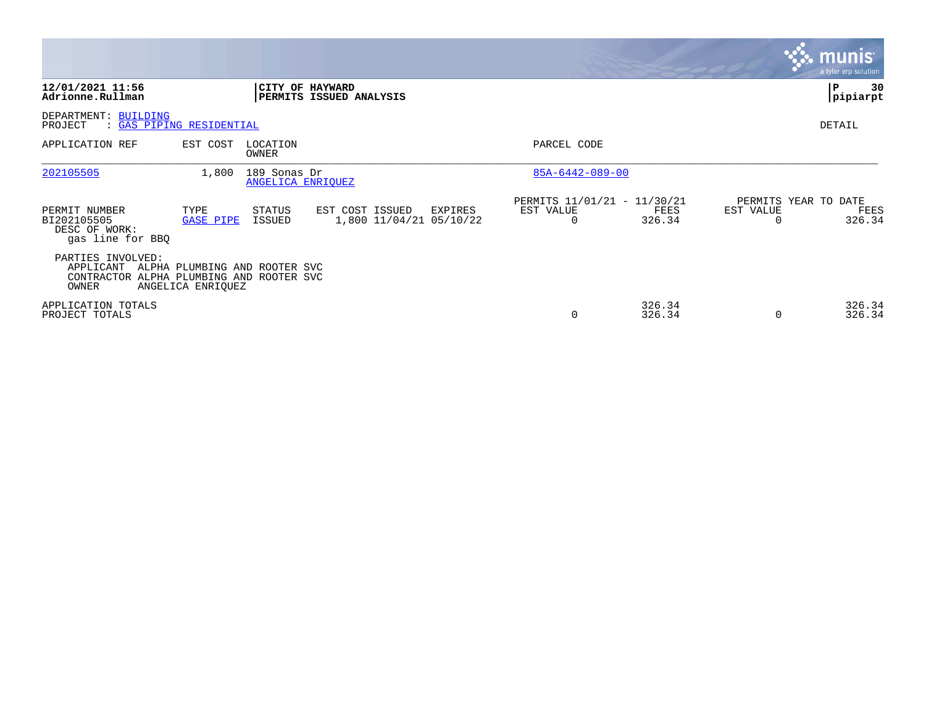|                                                                                     |                                                    |                                   |                                            |         |                                               |                  |                       | $\mathcal{C}$ . munis<br>a tyler erp solution |
|-------------------------------------------------------------------------------------|----------------------------------------------------|-----------------------------------|--------------------------------------------|---------|-----------------------------------------------|------------------|-----------------------|-----------------------------------------------|
| 12/01/2021 11:56<br>Adrionne.Rullman                                                |                                                    | <b>CITY OF HAYWARD</b>            | PERMITS ISSUED ANALYSIS                    |         |                                               |                  |                       | 30<br>⊬ P<br> pipiarpt                        |
| DEPARTMENT: BUILDING<br>PROJECT<br>: GAS PIPING RESIDENTIAL                         |                                                    |                                   |                                            |         |                                               |                  |                       | DETAIL                                        |
| APPLICATION REF                                                                     | EST COST                                           | LOCATION<br>OWNER                 |                                            |         | PARCEL CODE                                   |                  |                       |                                               |
| 202105505                                                                           | 1,800                                              | 189 Sonas Dr<br>ANGELICA ENRIOUEZ |                                            |         | 85A-6442-089-00                               |                  |                       |                                               |
| PERMIT NUMBER<br>BI202105505<br>DESC OF WORK:<br>gas line for BBQ                   | TYPE<br><b>GASE PIPE</b>                           | STATUS<br>ISSUED                  | EST COST ISSUED<br>1,800 11/04/21 05/10/22 | EXPIRES | PERMITS 11/01/21 - 11/30/21<br>EST VALUE<br>0 | FEES<br>326.34   | EST VALUE<br>$\Omega$ | PERMITS YEAR TO DATE<br>FEES<br>326.34        |
| PARTIES INVOLVED:<br>APPLICANT<br>CONTRACTOR ALPHA PLUMBING AND ROOTER SVC<br>OWNER | ALPHA PLUMBING AND ROOTER SVC<br>ANGELICA ENRIQUEZ |                                   |                                            |         |                                               |                  |                       |                                               |
| APPLICATION TOTALS<br>PROJECT TOTALS                                                |                                                    |                                   |                                            |         | 0                                             | 326.34<br>326.34 | 0                     | 326.34<br>326.34                              |

the contract of the contract of

and the contract of the contract of the contract of the contract of the contract of the contract of the contract of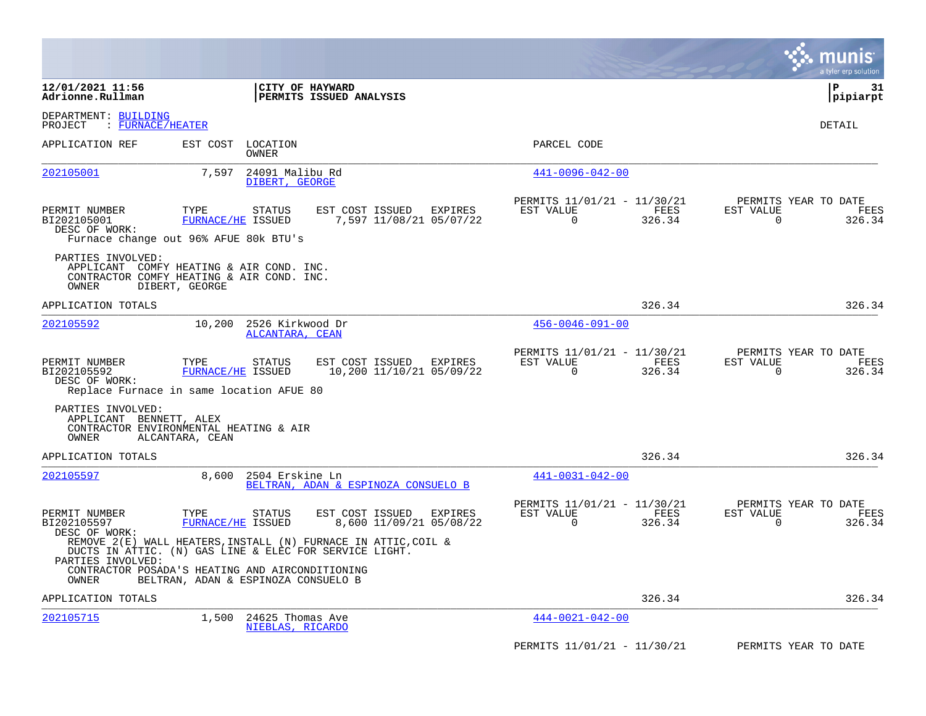|                                                                                                                     |                                     |                                      |                                                                                                                          |           |                                               |                |                          | munis<br>a tyler erp solution          |
|---------------------------------------------------------------------------------------------------------------------|-------------------------------------|--------------------------------------|--------------------------------------------------------------------------------------------------------------------------|-----------|-----------------------------------------------|----------------|--------------------------|----------------------------------------|
| 12/01/2021 11:56<br>Adrionne.Rullman                                                                                |                                     | CITY OF HAYWARD                      | PERMITS ISSUED ANALYSIS                                                                                                  |           |                                               |                |                          | l P<br>31<br> pipiarpt                 |
| DEPARTMENT: BUILDING<br>$:$ FURNACE/HEATER<br>PROJECT                                                               |                                     |                                      |                                                                                                                          |           |                                               |                |                          | DETAIL                                 |
| APPLICATION REF                                                                                                     | EST COST                            | LOCATION<br>OWNER                    |                                                                                                                          |           | PARCEL CODE                                   |                |                          |                                        |
| 202105001                                                                                                           | 7,597                               | 24091 Malibu Rd<br>DIBERT, GEORGE    |                                                                                                                          |           | $441 - 0096 - 042 - 00$                       |                |                          |                                        |
| PERMIT NUMBER<br>BI202105001<br>DESC OF WORK:<br>Furnace change out 96% AFUE 80k BTU's                              | TYPE<br>FURNACE/HE ISSUED           | <b>STATUS</b>                        | EST COST ISSUED<br>EXPIRES<br>7,597 11/08/21 05/07/22                                                                    | EST VALUE | PERMITS 11/01/21 - 11/30/21<br>$\mathbf 0$    | FEES<br>326.34 | EST VALUE<br>$\mathbf 0$ | PERMITS YEAR TO DATE<br>FEES<br>326.34 |
| PARTIES INVOLVED:<br>APPLICANT COMFY HEATING & AIR COND. INC.<br>CONTRACTOR COMFY HEATING & AIR COND. INC.<br>OWNER | DIBERT, GEORGE                      |                                      |                                                                                                                          |           |                                               |                |                          |                                        |
| APPLICATION TOTALS                                                                                                  |                                     |                                      |                                                                                                                          |           |                                               | 326.34         |                          | 326.34                                 |
| 202105592                                                                                                           | 10,200                              | 2526 Kirkwood Dr<br>ALCANTARA, CEAN  |                                                                                                                          |           | $456 - 0046 - 091 - 00$                       |                |                          |                                        |
| PERMIT NUMBER<br>BI202105592<br>DESC OF WORK:<br>Replace Furnace in same location AFUE 80                           | TYPE<br>FURNACE/HE ISSUED           | <b>STATUS</b>                        | EST COST ISSUED EXPIRES<br>10,200 11/10/21 05/09/22                                                                      | EST VALUE | PERMITS 11/01/21 - 11/30/21<br>$\overline{0}$ | FEES<br>326.34 | EST VALUE<br>$\mathbf 0$ | PERMITS YEAR TO DATE<br>FEES<br>326.34 |
| PARTIES INVOLVED:<br>APPLICANT BENNETT, ALEX<br>CONTRACTOR ENVIRONMENTAL HEATING & AIR<br>OWNER                     | ALCANTARA, CEAN                     |                                      |                                                                                                                          |           |                                               |                |                          |                                        |
| APPLICATION TOTALS                                                                                                  |                                     |                                      |                                                                                                                          |           |                                               | 326.34         |                          | 326.34                                 |
| 202105597                                                                                                           | 8,600                               | 2504 Erskine Ln                      | BELTRAN, ADAN & ESPINOZA CONSUELO B                                                                                      |           | $441 - 0031 - 042 - 00$                       |                |                          |                                        |
| PERMIT NUMBER<br>BI202105597<br>DESC OF WORK:                                                                       | TYPE<br>FURNACE/HE ISSUED           | STATUS                               | EST COST ISSUED<br>EXPIRES<br>8,600 11/09/21 05/08/22                                                                    | EST VALUE | PERMITS 11/01/21 - 11/30/21<br>$\Omega$       | FEES<br>326.34 | EST VALUE<br>$\Omega$    | PERMITS YEAR TO DATE<br>FEES<br>326.34 |
| PARTIES INVOLVED:                                                                                                   |                                     |                                      | REMOVE 2(E) WALL HEATERS, INSTALL (N) FURNACE IN ATTIC, COIL &<br>DUCTS IN ATTIC. (N) GAS LINE & ELEC FOR SERVICE LIGHT. |           |                                               |                |                          |                                        |
| CONTRACTOR POSADA'S HEATING AND AIRCONDITIONING<br>OWNER                                                            | BELTRAN, ADAN & ESPINOZA CONSUELO B |                                      |                                                                                                                          |           |                                               |                |                          |                                        |
| APPLICATION TOTALS                                                                                                  |                                     |                                      |                                                                                                                          |           |                                               | 326.34         |                          | 326.34                                 |
| 202105715                                                                                                           | 1,500                               | 24625 Thomas Ave<br>NIEBLAS, RICARDO |                                                                                                                          |           | $444 - 0021 - 042 - 00$                       |                |                          |                                        |
|                                                                                                                     |                                     |                                      |                                                                                                                          |           | PERMITS 11/01/21 - 11/30/21                   |                |                          | PERMITS YEAR TO DATE                   |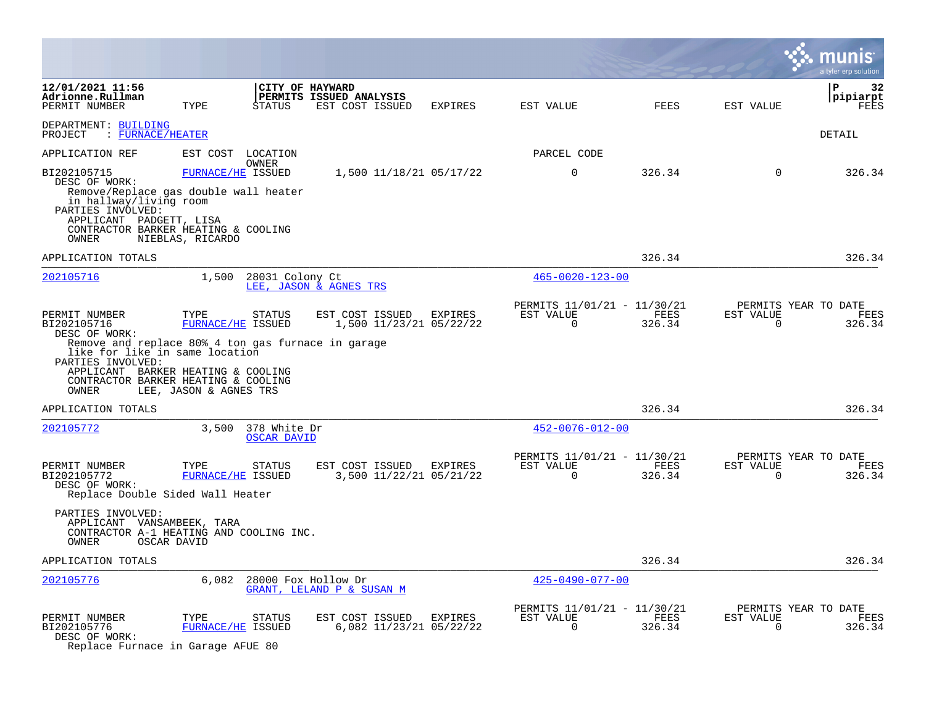|                                                                                                                                                                                                                                                  |                                                     |                                    |                                                               |         |                                                            |                |                          | a tyler erp solution                   |
|--------------------------------------------------------------------------------------------------------------------------------------------------------------------------------------------------------------------------------------------------|-----------------------------------------------------|------------------------------------|---------------------------------------------------------------|---------|------------------------------------------------------------|----------------|--------------------------|----------------------------------------|
| 12/01/2021 11:56<br>Adrionne.Rullman<br>PERMIT NUMBER                                                                                                                                                                                            | TYPE                                                | <b>STATUS</b>                      | CITY OF HAYWARD<br>PERMITS ISSUED ANALYSIS<br>EST COST ISSUED | EXPIRES | EST VALUE                                                  | FEES           | EST VALUE                | ${\bf P}$<br>32<br>pipiarpt<br>FEES    |
| DEPARTMENT: BUILDING<br>PROJECT : FURNACE/HEATER                                                                                                                                                                                                 |                                                     |                                    |                                                               |         |                                                            |                |                          | DETAIL                                 |
| APPLICATION REF                                                                                                                                                                                                                                  | EST COST                                            | LOCATION                           |                                                               |         | PARCEL CODE                                                |                |                          |                                        |
| BI202105715<br>DESC OF WORK:<br>Remove/Replace gas double wall heater<br>in hallway/living room<br>PARTIES INVOLVED:<br>APPLICANT PADGETT, LISA<br>CONTRACTOR BARKER HEATING & COOLING<br>OWNER                                                  | NIEBLAS, RICARDO                                    | OWNER<br>FURNACE/HE ISSUED         | 1,500 11/18/21 05/17/22                                       |         | $\mathbf 0$                                                | 326.34         | $\mathbf 0$              | 326.34                                 |
| APPLICATION TOTALS                                                                                                                                                                                                                               |                                                     |                                    |                                                               |         |                                                            | 326.34         |                          | 326.34                                 |
| 202105716                                                                                                                                                                                                                                        | 1,500                                               | 28031 Colony Ct                    | LEE, JASON & AGNES TRS                                        |         | $465 - 0020 - 123 - 00$                                    |                |                          |                                        |
| PERMIT NUMBER<br>BI202105716<br>DESC OF WORK:<br>Remove and replace 80% 4 ton gas furnace in garage<br>like for like in same location<br>PARTIES INVOLVED:<br>APPLICANT BARKER HEATING & COOLING<br>CONTRACTOR BARKER HEATING & COOLING<br>OWNER | TYPE<br>FURNACE/HE ISSUED<br>LEE, JASON & AGNES TRS | STATUS                             | EST COST ISSUED<br>1,500 11/23/21 05/22/22                    | EXPIRES | PERMITS 11/01/21 - 11/30/21<br>EST VALUE<br>$\overline{0}$ | FEES<br>326.34 | EST VALUE<br>0           | PERMITS YEAR TO DATE<br>FEES<br>326.34 |
| APPLICATION TOTALS                                                                                                                                                                                                                               |                                                     |                                    |                                                               |         |                                                            | 326.34         |                          | 326.34                                 |
| 202105772                                                                                                                                                                                                                                        | 3,500                                               | 378 White Dr<br><b>OSCAR DAVID</b> |                                                               |         | $452 - 0076 - 012 - 00$                                    |                |                          |                                        |
| PERMIT NUMBER<br>BI202105772<br>DESC OF WORK:<br>Replace Double Sided Wall Heater                                                                                                                                                                | TYPE<br>FURNACE/HE ISSUED                           | STATUS                             | EST COST ISSUED<br>3,500 11/22/21 05/21/22                    | EXPIRES | PERMITS 11/01/21 - 11/30/21<br>EST VALUE<br>$\Omega$       | FEES<br>326.34 | EST VALUE<br>$\Omega$    | PERMITS YEAR TO DATE<br>FEES<br>326.34 |
| PARTIES INVOLVED:<br>APPLICANT VANSAMBEEK, TARA<br>CONTRACTOR A-1 HEATING AND COOLING INC.<br>OWNER                                                                                                                                              | OSCAR DAVID                                         |                                    |                                                               |         |                                                            |                |                          |                                        |
| APPLICATION TOTALS                                                                                                                                                                                                                               |                                                     |                                    |                                                               |         |                                                            | 326.34         |                          | 326.34                                 |
| 202105776                                                                                                                                                                                                                                        | 6,082                                               |                                    | 28000 Fox Hollow Dr<br>GRANT, LELAND P & SUSAN M              |         | $425 - 0490 - 077 - 00$                                    |                |                          |                                        |
| PERMIT NUMBER<br>BI202105776<br>DESC OF WORK:<br>Replace Furnace in Garage AFUE 80                                                                                                                                                               | TYPE<br><b>FURNACE/HE ISSUED</b>                    | <b>STATUS</b>                      | EST COST ISSUED<br>6,082 11/23/21 05/22/22                    | EXPIRES | PERMITS 11/01/21 - 11/30/21<br>EST VALUE<br>0              | FEES<br>326.34 | EST VALUE<br>$\mathbf 0$ | PERMITS YEAR TO DATE<br>FEES<br>326.34 |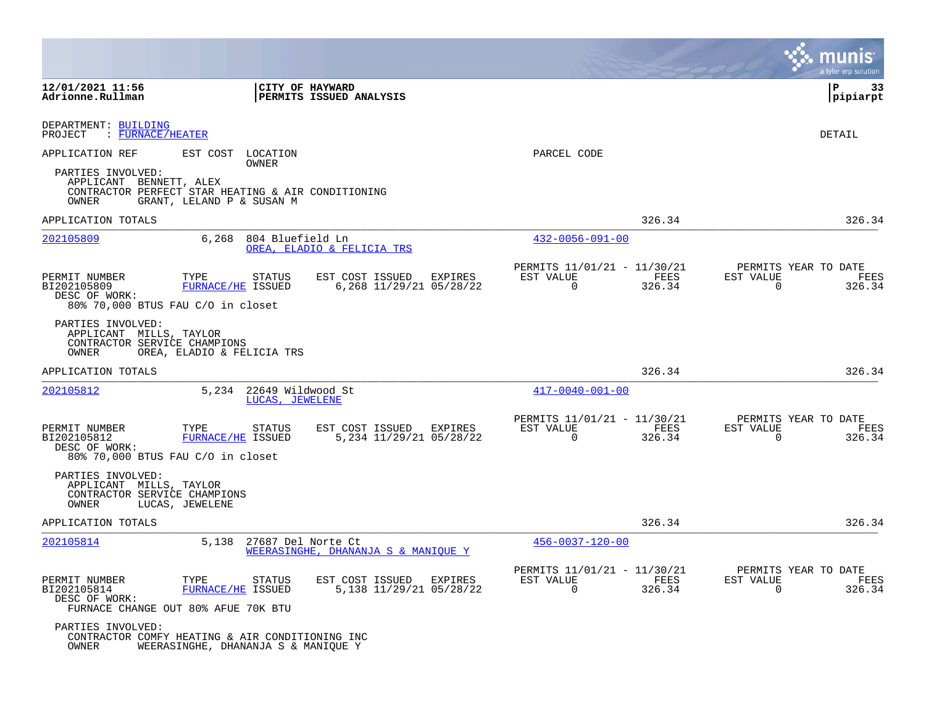|                                                                                       |                                                                                        |                                                       |                                                      | munis<br>a tyler erp solution                                                     |
|---------------------------------------------------------------------------------------|----------------------------------------------------------------------------------------|-------------------------------------------------------|------------------------------------------------------|-----------------------------------------------------------------------------------|
| 12/01/2021 11:56<br>Adrionne.Rullman                                                  |                                                                                        | CITY OF HAYWARD<br>PERMITS ISSUED ANALYSIS            |                                                      | ΙP<br>33<br> pipiarpt                                                             |
| DEPARTMENT: BUILDING<br>PROJECT<br>$:$ FURNACE/HEATER                                 |                                                                                        |                                                       |                                                      | DETAIL                                                                            |
| APPLICATION REF                                                                       | EST COST<br>LOCATION<br>OWNER                                                          |                                                       | PARCEL CODE                                          |                                                                                   |
| PARTIES INVOLVED:<br>APPLICANT BENNETT, ALEX<br>OWNER                                 | CONTRACTOR PERFECT STAR HEATING & AIR CONDITIONING<br>GRANT, LELAND P & SUSAN M        |                                                       |                                                      |                                                                                   |
| APPLICATION TOTALS                                                                    |                                                                                        |                                                       |                                                      | 326.34<br>326.34                                                                  |
| 202105809                                                                             | 6,268<br>804 Bluefield Ln                                                              | OREA, ELADIO & FELICIA TRS                            | $432 - 0056 - 091 - 00$                              |                                                                                   |
| PERMIT NUMBER<br>BI202105809<br>DESC OF WORK:<br>80% 70,000 BTUS FAU C/O in closet    | TYPE<br>STATUS<br><b>FURNACE/HE ISSUED</b>                                             | EST COST ISSUED<br>EXPIRES<br>6,268 11/29/21 05/28/22 | PERMITS 11/01/21 - 11/30/21<br>EST VALUE<br>0        | PERMITS YEAR TO DATE<br>EST VALUE<br>FEES<br>FEES<br>326.34<br>326.34<br>0        |
| PARTIES INVOLVED:<br>APPLICANT MILLS, TAYLOR<br>CONTRACTOR SERVICE CHAMPIONS<br>OWNER | OREA, ELADIO & FELICIA TRS                                                             |                                                       |                                                      |                                                                                   |
| APPLICATION TOTALS                                                                    |                                                                                        |                                                       |                                                      | 326.34<br>326.34                                                                  |
| 202105812                                                                             | 5,234<br>22649 Wildwood St<br>LUCAS, JEWELENE                                          |                                                       | $417 - 0040 - 001 - 00$                              |                                                                                   |
| PERMIT NUMBER<br>BI202105812<br>DESC OF WORK:<br>80% 70,000 BTUS FAU C/O in closet    | TYPE<br><b>STATUS</b><br>FURNACE/HE ISSUED                                             | EST COST ISSUED<br>EXPIRES<br>5,234 11/29/21 05/28/22 | PERMITS 11/01/21 - 11/30/21<br>EST VALUE<br>$\Omega$ | PERMITS YEAR TO DATE<br>FEES<br>EST VALUE<br>FEES<br>326.34<br>$\Omega$<br>326.34 |
| PARTIES INVOLVED:<br>APPLICANT MILLS, TAYLOR<br>CONTRACTOR SERVICE CHAMPIONS<br>OWNER | LUCAS, JEWELENE                                                                        |                                                       |                                                      |                                                                                   |
| APPLICATION TOTALS                                                                    |                                                                                        |                                                       |                                                      | 326.34<br>326.34                                                                  |
| 202105814                                                                             | 5,138<br>27687 Del Norte Ct                                                            | WEERASINGHE, DHANANJA S & MANIOUE Y                   | $456 - 0037 - 120 - 00$                              |                                                                                   |
| PERMIT NUMBER<br>BI202105814<br>DESC OF WORK:                                         | TYPE<br>STATUS<br>FURNACE/HE ISSUED<br>FURNACE CHANGE OUT 80% AFUE 70K BTU             | EST COST ISSUED<br>EXPIRES<br>5,138 11/29/21 05/28/22 | PERMITS 11/01/21 - 11/30/21<br>EST VALUE<br>$\Omega$ | PERMITS YEAR TO DATE<br>FEES<br>EST VALUE<br>FEES<br>326.34<br>$\Omega$<br>326.34 |
| PARTIES INVOLVED:<br>OWNER                                                            | CONTRACTOR COMFY HEATING & AIR CONDITIONING INC<br>WEERASINGHE, DHANANJA S & MANIQUE Y |                                                       |                                                      |                                                                                   |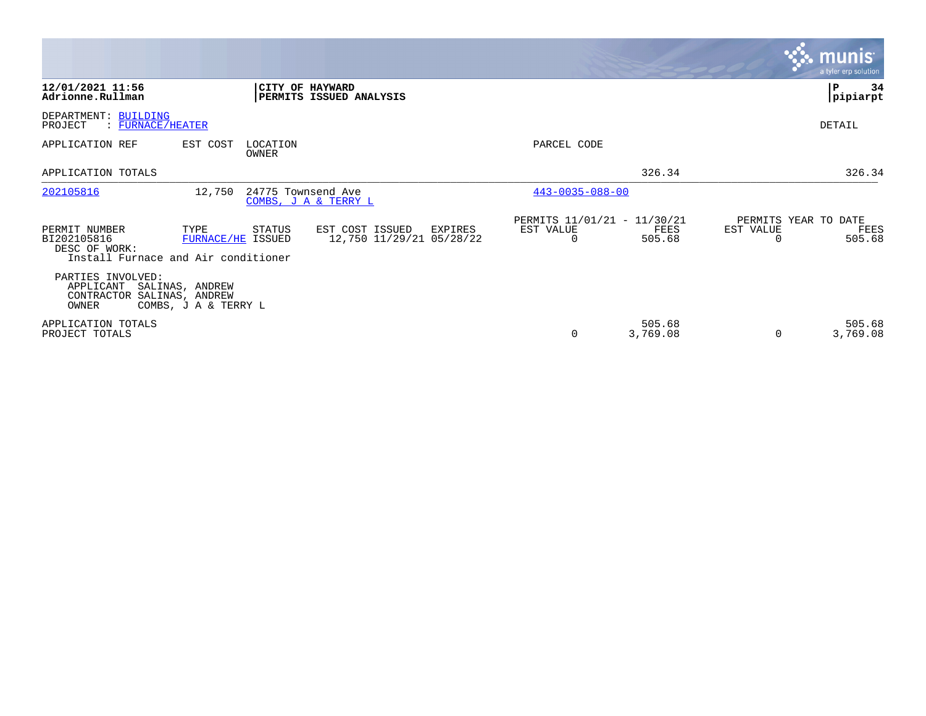|                                                                       |                                                                                   |                                                        |                                                      |                    | <b>munis</b><br>a tyler erp solution                     |
|-----------------------------------------------------------------------|-----------------------------------------------------------------------------------|--------------------------------------------------------|------------------------------------------------------|--------------------|----------------------------------------------------------|
| 12/01/2021 11:56<br>Adrionne.Rullman                                  | CITY OF HAYWARD                                                                   | <b>PERMITS ISSUED ANALYSIS</b>                         |                                                      |                    | 34<br>P<br> pipiarpt                                     |
| DEPARTMENT: BUILDING<br>PROJECT<br>$:$ FURNACE/HEATER                 |                                                                                   |                                                        |                                                      |                    | DETAIL                                                   |
| APPLICATION REF                                                       | EST COST<br>LOCATION<br>OWNER                                                     |                                                        | PARCEL CODE                                          |                    |                                                          |
| APPLICATION TOTALS                                                    |                                                                                   |                                                        |                                                      | 326.34             | 326.34                                                   |
| 202105816                                                             | 12,750<br>24775 Townsend Ave                                                      | COMBS, J A & TERRY L                                   | $443 - 0035 - 088 - 00$                              |                    |                                                          |
| PERMIT NUMBER<br>BI202105816<br>DESC OF WORK:                         | TYPE<br><b>STATUS</b><br>FURNACE/HE ISSUED<br>Install Furnace and Air conditioner | EST COST ISSUED<br>EXPIRES<br>12,750 11/29/21 05/28/22 | PERMITS 11/01/21 - 11/30/21<br>EST VALUE<br>$\Omega$ | FEES<br>505.68     | PERMITS YEAR TO DATE<br>EST VALUE<br>FEES<br>505.68<br>O |
| PARTIES INVOLVED:<br>APPLICANT<br>CONTRACTOR SALINAS, ANDREW<br>OWNER | SALINAS, ANDREW<br>COMBS, J A & TERRY L                                           |                                                        |                                                      |                    |                                                          |
| APPLICATION TOTALS<br>PROJECT TOTALS                                  |                                                                                   |                                                        | 0                                                    | 505.68<br>3,769.08 | 505.68<br>$\Omega$<br>3,769.08                           |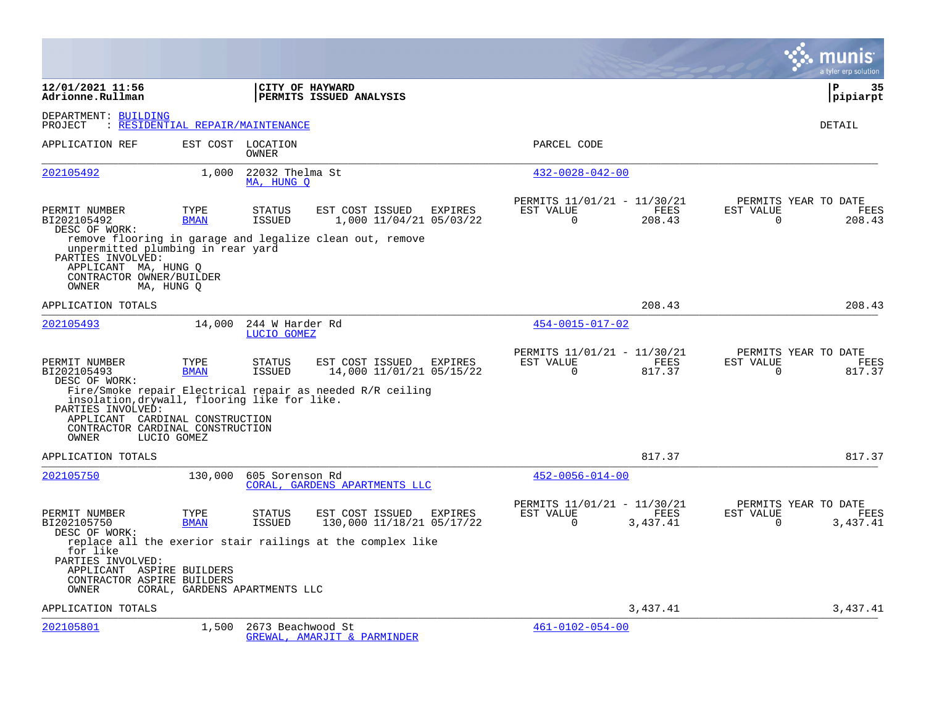|                                                                                                                                          |                                  |                                |                                                            |         |                                                      |                       |                          | a tyler erp solution                          |
|------------------------------------------------------------------------------------------------------------------------------------------|----------------------------------|--------------------------------|------------------------------------------------------------|---------|------------------------------------------------------|-----------------------|--------------------------|-----------------------------------------------|
| 12/01/2021 11:56<br>Adrionne.Rullman                                                                                                     |                                  | CITY OF HAYWARD                | <b>PERMITS ISSUED ANALYSIS</b>                             |         |                                                      |                       |                          | l P<br>35<br> pipiarpt                        |
| DEPARTMENT: BUILDING<br>PROJECT                                                                                                          | : RESIDENTIAL REPAIR/MAINTENANCE |                                |                                                            |         |                                                      |                       |                          | DETAIL                                        |
| APPLICATION REF                                                                                                                          | EST COST                         | LOCATION<br>OWNER              |                                                            |         | PARCEL CODE                                          |                       |                          |                                               |
| 202105492                                                                                                                                | 1,000                            | 22032 Thelma St<br>MA, HUNG O  |                                                            |         | $432 - 0028 - 042 - 00$                              |                       |                          |                                               |
| PERMIT NUMBER<br>BI202105492<br>DESC OF WORK:                                                                                            | TYPE<br><b>BMAN</b>              | <b>STATUS</b><br><b>ISSUED</b> | EST COST ISSUED<br>1,000 11/04/21 05/03/22                 | EXPIRES | PERMITS 11/01/21 - 11/30/21<br>EST VALUE<br>$\Omega$ | FEES<br>208.43        | EST VALUE<br>$\mathbf 0$ | PERMITS YEAR TO DATE<br>FEES<br>208.43        |
| unpermitted plumbing in rear yard<br>PARTIES INVOLVED:<br>APPLICANT MA, HUNG O<br>CONTRACTOR OWNER/BUILDER<br>OWNER                      | MA, HUNG O                       |                                | remove flooring in garage and legalize clean out, remove   |         |                                                      |                       |                          |                                               |
| APPLICATION TOTALS                                                                                                                       |                                  |                                |                                                            |         |                                                      | 208.43                |                          | 208.43                                        |
| 202105493                                                                                                                                | 14,000                           | 244 W Harder Rd<br>LUCIO GOMEZ |                                                            |         | 454-0015-017-02                                      |                       |                          |                                               |
| PERMIT NUMBER<br>BI202105493<br>DESC OF WORK:                                                                                            | TYPE<br><b>BMAN</b>              | <b>STATUS</b><br><b>ISSUED</b> | EST COST ISSUED<br>14,000 11/01/21 05/15/22                | EXPIRES | PERMITS 11/01/21 - 11/30/21<br>EST VALUE<br>$\Omega$ | <b>FEES</b><br>817.37 | EST VALUE<br>$\Omega$    | PERMITS YEAR TO DATE<br><b>FEES</b><br>817.37 |
| insolation, drywall, flooring like for like.<br>PARTIES INVOLVED:<br>APPLICANT CARDINAL CONSTRUCTION<br>CONTRACTOR CARDINAL CONSTRUCTION |                                  |                                | Fire/Smoke repair Electrical repair as needed R/R ceiling  |         |                                                      |                       |                          |                                               |
| <b>OWNER</b>                                                                                                                             | LUCIO GOMEZ                      |                                |                                                            |         |                                                      |                       |                          |                                               |
| APPLICATION TOTALS                                                                                                                       |                                  |                                |                                                            |         |                                                      | 817.37                |                          | 817.37                                        |
| 202105750                                                                                                                                | 130,000                          | 605 Sorenson Rd                | CORAL, GARDENS APARTMENTS LLC                              |         | $452 - 0056 - 014 - 00$                              |                       |                          |                                               |
| PERMIT NUMBER<br>BI202105750<br>DESC OF WORK:                                                                                            | TYPE<br><b>BMAN</b>              | <b>STATUS</b><br><b>ISSUED</b> | EST COST ISSUED<br>130,000 11/18/21 05/17/22               | EXPIRES | PERMITS 11/01/21 - 11/30/21<br>EST VALUE<br>$\Omega$ | FEES<br>3,437.41      | EST VALUE<br>$\Omega$    | PERMITS YEAR TO DATE<br>FEES<br>3,437.41      |
| for like<br>PARTIES INVOLVED:<br>APPLICANT ASPIRE BUILDERS<br>CONTRACTOR ASPIRE BUILDERS<br>OWNER                                        | CORAL, GARDENS APARTMENTS LLC    |                                | replace all the exerior stair railings at the complex like |         |                                                      |                       |                          |                                               |
| APPLICATION TOTALS                                                                                                                       |                                  |                                |                                                            |         |                                                      | 3,437.41              |                          | 3,437.41                                      |
| 202105801                                                                                                                                | 1,500                            | 2673 Beachwood St              | GREWAL, AMARJIT & PARMINDER                                |         | $461 - 0102 - 054 - 00$                              |                       |                          |                                               |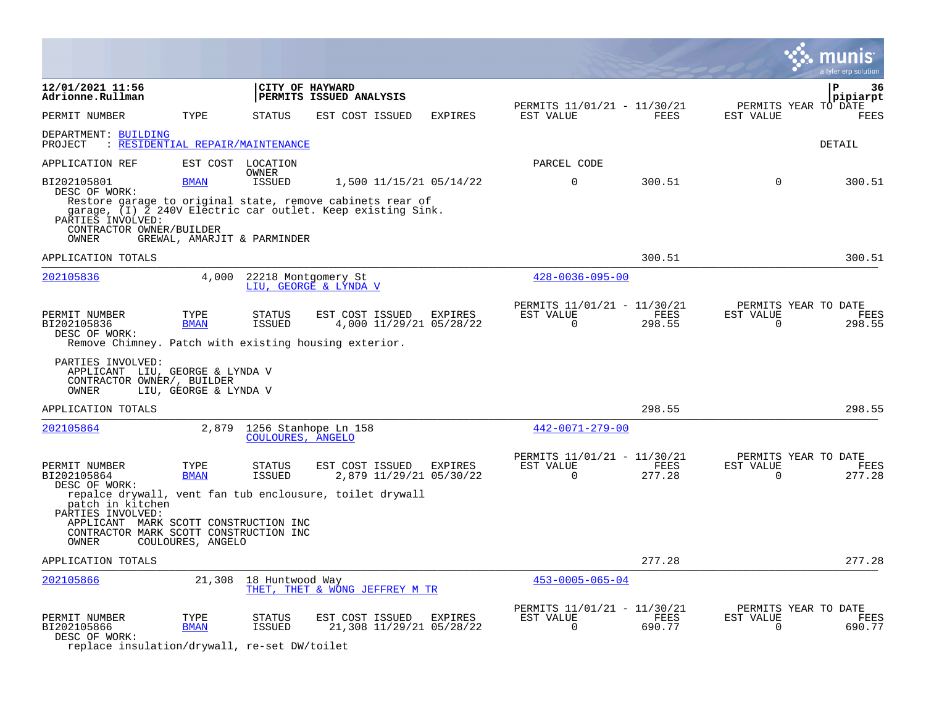|                                                                                                                                                                                                           |                                  |                                |                                             |                                    |                                                      |                |                          | a tyler erp solution                   |
|-----------------------------------------------------------------------------------------------------------------------------------------------------------------------------------------------------------|----------------------------------|--------------------------------|---------------------------------------------|------------------------------------|------------------------------------------------------|----------------|--------------------------|----------------------------------------|
| 12/01/2021 11:56<br>Adrionne.Rullman                                                                                                                                                                      |                                  | CITY OF HAYWARD                | PERMITS ISSUED ANALYSIS                     |                                    |                                                      |                |                          | P<br>36<br>pipiarpt                    |
| PERMIT NUMBER                                                                                                                                                                                             | TYPE                             | <b>STATUS</b>                  | EST COST ISSUED                             | EXPIRES                            | PERMITS 11/01/21 - 11/30/21<br>EST VALUE             | FEES           | EST VALUE                | PERMITS YEAR TO DATE<br><b>FEES</b>    |
| DEPARTMENT: BUILDING<br>PROJECT                                                                                                                                                                           | : RESIDENTIAL REPAIR/MAINTENANCE |                                |                                             |                                    |                                                      |                |                          | DETAIL                                 |
| APPLICATION REF                                                                                                                                                                                           |                                  | EST COST LOCATION              |                                             |                                    | PARCEL CODE                                          |                |                          |                                        |
| BI202105801<br>DESC OF WORK:<br>Restore garage to original state, remove cabinets rear of<br>garage, (I) 2 240V Electric car outlet. Keep existing Sink.<br>PARTIES INVOLVED:<br>CONTRACTOR OWNER/BUILDER | <b>BMAN</b>                      | OWNER<br><b>ISSUED</b>         |                                             | 1,500 11/15/21 05/14/22            | $\mathbf 0$                                          | 300.51         | 0                        | 300.51                                 |
| OWNER                                                                                                                                                                                                     | GREWAL, AMARJIT & PARMINDER      |                                |                                             |                                    |                                                      |                |                          |                                        |
| APPLICATION TOTALS                                                                                                                                                                                        |                                  |                                |                                             |                                    |                                                      | 300.51         |                          | 300.51                                 |
| 202105836                                                                                                                                                                                                 | 4,000                            | 22218 Montgomery St            | LIU, GEORGE & LYNDA V                       |                                    | $428 - 0036 - 095 - 00$                              |                |                          |                                        |
| PERMIT NUMBER<br>BI202105836<br>DESC OF WORK:<br>Remove Chimney. Patch with existing housing exterior.                                                                                                    | TYPE<br><b>BMAN</b>              | STATUS<br>ISSUED               | EST COST ISSUED                             | EXPIRES<br>4,000 11/29/21 05/28/22 | PERMITS 11/01/21 - 11/30/21<br>EST VALUE<br>0        | FEES<br>298.55 | EST VALUE<br>0           | PERMITS YEAR TO DATE<br>FEES<br>298.55 |
| PARTIES INVOLVED:<br>APPLICANT LIU, GEORGE & LYNDA V<br>CONTRACTOR OWNER/, BUILDER<br>OWNER                                                                                                               | LIU, GEORGE & LYNDA V            |                                |                                             |                                    |                                                      |                |                          |                                        |
| APPLICATION TOTALS                                                                                                                                                                                        |                                  |                                |                                             |                                    |                                                      | 298.55         |                          | 298.55                                 |
| 202105864                                                                                                                                                                                                 | 2,879                            | COULOURES, ANGELO              | 1256 Stanhope Ln 158                        |                                    | 442-0071-279-00                                      |                |                          |                                        |
| PERMIT NUMBER<br>BI202105864<br>DESC OF WORK:<br>repalce drywall, vent fan tub enclousure, toilet drywall<br>patch in kitchen                                                                             | TYPE<br><b>BMAN</b>              | STATUS<br><b>ISSUED</b>        | EST COST ISSUED                             | EXPIRES<br>2,879 11/29/21 05/30/22 | PERMITS 11/01/21 - 11/30/21<br>EST VALUE<br>$\Omega$ | FEES<br>277.28 | EST VALUE<br>$\Omega$    | PERMITS YEAR TO DATE<br>FEES<br>277.28 |
| PARTIES INVOLVED:<br>APPLICANT MARK SCOTT CONSTRUCTION INC<br>CONTRACTOR MARK SCOTT CONSTRUCTION INC<br>OWNER                                                                                             | COULOURES, ANGELO                |                                |                                             |                                    |                                                      |                |                          |                                        |
| APPLICATION TOTALS                                                                                                                                                                                        |                                  |                                |                                             |                                    |                                                      | 277.28         |                          | 277.28                                 |
| 202105866                                                                                                                                                                                                 | 21,308                           | 18 Huntwood Way                | THET, THET & WONG JEFFREY M TR              |                                    | $453 - 0005 - 065 - 04$                              |                |                          |                                        |
| PERMIT NUMBER<br>BI202105866<br>DESC OF WORK:<br>replace insulation/drywall, re-set DW/toilet                                                                                                             | TYPE<br><b>BMAN</b>              | <b>STATUS</b><br><b>ISSUED</b> | EST COST ISSUED<br>21,308 11/29/21 05/28/22 | EXPIRES                            | PERMITS 11/01/21 - 11/30/21<br>EST VALUE<br>0        | FEES<br>690.77 | EST VALUE<br>$\mathbf 0$ | PERMITS YEAR TO DATE<br>FEES<br>690.77 |

**College**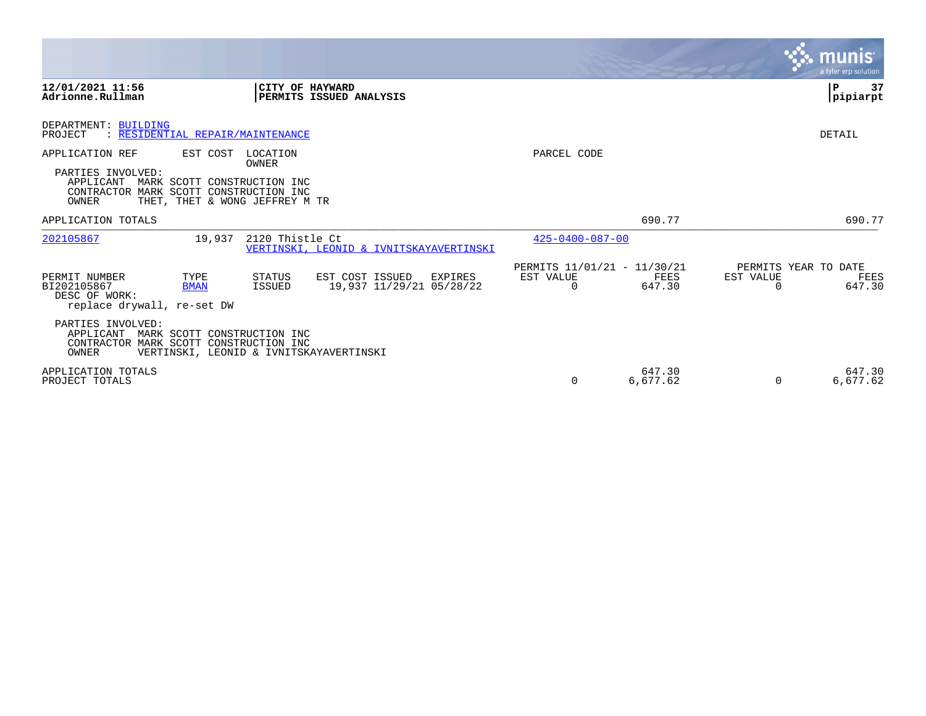|                                                                                   |                                                               |                         |                                                        |                                                      |                    | munis<br>a tyler erp solution                            |
|-----------------------------------------------------------------------------------|---------------------------------------------------------------|-------------------------|--------------------------------------------------------|------------------------------------------------------|--------------------|----------------------------------------------------------|
| 12/01/2021 11:56<br>Adrionne.Rullman                                              |                                                               | CITY OF HAYWARD         | PERMITS ISSUED ANALYSIS                                |                                                      |                    | 37<br>l P<br> pipiarpt                                   |
| DEPARTMENT: BUILDING<br>PROJECT                                                   | RESIDENTIAL REPAIR/MAINTENANCE                                |                         |                                                        |                                                      |                    | <b>DETAIL</b>                                            |
| APPLICATION REF                                                                   | EST COST LOCATION                                             | OWNER                   |                                                        | PARCEL CODE                                          |                    |                                                          |
| PARTIES INVOLVED:<br>APPLICANT<br>CONTRACTOR MARK SCOTT CONSTRUCTION INC<br>OWNER | MARK SCOTT CONSTRUCTION INC<br>THET, THET & WONG JEFFREY M TR |                         |                                                        |                                                      |                    |                                                          |
| APPLICATION TOTALS                                                                |                                                               |                         |                                                        |                                                      | 690.77             | 690.77                                                   |
| 202105867                                                                         | 19,937                                                        | 2120 Thistle Ct         | VERTINSKI, LEONID & IVNITSKAYAVERTINSKI                | $425 - 0400 - 087 - 00$                              |                    |                                                          |
| PERMIT NUMBER<br>BI202105867<br>DESC OF WORK:<br>replace drywall, re-set DW       | TYPE<br><b>BMAN</b>                                           | STATUS<br><b>ISSUED</b> | EST COST ISSUED<br>EXPIRES<br>19,937 11/29/21 05/28/22 | PERMITS 11/01/21 - 11/30/21<br>EST VALUE<br>$\Omega$ | FEES<br>647.30     | PERMITS YEAR TO DATE<br>EST VALUE<br>FEES<br>647.30<br>0 |
| PARTIES INVOLVED:<br>APPLICANT<br>CONTRACTOR MARK SCOTT CONSTRUCTION INC<br>OWNER | MARK SCOTT CONSTRUCTION INC                                   |                         | VERTINSKI, LEONID & IVNITSKAYAVERTINSKI                |                                                      |                    |                                                          |
| APPLICATION TOTALS<br>PROJECT TOTALS                                              |                                                               |                         |                                                        | $\Omega$                                             | 647.30<br>6,677.62 | 647.30<br>6,677.62<br>0                                  |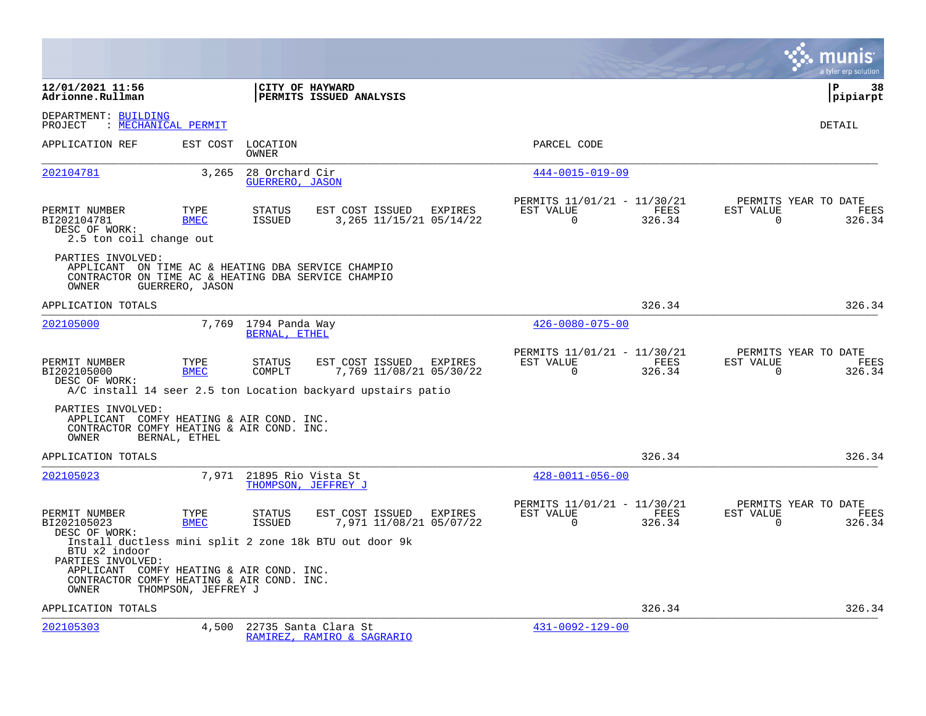|                                                                                                                                         |                     |                                                 |                                                                                                            |         |                                                      |                |                       | munis<br>a tyler erp solution          |
|-----------------------------------------------------------------------------------------------------------------------------------------|---------------------|-------------------------------------------------|------------------------------------------------------------------------------------------------------------|---------|------------------------------------------------------|----------------|-----------------------|----------------------------------------|
| 12/01/2021 11:56<br>Adrionne.Rullman                                                                                                    |                     | CITY OF HAYWARD                                 | PERMITS ISSUED ANALYSIS                                                                                    |         |                                                      |                |                       | l P<br>38<br> pipiarpt                 |
| DEPARTMENT: BUILDING<br>PROJECT                                                                                                         | : MECHANICAL PERMIT |                                                 |                                                                                                            |         |                                                      |                |                       | DETAIL                                 |
| APPLICATION REF                                                                                                                         | EST COST            | LOCATION<br>OWNER                               |                                                                                                            |         | PARCEL CODE                                          |                |                       |                                        |
| 202104781                                                                                                                               | 3,265               | 28 Orchard Cir<br>GUERRERO, JASON               |                                                                                                            |         | $444 - 0015 - 019 - 09$                              |                |                       |                                        |
| PERMIT NUMBER<br>BI202104781<br>DESC OF WORK:<br>2.5 ton coil change out                                                                | TYPE<br><b>BMEC</b> | STATUS<br>ISSUED                                | EST COST ISSUED EXPIRES<br>3, 265 11/15/21 05/14/22                                                        |         | PERMITS 11/01/21 - 11/30/21<br>EST VALUE<br>$\Omega$ | FEES<br>326.34 | EST VALUE<br>$\Omega$ | PERMITS YEAR TO DATE<br>FEES<br>326.34 |
| PARTIES INVOLVED:<br>APPLICANT ON TIME AC & HEATING DBA SERVICE CHAMPIO<br>CONTRACTOR ON TIME AC & HEATING DBA SERVICE CHAMPIO<br>OWNER | GUERRERO, JASON     |                                                 |                                                                                                            |         |                                                      |                |                       |                                        |
| APPLICATION TOTALS                                                                                                                      |                     |                                                 |                                                                                                            |         |                                                      | 326.34         |                       | 326.34                                 |
| 202105000                                                                                                                               | 7,769               | 1794 Panda Way<br>BERNAL, ETHEL                 |                                                                                                            |         | $426 - 0080 - 075 - 00$                              |                |                       |                                        |
| PERMIT NUMBER<br>BI202105000<br>DESC OF WORK:                                                                                           | TYPE<br><b>BMEC</b> | <b>STATUS</b><br>COMPLT                         | EST COST ISSUED<br>7,769 11/08/21 05/30/22<br>A/C install 14 seer 2.5 ton Location backyard upstairs patio | EXPIRES | PERMITS 11/01/21 - 11/30/21<br>EST VALUE<br>$\Omega$ | FEES<br>326.34 | EST VALUE<br>$\Omega$ | PERMITS YEAR TO DATE<br>FEES<br>326.34 |
| PARTIES INVOLVED:<br>APPLICANT COMFY HEATING & AIR COND. INC.<br>CONTRACTOR COMFY HEATING & AIR COND. INC.<br>OWNER                     | BERNAL, ETHEL       |                                                 |                                                                                                            |         |                                                      |                |                       |                                        |
| APPLICATION TOTALS                                                                                                                      |                     |                                                 |                                                                                                            |         |                                                      | 326.34         |                       | 326.34                                 |
| 202105023                                                                                                                               |                     | 7,971 21895 Rio Vista St<br>THOMPSON, JEFFREY J |                                                                                                            |         | $428 - 0011 - 056 - 00$                              |                |                       |                                        |
| PERMIT NUMBER<br>BI202105023<br>DESC OF WORK:                                                                                           | TYPE<br><b>BMEC</b> | <b>STATUS</b><br>ISSUED                         | EST COST ISSUED EXPIRES<br>7,971 11/08/21 05/07/22                                                         |         | PERMITS 11/01/21 - 11/30/21<br>EST VALUE<br>$\Omega$ | FEES<br>326.34 | EST VALUE<br>$\Omega$ | PERMITS YEAR TO DATE<br>FEES<br>326.34 |
| BTU x2 indoor<br>PARTIES INVOLVED:<br>APPLICANT COMFY HEATING & AIR COND. INC.<br>CONTRACTOR COMFY HEATING & AIR COND. INC.<br>OWNER    | THOMPSON, JEFFREY J |                                                 | Install ductless mini split 2 zone 18k BTU out door 9k                                                     |         |                                                      |                |                       |                                        |
| APPLICATION TOTALS                                                                                                                      |                     |                                                 |                                                                                                            |         |                                                      | 326.34         |                       | 326.34                                 |
| 202105303                                                                                                                               | 4,500               |                                                 | 22735 Santa Clara St<br>RAMIREZ, RAMIRO & SAGRARIO                                                         |         | $431 - 0092 - 129 - 00$                              |                |                       |                                        |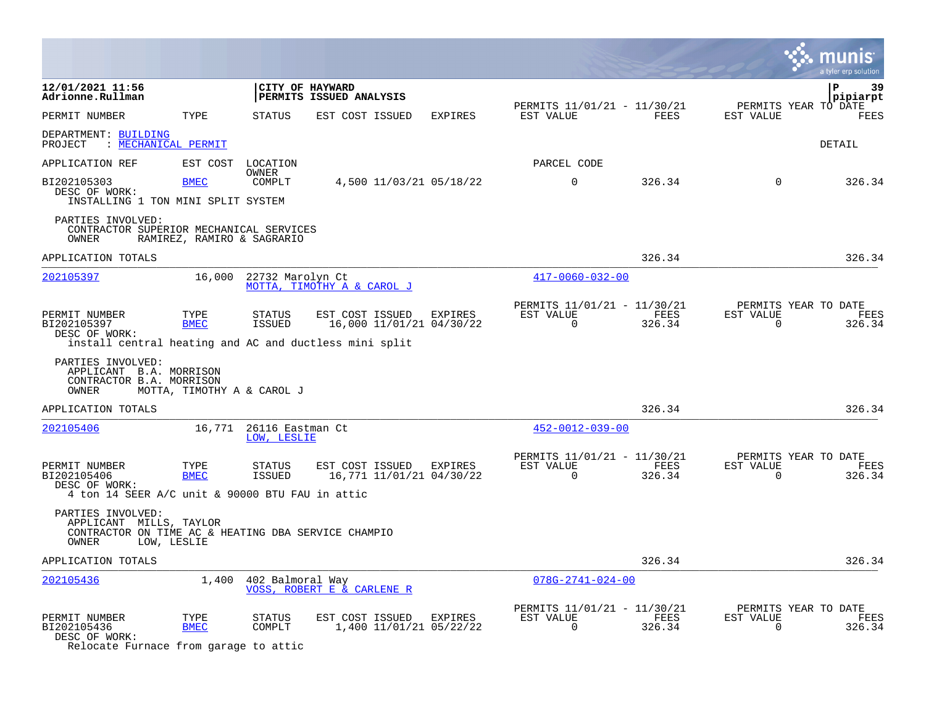|                                                                                                                                                                 |                            |                                 |                                                                                                       |         |                                                         |                |                          | a tyler erp solution                   |
|-----------------------------------------------------------------------------------------------------------------------------------------------------------------|----------------------------|---------------------------------|-------------------------------------------------------------------------------------------------------|---------|---------------------------------------------------------|----------------|--------------------------|----------------------------------------|
| 12/01/2021 11:56<br>Adrionne.Rullman                                                                                                                            |                            |                                 | CITY OF HAYWARD<br>PERMITS ISSUED ANALYSIS                                                            |         |                                                         |                |                          | P<br>39<br>pipiarpt                    |
| PERMIT NUMBER                                                                                                                                                   | TYPE                       | STATUS                          | EST COST ISSUED                                                                                       | EXPIRES | PERMITS 11/01/21 - 11/30/21<br>EST VALUE                | FEES           | EST VALUE                | PERMITS YEAR TO DATE<br>FEES           |
| DEPARTMENT: BUILDING<br>: MECHANICAL PERMIT<br>PROJECT                                                                                                          |                            |                                 |                                                                                                       |         |                                                         |                |                          | DETAIL                                 |
| APPLICATION REF                                                                                                                                                 | EST COST                   | LOCATION                        |                                                                                                       |         | PARCEL CODE                                             |                |                          |                                        |
| BI202105303                                                                                                                                                     | <b>BMEC</b>                | OWNER<br>COMPLT                 | 4,500 11/03/21 05/18/22                                                                               |         | $\mathbf 0$                                             | 326.34         | $\mathbf 0$              | 326.34                                 |
| DESC OF WORK:<br>INSTALLING 1 TON MINI SPLIT SYSTEM                                                                                                             |                            |                                 |                                                                                                       |         |                                                         |                |                          |                                        |
| PARTIES INVOLVED:<br>CONTRACTOR SUPERIOR MECHANICAL SERVICES<br>OWNER                                                                                           | RAMIREZ, RAMIRO & SAGRARIO |                                 |                                                                                                       |         |                                                         |                |                          |                                        |
| APPLICATION TOTALS                                                                                                                                              |                            |                                 |                                                                                                       |         |                                                         | 326.34         |                          | 326.34                                 |
| 202105397                                                                                                                                                       | 16,000                     | 22732 Marolyn Ct                | MOTTA, TIMOTHY A & CAROL J                                                                            |         | $417 - 0060 - 032 - 00$                                 |                |                          |                                        |
| PERMIT NUMBER<br>BI202105397<br>DESC OF WORK:                                                                                                                   | TYPE<br><b>BMEC</b>        | STATUS<br>ISSUED                | EST COST ISSUED<br>16,000 11/01/21 04/30/22<br>install central heating and AC and ductless mini split | EXPIRES | PERMITS 11/01/21 - 11/30/21<br>EST VALUE<br>$\Omega$    | FEES<br>326.34 | EST VALUE<br>$\Omega$    | PERMITS YEAR TO DATE<br>FEES<br>326.34 |
| PARTIES INVOLVED:<br>APPLICANT B.A. MORRISON<br>CONTRACTOR B.A. MORRISON<br>OWNER                                                                               | MOTTA, TIMOTHY A & CAROL J |                                 |                                                                                                       |         |                                                         |                |                          |                                        |
| APPLICATION TOTALS                                                                                                                                              |                            |                                 |                                                                                                       |         |                                                         | 326.34         |                          | 326.34                                 |
| 202105406                                                                                                                                                       | 16,771                     | 26116 Eastman Ct<br>LOW, LESLIE |                                                                                                       |         | $452 - 0012 - 039 - 00$                                 |                |                          |                                        |
| PERMIT NUMBER<br>BI202105406<br>DESC OF WORK:                                                                                                                   | TYPE<br><b>BMEC</b>        | STATUS<br><b>ISSUED</b>         | EST COST ISSUED EXPIRES<br>16,771 11/01/21 04/30/22                                                   |         | PERMITS 11/01/21 - 11/30/21<br>EST VALUE<br>$\Omega$    | FEES<br>326.34 | EST VALUE<br>$\Omega$    | PERMITS YEAR TO DATE<br>FEES<br>326.34 |
| 4 ton 14 SEER A/C unit & 90000 BTU FAU in attic<br>PARTIES INVOLVED:<br>APPLICANT MILLS, TAYLOR<br>CONTRACTOR ON TIME AC & HEATING DBA SERVICE CHAMPIO<br>OWNER | LOW, LESLIE                |                                 |                                                                                                       |         |                                                         |                |                          |                                        |
| APPLICATION TOTALS                                                                                                                                              |                            |                                 |                                                                                                       |         |                                                         | 326.34         |                          | 326.34                                 |
| 202105436                                                                                                                                                       | 1,400                      | 402 Balmoral Way                | VOSS, ROBERT E & CARLENE R                                                                            |         | $078G - 2741 - 024 - 00$                                |                |                          |                                        |
| PERMIT NUMBER<br>BI202105436<br>DESC OF WORK:<br>Relocate Furnace from garage to attic                                                                          | TYPE<br><b>BMEC</b>        | STATUS<br>COMPLT                | EST COST ISSUED<br>1,400 11/01/21 05/22/22                                                            | EXPIRES | PERMITS 11/01/21 - 11/30/21<br>EST VALUE<br>$\mathbf 0$ | FEES<br>326.34 | EST VALUE<br>$\mathbf 0$ | PERMITS YEAR TO DATE<br>FEES<br>326.34 |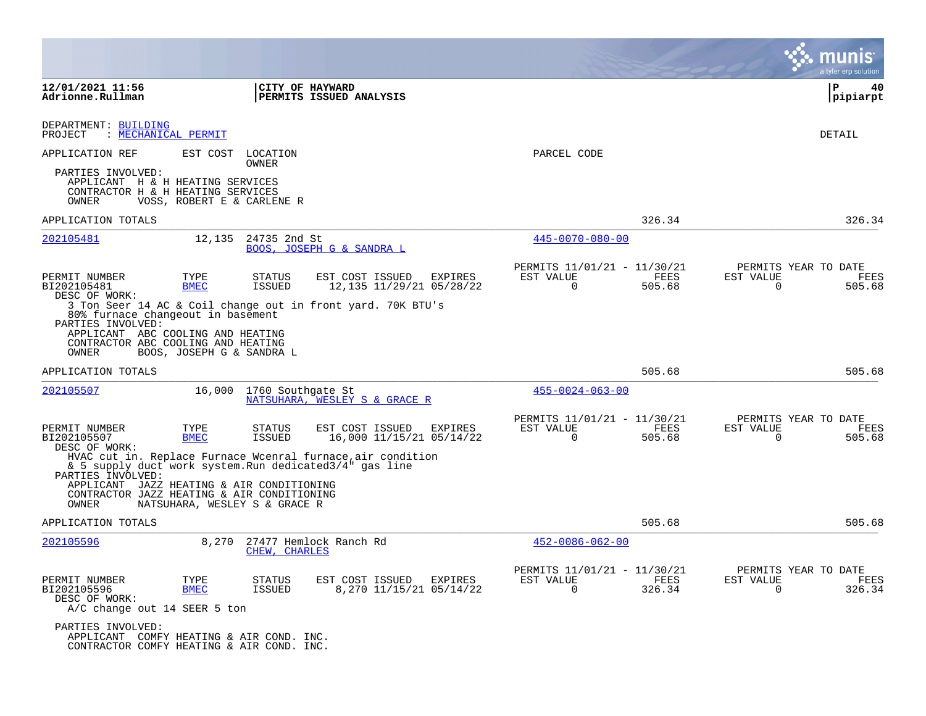|                                                                                                                                            |                               |                         |                                                                                                                        |                                                            |                |                       | I tyler erp solution                   |
|--------------------------------------------------------------------------------------------------------------------------------------------|-------------------------------|-------------------------|------------------------------------------------------------------------------------------------------------------------|------------------------------------------------------------|----------------|-----------------------|----------------------------------------|
| 12/01/2021 11:56<br>Adrionne.Rullman                                                                                                       |                               |                         | CITY OF HAYWARD<br><b>PERMITS ISSUED ANALYSIS</b>                                                                      |                                                            |                |                       | ∣P<br>40<br> pipiarpt                  |
| DEPARTMENT: BUILDING<br>: MECHANICAL PERMIT<br>PROJECT                                                                                     |                               |                         |                                                                                                                        |                                                            |                |                       | <b>DETAIL</b>                          |
| APPLICATION REF                                                                                                                            | EST COST                      | LOCATION<br>OWNER       |                                                                                                                        | PARCEL CODE                                                |                |                       |                                        |
| PARTIES INVOLVED:<br>APPLICANT H & H HEATING SERVICES<br>CONTRACTOR H & H HEATING SERVICES<br>OWNER                                        | VOSS, ROBERT E & CARLENE R    |                         |                                                                                                                        |                                                            |                |                       |                                        |
| APPLICATION TOTALS                                                                                                                         |                               |                         |                                                                                                                        |                                                            | 326.34         |                       | 326.34                                 |
| 202105481                                                                                                                                  | 12,135                        | 24735 2nd St            | BOOS, JOSEPH G & SANDRA L                                                                                              | $445 - 0070 - 080 - 00$                                    |                |                       |                                        |
| PERMIT NUMBER<br>BI202105481<br>DESC OF WORK:                                                                                              | TYPE<br><b>BMEC</b>           | STATUS<br><b>ISSUED</b> | EST COST ISSUED<br>EXPIRES<br>12,135 11/29/21 05/28/22                                                                 | PERMITS 11/01/21 - 11/30/21<br>EST VALUE<br>$\Omega$       | FEES<br>505.68 | EST VALUE<br>$\Omega$ | PERMITS YEAR TO DATE<br>FEES<br>505.68 |
| 80% furnace changeout in basement<br>PARTIES INVOLVED:<br>APPLICANT ABC COOLING AND HEATING<br>CONTRACTOR ABC COOLING AND HEATING<br>OWNER | BOOS, JOSEPH G & SANDRA L     |                         | 3 Ton Seer 14 AC & Coil change out in front yard. 70K BTU's                                                            |                                                            |                |                       |                                        |
| APPLICATION TOTALS                                                                                                                         |                               |                         |                                                                                                                        |                                                            | 505.68         |                       | 505.68                                 |
| 202105507                                                                                                                                  | 16,000                        | 1760 Southgate St       | NATSUHARA, WESLEY S & GRACE R                                                                                          | $455 - 0024 - 063 - 00$                                    |                |                       |                                        |
| PERMIT NUMBER<br>BI202105507<br>DESC OF WORK:                                                                                              | TYPE<br><b>BMEC</b>           | STATUS<br><b>ISSUED</b> | EST COST ISSUED<br><b>EXPIRES</b><br>16,000 11/15/21 05/14/22                                                          | PERMITS 11/01/21 - 11/30/21<br>EST VALUE<br>$\mathbf 0$    | FEES<br>505.68 | EST VALUE<br>0        | PERMITS YEAR TO DATE<br>FEES<br>505.68 |
| PARTIES INVOLVED:                                                                                                                          |                               |                         | HVAC cut in. Replace Furnace Weenral furnace, air condition<br>& 5 supply duct work system. Run dedicated3/4" gas line |                                                            |                |                       |                                        |
| APPLICANT JAZZ HEATING & AIR CONDITIONING<br>CONTRACTOR JAZZ HEATING & AIR CONDITIONING<br>OWNER                                           | NATSUHARA, WESLEY S & GRACE R |                         |                                                                                                                        |                                                            |                |                       |                                        |
| APPLICATION TOTALS                                                                                                                         |                               |                         |                                                                                                                        |                                                            | 505.68         |                       | 505.68                                 |
| 202105596                                                                                                                                  | 8,270                         | CHEW, CHARLES           | 27477 Hemlock Ranch Rd                                                                                                 | $452 - 0086 - 062 - 00$                                    |                |                       |                                        |
| PERMIT NUMBER<br>BI202105596<br>DESC OF WORK:<br>A/C change out 14 SEER 5 ton                                                              | TYPE<br><b>BMEC</b>           | STATUS<br><b>ISSUED</b> | EST COST ISSUED<br>EXPIRES<br>8,270 11/15/21 05/14/22                                                                  | PERMITS 11/01/21 - 11/30/21<br>EST VALUE<br>$\overline{0}$ | FEES<br>326.34 | EST VALUE<br>0        | PERMITS YEAR TO DATE<br>FEES<br>326.34 |
| PARTIES INVOLVED:<br>APPLICANT COMFY HEATING & AIR COND. INC.<br>CONTRACTOR COMFY HEATING & AIR COND. INC.                                 |                               |                         |                                                                                                                        |                                                            |                |                       |                                        |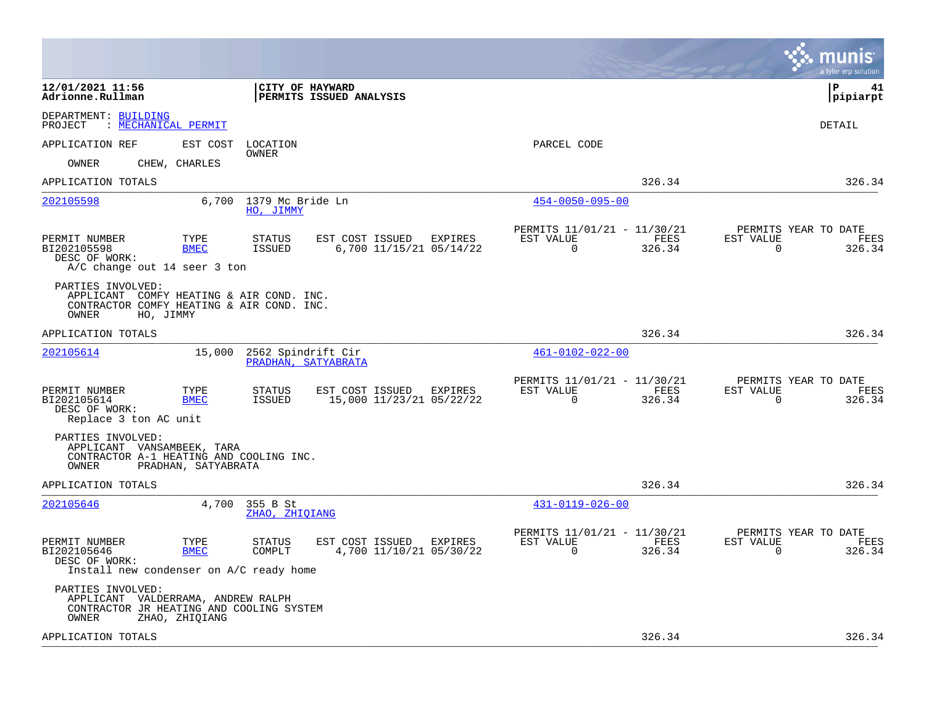|                                                                                                                                            |                                                       |                                                      |                |                       | munis<br>a tyler erp solution          |
|--------------------------------------------------------------------------------------------------------------------------------------------|-------------------------------------------------------|------------------------------------------------------|----------------|-----------------------|----------------------------------------|
| 12/01/2021 11:56<br>CITY OF HAYWARD<br>Adrionne.Rullman                                                                                    | PERMITS ISSUED ANALYSIS                               |                                                      |                |                       | l P<br>41<br> pipiarpt                 |
| DEPARTMENT: BUILDING<br>: MECHANICAL PERMIT<br>PROJECT                                                                                     |                                                       |                                                      |                |                       | DETAIL                                 |
| EST COST<br>APPLICATION REF<br>LOCATION                                                                                                    |                                                       | PARCEL CODE                                          |                |                       |                                        |
| OWNER<br>CHEW, CHARLES<br>OWNER                                                                                                            |                                                       |                                                      |                |                       |                                        |
| APPLICATION TOTALS                                                                                                                         |                                                       |                                                      | 326.34         |                       | 326.34                                 |
| 202105598<br>6,700 1379 Mc Bride Ln<br>HO, JIMMY                                                                                           |                                                       | $454 - 0050 - 095 - 00$                              |                |                       |                                        |
| PERMIT NUMBER<br>TYPE<br><b>STATUS</b><br>BI202105598<br><b>BMEC</b><br>ISSUED<br>DESC OF WORK:<br>$A/C$ change out 14 seer 3 ton          | EST COST ISSUED EXPIRES<br>6,700 11/15/21 05/14/22    | PERMITS 11/01/21 - 11/30/21<br>EST VALUE<br>$\Omega$ | FEES<br>326.34 | EST VALUE<br>$\Omega$ | PERMITS YEAR TO DATE<br>FEES<br>326.34 |
| PARTIES INVOLVED:<br>APPLICANT COMFY HEATING & AIR COND. INC.<br>CONTRACTOR COMFY HEATING & AIR COND. INC.<br>OWNER<br>HO, JIMMY           |                                                       |                                                      |                |                       |                                        |
| APPLICATION TOTALS                                                                                                                         |                                                       |                                                      | 326.34         |                       | 326.34                                 |
| 202105614<br>15,000<br>2562 Spindrift Cir<br>PRADHAN, SATYABRATA                                                                           |                                                       | $461 - 0102 - 022 - 00$                              |                |                       |                                        |
| PERMIT NUMBER<br>TYPE<br><b>STATUS</b><br>BI202105614<br><b>BMEC</b><br>ISSUED<br>DESC OF WORK:<br>Replace 3 ton AC unit                   | EST COST ISSUED EXPIRES<br>15,000 11/23/21 05/22/22   | PERMITS 11/01/21 - 11/30/21<br>EST VALUE<br>$\Omega$ | FEES<br>326.34 | EST VALUE<br>$\Omega$ | PERMITS YEAR TO DATE<br>FEES<br>326.34 |
| PARTIES INVOLVED:<br>APPLICANT VANSAMBEEK, TARA<br>CONTRACTOR A-1 HEATING AND COOLING INC.<br>PRADHAN, SATYABRATA<br>OWNER                 |                                                       |                                                      |                |                       |                                        |
| APPLICATION TOTALS                                                                                                                         |                                                       |                                                      | 326.34         |                       | 326.34                                 |
| 202105646<br>4,700 355 B St<br>ZHAO, ZHIQIANG                                                                                              |                                                       | $431 - 0119 - 026 - 00$                              |                |                       |                                        |
| PERMIT NUMBER<br>TYPE<br><b>STATUS</b><br>BI202105646<br><b>BMEC</b><br>COMPLT<br>DESC OF WORK:<br>Install new condenser on A/C ready home | EST COST ISSUED<br>EXPIRES<br>4,700 11/10/21 05/30/22 | PERMITS 11/01/21 - 11/30/21<br>EST VALUE<br>$\Omega$ | FEES<br>326.34 | EST VALUE<br>$\Omega$ | PERMITS YEAR TO DATE<br>FEES<br>326.34 |
| PARTIES INVOLVED:<br>APPLICANT VALDERRAMA, ANDREW RALPH<br>CONTRACTOR JR HEATING AND COOLING SYSTEM<br>OWNER<br>ZHAO, ZHIOIANG             |                                                       |                                                      |                |                       |                                        |
| APPLICATION TOTALS                                                                                                                         |                                                       |                                                      | 326.34         |                       | 326.34                                 |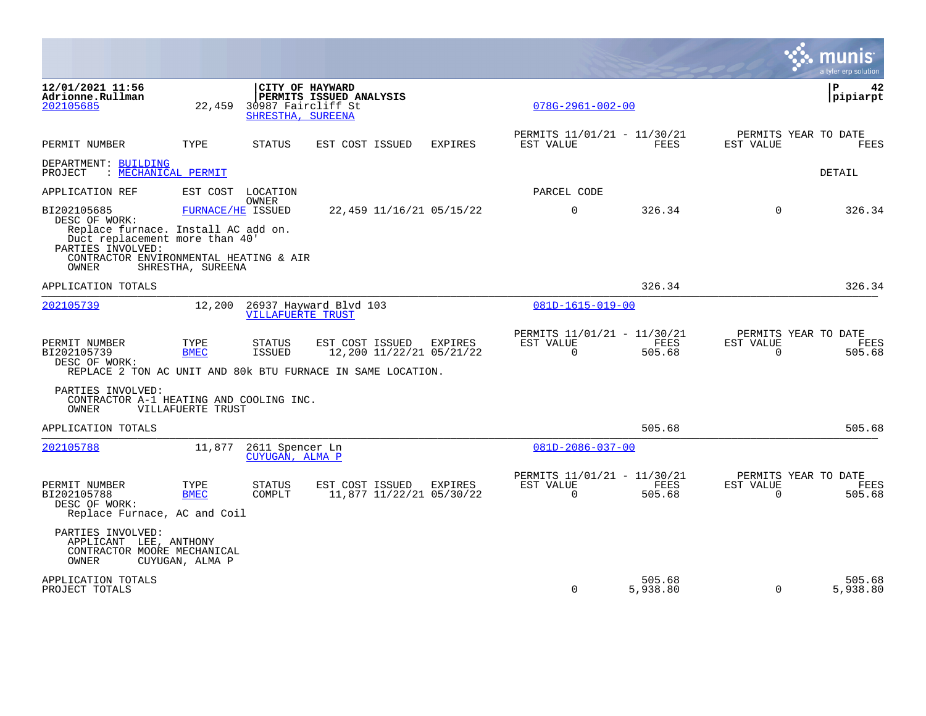|                                                                                                        |                     |                                                            |                                                                                                            |                |                                                      |                    |                       | a tyler erp solution                   |
|--------------------------------------------------------------------------------------------------------|---------------------|------------------------------------------------------------|------------------------------------------------------------------------------------------------------------|----------------|------------------------------------------------------|--------------------|-----------------------|----------------------------------------|
| 12/01/2021 11:56<br>Adrionne.Rullman<br>202105685                                                      | 22,459              | CITY OF HAYWARD<br>30987 Faircliff St<br>SHRESTHA, SUREENA | PERMITS ISSUED ANALYSIS                                                                                    |                | $078G - 2961 - 002 - 00$                             |                    |                       | ΙP<br>42<br>pipiarpt                   |
| PERMIT NUMBER                                                                                          | TYPE                | <b>STATUS</b>                                              | EST COST ISSUED                                                                                            | <b>EXPIRES</b> | PERMITS 11/01/21 - 11/30/21<br>EST VALUE             | FEES               | EST VALUE             | PERMITS YEAR TO DATE<br><b>FEES</b>    |
| DEPARTMENT: BUILDING<br>: MECHANICAL PERMIT<br>PROJECT                                                 |                     |                                                            |                                                                                                            |                |                                                      |                    |                       | DETAIL                                 |
| APPLICATION REF                                                                                        |                     | EST COST LOCATION                                          |                                                                                                            |                | PARCEL CODE                                          |                    |                       |                                        |
| BI202105685<br>DESC OF WORK:<br>Replace furnace. Install AC add on.                                    | FURNACE/HE ISSUED   | <b>OWNER</b>                                               | 22,459 11/16/21 05/15/22                                                                                   |                | $\Omega$                                             | 326.34             | $\Omega$              | 326.34                                 |
| Duct replacement more than 40'<br>PARTIES INVOLVED:<br>CONTRACTOR ENVIRONMENTAL HEATING & AIR<br>OWNER | SHRESTHA, SUREENA   |                                                            |                                                                                                            |                |                                                      |                    |                       |                                        |
| APPLICATION TOTALS                                                                                     |                     |                                                            |                                                                                                            |                |                                                      | 326.34             |                       | 326.34                                 |
| 202105739                                                                                              | 12,200              | <b>VILLAFUERTE TRUST</b>                                   | 26937 Hayward Blvd 103                                                                                     |                | $081D-1615-019-00$                                   |                    |                       |                                        |
| PERMIT NUMBER<br>BI202105739<br>DESC OF WORK:                                                          | TYPE<br><b>BMEC</b> | STATUS<br>ISSUED                                           | EST COST ISSUED<br>12,200 11/22/21 05/21/22<br>REPLACE 2 TON AC UNIT AND 80K BTU FURNACE IN SAME LOCATION. | EXPIRES        | PERMITS 11/01/21 - 11/30/21<br>EST VALUE<br>0        | FEES<br>505.68     | EST VALUE<br>0        | PERMITS YEAR TO DATE<br>FEES<br>505.68 |
| PARTIES INVOLVED:<br>CONTRACTOR A-1 HEATING AND COOLING INC.<br>OWNER                                  | VILLAFUERTE TRUST   |                                                            |                                                                                                            |                |                                                      |                    |                       |                                        |
| APPLICATION TOTALS                                                                                     |                     |                                                            |                                                                                                            |                |                                                      | 505.68             |                       | 505.68                                 |
| 202105788                                                                                              |                     | 11,877 2611 Spencer Ln<br>CUYUGAN, ALMA P                  |                                                                                                            |                | $081D - 2086 - 037 - 00$                             |                    |                       |                                        |
| PERMIT NUMBER<br>BI202105788<br>DESC OF WORK:<br>Replace Furnace, AC and Coil                          | TYPE<br><b>BMEC</b> | STATUS<br>COMPLT                                           | EST COST ISSUED EXPIRES<br>11,877 11/22/21 05/30/22                                                        |                | PERMITS 11/01/21 - 11/30/21<br>EST VALUE<br>$\Omega$ | FEES<br>505.68     | EST VALUE<br>$\Omega$ | PERMITS YEAR TO DATE<br>FEES<br>505.68 |
| PARTIES INVOLVED:<br>APPLICANT LEE, ANTHONY<br>CONTRACTOR MOORE MECHANICAL<br>OWNER                    | CUYUGAN, ALMA P     |                                                            |                                                                                                            |                |                                                      |                    |                       |                                        |
| APPLICATION TOTALS<br>PROJECT TOTALS                                                                   |                     |                                                            |                                                                                                            |                | $\Omega$                                             | 505.68<br>5,938.80 | $\Omega$              | 505.68<br>5,938.80                     |

 $\mathcal{L}^{\text{max}}$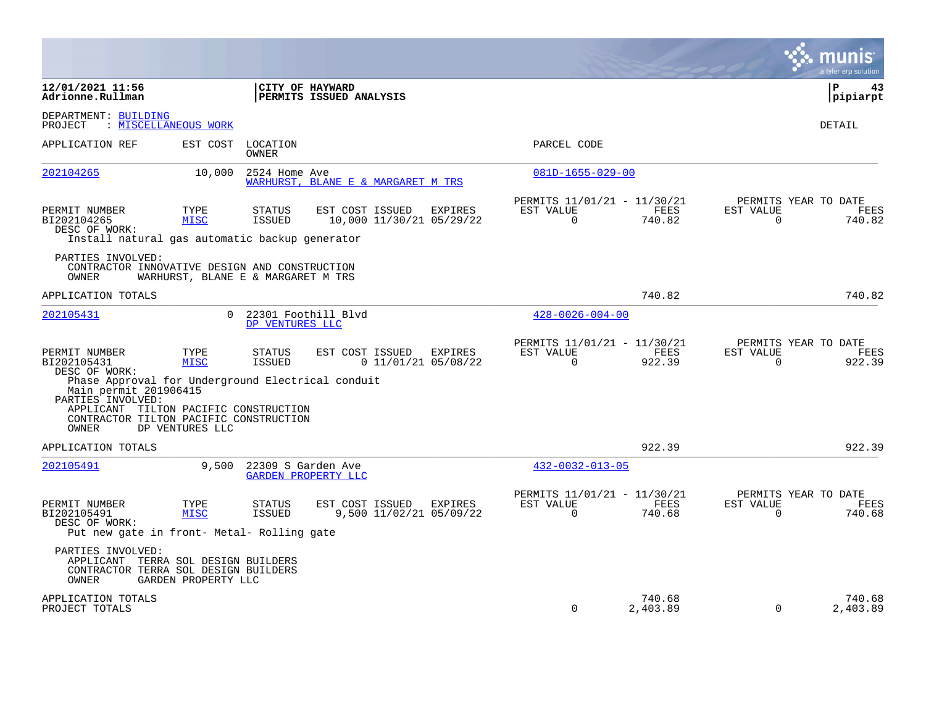|                                                                                                                             |                                    |                                        |                                             |                                  |                                                      |                    |                       | a tyler erp solution                   |
|-----------------------------------------------------------------------------------------------------------------------------|------------------------------------|----------------------------------------|---------------------------------------------|----------------------------------|------------------------------------------------------|--------------------|-----------------------|----------------------------------------|
| 12/01/2021 11:56<br>Adrionne.Rullman                                                                                        |                                    |                                        | CITY OF HAYWARD<br>PERMITS ISSUED ANALYSIS  |                                  |                                                      |                    |                       | l P<br>43<br>pipiarpt                  |
| DEPARTMENT: BUILDING<br>PROJECT                                                                                             | : MISCELLANEOUS WORK               |                                        |                                             |                                  |                                                      |                    |                       | DETAIL                                 |
| APPLICATION REF                                                                                                             | EST COST                           | LOCATION<br><b>OWNER</b>               |                                             |                                  | PARCEL CODE                                          |                    |                       |                                        |
| 202104265                                                                                                                   | 10,000                             | 2524 Home Ave                          | WARHURST, BLANE E & MARGARET M TRS          |                                  | $081D-1655-029-00$                                   |                    |                       |                                        |
| PERMIT NUMBER<br>BI202104265<br>DESC OF WORK:<br>Install natural gas automatic backup generator                             | TYPE<br><b>MISC</b>                | STATUS<br><b>ISSUED</b>                | EST COST ISSUED<br>10,000 11/30/21 05/29/22 | EXPIRES                          | PERMITS 11/01/21 - 11/30/21<br>EST VALUE<br>$\Omega$ | FEES<br>740.82     | EST VALUE<br>$\Omega$ | PERMITS YEAR TO DATE<br>FEES<br>740.82 |
| PARTIES INVOLVED:<br>CONTRACTOR INNOVATIVE DESIGN AND CONSTRUCTION<br>OWNER                                                 | WARHURST, BLANE E & MARGARET M TRS |                                        |                                             |                                  |                                                      |                    |                       |                                        |
| APPLICATION TOTALS                                                                                                          |                                    |                                        |                                             |                                  |                                                      | 740.82             |                       | 740.82                                 |
| 202105431                                                                                                                   | $\Omega$                           | 22301 Foothill Blvd<br>DP VENTURES LLC |                                             |                                  | $428 - 0026 - 004 - 00$                              |                    |                       |                                        |
| PERMIT NUMBER<br>BI202105431<br>DESC OF WORK:<br>Phase Approval for Underground Electrical conduit<br>Main permit 201906415 | TYPE<br><b>MISC</b>                | STATUS<br>ISSUED                       | EST COST ISSUED                             | EXPIRES<br>$0$ 11/01/21 05/08/22 | PERMITS 11/01/21 - 11/30/21<br>EST VALUE<br>$\Omega$ | FEES<br>922.39     | EST VALUE<br>$\Omega$ | PERMITS YEAR TO DATE<br>FEES<br>922.39 |
| PARTIES INVOLVED:<br>APPLICANT TILTON PACIFIC CONSTRUCTION<br>CONTRACTOR TILTON PACIFIC CONSTRUCTION<br>OWNER               | DP VENTURES LLC                    |                                        |                                             |                                  |                                                      |                    |                       |                                        |
| APPLICATION TOTALS                                                                                                          |                                    |                                        |                                             |                                  |                                                      | 922.39             |                       | 922.39                                 |
| 202105491                                                                                                                   | 9,500                              | 22309 S Garden Ave                     | <b>GARDEN PROPERTY LLC</b>                  |                                  | $432 - 0032 - 013 - 05$                              |                    |                       |                                        |
| PERMIT NUMBER<br>BI202105491<br>DESC OF WORK:<br>Put new gate in front- Metal- Rolling gate                                 | TYPE<br><b>MISC</b>                | STATUS<br><b>ISSUED</b>                | EST COST ISSUED<br>9,500 11/02/21 05/09/22  | EXPIRES                          | PERMITS 11/01/21 - 11/30/21<br>EST VALUE<br>$\Omega$ | FEES<br>740.68     | EST VALUE<br>$\Omega$ | PERMITS YEAR TO DATE<br>FEES<br>740.68 |
| PARTIES INVOLVED:<br>APPLICANT TERRA SOL DESIGN BUILDERS<br>CONTRACTOR TERRA SOL DESIGN BUILDERS<br>OWNER                   | GARDEN PROPERTY LLC                |                                        |                                             |                                  |                                                      |                    |                       |                                        |
| APPLICATION TOTALS<br>PROJECT TOTALS                                                                                        |                                    |                                        |                                             |                                  | 0                                                    | 740.68<br>2,403.89 | $\mathbf 0$           | 740.68<br>2,403.89                     |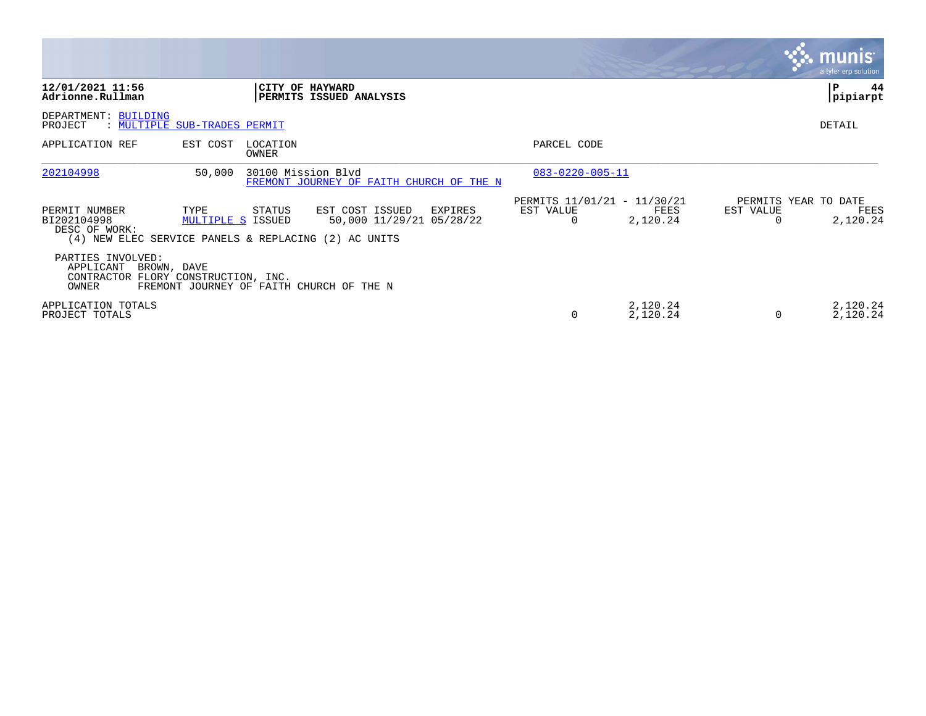|                                                                                                       |                           |                    |                                                        |                                          |                      |           | <u>munis'</u><br>a tyler erp solution.   |
|-------------------------------------------------------------------------------------------------------|---------------------------|--------------------|--------------------------------------------------------|------------------------------------------|----------------------|-----------|------------------------------------------|
| 12/01/2021 11:56<br>Adrionne.Rullman                                                                  |                           |                    | CITY OF HAYWARD<br>PERMITS ISSUED ANALYSIS             |                                          |                      |           | 44<br>P<br>pipiarpt                      |
| DEPARTMENT: BUILDING<br>PROJECT<br>: MULTIPLE SUB-TRADES PERMIT                                       |                           |                    |                                                        |                                          |                      |           | DETAIL                                   |
| APPLICATION REF                                                                                       | EST COST                  | LOCATION<br>OWNER  |                                                        | PARCEL CODE                              |                      |           |                                          |
| 202104998                                                                                             | 50,000                    | 30100 Mission Blvd | FREMONT JOURNEY OF FAITH CHURCH OF THE N               | $083 - 0220 - 005 - 11$                  |                      |           |                                          |
| PERMIT NUMBER<br>BI202104998<br>DESC OF WORK:<br>(4) NEW ELEC SERVICE PANELS & REPLACING (2) AC UNITS | TYPE<br>MULTIPLE S ISSUED | STATUS             | EST COST ISSUED<br>EXPIRES<br>50,000 11/29/21 05/28/22 | PERMITS 11/01/21 - 11/30/21<br>EST VALUE | FEES<br>2,120.24     | EST VALUE | PERMITS YEAR TO DATE<br>FEES<br>2,120.24 |
| PARTIES INVOLVED:<br>APPLICANT<br>BROWN, DAVE<br>CONTRACTOR FLORY CONSTRUCTION, INC.<br>OWNER         |                           |                    | FREMONT JOURNEY OF FAITH CHURCH OF THE N               |                                          |                      |           |                                          |
| APPLICATION TOTALS<br>PROJECT TOTALS                                                                  |                           |                    |                                                        | 0                                        | 2,120.24<br>2,120.24 | 0         | 2,120.24<br>2,120.24                     |

the property of the control of

and the contract of the contract of the contract of the contract of the contract of the contract of the contract of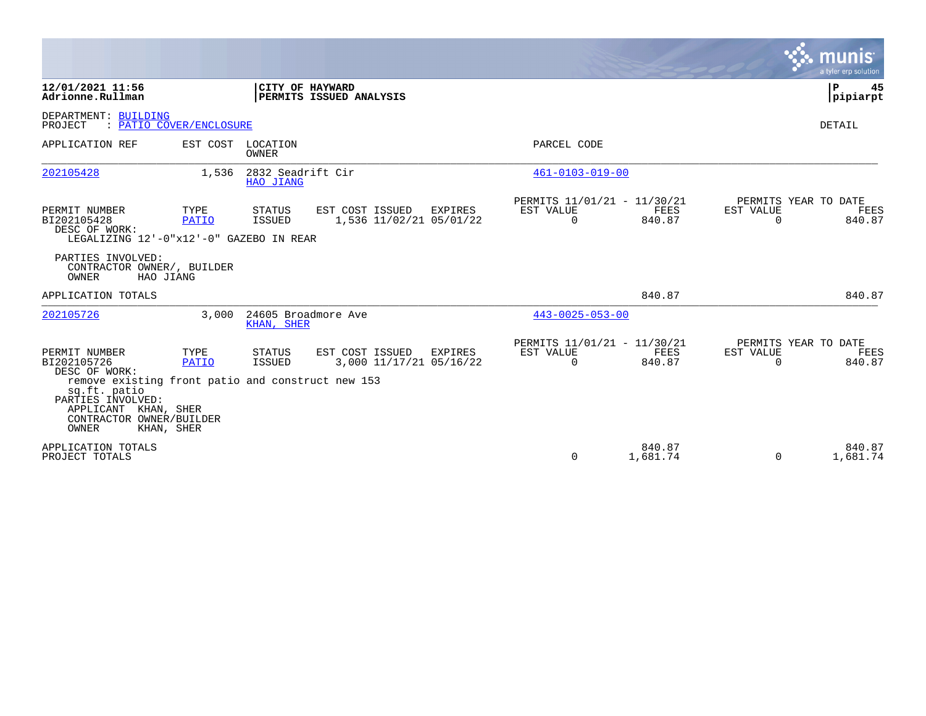|                                                                                                                    |                         |                                   |                                            |         |                                                      |                |                       | <b>munis</b><br>a tyler erp solution   |
|--------------------------------------------------------------------------------------------------------------------|-------------------------|-----------------------------------|--------------------------------------------|---------|------------------------------------------------------|----------------|-----------------------|----------------------------------------|
| 12/01/2021 11:56<br>Adrionne.Rullman                                                                               |                         | CITY OF HAYWARD                   | PERMITS ISSUED ANALYSIS                    |         |                                                      |                |                       | P.<br>45<br> pipiarpt                  |
| DEPARTMENT: BUILDING<br>PROJECT                                                                                    | : PATIO COVER/ENCLOSURE |                                   |                                            |         |                                                      |                |                       | <b>DETAIL</b>                          |
| APPLICATION REF                                                                                                    |                         | EST COST LOCATION<br>OWNER        |                                            |         | PARCEL CODE                                          |                |                       |                                        |
| 202105428                                                                                                          | 1,536                   | 2832 Seadrift Cir<br>HAO JIANG    |                                            |         | $461 - 0103 - 019 - 00$                              |                |                       |                                        |
| PERMIT NUMBER<br>BI202105428<br>DESC OF WORK:<br>LEGALIZING 12'-0"x12'-0" GAZEBO IN REAR                           | TYPE<br>PATIO           | STATUS<br><b>ISSUED</b>           | EST COST ISSUED<br>1,536 11/02/21 05/01/22 | EXPIRES | PERMITS 11/01/21 - 11/30/21<br>EST VALUE<br>$\Omega$ | FEES<br>840.87 | EST VALUE<br>$\Omega$ | PERMITS YEAR TO DATE<br>FEES<br>840.87 |
| PARTIES INVOLVED:<br>CONTRACTOR OWNER/, BUILDER<br>OWNER<br>HAO JIANG                                              |                         |                                   |                                            |         |                                                      |                |                       |                                        |
| APPLICATION TOTALS                                                                                                 |                         |                                   |                                            |         |                                                      | 840.87         |                       | 840.87                                 |
| 202105726                                                                                                          | 3,000                   | 24605 Broadmore Ave<br>KHAN, SHER |                                            |         | $443 - 0025 - 053 - 00$                              |                |                       |                                        |
| PERMIT NUMBER<br>BI202105726<br>DESC OF WORK:<br>remove existing front patio and construct new 153<br>sq.ft. patio | TYPE<br><b>PATIO</b>    | STATUS<br>ISSUED                  | EST COST ISSUED<br>3,000 11/17/21 05/16/22 | EXPIRES | PERMITS 11/01/21 - 11/30/21<br>EST VALUE<br>$\Omega$ | FEES<br>840.87 | EST VALUE<br>$\Omega$ | PERMITS YEAR TO DATE<br>FEES<br>840.87 |
| PARTIES INVOLVED:<br>APPLICANT KHAN, SHER<br>CONTRACTOR OWNER/BUILDER<br>OWNER<br>KHAN, SHER<br>APPLICATION TOTALS |                         |                                   |                                            |         |                                                      | 840.87         |                       | 840.87                                 |
| PROJECT TOTALS                                                                                                     |                         |                                   |                                            |         | $\Omega$                                             | 1,681.74       | $\Omega$              | 1,681.74                               |

 $\mathcal{L}^{\text{max}}$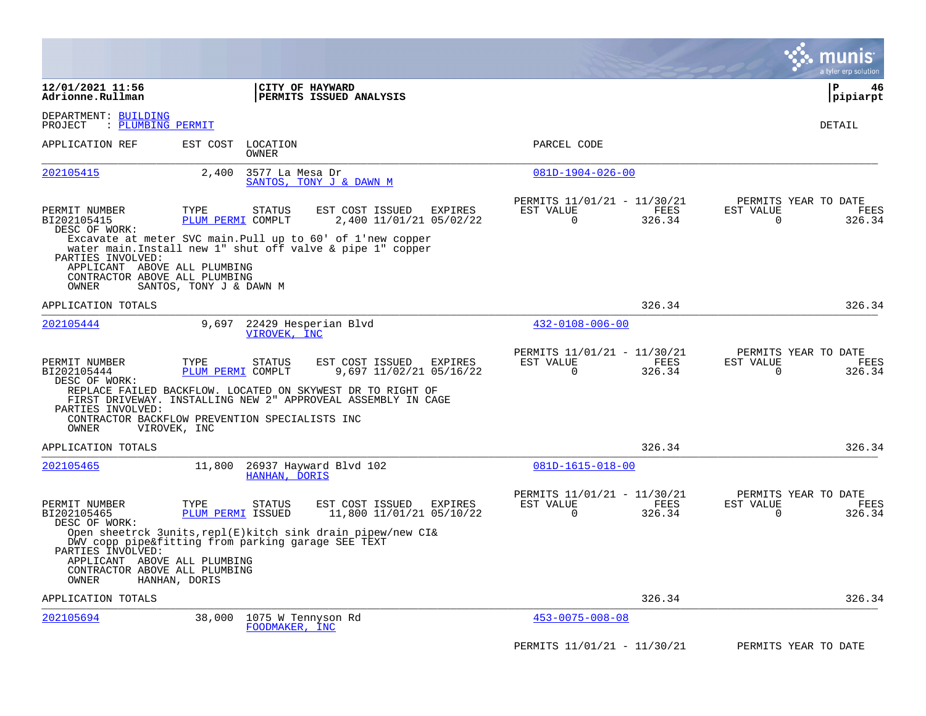|                                                                                             |                           |                                                                                                                               |                                                                        | munis<br>a tyler erp solution                                          |
|---------------------------------------------------------------------------------------------|---------------------------|-------------------------------------------------------------------------------------------------------------------------------|------------------------------------------------------------------------|------------------------------------------------------------------------|
| 12/01/2021 11:56<br>Adrionne.Rullman                                                        |                           | CITY OF HAYWARD<br><b>PERMITS ISSUED ANALYSIS</b>                                                                             |                                                                        | P<br>46<br> pipiarpt                                                   |
| DEPARTMENT: BUILDING<br>: PLUMBING PERMIT<br>PROJECT                                        |                           |                                                                                                                               |                                                                        | DETAIL                                                                 |
| APPLICATION REF                                                                             | EST COST                  | LOCATION<br>OWNER                                                                                                             | PARCEL CODE                                                            |                                                                        |
| 202105415                                                                                   | 2,400                     | 3577 La Mesa Dr<br>SANTOS, TONY J & DAWN M                                                                                    | $081D-1904-026-00$                                                     |                                                                        |
| PERMIT NUMBER<br>BI202105415<br>DESC OF WORK:                                               | TYPE<br>PLUM PERMI COMPLT | EST COST ISSUED<br>EXPIRES<br>STATUS<br>2,400 11/01/21 05/02/22                                                               | PERMITS 11/01/21 - 11/30/21<br>EST VALUE<br>FEES<br>$\Omega$<br>326.34 | PERMITS YEAR TO DATE<br>EST VALUE<br>FEES<br>$\Omega$<br>326.34        |
| PARTIES INVOLVED:<br>APPLICANT ABOVE ALL PLUMBING<br>CONTRACTOR ABOVE ALL PLUMBING<br>OWNER | SANTOS, TONY J & DAWN M   | Excavate at meter SVC main. Pull up to 60' of 1'new copper<br>water main. Install new 1" shut off valve & pipe 1" copper      |                                                                        |                                                                        |
| APPLICATION TOTALS                                                                          |                           |                                                                                                                               | 326.34                                                                 | 326.34                                                                 |
| 202105444                                                                                   | 9,697                     | 22429 Hesperian Blvd<br>VIROVEK, INC                                                                                          | $432 - 0108 - 006 - 00$                                                |                                                                        |
| PERMIT NUMBER<br>BI202105444<br>DESC OF WORK:                                               | TYPE<br>PLUM PERMI COMPLT | EST COST ISSUED<br>STATUS<br>EXPIRES<br>9,697 11/02/21 05/16/22<br>REPLACE FAILED BACKFLOW. LOCATED ON SKYWEST DR TO RIGHT OF | PERMITS 11/01/21 - 11/30/21<br>EST VALUE<br>FEES<br>$\Omega$<br>326.34 | PERMITS YEAR TO DATE<br>EST VALUE<br><b>FEES</b><br>326.34<br>$\Omega$ |
| PARTIES INVOLVED:<br>OWNER                                                                  | VIROVEK, INC              | FIRST DRIVEWAY. INSTALLING NEW 2" APPROVEAL ASSEMBLY IN CAGE<br>CONTRACTOR BACKFLOW PREVENTION SPECIALISTS INC                |                                                                        |                                                                        |
| APPLICATION TOTALS                                                                          |                           |                                                                                                                               | 326.34                                                                 | 326.34                                                                 |
| 202105465                                                                                   | 11,800                    | 26937 Hayward Blvd 102<br>HANHAN, DORIS                                                                                       | $081D-1615-018-00$                                                     |                                                                        |
| PERMIT NUMBER<br>BI202105465<br>DESC OF WORK:                                               | TYPE<br>PLUM PERMI ISSUED | EST COST ISSUED<br>STATUS<br>EXPIRES<br>11,800 11/01/21 05/10/22                                                              | PERMITS 11/01/21 - 11/30/21<br>EST VALUE<br>FEES<br>326.34<br>0        | PERMITS YEAR TO DATE<br>EST VALUE<br>FEES<br>326.34<br>$\Omega$        |
| PARTIES INVOLVED:<br>APPLICANT ABOVE ALL PLUMBING<br>CONTRACTOR ABOVE ALL PLUMBING<br>OWNER | HANHAN, DORIS             | Open sheetrck 3units, repl(E) kitch sink drain pipew/new CI&<br>DWV copp pipe&fitting from parking garage SEE TEXT            |                                                                        |                                                                        |
| APPLICATION TOTALS                                                                          |                           |                                                                                                                               | 326.34                                                                 | 326.34                                                                 |
| 202105694                                                                                   | 38,000                    | 1075 W Tennyson Rd<br>FOODMAKER, INC                                                                                          | $453 - 0075 - 008 - 08$                                                |                                                                        |
|                                                                                             |                           |                                                                                                                               | PERMITS 11/01/21 - 11/30/21                                            | PERMITS YEAR TO DATE                                                   |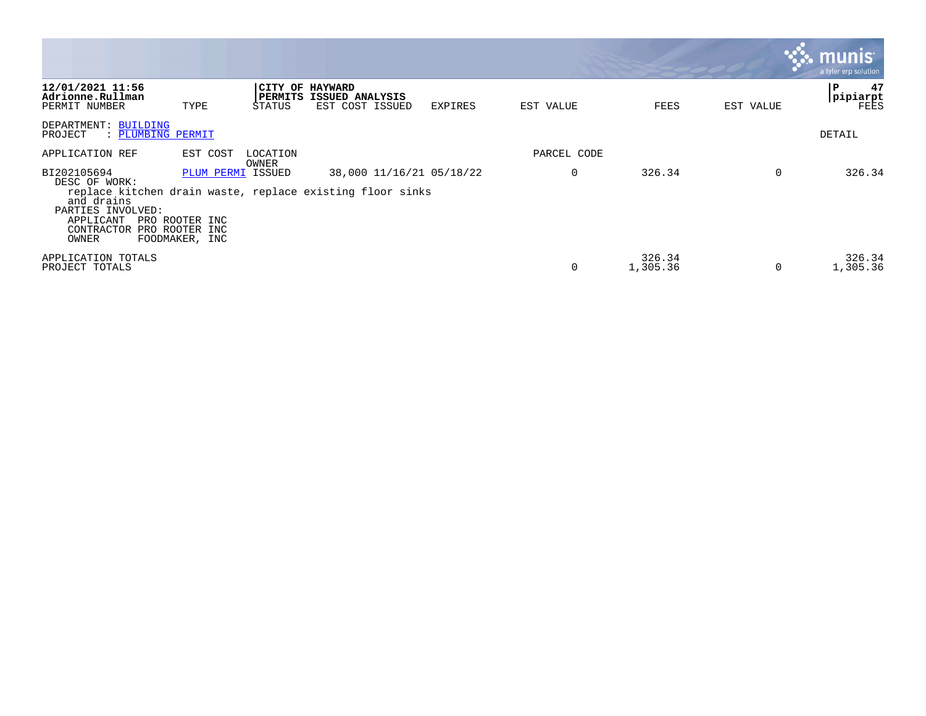|                                                                                                     |                                                                         |                   |                                                                                       |         |             |                    |           | <b>munis</b><br>a tyler erp solution |
|-----------------------------------------------------------------------------------------------------|-------------------------------------------------------------------------|-------------------|---------------------------------------------------------------------------------------|---------|-------------|--------------------|-----------|--------------------------------------|
| 12/01/2021 11:56<br>Adrionne.Rullman<br>PERMIT NUMBER                                               | TYPE                                                                    | STATUS            | CITY OF HAYWARD<br>PERMITS ISSUED ANALYSIS<br>EST COST ISSUED                         | EXPIRES | EST VALUE   | FEES               | EST VALUE | 47<br>≀P<br> pipiarpt<br>FEES        |
| DEPARTMENT: BUILDING<br>PROJECT                                                                     | : PLUMBING PERMIT                                                       |                   |                                                                                       |         |             |                    |           | DETAIL                               |
| APPLICATION REF                                                                                     | EST COST                                                                | LOCATION<br>OWNER |                                                                                       |         | PARCEL CODE |                    |           |                                      |
| BI202105694<br>DESC OF WORK:<br>and drains<br>PARTIES INVOLVED:<br>APPLICANT<br>CONTRACTOR<br>OWNER | PLUM PERMI ISSUED<br>PRO ROOTER INC<br>PRO ROOTER INC<br>FOODMAKER, INC |                   | 38,000 11/16/21 05/18/22<br>replace kitchen drain waste, replace existing floor sinks |         | $\Omega$    | 326.34             | $\Omega$  | 326.34                               |
| APPLICATION TOTALS<br>PROJECT TOTALS                                                                |                                                                         |                   |                                                                                       |         | $\Omega$    | 326.34<br>1,305.36 | $\Omega$  | 326.34<br>1,305.36                   |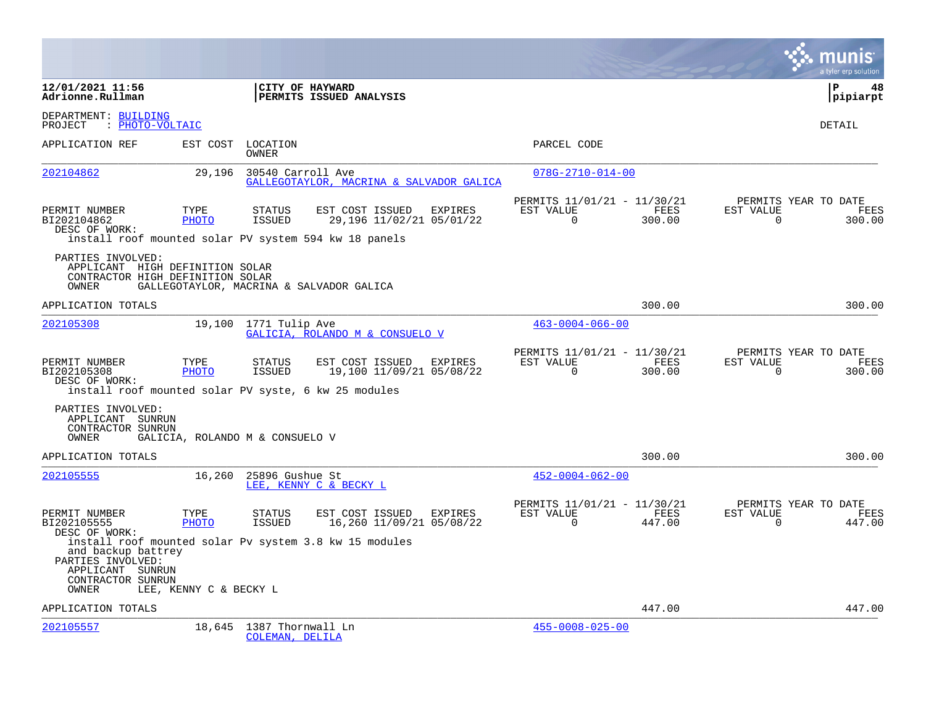|                                                                                                        |                                 |                                      |                                                        |         |                                                      |                |                       | a tyler erp solution                          |
|--------------------------------------------------------------------------------------------------------|---------------------------------|--------------------------------------|--------------------------------------------------------|---------|------------------------------------------------------|----------------|-----------------------|-----------------------------------------------|
| 12/01/2021 11:56<br>Adrionne.Rullman                                                                   |                                 | CITY OF HAYWARD                      | PERMITS ISSUED ANALYSIS                                |         |                                                      |                |                       | l P<br>48<br> pipiarpt                        |
| DEPARTMENT: BUILDING<br>PROJECT<br>: PHOTO-VOLTAIC                                                     |                                 |                                      |                                                        |         |                                                      |                |                       | DETAIL                                        |
| APPLICATION REF                                                                                        | EST COST                        | LOCATION<br>OWNER                    |                                                        |         | PARCEL CODE                                          |                |                       |                                               |
| 202104862                                                                                              | 29,196                          | 30540 Carroll Ave                    | GALLEGOTAYLOR, MACRINA & SALVADOR GALICA               |         | $078G - 2710 - 014 - 00$                             |                |                       |                                               |
| PERMIT NUMBER<br>BI202104862<br>DESC OF WORK:<br>install roof mounted solar PV system 594 kw 18 panels | TYPE<br><b>PHOTO</b>            | <b>STATUS</b><br><b>ISSUED</b>       | EST COST ISSUED<br>29,196 11/02/21 05/01/22            | EXPIRES | PERMITS 11/01/21 - 11/30/21<br>EST VALUE<br>$\Omega$ | FEES<br>300.00 | EST VALUE<br>$\Omega$ | PERMITS YEAR TO DATE<br>FEES<br>300.00        |
| PARTIES INVOLVED:<br>APPLICANT HIGH DEFINITION SOLAR<br>CONTRACTOR HIGH DEFINITION SOLAR<br>OWNER      |                                 |                                      | GALLEGOTAYLOR, MACRINA & SALVADOR GALICA               |         |                                                      |                |                       |                                               |
| APPLICATION TOTALS                                                                                     |                                 |                                      |                                                        |         |                                                      | 300.00         |                       | 300.00                                        |
| 202105308                                                                                              | 19,100                          | 1771 Tulip Ave                       | GALICIA, ROLANDO M & CONSUELO V                        |         | $463 - 0004 - 066 - 00$                              |                |                       |                                               |
| PERMIT NUMBER<br>BI202105308<br>DESC OF WORK:<br>install roof mounted solar PV syste, 6 kw 25 modules  | TYPE<br><b>PHOTO</b>            | <b>STATUS</b><br><b>ISSUED</b>       | EST COST ISSUED<br>19,100 11/09/21 05/08/22            | EXPIRES | PERMITS 11/01/21 - 11/30/21<br>EST VALUE<br>$\Omega$ | FEES<br>300.00 | EST VALUE<br>$\Omega$ | PERMITS YEAR TO DATE<br>FEES<br>300.00        |
| PARTIES INVOLVED:<br>APPLICANT SUNRUN<br>CONTRACTOR SUNRUN<br>OWNER                                    | GALICIA, ROLANDO M & CONSUELO V |                                      |                                                        |         |                                                      |                |                       |                                               |
| APPLICATION TOTALS                                                                                     |                                 |                                      |                                                        |         |                                                      | 300.00         |                       | 300.00                                        |
| 202105555                                                                                              | 16,260                          | 25896 Gushue St                      | LEE, KENNY C & BECKY L                                 |         | $452 - 0004 - 062 - 00$                              |                |                       |                                               |
| PERMIT NUMBER<br>BI202105555<br>DESC OF WORK:                                                          | TYPE<br><b>PHOTO</b>            | <b>STATUS</b><br>ISSUED              | EST COST ISSUED<br>16,260 11/09/21 05/08/22            | EXPIRES | PERMITS 11/01/21 - 11/30/21<br>EST VALUE<br>$\Omega$ | FEES<br>447.00 | EST VALUE<br>$\Omega$ | PERMITS YEAR TO DATE<br><b>FEES</b><br>447.00 |
| and backup battrey<br>PARTIES INVOLVED:<br>APPLICANT SUNRUN<br>CONTRACTOR SUNRUN<br>OWNER              | LEE, KENNY C & BECKY L          |                                      | install roof mounted solar Pv system 3.8 kw 15 modules |         |                                                      |                |                       |                                               |
| APPLICATION TOTALS                                                                                     |                                 |                                      |                                                        |         |                                                      | 447.00         |                       | 447.00                                        |
| 202105557                                                                                              | 18,645                          | 1387 Thornwall Ln<br>COLEMAN, DELILA |                                                        |         | $455 - 0008 - 025 - 00$                              |                |                       |                                               |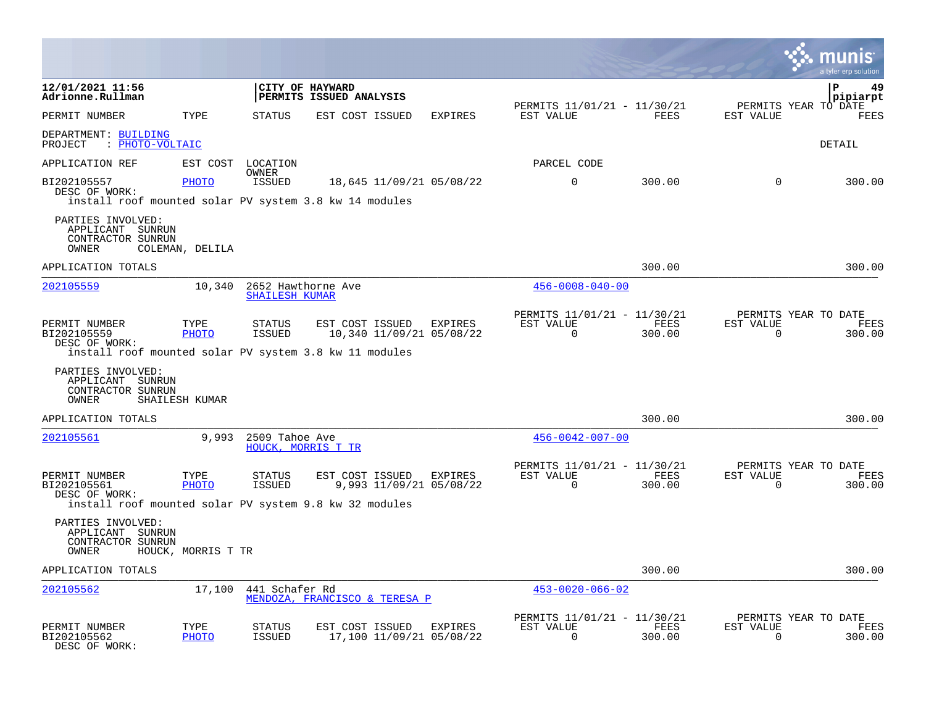|                                                                                                                                  |                      |                                             |                                             |                                    |                                                         |                       |                       | munis<br>a tyler erp solution          |
|----------------------------------------------------------------------------------------------------------------------------------|----------------------|---------------------------------------------|---------------------------------------------|------------------------------------|---------------------------------------------------------|-----------------------|-----------------------|----------------------------------------|
| 12/01/2021 11:56<br>Adrionne.Rullman                                                                                             |                      |                                             | CITY OF HAYWARD<br>PERMITS ISSUED ANALYSIS  |                                    |                                                         |                       |                       | $\mathbf{P}$<br>49<br>pipiarpt         |
| PERMIT NUMBER                                                                                                                    | TYPE                 | STATUS                                      | EST COST ISSUED                             | <b>EXPIRES</b>                     | PERMITS 11/01/21 - 11/30/21<br>EST VALUE                | <b>FEES</b>           | EST VALUE             | PERMITS YEAR TO DATE<br><b>FEES</b>    |
| DEPARTMENT: BUILDING<br>: PHOTO-VOLTAIC<br>PROJECT                                                                               |                      |                                             |                                             |                                    |                                                         |                       |                       | <b>DETAIL</b>                          |
| APPLICATION REF                                                                                                                  | EST COST             | LOCATION                                    |                                             |                                    | PARCEL CODE                                             |                       |                       |                                        |
| BI202105557<br>DESC OF WORK:<br>install roof mounted solar PV system 3.8 kw 14 modules                                           | <b>PHOTO</b>         | OWNER<br><b>ISSUED</b>                      | 18,645 11/09/21 05/08/22                    |                                    | $\mathbf 0$                                             | 300.00                | $\Omega$              | 300.00                                 |
| PARTIES INVOLVED:<br>APPLICANT SUNRUN<br>CONTRACTOR SUNRUN<br>OWNER                                                              | COLEMAN, DELILA      |                                             |                                             |                                    |                                                         |                       |                       |                                        |
| APPLICATION TOTALS                                                                                                               |                      |                                             |                                             |                                    |                                                         | 300.00                |                       | 300.00                                 |
| 202105559                                                                                                                        | 10,340               | 2652 Hawthorne Ave<br><b>SHAILESH KUMAR</b> |                                             |                                    | $456 - 0008 - 040 - 00$                                 |                       |                       |                                        |
| PERMIT NUMBER<br>BI202105559<br>DESC OF WORK:<br>install roof mounted solar PV system 3.8 kw 11 modules                          | TYPE<br>PHOTO        | <b>STATUS</b><br><b>ISSUED</b>              | EST COST ISSUED<br>10,340 11/09/21 05/08/22 | <b>EXPIRES</b>                     | PERMITS 11/01/21 - 11/30/21<br>EST VALUE<br>$\Omega$    | FEES<br>300.00        | EST VALUE<br>$\Omega$ | PERMITS YEAR TO DATE<br>FEES<br>300.00 |
| PARTIES INVOLVED:<br>APPLICANT SUNRUN<br>CONTRACTOR SUNRUN<br>OWNER                                                              | SHAILESH KUMAR       |                                             |                                             |                                    |                                                         |                       |                       |                                        |
| APPLICATION TOTALS                                                                                                               |                      |                                             |                                             |                                    |                                                         | 300.00                |                       | 300.00                                 |
| 202105561                                                                                                                        | 9,993                | 2509 Tahoe Ave<br>HOUCK, MORRIS T TR        |                                             |                                    | $456 - 0042 - 007 - 00$                                 |                       |                       |                                        |
| PERMIT NUMBER<br>BI202105561<br>DESC OF WORK:                                                                                    | TYPE<br>PHOTO        | <b>STATUS</b><br>ISSUED                     | EST COST ISSUED                             | EXPIRES<br>9,993 11/09/21 05/08/22 | PERMITS 11/01/21 - 11/30/21<br>EST VALUE<br>$\Omega$    | FEES<br>300.00        | EST VALUE<br>$\Omega$ | PERMITS YEAR TO DATE<br>FEES<br>300.00 |
| install roof mounted solar PV system 9.8 kw 32 modules<br>PARTIES INVOLVED:<br>APPLICANT<br>SUNRUN<br>CONTRACTOR SUNRUN<br>OWNER | HOUCK, MORRIS T TR   |                                             |                                             |                                    |                                                         |                       |                       |                                        |
| APPLICATION TOTALS                                                                                                               |                      |                                             |                                             |                                    |                                                         | 300.00                |                       | 300.00                                 |
| 202105562                                                                                                                        | 17,100               | 441 Schafer Rd                              | MENDOZA, FRANCISCO & TERESA P               |                                    | $453 - 0020 - 066 - 02$                                 |                       |                       |                                        |
| PERMIT NUMBER<br>BI202105562<br>DESC OF WORK:                                                                                    | TYPE<br><b>PHOTO</b> | <b>STATUS</b><br>ISSUED                     | EST COST ISSUED<br>17,100 11/09/21 05/08/22 | <b>EXPIRES</b>                     | PERMITS 11/01/21 - 11/30/21<br>EST VALUE<br>$\mathbf 0$ | <b>FEES</b><br>300.00 | EST VALUE<br>$\Omega$ | PERMITS YEAR TO DATE<br>FEES<br>300.00 |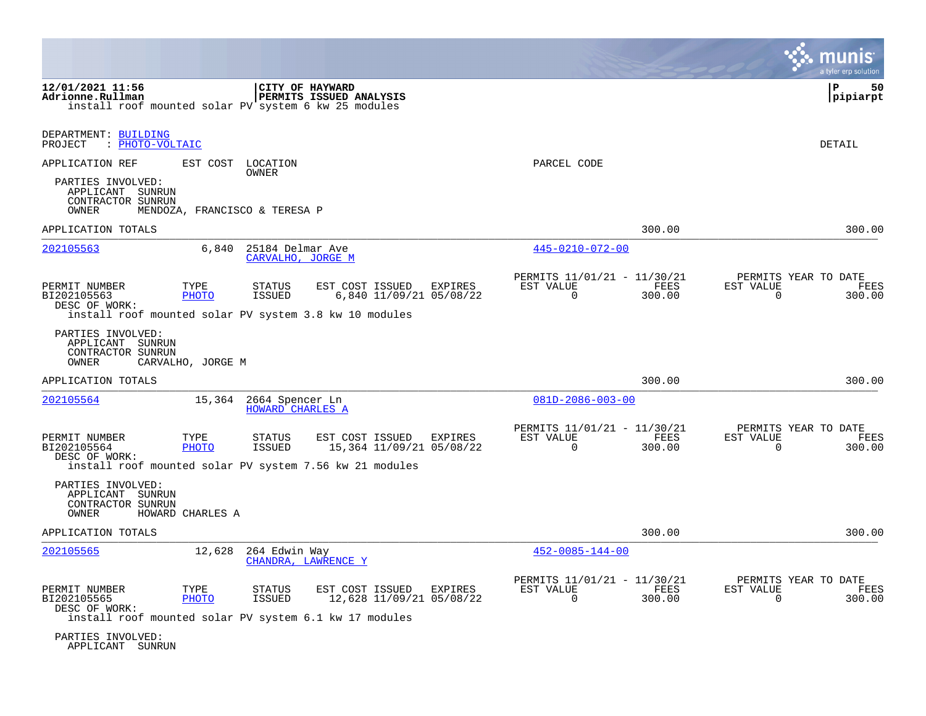|                                                                     |                               |                                       |                                                                                                           |         |                                                      |                |                          | a tyler erp solution                   |
|---------------------------------------------------------------------|-------------------------------|---------------------------------------|-----------------------------------------------------------------------------------------------------------|---------|------------------------------------------------------|----------------|--------------------------|----------------------------------------|
| 12/01/2021 11:56<br>Adrionne.Rullman                                |                               |                                       | CITY OF HAYWARD<br><b>PERMITS ISSUED ANALYSIS</b><br>install roof mounted solar PV system 6 kw 25 modules |         |                                                      |                |                          | P<br>50<br>pipiarpt                    |
| DEPARTMENT: BUILDING<br>PROJECT<br>: PHOTO-VOLTAIC                  |                               |                                       |                                                                                                           |         |                                                      |                |                          | <b>DETAIL</b>                          |
| APPLICATION REF                                                     |                               | EST COST LOCATION<br>OWNER            |                                                                                                           |         | PARCEL CODE                                          |                |                          |                                        |
| PARTIES INVOLVED:<br>APPLICANT SUNRUN<br>CONTRACTOR SUNRUN<br>OWNER | MENDOZA, FRANCISCO & TERESA P |                                       |                                                                                                           |         |                                                      |                |                          |                                        |
| APPLICATION TOTALS                                                  |                               |                                       |                                                                                                           |         |                                                      | 300.00         |                          | 300.00                                 |
| 202105563                                                           | 6,840                         | 25184 Delmar Ave<br>CARVALHO, JORGE M |                                                                                                           |         | 445-0210-072-00                                      |                |                          |                                        |
| PERMIT NUMBER<br>BI202105563<br>DESC OF WORK:                       | TYPE<br><b>PHOTO</b>          | STATUS<br><b>ISSUED</b>               | EST COST ISSUED<br>6,840 11/09/21 05/08/22<br>install roof mounted solar PV system 3.8 kw 10 modules      | EXPIRES | PERMITS 11/01/21 - 11/30/21<br>EST VALUE<br>0        | FEES<br>300.00 | EST VALUE<br>$\mathbf 0$ | PERMITS YEAR TO DATE<br>FEES<br>300.00 |
| PARTIES INVOLVED:<br>APPLICANT SUNRUN<br>CONTRACTOR SUNRUN<br>OWNER | CARVALHO, JORGE M             |                                       |                                                                                                           |         |                                                      |                |                          |                                        |
| APPLICATION TOTALS                                                  |                               |                                       |                                                                                                           |         |                                                      | 300.00         |                          | 300.00                                 |
| 202105564                                                           | 15,364                        | 2664 Spencer Ln<br>HOWARD CHARLES A   |                                                                                                           |         | $081D - 2086 - 003 - 00$                             |                |                          |                                        |
| PERMIT NUMBER<br>BI202105564<br>DESC OF WORK:                       | TYPE<br>PHOTO                 | STATUS<br>ISSUED                      | EST COST ISSUED<br>15,364 11/09/21 05/08/22<br>install roof mounted solar PV system 7.56 kw 21 modules    | EXPIRES | PERMITS 11/01/21 - 11/30/21<br>EST VALUE<br>$\Omega$ | FEES<br>300.00 | EST VALUE<br>$\Omega$    | PERMITS YEAR TO DATE<br>FEES<br>300.00 |
| PARTIES INVOLVED:<br>APPLICANT SUNRUN<br>CONTRACTOR SUNRUN<br>OWNER | HOWARD CHARLES A              |                                       |                                                                                                           |         |                                                      |                |                          |                                        |
| APPLICATION TOTALS                                                  |                               |                                       |                                                                                                           |         |                                                      | 300.00         |                          | 300.00                                 |
| 202105565                                                           | 12,628                        | 264 Edwin Way                         | CHANDRA, LAWRENCE Y                                                                                       |         | $452 - 0085 - 144 - 00$                              |                |                          |                                        |
| PERMIT NUMBER<br>BI202105565<br>DESC OF WORK:                       | TYPE<br><b>PHOTO</b>          | <b>STATUS</b><br><b>ISSUED</b>        | EST COST ISSUED<br>12,628 11/09/21 05/08/22<br>install roof mounted solar PV system 6.1 kw 17 modules     | EXPIRES | PERMITS 11/01/21 - 11/30/21<br>EST VALUE<br>$\Omega$ | FEES<br>300.00 | EST VALUE<br>$\Omega$    | PERMITS YEAR TO DATE<br>FEES<br>300.00 |
| PARTIES INVOLVED:                                                   |                               |                                       |                                                                                                           |         |                                                      |                |                          |                                        |

APPLICANT SUNRUN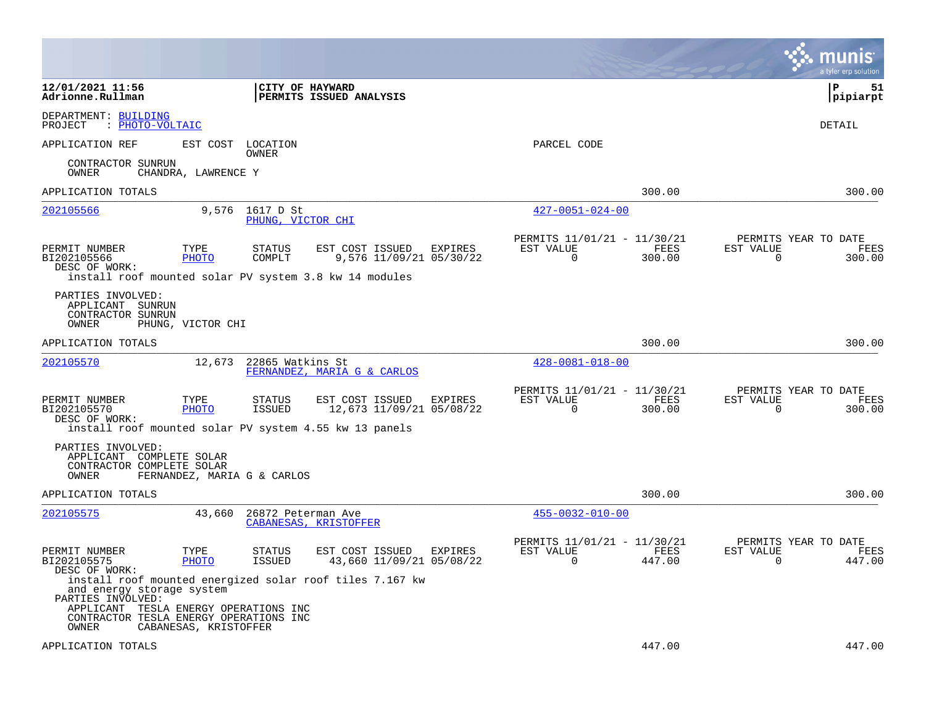|                                                                                                                                            |                             |                                |                                                                                                         |         |                                                      |                |                       | a tyler erp solution                   |
|--------------------------------------------------------------------------------------------------------------------------------------------|-----------------------------|--------------------------------|---------------------------------------------------------------------------------------------------------|---------|------------------------------------------------------|----------------|-----------------------|----------------------------------------|
| 12/01/2021 11:56<br>Adrionne.Rullman                                                                                                       |                             | CITY OF HAYWARD                | <b>PERMITS ISSUED ANALYSIS</b>                                                                          |         |                                                      |                |                       | l P<br>51<br> pipiarpt                 |
| DEPARTMENT: BUILDING<br>PROJECT<br>: PHOTO-VOLTAIC                                                                                         |                             |                                |                                                                                                         |         |                                                      |                |                       | DETAIL                                 |
| APPLICATION REF                                                                                                                            | EST COST                    | LOCATION<br>OWNER              |                                                                                                         |         | PARCEL CODE                                          |                |                       |                                        |
| CONTRACTOR SUNRUN<br>OWNER                                                                                                                 | CHANDRA, LAWRENCE Y         |                                |                                                                                                         |         |                                                      |                |                       |                                        |
| APPLICATION TOTALS                                                                                                                         |                             |                                |                                                                                                         |         |                                                      | 300.00         |                       | 300.00                                 |
| 202105566                                                                                                                                  | 9,576                       | 1617 D St<br>PHUNG, VICTOR CHI |                                                                                                         |         | $427 - 0051 - 024 - 00$                              |                |                       |                                        |
| PERMIT NUMBER<br>BI202105566<br>DESC OF WORK:                                                                                              | TYPE<br>PHOTO               | <b>STATUS</b><br>COMPLT        | EST COST ISSUED<br>9,576 11/09/21 05/30/22<br>install roof mounted solar PV system 3.8 kw 14 modules    | EXPIRES | PERMITS 11/01/21 - 11/30/21<br>EST VALUE<br>$\Omega$ | FEES<br>300.00 | EST VALUE<br>$\Omega$ | PERMITS YEAR TO DATE<br>FEES<br>300.00 |
| PARTIES INVOLVED:<br>APPLICANT SUNRUN<br>CONTRACTOR SUNRUN<br>OWNER                                                                        | PHUNG, VICTOR CHI           |                                |                                                                                                         |         |                                                      |                |                       |                                        |
| APPLICATION TOTALS                                                                                                                         |                             |                                |                                                                                                         |         |                                                      | 300.00         |                       | 300.00                                 |
| 202105570                                                                                                                                  | 12,673                      | 22865 Watkins St               | FERNANDEZ, MARIA G & CARLOS                                                                             |         | $428 - 0081 - 018 - 00$                              |                |                       |                                        |
| PERMIT NUMBER<br>BI202105570<br>DESC OF WORK:                                                                                              | TYPE<br><b>PHOTO</b>        | <b>STATUS</b><br>ISSUED        | EST COST ISSUED<br>12,673 11/09/21 05/08/22<br>install roof mounted solar PV system 4.55 kw 13 panels   | EXPIRES | PERMITS 11/01/21 - 11/30/21<br>EST VALUE<br>$\Omega$ | FEES<br>300.00 | EST VALUE<br>$\Omega$ | PERMITS YEAR TO DATE<br>FEES<br>300.00 |
| PARTIES INVOLVED:<br>APPLICANT COMPLETE SOLAR<br>CONTRACTOR COMPLETE SOLAR<br>OWNER                                                        | FERNANDEZ, MARIA G & CARLOS |                                |                                                                                                         |         |                                                      |                |                       |                                        |
| APPLICATION TOTALS                                                                                                                         |                             |                                |                                                                                                         |         |                                                      | 300.00         |                       | 300.00                                 |
| 202105575                                                                                                                                  | 43,660                      | 26872 Peterman Ave             | CABANESAS, KRISTOFFER                                                                                   |         | $455 - 0032 - 010 - 00$                              |                |                       |                                        |
| PERMIT NUMBER<br>BI202105575<br>DESC OF WORK:                                                                                              | TYPE<br>PHOTO               | STATUS<br>ISSUED               | EST COST ISSUED<br>43,660 11/09/21 05/08/22<br>install roof mounted energized solar roof tiles 7.167 kw | EXPIRES | PERMITS 11/01/21 - 11/30/21<br>EST VALUE<br>$\Omega$ | FEES<br>447.00 | EST VALUE<br>$\Omega$ | PERMITS YEAR TO DATE<br>FEES<br>447.00 |
| and energy storage system<br>PARTIES INVOLVED:<br>APPLICANT TESLA ENERGY OPERATIONS INC<br>CONTRACTOR TESLA ENERGY OPERATIONS INC<br>OWNER | CABANESAS, KRISTOFFER       |                                |                                                                                                         |         |                                                      |                |                       |                                        |
| APPLICATION TOTALS                                                                                                                         |                             |                                |                                                                                                         |         |                                                      | 447.00         |                       | 447.00                                 |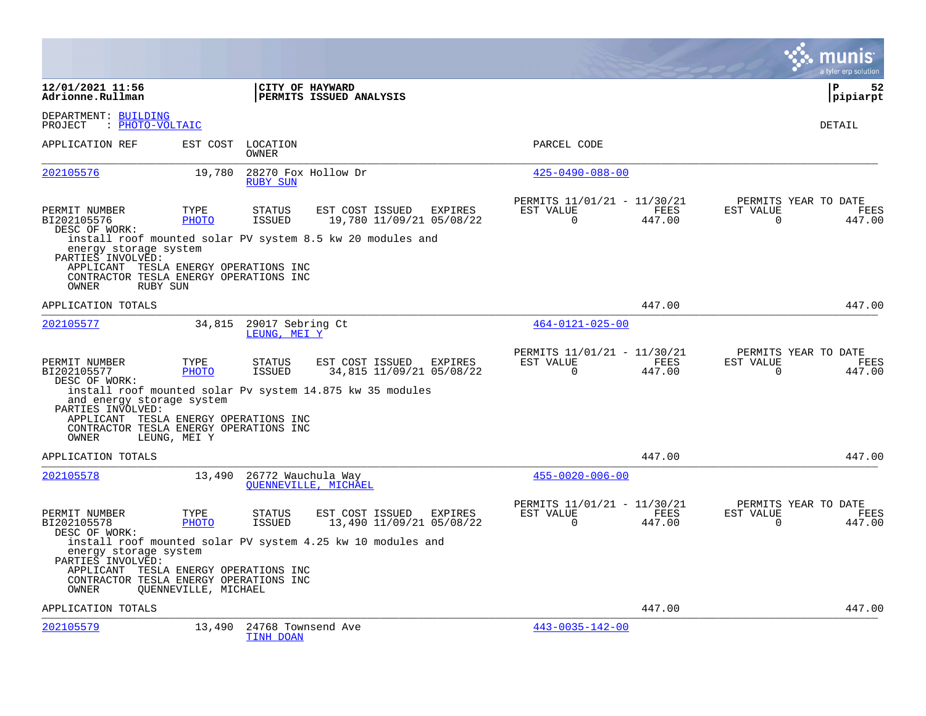|                                                                                                                                        |                      |                                        |                                                                                                                      |                                                         |                       |                          | a tyler erp solution                          |
|----------------------------------------------------------------------------------------------------------------------------------------|----------------------|----------------------------------------|----------------------------------------------------------------------------------------------------------------------|---------------------------------------------------------|-----------------------|--------------------------|-----------------------------------------------|
| 12/01/2021 11:56<br>Adrionne.Rullman                                                                                                   |                      | CITY OF HAYWARD                        | PERMITS ISSUED ANALYSIS                                                                                              |                                                         |                       |                          | Þ<br>52<br>pipiarpt                           |
| DEPARTMENT: BUILDING<br>: PHOTO-VOLTAIC<br>PROJECT                                                                                     |                      |                                        |                                                                                                                      |                                                         |                       |                          | DETAIL                                        |
| APPLICATION REF                                                                                                                        | EST COST             | LOCATION<br>OWNER                      |                                                                                                                      | PARCEL CODE                                             |                       |                          |                                               |
| 202105576                                                                                                                              | 19,780               | 28270 Fox Hollow Dr<br><b>RUBY SUN</b> |                                                                                                                      | $425 - 0490 - 088 - 00$                                 |                       |                          |                                               |
| PERMIT NUMBER<br>BI202105576<br>DESC OF WORK:<br>energy storage system                                                                 | TYPE<br><b>PHOTO</b> | <b>STATUS</b><br><b>ISSUED</b>         | EST COST ISSUED<br>EXPIRES<br>19,780 11/09/21 05/08/22<br>install roof mounted solar PV system 8.5 kw 20 modules and | PERMITS 11/01/21 - 11/30/21<br>EST VALUE<br>$\mathbf 0$ | FEES<br>447.00        | EST VALUE<br>$\mathbf 0$ | PERMITS YEAR TO DATE<br><b>FEES</b><br>447.00 |
| PARTIES INVOLVED:<br>APPLICANT TESLA ENERGY OPERATIONS INC<br>CONTRACTOR TESLA ENERGY OPERATIONS INC<br>OWNER<br>RUBY SUN              |                      |                                        |                                                                                                                      |                                                         |                       |                          |                                               |
| APPLICATION TOTALS                                                                                                                     |                      |                                        |                                                                                                                      |                                                         | 447.00                |                          | 447.00                                        |
| 202105577                                                                                                                              | 34,815               | 29017 Sebring Ct<br>LEUNG, MEI Y       |                                                                                                                      | $464 - 0121 - 025 - 00$                                 |                       |                          |                                               |
| PERMIT NUMBER<br>BI202105577<br>DESC OF WORK:<br>and energy storage system<br>PARTIES INVOLVED:                                        | TYPE<br>PHOTO        | <b>STATUS</b><br><b>ISSUED</b>         | EST COST ISSUED<br>EXPIRES<br>34,815 11/09/21 05/08/22<br>install roof mounted solar Pv system 14.875 kw 35 modules  | PERMITS 11/01/21 - 11/30/21<br>EST VALUE<br>$\Omega$    | <b>FEES</b><br>447.00 | EST VALUE<br>$\Omega$    | PERMITS YEAR TO DATE<br>FEES<br>447.00        |
| APPLICANT TESLA ENERGY OPERATIONS INC<br>CONTRACTOR TESLA ENERGY OPERATIONS INC<br>OWNER                                               | LEUNG, MEI Y         |                                        |                                                                                                                      |                                                         |                       |                          |                                               |
| APPLICATION TOTALS                                                                                                                     |                      |                                        |                                                                                                                      |                                                         | 447.00                |                          | 447.00                                        |
| 202105578                                                                                                                              | 13,490               | 26772 Wauchula Way                     | OUENNEVILLE, MICHAEL                                                                                                 | $455 - 0020 - 006 - 00$                                 |                       |                          |                                               |
| PERMIT NUMBER<br>BI202105578<br>DESC OF WORK:                                                                                          | TYPE<br><b>PHOTO</b> | <b>STATUS</b><br><b>ISSUED</b>         | EST COST ISSUED<br><b>EXPIRES</b><br>13,490 11/09/21 05/08/22                                                        | PERMITS 11/01/21 - 11/30/21<br>EST VALUE<br>$\mathbf 0$ | FEES<br>447.00        | EST VALUE<br>0           | PERMITS YEAR TO DATE<br>FEES<br>447.00        |
| energy storage system<br>PARTIES INVOLVED:<br>APPLICANT TESLA ENERGY OPERATIONS INC<br>CONTRACTOR TESLA ENERGY OPERATIONS INC<br>OWNER | OUENNEVILLE, MICHAEL |                                        | install roof mounted solar PV system 4.25 kw 10 modules and                                                          |                                                         |                       |                          |                                               |
| APPLICATION TOTALS                                                                                                                     |                      |                                        |                                                                                                                      |                                                         | 447.00                |                          | 447.00                                        |
| 202105579                                                                                                                              | 13,490               | 24768 Townsend Ave<br>TINH DOAN        |                                                                                                                      | $443 - 0035 - 142 - 00$                                 |                       |                          |                                               |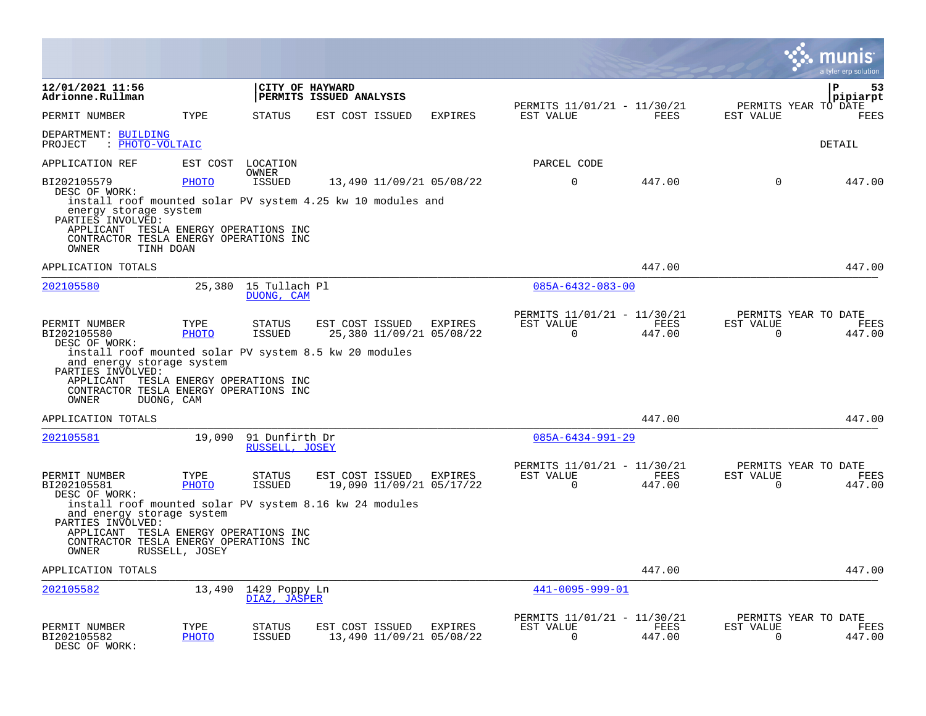|                                                                                                                                                                                                                    |                      |                                    |                                            |                 |                                                     |                                                         |                |                          | a tyler erp solution                   |
|--------------------------------------------------------------------------------------------------------------------------------------------------------------------------------------------------------------------|----------------------|------------------------------------|--------------------------------------------|-----------------|-----------------------------------------------------|---------------------------------------------------------|----------------|--------------------------|----------------------------------------|
| 12/01/2021 11:56<br>Adrionne.Rullman                                                                                                                                                                               |                      |                                    | CITY OF HAYWARD<br>PERMITS ISSUED ANALYSIS |                 |                                                     |                                                         |                |                          | 53<br>P<br>pipiarpt                    |
| PERMIT NUMBER                                                                                                                                                                                                      | TYPE                 | STATUS                             | EST COST ISSUED                            |                 | EXPIRES                                             | PERMITS 11/01/21 - 11/30/21<br>EST VALUE                | FEES           | EST VALUE                | PERMITS YEAR TO DATE<br><b>FEES</b>    |
| DEPARTMENT: BUILDING<br>: PHOTO-VOLTAIC<br>PROJECT                                                                                                                                                                 |                      |                                    |                                            |                 |                                                     |                                                         |                |                          | DETAIL                                 |
| APPLICATION REF                                                                                                                                                                                                    |                      | EST COST LOCATION                  |                                            |                 |                                                     | PARCEL CODE                                             |                |                          |                                        |
| BI202105579<br>DESC OF WORK:                                                                                                                                                                                       | <b>PHOTO</b>         | OWNER<br>ISSUED                    |                                            |                 | 13,490 11/09/21 05/08/22                            | $\mathbf 0$                                             | 447.00         | $\Omega$                 | 447.00                                 |
| install roof mounted solar PV system 4.25 kw 10 modules and<br>energy storage system<br>PARTIES INVOLVED:<br>APPLICANT TESLA ENERGY OPERATIONS INC                                                                 |                      |                                    |                                            |                 |                                                     |                                                         |                |                          |                                        |
| CONTRACTOR TESLA ENERGY OPERATIONS INC<br>TINH DOAN<br>OWNER                                                                                                                                                       |                      |                                    |                                            |                 |                                                     |                                                         |                |                          |                                        |
| APPLICATION TOTALS                                                                                                                                                                                                 |                      |                                    |                                            |                 |                                                     |                                                         | 447.00         |                          | 447.00                                 |
| 202105580                                                                                                                                                                                                          |                      | 25,380 15 Tullach Pl<br>DUONG, CAM |                                            |                 |                                                     | $085A - 6432 - 083 - 00$                                |                |                          |                                        |
| PERMIT NUMBER<br>BI202105580<br>DESC OF WORK:                                                                                                                                                                      | TYPE<br>PHOTO        | STATUS<br>ISSUED                   | EST COST ISSUED                            |                 | EXPIRES<br>25,380 11/09/21 05/08/22                 | PERMITS 11/01/21 - 11/30/21<br>EST VALUE<br>$\Omega$    | FEES<br>447.00 | EST VALUE<br>$\Omega$    | PERMITS YEAR TO DATE<br>FEES<br>447.00 |
| install roof mounted solar PV system 8.5 kw 20 modules<br>and energy storage system<br>PARTIES INVOLVED:<br>APPLICANT TESLA ENERGY OPERATIONS INC<br>CONTRACTOR TESLA ENERGY OPERATIONS INC<br>OWNER<br>DUONG, CAM |                      |                                    |                                            |                 |                                                     |                                                         |                |                          |                                        |
| APPLICATION TOTALS                                                                                                                                                                                                 |                      |                                    |                                            |                 |                                                     |                                                         | 447.00         |                          | 447.00                                 |
| 202105581                                                                                                                                                                                                          | 19,090               | 91 Dunfirth Dr<br>RUSSELL, JOSEY   |                                            |                 |                                                     | $085A - 6434 - 991 - 29$                                |                |                          |                                        |
| PERMIT NUMBER<br>BI202105581<br>DESC OF WORK:                                                                                                                                                                      | TYPE<br>PHOTO        | STATUS<br><b>ISSUED</b>            |                                            | EST COST ISSUED | EXPIRES<br>19,090 11/09/21 05/17/22                 | PERMITS 11/01/21 - 11/30/21<br>EST VALUE<br>$\mathbf 0$ | FEES<br>447.00 | EST VALUE<br>$\mathbf 0$ | PERMITS YEAR TO DATE<br>FEES<br>447.00 |
| install roof mounted solar PV system 8.16 kw 24 modules<br>and energy storage system<br>PARTIES INVOLVED:                                                                                                          |                      |                                    |                                            |                 |                                                     |                                                         |                |                          |                                        |
| APPLICANT TESLA ENERGY OPERATIONS INC<br>CONTRACTOR TESLA ENERGY OPERATIONS INC<br>OWNER                                                                                                                           | RUSSELL, JOSEY       |                                    |                                            |                 |                                                     |                                                         |                |                          |                                        |
| APPLICATION TOTALS                                                                                                                                                                                                 |                      |                                    |                                            |                 |                                                     |                                                         | 447.00         |                          | 447.00                                 |
| 202105582                                                                                                                                                                                                          | 13,490               | 1429 Poppy Ln<br>DIAZ, JASPER      |                                            |                 |                                                     | 441-0095-999-01                                         |                |                          |                                        |
| PERMIT NUMBER<br>BI202105582<br>DESC OF WORK:                                                                                                                                                                      | TYPE<br><b>PHOTO</b> | STATUS<br><b>ISSUED</b>            |                                            |                 | EST COST ISSUED EXPIRES<br>13,490 11/09/21 05/08/22 | PERMITS 11/01/21 - 11/30/21<br>EST VALUE<br>$\Omega$    | FEES<br>447.00 | EST VALUE<br>$\Omega$    | PERMITS YEAR TO DATE<br>FEES<br>447.00 |

 $\bullet$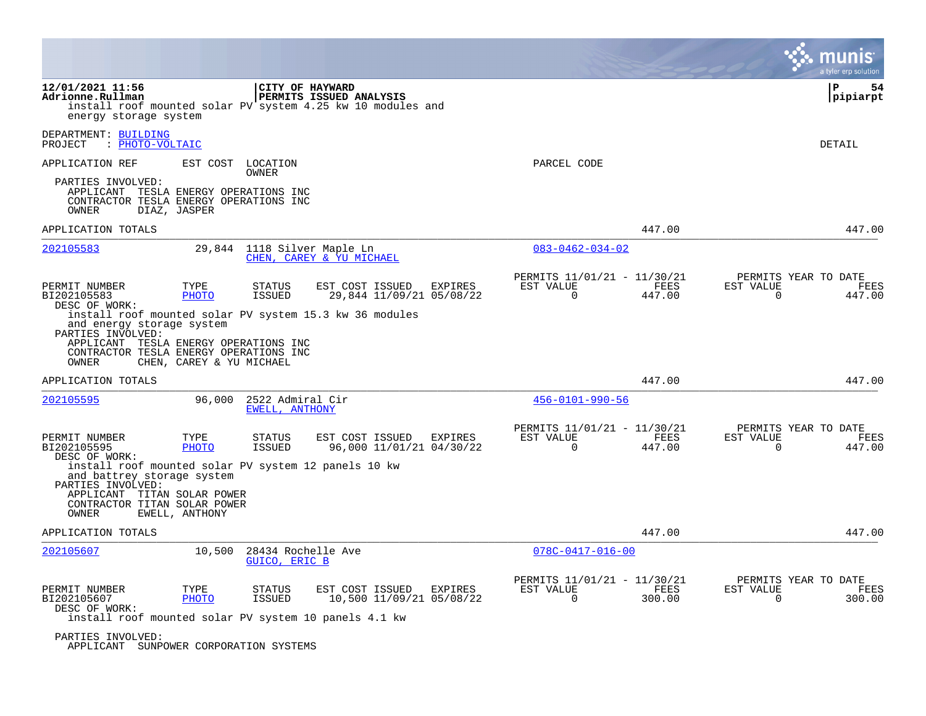|                                                                                                                                                                                                                    |                                                                                                                                                     |                                                                           | a tyler erp solution                                                      |
|--------------------------------------------------------------------------------------------------------------------------------------------------------------------------------------------------------------------|-----------------------------------------------------------------------------------------------------------------------------------------------------|---------------------------------------------------------------------------|---------------------------------------------------------------------------|
| 12/01/2021 11:56<br>Adrionne.Rullman<br>energy storage system                                                                                                                                                      | CITY OF HAYWARD<br><b>PERMITS ISSUED ANALYSIS</b><br>install roof mounted solar PV system 4.25 kw 10 modules and                                    |                                                                           | ΙP<br>54<br> pipiarpt                                                     |
| DEPARTMENT: BUILDING<br>: PHOTO-VOLTAIC<br>PROJECT                                                                                                                                                                 |                                                                                                                                                     |                                                                           | <b>DETAIL</b>                                                             |
| APPLICATION REF                                                                                                                                                                                                    | EST COST LOCATION<br>OWNER                                                                                                                          | PARCEL CODE                                                               |                                                                           |
| PARTIES INVOLVED:<br>APPLICANT TESLA ENERGY OPERATIONS INC<br>CONTRACTOR TESLA ENERGY OPERATIONS INC<br>OWNER<br>DIAZ, JASPER                                                                                      |                                                                                                                                                     |                                                                           |                                                                           |
| APPLICATION TOTALS                                                                                                                                                                                                 |                                                                                                                                                     | 447.00                                                                    | 447.00                                                                    |
| 202105583                                                                                                                                                                                                          | 29,844 1118 Silver Maple Ln<br>CHEN, CAREY & YU MICHAEL                                                                                             | $083 - 0462 - 034 - 02$                                                   |                                                                           |
| PERMIT NUMBER<br>TYPE<br>BI202105583<br>PHOTO<br>DESC OF WORK:<br>and energy storage system<br>PARTIES INVOLVED:<br>APPLICANT TESLA ENERGY OPERATIONS INC<br>CONTRACTOR TESLA ENERGY OPERATIONS INC                | <b>STATUS</b><br>EST COST ISSUED<br>EXPIRES<br><b>ISSUED</b><br>29,844 11/09/21 05/08/22<br>install roof mounted solar PV system 15.3 kw 36 modules | PERMITS 11/01/21 - 11/30/21<br>EST VALUE<br>FEES<br>$\Omega$<br>447.00    | PERMITS YEAR TO DATE<br>EST VALUE<br>FEES<br>$\Omega$<br>447.00           |
| CHEN, CAREY & YU MICHAEL<br>OWNER<br>APPLICATION TOTALS                                                                                                                                                            |                                                                                                                                                     | 447.00                                                                    | 447.00                                                                    |
| 202105595<br>96,000                                                                                                                                                                                                | 2522 Admiral Cir<br>EWELL, ANTHONY                                                                                                                  | $456 - 0101 - 990 - 56$                                                   |                                                                           |
| PERMIT NUMBER<br>TYPE<br>BI202105595<br><b>PHOTO</b><br>DESC OF WORK:<br>and battrey storage system<br>PARTIES INVOLVED:<br>APPLICANT TITAN SOLAR POWER<br>CONTRACTOR TITAN SOLAR POWER<br>EWELL, ANTHONY<br>OWNER | EST COST ISSUED<br><b>STATUS</b><br>EXPIRES<br>96,000 11/01/21 04/30/22<br>ISSUED<br>install roof mounted solar PV system 12 panels 10 kw           | PERMITS 11/01/21 - 11/30/21<br>EST VALUE<br>FEES<br>$\mathbf 0$<br>447.00 | PERMITS YEAR TO DATE<br>EST VALUE<br>FEES<br>$\mathbf 0$<br>447.00        |
| APPLICATION TOTALS                                                                                                                                                                                                 |                                                                                                                                                     | 447.00                                                                    | 447.00                                                                    |
| 202105607<br>10,500                                                                                                                                                                                                | 28434 Rochelle Ave<br>GUICO, ERIC B                                                                                                                 | $078C - 0417 - 016 - 00$                                                  |                                                                           |
| PERMIT NUMBER<br>TYPE<br>BI202105607<br><b>PHOTO</b><br>DESC OF WORK:<br>PARTIES INVOLVED:                                                                                                                         | EXPIRES<br><b>STATUS</b><br>EST COST ISSUED<br><b>ISSUED</b><br>10,500 11/09/21 05/08/22<br>install roof mounted solar PV system 10 panels 4.1 kw   | PERMITS 11/01/21 - 11/30/21<br>EST VALUE<br>FEES<br>0<br>300.00           | PERMITS YEAR TO DATE<br>EST VALUE<br><b>FEES</b><br>$\mathbf 0$<br>300.00 |

APPLICANT SUNPOWER CORPORATION SYSTEMS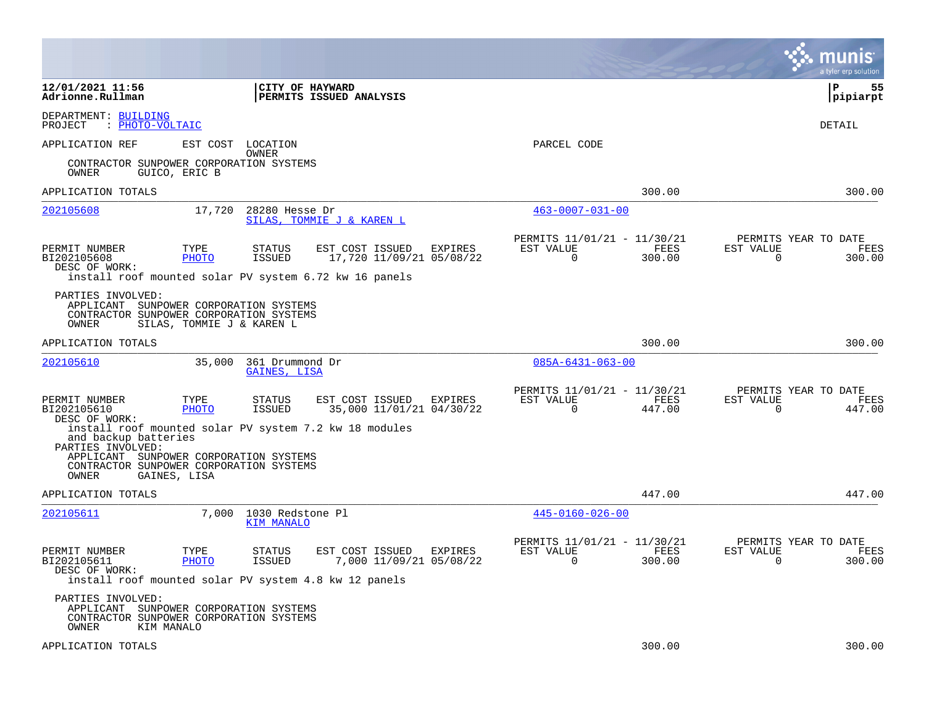|                                                                                                                 |                           |                                       |                                                                                                       |         |                                                         |                | a tyler erp solution                                            |
|-----------------------------------------------------------------------------------------------------------------|---------------------------|---------------------------------------|-------------------------------------------------------------------------------------------------------|---------|---------------------------------------------------------|----------------|-----------------------------------------------------------------|
| 12/01/2021 11:56<br>Adrionne.Rullman                                                                            |                           | <b>CITY OF HAYWARD</b>                | <b>PERMITS ISSUED ANALYSIS</b>                                                                        |         |                                                         |                | P<br>55<br> pipiarpt                                            |
| DEPARTMENT: BUILDING<br>: PHOTO-VOLTAIC<br>PROJECT                                                              |                           |                                       |                                                                                                       |         |                                                         |                | DETAIL                                                          |
| APPLICATION REF                                                                                                 | EST COST                  | LOCATION                              |                                                                                                       |         | PARCEL CODE                                             |                |                                                                 |
| CONTRACTOR SUNPOWER CORPORATION SYSTEMS<br>OWNER                                                                | GUICO, ERIC B             | OWNER                                 |                                                                                                       |         |                                                         |                |                                                                 |
| APPLICATION TOTALS                                                                                              |                           |                                       |                                                                                                       |         |                                                         | 300.00         | 300.00                                                          |
| 202105608                                                                                                       | 17,720                    | 28280 Hesse Dr                        | SILAS, TOMMIE J & KAREN L                                                                             |         | $463 - 0007 - 031 - 00$                                 |                |                                                                 |
| PERMIT NUMBER<br>BI202105608<br>DESC OF WORK:                                                                   | TYPE<br>PHOTO             | <b>STATUS</b><br>ISSUED               | EST COST ISSUED<br>17,720 11/09/21 05/08/22<br>install roof mounted solar PV system 6.72 kw 16 panels | EXPIRES | PERMITS 11/01/21 - 11/30/21<br>EST VALUE<br>$\mathbf 0$ | FEES<br>300.00 | PERMITS YEAR TO DATE<br>EST VALUE<br>FEES<br>$\Omega$<br>300.00 |
| PARTIES INVOLVED:<br>APPLICANT SUNPOWER CORPORATION SYSTEMS<br>CONTRACTOR SUNPOWER CORPORATION SYSTEMS<br>OWNER | SILAS, TOMMIE J & KAREN L |                                       |                                                                                                       |         |                                                         |                |                                                                 |
| APPLICATION TOTALS                                                                                              |                           |                                       |                                                                                                       |         |                                                         | 300.00         | 300.00                                                          |
| 202105610                                                                                                       | 35,000                    | 361 Drummond Dr<br>GAINES, LISA       |                                                                                                       |         | $085A - 6431 - 063 - 00$                                |                |                                                                 |
| PERMIT NUMBER<br>BI202105610<br>DESC OF WORK:                                                                   | TYPE<br>PHOTO             | <b>STATUS</b><br><b>ISSUED</b>        | EST COST ISSUED<br>35,000 11/01/21 04/30/22                                                           | EXPIRES | PERMITS 11/01/21 - 11/30/21<br>EST VALUE<br>$\Omega$    | FEES<br>447.00 | PERMITS YEAR TO DATE<br>EST VALUE<br>FEES<br>$\Omega$<br>447.00 |
| and backup batteries<br>PARTIES INVOLVED:                                                                       |                           |                                       | install roof mounted solar PV system 7.2 kw 18 modules                                                |         |                                                         |                |                                                                 |
| APPLICANT<br>CONTRACTOR SUNPOWER CORPORATION SYSTEMS<br>OWNER                                                   | GAINES, LISA              | SUNPOWER CORPORATION SYSTEMS          |                                                                                                       |         |                                                         |                |                                                                 |
| APPLICATION TOTALS                                                                                              |                           |                                       |                                                                                                       |         |                                                         | 447.00         | 447.00                                                          |
| 202105611                                                                                                       | 7,000                     | 1030 Redstone Pl<br><b>KIM MANALO</b> |                                                                                                       |         | $445 - 0160 - 026 - 00$                                 |                |                                                                 |
| PERMIT NUMBER<br>BI202105611<br>DESC OF WORK:<br>install roof mounted solar PV system 4.8 kw 12 panels          | TYPE<br><b>PHOTO</b>      | <b>STATUS</b><br><b>ISSUED</b>        | EST COST ISSUED<br>7,000 11/09/21 05/08/22                                                            | EXPIRES | PERMITS 11/01/21 - 11/30/21<br>EST VALUE<br>$\Omega$    | FEES<br>300.00 | PERMITS YEAR TO DATE<br>EST VALUE<br>FEES<br>300.00<br>$\Omega$ |
| PARTIES INVOLVED:<br>APPLICANT<br>CONTRACTOR SUNPOWER CORPORATION SYSTEMS<br>OWNER<br>KIM MANALO                |                           | SUNPOWER CORPORATION SYSTEMS          |                                                                                                       |         |                                                         |                |                                                                 |
| APPLICATION TOTALS                                                                                              |                           |                                       |                                                                                                       |         |                                                         | 300.00         | 300.00                                                          |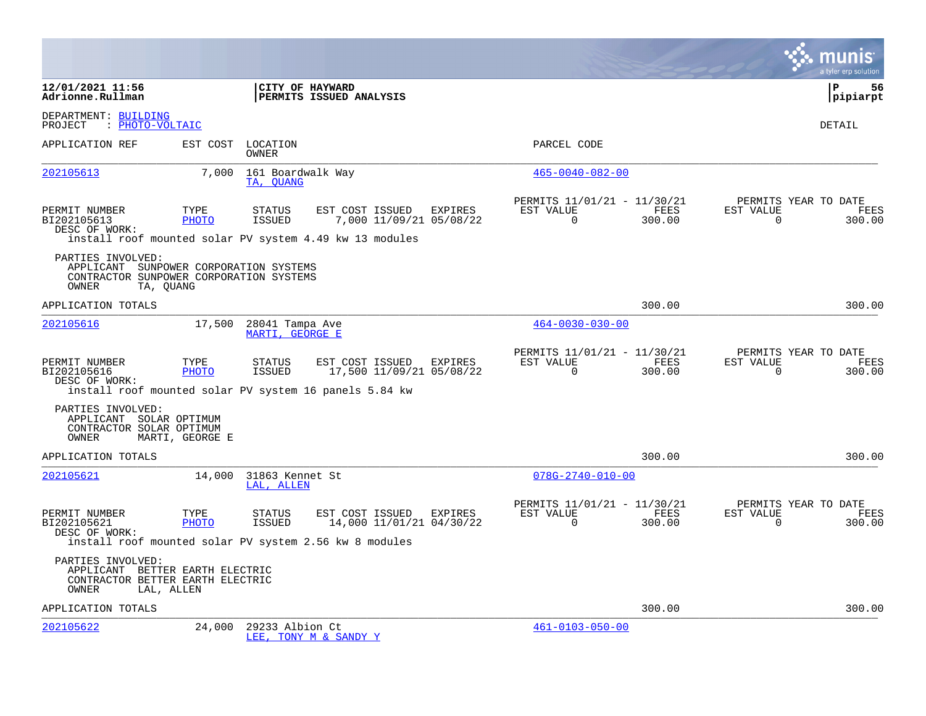|                                                                                                                 |                 |                                                                                          |                                                     |                                                      |                |                          | a tyler erp solution                   |
|-----------------------------------------------------------------------------------------------------------------|-----------------|------------------------------------------------------------------------------------------|-----------------------------------------------------|------------------------------------------------------|----------------|--------------------------|----------------------------------------|
| 12/01/2021 11:56<br>Adrionne.Rullman                                                                            |                 | CITY OF HAYWARD<br>PERMITS ISSUED ANALYSIS                                               |                                                     |                                                      |                |                          | l P<br>56<br> pipiarpt                 |
| DEPARTMENT: BUILDING<br>: PHOTO-VOLTAIC<br>PROJECT                                                              |                 |                                                                                          |                                                     |                                                      |                |                          | <b>DETAIL</b>                          |
| APPLICATION REF                                                                                                 |                 | EST COST LOCATION<br>OWNER                                                               |                                                     | PARCEL CODE                                          |                |                          |                                        |
| 202105613                                                                                                       | 7,000           | 161 Boardwalk Way<br>TA, QUANG                                                           |                                                     | $465 - 0040 - 082 - 00$                              |                |                          |                                        |
| PERMIT NUMBER<br>BI202105613<br>DESC OF WORK:                                                                   | TYPE<br>PHOTO   | STATUS<br>ISSUED<br>install roof mounted solar PV system 4.49 kw 13 modules              | EST COST ISSUED EXPIRES<br>7,000 11/09/21 05/08/22  | PERMITS 11/01/21 - 11/30/21<br>EST VALUE<br>$\Omega$ | FEES<br>300.00 | EST VALUE<br>$\mathbf 0$ | PERMITS YEAR TO DATE<br>FEES<br>300.00 |
| PARTIES INVOLVED:<br>APPLICANT SUNPOWER CORPORATION SYSTEMS<br>CONTRACTOR SUNPOWER CORPORATION SYSTEMS<br>OWNER | TA, QUANG       |                                                                                          |                                                     |                                                      |                |                          |                                        |
| APPLICATION TOTALS                                                                                              |                 |                                                                                          |                                                     |                                                      | 300.00         |                          | 300.00                                 |
| 202105616                                                                                                       | 17,500          | 28041 Tampa Ave<br>MARTI, GEORGE E                                                       |                                                     | $464 - 0030 - 030 - 00$                              |                |                          |                                        |
| PERMIT NUMBER<br>BI202105616<br>DESC OF WORK:                                                                   | TYPE<br>PHOTO   | <b>STATUS</b><br><b>ISSUED</b><br>install roof mounted solar PV system 16 panels 5.84 kw | EST COST ISSUED EXPIRES<br>17,500 11/09/21 05/08/22 | PERMITS 11/01/21 - 11/30/21<br>EST VALUE<br>$\Omega$ | FEES<br>300.00 | EST VALUE<br>$\Omega$    | PERMITS YEAR TO DATE<br>FEES<br>300.00 |
| PARTIES INVOLVED:<br>APPLICANT SOLAR OPTIMUM<br>CONTRACTOR SOLAR OPTIMUM<br>OWNER                               | MARTI, GEORGE E |                                                                                          |                                                     |                                                      |                |                          |                                        |
| APPLICATION TOTALS                                                                                              |                 |                                                                                          |                                                     |                                                      | 300.00         |                          | 300.00                                 |
| 202105621                                                                                                       |                 | 14,000 31863 Kennet St<br>LAL, ALLEN                                                     |                                                     | $078G - 2740 - 010 - 00$                             |                |                          |                                        |
| PERMIT NUMBER<br>BI202105621<br>DESC OF WORK:                                                                   | TYPE<br>PHOTO   | <b>STATUS</b><br><b>ISSUED</b><br>install roof mounted solar PV system 2.56 kw 8 modules | EST COST ISSUED EXPIRES<br>14,000 11/01/21 04/30/22 | PERMITS 11/01/21 - 11/30/21<br>EST VALUE<br>$\Omega$ | FEES<br>300.00 | EST VALUE<br>$\Omega$    | PERMITS YEAR TO DATE<br>FEES<br>300.00 |
| PARTIES INVOLVED:<br>APPLICANT BETTER EARTH ELECTRIC<br>CONTRACTOR BETTER EARTH ELECTRIC<br>OWNER               | LAL, ALLEN      |                                                                                          |                                                     |                                                      |                |                          |                                        |
| APPLICATION TOTALS                                                                                              |                 |                                                                                          |                                                     |                                                      | 300.00         |                          | 300.00                                 |
| 202105622                                                                                                       | 24,000          | 29233 Albion Ct<br>LEE, TONY M & SANDY Y                                                 |                                                     | $461 - 0103 - 050 - 00$                              |                |                          |                                        |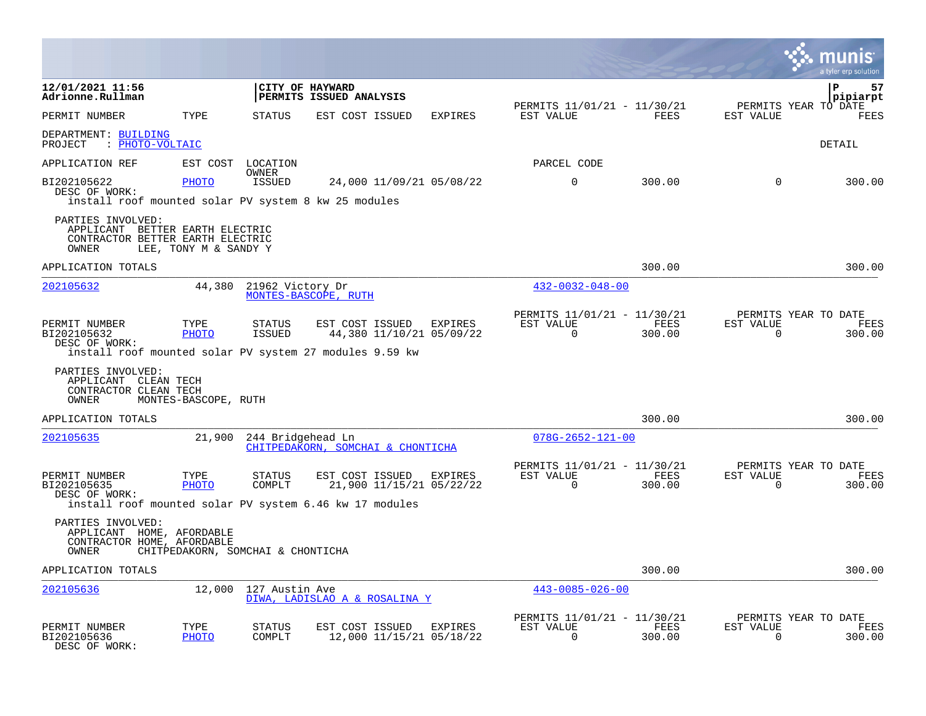|                                                                                                   |                       |                                   |                                                                                                        |                |                                                         |                |                          | a tyler erp solution                   |
|---------------------------------------------------------------------------------------------------|-----------------------|-----------------------------------|--------------------------------------------------------------------------------------------------------|----------------|---------------------------------------------------------|----------------|--------------------------|----------------------------------------|
| 12/01/2021 11:56<br>Adrionne.Rullman                                                              |                       |                                   | CITY OF HAYWARD<br>PERMITS ISSUED ANALYSIS                                                             |                |                                                         |                |                          | ${\bf P}$<br>57<br>pipiarpt            |
| PERMIT NUMBER                                                                                     | TYPE                  | <b>STATUS</b>                     | EST COST ISSUED                                                                                        | <b>EXPIRES</b> | PERMITS 11/01/21 - 11/30/21<br>EST VALUE                | FEES           | EST VALUE                | PERMITS YEAR TO DATE<br>FEES           |
| DEPARTMENT: BUILDING<br>: PHOTO-VOLTAIC<br>PROJECT                                                |                       |                                   |                                                                                                        |                |                                                         |                |                          | DETAIL                                 |
| APPLICATION REF                                                                                   | EST COST              | LOCATION<br>OWNER                 |                                                                                                        |                | PARCEL CODE                                             |                |                          |                                        |
| BI202105622<br>DESC OF WORK:<br>install roof mounted solar PV system 8 kw 25 modules              | PHOTO                 | ISSUED                            | 24,000 11/09/21 05/08/22                                                                               |                | $\mathbf 0$                                             | 300.00         | $\Omega$                 | 300.00                                 |
| PARTIES INVOLVED:<br>APPLICANT BETTER EARTH ELECTRIC<br>CONTRACTOR BETTER EARTH ELECTRIC<br>OWNER | LEE, TONY M & SANDY Y |                                   |                                                                                                        |                |                                                         |                |                          |                                        |
| APPLICATION TOTALS                                                                                |                       |                                   |                                                                                                        |                |                                                         | 300.00         |                          | 300.00                                 |
| 202105632                                                                                         | 44,380                | 21962 Victory Dr                  | MONTES-BASCOPE, RUTH                                                                                   |                | $432 - 0032 - 048 - 00$                                 |                |                          |                                        |
| PERMIT NUMBER<br>BI202105632<br>DESC OF WORK:                                                     | TYPE<br><b>PHOTO</b>  | <b>STATUS</b><br>ISSUED           | EST COST ISSUED<br>44,380 11/10/21 05/09/22<br>install roof mounted solar PV system 27 modules 9.59 kw | EXPIRES        | PERMITS 11/01/21 - 11/30/21<br>EST VALUE<br>$\mathbf 0$ | FEES<br>300.00 | EST VALUE<br>$\mathbf 0$ | PERMITS YEAR TO DATE<br>FEES<br>300.00 |
| PARTIES INVOLVED:<br>APPLICANT CLEAN TECH<br>CONTRACTOR CLEAN TECH<br>OWNER                       | MONTES-BASCOPE, RUTH  |                                   |                                                                                                        |                |                                                         |                |                          |                                        |
| APPLICATION TOTALS                                                                                |                       |                                   |                                                                                                        |                |                                                         | 300.00         |                          | 300.00                                 |
| 202105635                                                                                         | 21,900                | 244 Bridgehead Ln                 | CHITPEDAKORN, SOMCHAI & CHONTICHA                                                                      |                | $078G - 2652 - 121 - 00$                                |                |                          |                                        |
| PERMIT NUMBER<br>BI202105635<br>DESC OF WORK:                                                     | TYPE<br>PHOTO         | <b>STATUS</b><br>COMPLT           | EST COST ISSUED<br>21,900 11/15/21 05/22/22<br>install roof mounted solar PV system 6.46 kw 17 modules | EXPIRES        | PERMITS 11/01/21 - 11/30/21<br>EST VALUE<br>$\Omega$    | FEES<br>300.00 | EST VALUE<br>$\Omega$    | PERMITS YEAR TO DATE<br>FEES<br>300.00 |
| PARTIES INVOLVED:<br>APPLICANT HOME, AFORDABLE<br>CONTRACTOR HOME, AFORDABLE<br>OWNER             |                       | CHITPEDAKORN, SOMCHAI & CHONTICHA |                                                                                                        |                |                                                         |                |                          |                                        |
| APPLICATION TOTALS                                                                                |                       |                                   |                                                                                                        |                |                                                         | 300.00         |                          | 300.00                                 |
| 202105636                                                                                         | 12,000                | 127 Austin Ave                    | DIWA, LADISLAO A & ROSALINA Y                                                                          |                | $443 - 0085 - 026 - 00$                                 |                |                          |                                        |
| PERMIT NUMBER<br>BI202105636<br>DESC OF WORK:                                                     | TYPE<br><b>PHOTO</b>  | <b>STATUS</b><br>COMPLT           | EST COST ISSUED<br>12,000 11/15/21 05/18/22                                                            | EXPIRES        | PERMITS 11/01/21 - 11/30/21<br>EST VALUE<br>$\Omega$    | FEES<br>300.00 | EST VALUE<br>$\mathbf 0$ | PERMITS YEAR TO DATE<br>FEES<br>300.00 |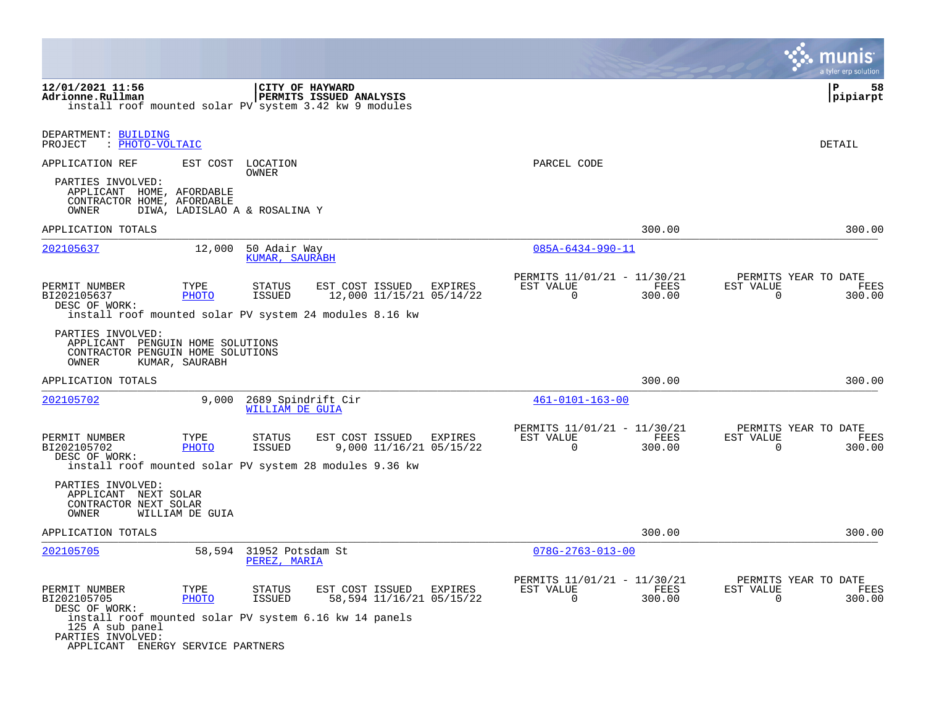|                                                                                                                                                                                      |                      |                                        |                                             |         |                                                         |                |                             | a tyler erp solution                   |
|--------------------------------------------------------------------------------------------------------------------------------------------------------------------------------------|----------------------|----------------------------------------|---------------------------------------------|---------|---------------------------------------------------------|----------------|-----------------------------|----------------------------------------|
| 12/01/2021 11:56<br>Adrionne.Rullman<br>install roof mounted solar PV system 3.42 kw 9 modules                                                                                       |                      | CITY OF HAYWARD                        | PERMITS ISSUED ANALYSIS                     |         |                                                         |                |                             | l P<br>58<br>pipiarpt                  |
| DEPARTMENT: BUILDING<br>PROJECT<br>: PHOTO-VOLTAIC                                                                                                                                   |                      |                                        |                                             |         |                                                         |                |                             | DETAIL                                 |
| APPLICATION REF                                                                                                                                                                      | EST COST             | LOCATION                               |                                             |         | PARCEL CODE                                             |                |                             |                                        |
| PARTIES INVOLVED:<br>APPLICANT HOME, AFORDABLE<br>CONTRACTOR HOME, AFORDABLE<br>OWNER                                                                                                |                      | OWNER<br>DIWA, LADISLAO A & ROSALINA Y |                                             |         |                                                         |                |                             |                                        |
| APPLICATION TOTALS                                                                                                                                                                   |                      |                                        |                                             |         |                                                         | 300.00         |                             | 300.00                                 |
| 202105637                                                                                                                                                                            | 12,000               | 50 Adair Way<br>KUMAR, SAURABH         |                                             |         | $085A - 6434 - 990 - 11$                                |                |                             |                                        |
| PERMIT NUMBER<br>BI202105637<br>DESC OF WORK:<br>install roof mounted solar PV system 24 modules 8.16 kw                                                                             | TYPE<br><b>PHOTO</b> | STATUS<br><b>ISSUED</b>                | EST COST ISSUED<br>12,000 11/15/21 05/14/22 | EXPIRES | PERMITS 11/01/21 - 11/30/21<br>EST VALUE<br>$\Omega$    | FEES<br>300.00 | EST VALUE<br>$\Omega$       | PERMITS YEAR TO DATE<br>FEES<br>300.00 |
| PARTIES INVOLVED:<br>APPLICANT PENGUIN HOME SOLUTIONS<br>CONTRACTOR PENGUIN HOME SOLUTIONS<br>OWNER                                                                                  | KUMAR, SAURABH       |                                        |                                             |         |                                                         |                |                             |                                        |
| APPLICATION TOTALS                                                                                                                                                                   |                      |                                        |                                             |         |                                                         | 300.00         |                             | 300.00                                 |
| <u>202105702</u>                                                                                                                                                                     | 9,000                | 2689 Spindrift Cir<br>WILLIAM DE GUIA  |                                             |         | $461 - 0101 - 163 - 00$                                 |                |                             |                                        |
| PERMIT NUMBER<br>BI202105702<br>DESC OF WORK:<br>install roof mounted solar PV system 28 modules 9.36 kw                                                                             | TYPE<br><b>PHOTO</b> | STATUS<br>ISSUED                       | EST COST ISSUED<br>9,000 11/16/21 05/15/22  | EXPIRES | PERMITS 11/01/21 - 11/30/21<br>EST VALUE<br>0           | FEES<br>300.00 | EST VALUE<br>0              | PERMITS YEAR TO DATE<br>FEES<br>300.00 |
| PARTIES INVOLVED:<br>APPLICANT NEXT SOLAR<br>CONTRACTOR NEXT SOLAR<br>OWNER                                                                                                          | WILLIAM DE GUIA      |                                        |                                             |         |                                                         |                |                             |                                        |
| APPLICATION TOTALS                                                                                                                                                                   |                      |                                        |                                             |         |                                                         | 300.00         |                             | 300.00                                 |
| 202105705                                                                                                                                                                            | 58,594               | 31952 Potsdam St<br>PEREZ, MARIA       |                                             |         | $078G - 2763 - 013 - 00$                                |                |                             |                                        |
| PERMIT NUMBER<br>BI202105705<br>DESC OF WORK:<br>install roof mounted solar PV system 6.16 kw 14 panels<br>125 A sub panel<br>PARTIES INVOLVED:<br>APPLICANT ENERGY SERVICE PARTNERS | TYPE<br>PHOTO        | STATUS<br>ISSUED                       | EST COST ISSUED<br>58,594 11/16/21 05/15/22 | EXPIRES | PERMITS 11/01/21 - 11/30/21<br>EST VALUE<br>$\mathbf 0$ | FEES<br>300.00 | EST VALUE<br>$\overline{0}$ | PERMITS YEAR TO DATE<br>FEES<br>300.00 |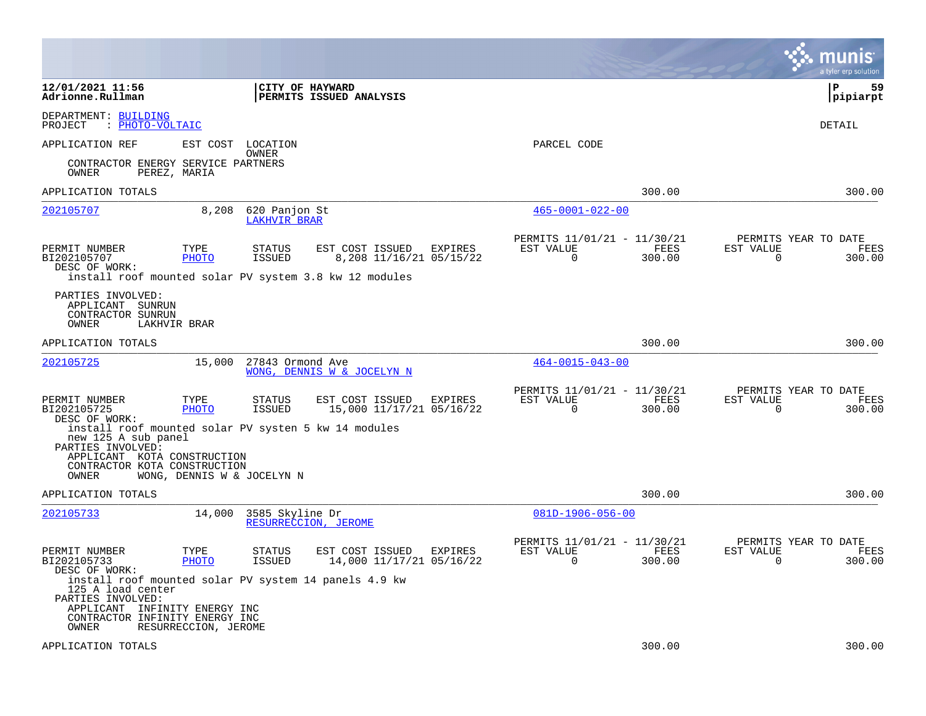|                                                                                                                                                                             |                            |                                      |                                                        |         |                                                      |                |                       | munis<br>a tyler erp solution          |
|-----------------------------------------------------------------------------------------------------------------------------------------------------------------------------|----------------------------|--------------------------------------|--------------------------------------------------------|---------|------------------------------------------------------|----------------|-----------------------|----------------------------------------|
| 12/01/2021 11:56<br>Adrionne.Rullman                                                                                                                                        |                            | <b>CITY OF HAYWARD</b>               | <b>PERMITS ISSUED ANALYSIS</b>                         |         |                                                      |                |                       | l P<br>59<br> pipiarpt                 |
| DEPARTMENT: BUILDING<br>PROJECT<br>: PHOTO-VOLTAIC                                                                                                                          |                            |                                      |                                                        |         |                                                      |                |                       | DETAIL                                 |
| APPLICATION REF                                                                                                                                                             | EST COST                   | LOCATION<br>OWNER                    |                                                        |         | PARCEL CODE                                          |                |                       |                                        |
| CONTRACTOR ENERGY SERVICE PARTNERS<br>OWNER                                                                                                                                 | PEREZ, MARIA               |                                      |                                                        |         |                                                      |                |                       |                                        |
| APPLICATION TOTALS                                                                                                                                                          |                            |                                      |                                                        |         |                                                      | 300.00         |                       | 300.00                                 |
| 202105707                                                                                                                                                                   | 8,208                      | 620 Panjon St<br><b>LAKHVIR BRAR</b> |                                                        |         | $465 - 0001 - 022 - 00$                              |                |                       |                                        |
| PERMIT NUMBER<br>BI202105707<br>DESC OF WORK:                                                                                                                               | TYPE<br>PHOTO              | <b>STATUS</b><br>ISSUED              | EST COST ISSUED<br>8,208 11/16/21 05/15/22             | EXPIRES | PERMITS 11/01/21 - 11/30/21<br>EST VALUE<br>$\Omega$ | FEES<br>300.00 | EST VALUE<br>$\Omega$ | PERMITS YEAR TO DATE<br>FEES<br>300.00 |
| PARTIES INVOLVED:<br>APPLICANT<br>SUNRUN<br>CONTRACTOR SUNRUN<br>OWNER                                                                                                      | LAKHVIR BRAR               |                                      | install roof mounted solar PV system 3.8 kw 12 modules |         |                                                      |                |                       |                                        |
| APPLICATION TOTALS                                                                                                                                                          |                            |                                      |                                                        |         |                                                      | 300.00         |                       | 300.00                                 |
| 202105725                                                                                                                                                                   | 15,000                     | 27843 Ormond Ave                     | WONG, DENNIS W & JOCELYN N                             |         | $464 - 0015 - 043 - 00$                              |                |                       |                                        |
| PERMIT NUMBER<br>BI202105725<br>DESC OF WORK:                                                                                                                               | TYPE<br>PHOTO              | STATUS<br><b>ISSUED</b>              | EST COST ISSUED<br>15,000 11/17/21 05/16/22            | EXPIRES | PERMITS 11/01/21 - 11/30/21<br>EST VALUE<br>$\Omega$ | FEES<br>300.00 | EST VALUE<br>$\Omega$ | PERMITS YEAR TO DATE<br>FEES<br>300.00 |
| install roof mounted solar PV systen 5 kw 14 modules<br>new 125 A sub panel<br>PARTIES INVOLVED:<br>APPLICANT KOTA CONSTRUCTION<br>CONTRACTOR KOTA CONSTRUCTION<br>OWNER    | WONG, DENNIS W & JOCELYN N |                                      |                                                        |         |                                                      |                |                       |                                        |
| APPLICATION TOTALS                                                                                                                                                          |                            |                                      |                                                        |         |                                                      | 300.00         |                       | 300.00                                 |
| 202105733                                                                                                                                                                   | 14,000                     | 3585 Skyline Dr                      | RESURRECCION, JEROME                                   |         | $081D-1906-056-00$                                   |                |                       |                                        |
| PERMIT NUMBER<br>BI202105733<br>DESC OF WORK:                                                                                                                               | TYPE<br><b>PHOTO</b>       | <b>STATUS</b><br>ISSUED              | EST COST ISSUED<br>14,000 11/17/21 05/16/22            | EXPIRES | PERMITS 11/01/21 - 11/30/21<br>EST VALUE<br>0        | FEES<br>300.00 | EST VALUE<br>0        | PERMITS YEAR TO DATE<br>FEES<br>300.00 |
| install roof mounted solar PV system 14 panels 4.9 kw<br>125 A load center<br>PARTIES INVOLVED:<br>APPLICANT INFINITY ENERGY INC<br>CONTRACTOR INFINITY ENERGY INC<br>OWNER | RESURRECCION, JEROME       |                                      |                                                        |         |                                                      |                |                       |                                        |
| APPLICATION TOTALS                                                                                                                                                          |                            |                                      |                                                        |         |                                                      | 300.00         |                       | 300.00                                 |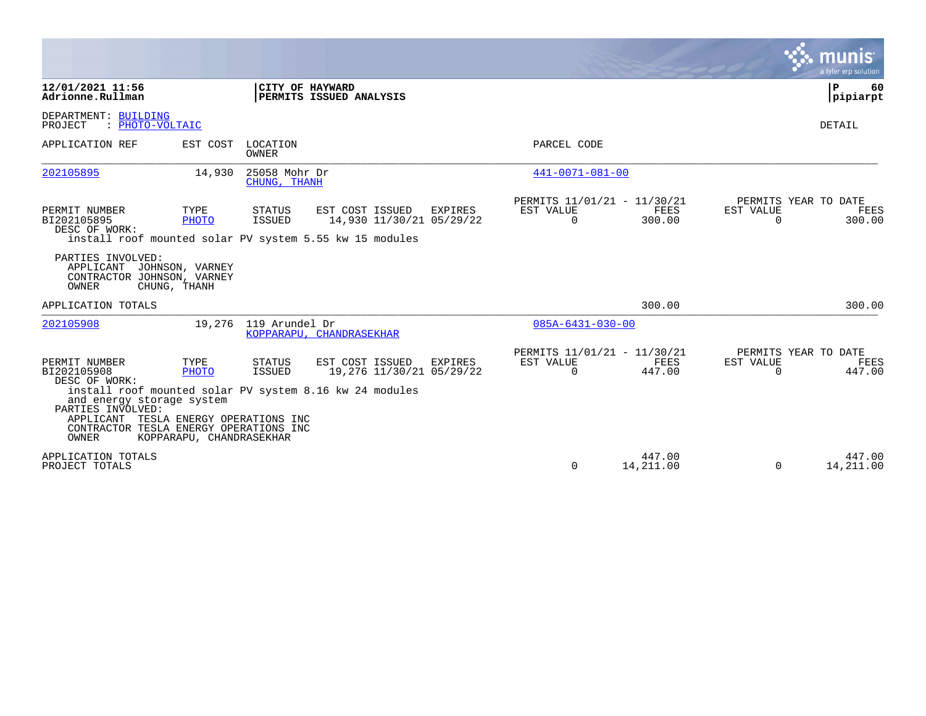|                                                                                                                                                                 |                                                                          |                                |                                                                                                        |         |                                                      |                     |                       | munis<br>a tyler erp solution                 |
|-----------------------------------------------------------------------------------------------------------------------------------------------------------------|--------------------------------------------------------------------------|--------------------------------|--------------------------------------------------------------------------------------------------------|---------|------------------------------------------------------|---------------------|-----------------------|-----------------------------------------------|
| 12/01/2021 11:56<br>Adrionne.Rullman                                                                                                                            |                                                                          |                                | CITY OF HAYWARD<br>PERMITS ISSUED ANALYSIS                                                             |         |                                                      |                     |                       | l P<br>60<br> pipiarpt                        |
| DEPARTMENT: BUILDING<br>: PHOTO-VOLTAIC<br>PROJECT                                                                                                              |                                                                          |                                |                                                                                                        |         |                                                      |                     |                       | DETAIL                                        |
| APPLICATION REF                                                                                                                                                 | EST COST                                                                 | LOCATION<br>OWNER              |                                                                                                        |         | PARCEL CODE                                          |                     |                       |                                               |
| 202105895                                                                                                                                                       | 14,930                                                                   | 25058 Mohr Dr<br>CHUNG, THANH  |                                                                                                        |         | $441 - 0071 - 081 - 00$                              |                     |                       |                                               |
| PERMIT NUMBER<br>BI202105895<br>DESC OF WORK:                                                                                                                   | TYPE<br>PHOTO                                                            | STATUS<br>ISSUED               | EST COST ISSUED<br>14,930 11/30/21 05/29/22<br>install roof mounted solar PV system 5.55 kw 15 modules | EXPIRES | PERMITS 11/01/21 - 11/30/21<br>EST VALUE<br>$\Omega$ | FEES<br>300.00      | EST VALUE<br>$\Omega$ | PERMITS YEAR TO DATE<br>FEES<br>300.00        |
| PARTIES INVOLVED:<br>APPLICANT<br>CONTRACTOR JOHNSON, VARNEY<br>OWNER                                                                                           | JOHNSON, VARNEY<br>CHUNG, THANH                                          |                                |                                                                                                        |         |                                                      |                     |                       |                                               |
| APPLICATION TOTALS                                                                                                                                              |                                                                          |                                |                                                                                                        |         |                                                      | 300.00              |                       | 300.00                                        |
| 202105908                                                                                                                                                       |                                                                          | 19,276 119 Arundel Dr          | KOPPARAPU, CHANDRASEKHAR                                                                               |         | $085A - 6431 - 030 - 00$                             |                     |                       |                                               |
| PERMIT NUMBER<br>BI202105908<br>DESC OF WORK:<br>and energy storage system<br>PARTIES INVOLVED:<br>APPLICANT<br>CONTRACTOR TESLA ENERGY OPERATIONS INC<br>OWNER | TYPE<br>PHOTO<br>TESLA ENERGY OPERATIONS INC<br>KOPPARAPU, CHANDRASEKHAR | <b>STATUS</b><br><b>ISSUED</b> | EST COST ISSUED<br>19,276 11/30/21 05/29/22<br>install roof mounted solar PV system 8.16 kw 24 modules | EXPIRES | PERMITS 11/01/21 - 11/30/21<br>EST VALUE<br>$\Omega$ | FEES<br>447.00      | EST VALUE<br>$\Omega$ | PERMITS YEAR TO DATE<br><b>FEES</b><br>447.00 |
| APPLICATION TOTALS<br>PROJECT TOTALS                                                                                                                            |                                                                          |                                |                                                                                                        |         | $\Omega$                                             | 447.00<br>14,211.00 | $\Omega$              | 447.00<br>14,211.00                           |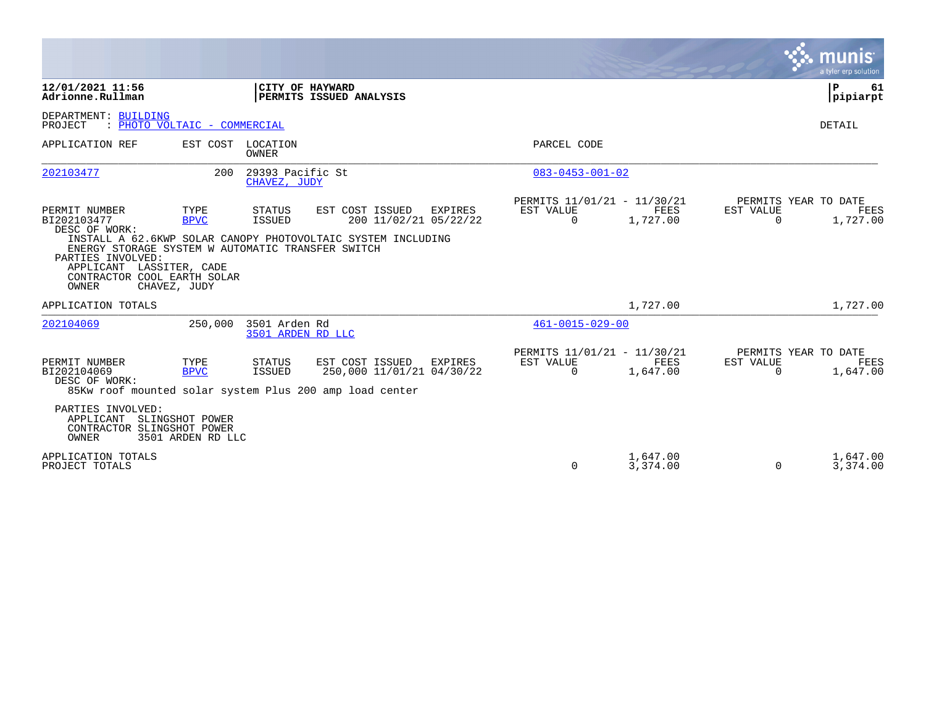|                                                                                                                                                                                             |                                      |                                    |                                                                                                                           |                         |                                                 |                          | munis<br>a tyler erp solution            |
|---------------------------------------------------------------------------------------------------------------------------------------------------------------------------------------------|--------------------------------------|------------------------------------|---------------------------------------------------------------------------------------------------------------------------|-------------------------|-------------------------------------------------|--------------------------|------------------------------------------|
| 12/01/2021 11:56<br>Adrionne.Rullman                                                                                                                                                        |                                      |                                    | CITY OF HAYWARD<br>PERMITS ISSUED ANALYSIS                                                                                |                         |                                                 |                          | P<br>61<br> pipiarpt                     |
| DEPARTMENT: BUILDING<br>PROJECT                                                                                                                                                             | : PHOTO VOLTAIC - COMMERCIAL         |                                    |                                                                                                                           |                         |                                                 |                          | DETAIL                                   |
| APPLICATION REF                                                                                                                                                                             | EST COST LOCATION                    | OWNER                              |                                                                                                                           | PARCEL CODE             |                                                 |                          |                                          |
| 202103477                                                                                                                                                                                   | 200                                  | 29393 Pacific St<br>CHAVEZ, JUDY   |                                                                                                                           | $083 - 0453 - 001 - 02$ |                                                 |                          |                                          |
| PERMIT NUMBER<br>BI202103477<br>DESC OF WORK:<br>ENERGY STORAGE SYSTEM W AUTOMATIC TRANSFER SWITCH<br>PARTIES INVOLVED:<br>APPLICANT LASSITER, CADE<br>CONTRACTOR COOL EARTH SOLAR<br>OWNER | TYPE<br><b>BPVC</b><br>CHAVEZ, JUDY  | STATUS<br>ISSUED                   | EST COST ISSUED<br>EXPIRES<br>200 11/02/21 05/22/22<br>INSTALL A 62.6KWP SOLAR CANOPY PHOTOVOLTAIC SYSTEM INCLUDING       | EST VALUE<br>$\Omega$   | PERMITS 11/01/21 - 11/30/21<br>FEES<br>1,727.00 | EST VALUE<br>$\mathbf 0$ | PERMITS YEAR TO DATE<br>FEES<br>1,727.00 |
| APPLICATION TOTALS                                                                                                                                                                          |                                      |                                    |                                                                                                                           |                         | 1,727.00                                        |                          | 1,727.00                                 |
| 202104069                                                                                                                                                                                   | 250,000                              | 3501 Arden Rd<br>3501 ARDEN RD LLC |                                                                                                                           | $461 - 0015 - 029 - 00$ |                                                 |                          |                                          |
| PERMIT NUMBER<br>BI202104069<br>DESC OF WORK:                                                                                                                                               | TYPE<br><b>BPVC</b>                  | <b>STATUS</b><br><b>ISSUED</b>     | EST COST ISSUED<br><b>EXPIRES</b><br>250,000 11/01/21 04/30/22<br>85Kw roof mounted solar system Plus 200 amp load center | EST VALUE<br>$\Omega$   | PERMITS 11/01/21 - 11/30/21<br>FEES<br>1,647.00 | EST VALUE<br>0           | PERMITS YEAR TO DATE<br>FEES<br>1,647.00 |
| PARTIES INVOLVED:<br>APPLICANT<br>CONTRACTOR SLINGSHOT POWER<br><b>OWNER</b>                                                                                                                | SLINGSHOT POWER<br>3501 ARDEN RD LLC |                                    |                                                                                                                           |                         |                                                 |                          |                                          |
| APPLICATION TOTALS<br>PROJECT TOTALS                                                                                                                                                        |                                      |                                    |                                                                                                                           | $\Omega$                | 1,647.00<br>3,374.00                            | $\Omega$                 | 1,647.00<br>3,374.00                     |

the property of the control of

and the contract of the contract of the contract of the contract of the contract of the contract of the contract of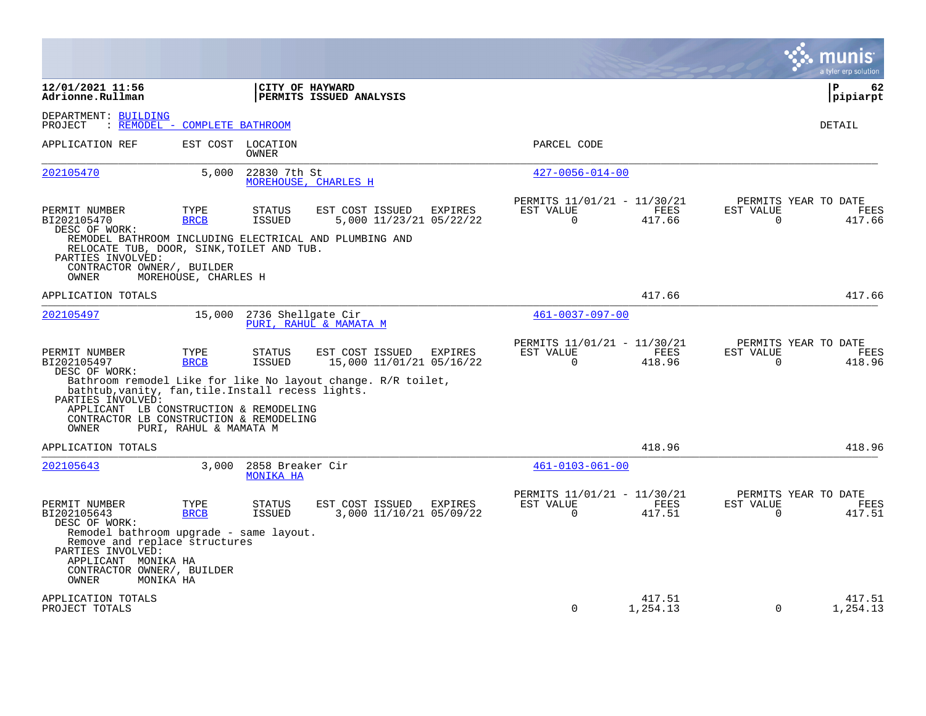|                                                                                                                                                                       |                               |                                |                                                                                                      |                |                                                      |                       |                       | a tyler erp solution                   |
|-----------------------------------------------------------------------------------------------------------------------------------------------------------------------|-------------------------------|--------------------------------|------------------------------------------------------------------------------------------------------|----------------|------------------------------------------------------|-----------------------|-----------------------|----------------------------------------|
| 12/01/2021 11:56<br>Adrionne.Rullman                                                                                                                                  |                               |                                | CITY OF HAYWARD<br>PERMITS ISSUED ANALYSIS                                                           |                |                                                      |                       |                       | l P<br>62<br> pipiarpt                 |
| DEPARTMENT: BUILDING<br>PROJECT                                                                                                                                       | : REMODEL - COMPLETE BATHROOM |                                |                                                                                                      |                |                                                      |                       |                       | DETAIL                                 |
| APPLICATION REF                                                                                                                                                       |                               | EST COST LOCATION<br>OWNER     |                                                                                                      |                | PARCEL CODE                                          |                       |                       |                                        |
| 202105470                                                                                                                                                             | 5,000                         | 22830 7th St                   | MOREHOUSE, CHARLES H                                                                                 |                | $427 - 0056 - 014 - 00$                              |                       |                       |                                        |
| PERMIT NUMBER<br>BI202105470<br>DESC OF WORK:<br>RELOCATE TUB, DOOR, SINK, TOILET AND TUB.                                                                            | TYPE<br><b>BRCB</b>           | <b>STATUS</b><br><b>ISSUED</b> | EST COST ISSUED<br>5,000 11/23/21 05/22/22<br>REMODEL BATHROOM INCLUDING ELECTRICAL AND PLUMBING AND | <b>EXPIRES</b> | PERMITS 11/01/21 - 11/30/21<br>EST VALUE<br>$\Omega$ | FEES<br>417.66        | EST VALUE<br>$\Omega$ | PERMITS YEAR TO DATE<br>FEES<br>417.66 |
| PARTIES INVOLVED:<br>CONTRACTOR OWNER/, BUILDER<br>OWNER                                                                                                              | MOREHOUSE, CHARLES H          |                                |                                                                                                      |                |                                                      |                       |                       |                                        |
| APPLICATION TOTALS                                                                                                                                                    |                               |                                |                                                                                                      |                |                                                      | 417.66                |                       | 417.66                                 |
| 202105497                                                                                                                                                             | 15,000                        | 2736 Shellgate Cir             | PURI, RAHUL & MAMATA M                                                                               |                | $461 - 0037 - 097 - 00$                              |                       |                       |                                        |
| PERMIT NUMBER<br>BI202105497<br>DESC OF WORK:                                                                                                                         | TYPE<br><b>BRCB</b>           | <b>STATUS</b><br>ISSUED        | EST COST ISSUED<br>15,000 11/01/21 05/16/22                                                          | EXPIRES        | PERMITS 11/01/21 - 11/30/21<br>EST VALUE<br>$\Omega$ | FEES<br>418.96        | EST VALUE<br>$\Omega$ | PERMITS YEAR TO DATE<br>FEES<br>418.96 |
| bathtub, vanity, fan, tile. Install recess lights.<br>PARTIES INVOLVED:                                                                                               |                               |                                | Bathroom remodel Like for like No layout change. R/R toilet,                                         |                |                                                      |                       |                       |                                        |
| APPLICANT LB CONSTRUCTION & REMODELING<br>CONTRACTOR LB CONSTRUCTION & REMODELING<br>OWNER                                                                            | PURI, RAHUL & MAMATA M        |                                |                                                                                                      |                |                                                      |                       |                       |                                        |
| APPLICATION TOTALS                                                                                                                                                    |                               |                                |                                                                                                      |                |                                                      | 418.96                |                       | 418.96                                 |
| 202105643                                                                                                                                                             | 3,000                         | 2858 Breaker Cir<br>MONIKA HA  |                                                                                                      |                | $461 - 0103 - 061 - 00$                              |                       |                       |                                        |
| PERMIT NUMBER<br>BI202105643<br>DESC OF WORK:<br>Remodel bathroom upgrade - same layout.<br>Remove and replace structures<br>PARTIES INVOLVED:<br>APPLICANT MONIKA HA | TYPE<br><b>BRCB</b>           | <b>STATUS</b><br>ISSUED        | EST COST ISSUED<br>3,000 11/10/21 05/09/22                                                           | EXPIRES        | PERMITS 11/01/21 - 11/30/21<br>EST VALUE<br>$\Omega$ | <b>FEES</b><br>417.51 | EST VALUE<br>$\Omega$ | PERMITS YEAR TO DATE<br>FEES<br>417.51 |
| CONTRACTOR OWNER/, BUILDER<br>OWNER<br>MONIKA HA                                                                                                                      |                               |                                |                                                                                                      |                |                                                      |                       |                       |                                        |
| APPLICATION TOTALS<br>PROJECT TOTALS                                                                                                                                  |                               |                                |                                                                                                      |                | $\Omega$                                             | 417.51<br>1,254.13    | $\Omega$              | 417.51<br>1,254.13                     |

**Contract**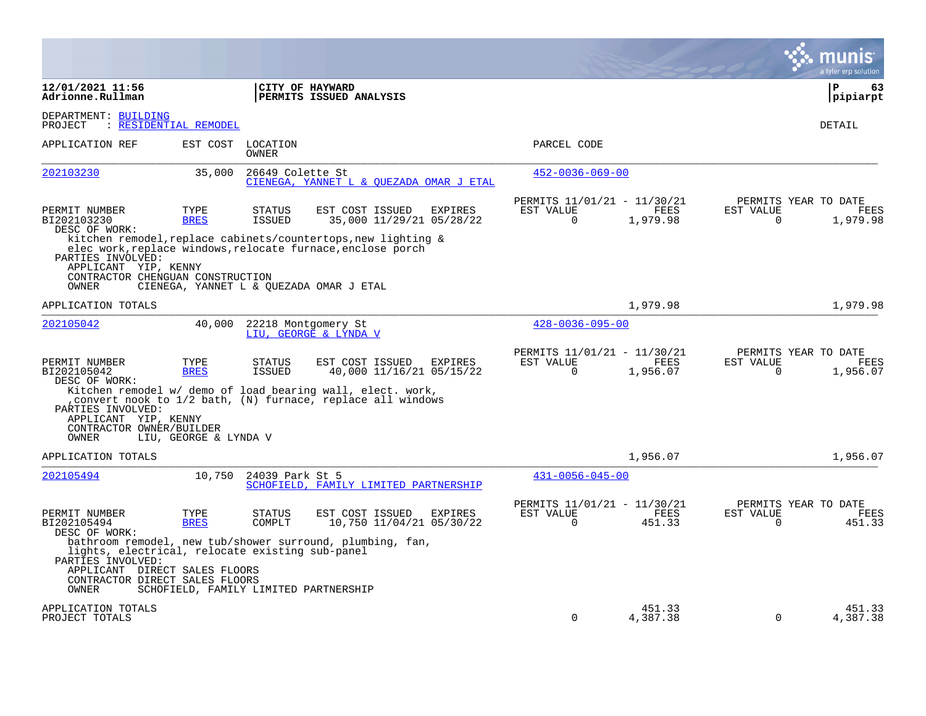|                                                                                                                                                  |                       |                                |                                                                                                                                                                         |                                                         |                         |                          | a tyler erp solution                            |
|--------------------------------------------------------------------------------------------------------------------------------------------------|-----------------------|--------------------------------|-------------------------------------------------------------------------------------------------------------------------------------------------------------------------|---------------------------------------------------------|-------------------------|--------------------------|-------------------------------------------------|
| 12/01/2021 11:56<br>Adrionne.Rullman                                                                                                             |                       |                                | CITY OF HAYWARD<br>PERMITS ISSUED ANALYSIS                                                                                                                              |                                                         |                         |                          | l P<br>63<br> pipiarpt                          |
| DEPARTMENT: BUILDING<br>PROJECT                                                                                                                  | : RESIDENTIAL REMODEL |                                |                                                                                                                                                                         |                                                         |                         |                          | <b>DETAIL</b>                                   |
| APPLICATION REF                                                                                                                                  | EST COST              | LOCATION<br>OWNER              |                                                                                                                                                                         | PARCEL CODE                                             |                         |                          |                                                 |
| 202103230                                                                                                                                        | 35,000                | 26649 Colette St               | CIENEGA, YANNET L & OUEZADA OMAR J ETAL                                                                                                                                 | $452 - 0036 - 069 - 00$                                 |                         |                          |                                                 |
| PERMIT NUMBER<br>BI202103230<br>DESC OF WORK:                                                                                                    | TYPE<br><b>BRES</b>   | <b>STATUS</b><br><b>ISSUED</b> | EST COST ISSUED<br>EXPIRES<br>35,000 11/29/21 05/28/22                                                                                                                  | PERMITS 11/01/21 - 11/30/21<br>EST VALUE<br>$\mathbf 0$ | FEES<br>1,979.98        | EST VALUE<br>$\mathbf 0$ | PERMITS YEAR TO DATE<br>FEES<br>1,979.98        |
| PARTIES INVOLVED:<br>APPLICANT YIP, KENNY<br>CONTRACTOR CHENGUAN CONSTRUCTION<br>OWNER                                                           |                       |                                | kitchen remodel, replace cabinets/countertops, new lighting &<br>elec work, replace windows, relocate furnace, enclose porch<br>CIENEGA, YANNET L & QUEZADA OMAR J ETAL |                                                         |                         |                          |                                                 |
| APPLICATION TOTALS                                                                                                                               |                       |                                |                                                                                                                                                                         |                                                         | 1,979.98                |                          | 1,979.98                                        |
| 202105042                                                                                                                                        | 40,000                |                                | 22218 Montgomery St<br>LIU, GEORGE & LYNDA V                                                                                                                            | $428 - 0036 - 095 - 00$                                 |                         |                          |                                                 |
| PERMIT NUMBER<br>BI202105042<br>DESC OF WORK:                                                                                                    | TYPE<br><b>BRES</b>   | <b>STATUS</b><br><b>ISSUED</b> | EST COST ISSUED<br>EXPIRES<br>40,000 11/16/21 05/15/22                                                                                                                  | PERMITS 11/01/21 - 11/30/21<br>EST VALUE<br>$\Omega$    | <b>FEES</b><br>1,956.07 | EST VALUE<br>$\Omega$    | PERMITS YEAR TO DATE<br><b>FEES</b><br>1,956.07 |
| PARTIES INVOLVED:<br>APPLICANT YIP, KENNY<br>CONTRACTOR OWNER/BUILDER<br>OWNER                                                                   | LIU, GEORGE & LYNDA V |                                | Kitchen remodel w/ demo of load bearing wall, elect. work,<br>convert nook to 1/2 bath, (N) furnace, replace all windows                                                |                                                         |                         |                          |                                                 |
| APPLICATION TOTALS                                                                                                                               |                       |                                |                                                                                                                                                                         |                                                         | 1,956.07                |                          | 1,956.07                                        |
| 202105494                                                                                                                                        | 10,750                | 24039 Park St 5                | SCHOFIELD, FAMILY LIMITED PARTNERSHIP                                                                                                                                   | $431 - 0056 - 045 - 00$                                 |                         |                          |                                                 |
| PERMIT NUMBER<br>BI202105494<br>DESC OF WORK:                                                                                                    | TYPE<br><b>BRES</b>   | <b>STATUS</b><br>COMPLT        | EST COST ISSUED<br><b>EXPIRES</b><br>10,750 11/04/21 05/30/22                                                                                                           | PERMITS 11/01/21 - 11/30/21<br>EST VALUE<br>$\Omega$    | <b>FEES</b><br>451.33   | EST VALUE<br>$\Omega$    | PERMITS YEAR TO DATE<br><b>FEES</b><br>451.33   |
| lights, electrical, relocate existing sub-panel<br>PARTIES INVOLVED:<br>APPLICANT DIRECT SALES FLOORS<br>CONTRACTOR DIRECT SALES FLOORS<br>OWNER |                       |                                | bathroom remodel, new tub/shower surround, plumbing, fan,<br>SCHOFIELD, FAMILY LIMITED PARTNERSHIP                                                                      |                                                         |                         |                          |                                                 |
| APPLICATION TOTALS<br>PROJECT TOTALS                                                                                                             |                       |                                |                                                                                                                                                                         | $\Omega$                                                | 451.33<br>4,387.38      | $\Omega$                 | 451.33<br>4,387.38                              |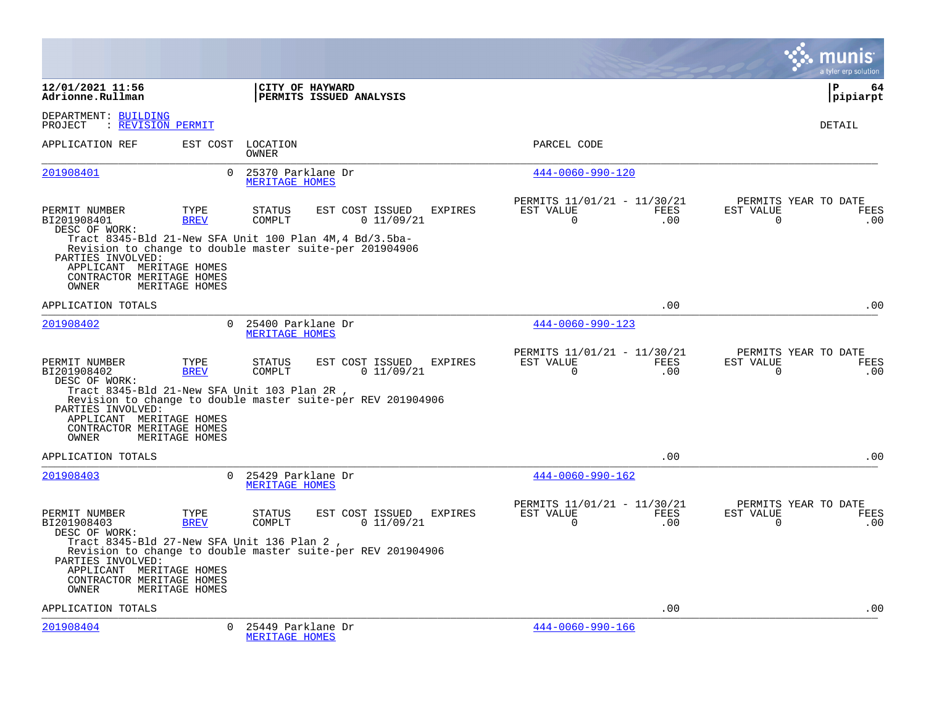|                                                                                                                                                                                    |                                       |                                       |                                                                                                                                                     |                |                                                         |             |                          | a tyler erp solution                |
|------------------------------------------------------------------------------------------------------------------------------------------------------------------------------------|---------------------------------------|---------------------------------------|-----------------------------------------------------------------------------------------------------------------------------------------------------|----------------|---------------------------------------------------------|-------------|--------------------------|-------------------------------------|
| 12/01/2021 11:56<br>Adrionne.Rullman                                                                                                                                               |                                       | CITY OF HAYWARD                       | PERMITS ISSUED ANALYSIS                                                                                                                             |                |                                                         |             |                          | P<br>64<br>pipiarpt                 |
| DEPARTMENT: BUILDING<br>: REVISION PERMIT<br>PROJECT                                                                                                                               |                                       |                                       |                                                                                                                                                     |                |                                                         |             |                          | <b>DETAIL</b>                       |
| APPLICATION REF                                                                                                                                                                    |                                       | EST COST LOCATION<br>OWNER            |                                                                                                                                                     |                | PARCEL CODE                                             |             |                          |                                     |
| 201908401                                                                                                                                                                          | $\Omega$                              | 25370 Parklane Dr<br>MERITAGE HOMES   |                                                                                                                                                     |                | $444 - 0060 - 990 - 120$                                |             |                          |                                     |
| PERMIT NUMBER<br>BI201908401<br>DESC OF WORK:<br>PARTIES INVOLVED:<br>APPLICANT MERITAGE HOMES<br>CONTRACTOR MERITAGE HOMES<br>OWNER                                               | TYPE<br><b>BREV</b><br>MERITAGE HOMES | STATUS<br>COMPLT                      | EST COST ISSUED<br>0 11/09/21<br>Tract 8345-Bld 21-New SFA Unit 100 Plan 4M, 4 Bd/3.5ba-<br>Revision to change to double master suite-per 201904906 | <b>EXPIRES</b> | PERMITS 11/01/21 - 11/30/21<br>EST VALUE<br>$\mathbf 0$ | FEES<br>.00 | EST VALUE<br>$\mathbf 0$ | PERMITS YEAR TO DATE<br>FEES<br>.00 |
| APPLICATION TOTALS                                                                                                                                                                 |                                       |                                       |                                                                                                                                                     |                |                                                         | .00         |                          | .00                                 |
| 201908402                                                                                                                                                                          | $\Omega$                              | 25400 Parklane Dr<br>MERITAGE HOMES   |                                                                                                                                                     |                | $444 - 0060 - 990 - 123$                                |             |                          |                                     |
| PERMIT NUMBER<br>BI201908402<br>DESC OF WORK:<br>Tract 8345-Bld 21-New SFA Unit 103 Plan 2R,<br>PARTIES INVOLVED:<br>APPLICANT MERITAGE HOMES<br>CONTRACTOR MERITAGE HOMES         | TYPE<br><b>BREV</b>                   | <b>STATUS</b><br>COMPLT               | EST COST ISSUED<br>0 11/09/21<br>Revision to change to double master suite-per REV 201904906                                                        | <b>EXPIRES</b> | PERMITS 11/01/21 - 11/30/21<br>EST VALUE<br>$\Omega$    | FEES<br>.00 | EST VALUE<br>$\Omega$    | PERMITS YEAR TO DATE<br>FEES<br>.00 |
| OWNER<br>APPLICATION TOTALS                                                                                                                                                        | MERITAGE HOMES                        |                                       |                                                                                                                                                     |                |                                                         | .00         |                          | .00                                 |
| 201908403                                                                                                                                                                          |                                       | 0 25429 Parklane Dr<br>MERITAGE HOMES |                                                                                                                                                     |                | $444 - 0060 - 990 - 162$                                |             |                          |                                     |
| PERMIT NUMBER<br>BI201908403<br>DESC OF WORK:<br>Tract 8345-Bld 27-New SFA Unit 136 Plan 2,<br>PARTIES INVOLVED:<br>APPLICANT MERITAGE HOMES<br>CONTRACTOR MERITAGE HOMES<br>OWNER | TYPE<br><b>BREV</b><br>MERITAGE HOMES | <b>STATUS</b><br>COMPLT               | EST COST ISSUED<br>0 11/09/21<br>Revision to change to double master suite-per REV 201904906                                                        | EXPIRES        | PERMITS 11/01/21 - 11/30/21<br>EST VALUE<br>$\Omega$    | FEES<br>.00 | EST VALUE<br>$\Omega$    | PERMITS YEAR TO DATE<br>FEES<br>.00 |
| APPLICATION TOTALS                                                                                                                                                                 |                                       |                                       |                                                                                                                                                     |                |                                                         | .00         |                          | .00                                 |
| 201908404                                                                                                                                                                          | $\Omega$                              | 25449 Parklane Dr<br>MERITAGE HOMES   |                                                                                                                                                     |                | 444-0060-990-166                                        |             |                          |                                     |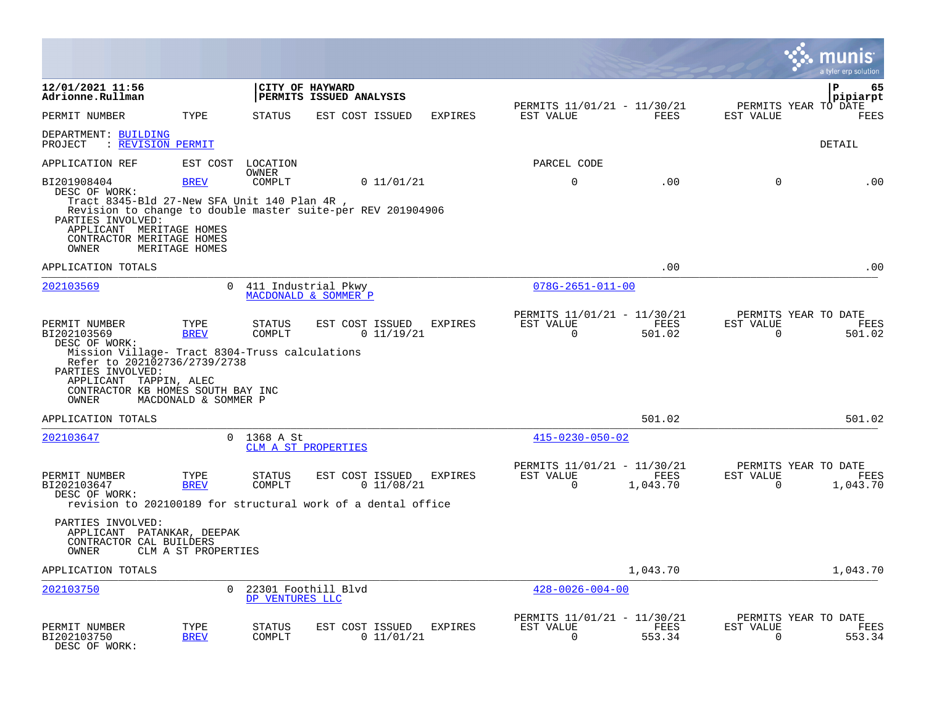|                                                                                                                                                                                                                              |                                             |                         |                                                                                               |                |                                                         |                  |                          | munis<br>a tyler erp solution            |
|------------------------------------------------------------------------------------------------------------------------------------------------------------------------------------------------------------------------------|---------------------------------------------|-------------------------|-----------------------------------------------------------------------------------------------|----------------|---------------------------------------------------------|------------------|--------------------------|------------------------------------------|
| 12/01/2021 11:56<br>Adrionne.Rullman                                                                                                                                                                                         |                                             |                         | CITY OF HAYWARD<br>PERMITS ISSUED ANALYSIS                                                    |                |                                                         |                  |                          | $\mathbf{P}$<br>65<br>pipiarpt           |
| PERMIT NUMBER                                                                                                                                                                                                                | TYPE                                        | <b>STATUS</b>           | EST COST ISSUED                                                                               | <b>EXPIRES</b> | PERMITS 11/01/21 - 11/30/21<br>EST VALUE                | FEES             | EST VALUE                | PERMITS YEAR TO DATE<br><b>FEES</b>      |
| DEPARTMENT: BUILDING<br>: REVISION PERMIT<br>PROJECT                                                                                                                                                                         |                                             |                         |                                                                                               |                |                                                         |                  |                          | <b>DETAIL</b>                            |
| APPLICATION REF                                                                                                                                                                                                              | EST COST                                    | LOCATION                |                                                                                               |                | PARCEL CODE                                             |                  |                          |                                          |
| BI201908404<br>DESC OF WORK:<br>Tract 8345-Bld 27-New SFA Unit 140 Plan 4R,<br>PARTIES INVOLVED:<br>APPLICANT MERITAGE HOMES<br>CONTRACTOR MERITAGE HOMES<br><b>OWNER</b>                                                    | <b>BREV</b><br>MERITAGE HOMES               | OWNER<br>COMPLT         | 0 11/01/21<br>Revision to change to double master suite-per REV 201904906                     |                | $\mathsf 0$                                             | .00              | $\mathbf 0$              | .00                                      |
| APPLICATION TOTALS                                                                                                                                                                                                           |                                             |                         |                                                                                               |                |                                                         | .00              |                          | .00                                      |
| 202103569                                                                                                                                                                                                                    | $\Omega$                                    |                         | 411 Industrial Pkwy<br>MACDONALD & SOMMER P                                                   |                | $078G - 2651 - 011 - 00$                                |                  |                          |                                          |
| PERMIT NUMBER<br>BI202103569<br>DESC OF WORK:<br>Mission Village- Tract 8304-Truss calculations<br>Refer to 202102736/2739/2738<br>PARTIES INVOLVED:<br>APPLICANT TAPPIN, ALEC<br>CONTRACTOR KB HOMES SOUTH BAY INC<br>OWNER | TYPE<br><b>BREV</b><br>MACDONALD & SOMMER P | <b>STATUS</b><br>COMPLT | EST COST ISSUED<br>0 11/19/21                                                                 | <b>EXPIRES</b> | PERMITS 11/01/21 - 11/30/21<br>EST VALUE<br>$\mathbf 0$ | FEES<br>501.02   | EST VALUE<br>$\Omega$    | PERMITS YEAR TO DATE<br>FEES<br>501.02   |
| APPLICATION TOTALS                                                                                                                                                                                                           |                                             |                         |                                                                                               |                |                                                         | 501.02           |                          | 501.02                                   |
| 202103647                                                                                                                                                                                                                    | $\Omega$                                    | 1368 A St               | CLM A ST PROPERTIES                                                                           |                | $415 - 0230 - 050 - 02$                                 |                  |                          |                                          |
| PERMIT NUMBER<br>BI202103647<br>DESC OF WORK:                                                                                                                                                                                | TYPE<br><b>BREV</b>                         | STATUS<br>COMPLT        | EST COST ISSUED<br>0 11/08/21<br>revision to 202100189 for structural work of a dental office | EXPIRES        | PERMITS 11/01/21 - 11/30/21<br>EST VALUE<br>$\mathbf 0$ | FEES<br>1,043.70 | EST VALUE<br>$\mathbf 0$ | PERMITS YEAR TO DATE<br>FEES<br>1,043.70 |
| PARTIES INVOLVED:<br>APPLICANT PATANKAR, DEEPAK<br>CONTRACTOR CAL BUILDERS<br>OWNER                                                                                                                                          | CLM A ST PROPERTIES                         |                         |                                                                                               |                |                                                         |                  |                          |                                          |
| APPLICATION TOTALS                                                                                                                                                                                                           |                                             |                         |                                                                                               |                |                                                         | 1,043.70         |                          | 1,043.70                                 |
| 202103750                                                                                                                                                                                                                    | $\Omega$                                    | DP VENTURES LLC         | 22301 Foothill Blvd                                                                           |                | $428 - 0026 - 004 - 00$                                 |                  |                          |                                          |
| PERMIT NUMBER<br>BI202103750<br>DESC OF WORK:                                                                                                                                                                                | TYPE<br><b>BREV</b>                         | STATUS<br>COMPLT        | EST COST ISSUED<br>0 11/01/21                                                                 | <b>EXPIRES</b> | PERMITS 11/01/21 - 11/30/21<br>EST VALUE<br>$\Omega$    | FEES<br>553.34   | EST VALUE<br>$\Omega$    | PERMITS YEAR TO DATE<br>FEES<br>553.34   |

 $\bullet$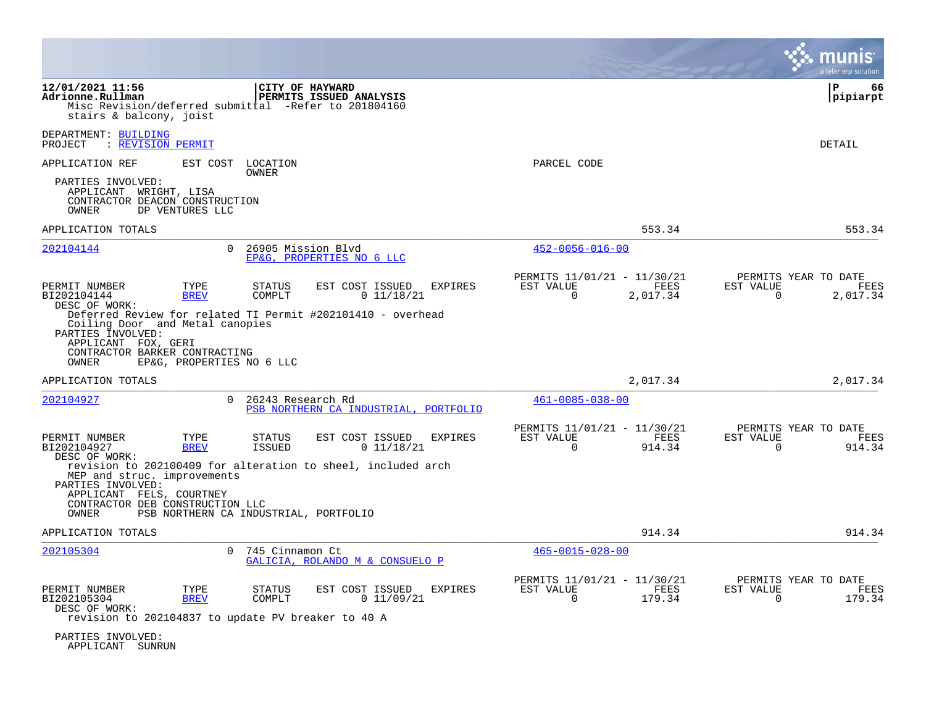|                                                                                                                                                                        |                                                  |                                |                                                                                                                 |                                                         |                  | a tyler erp solution                                                 |
|------------------------------------------------------------------------------------------------------------------------------------------------------------------------|--------------------------------------------------|--------------------------------|-----------------------------------------------------------------------------------------------------------------|---------------------------------------------------------|------------------|----------------------------------------------------------------------|
| 12/01/2021 11:56<br>Adrionne.Rullman<br>stairs & balcony, joist                                                                                                        |                                                  |                                | CITY OF HAYWARD<br>PERMITS ISSUED ANALYSIS<br>Misc Revision/deferred submittal -Refer to 201804160              |                                                         |                  | P<br>66<br> pipiarpt                                                 |
| DEPARTMENT: BUILDING<br>: REVISION PERMIT<br>PROJECT                                                                                                                   |                                                  |                                |                                                                                                                 |                                                         |                  | DETAIL                                                               |
| APPLICATION REF<br>PARTIES INVOLVED:<br>APPLICANT WRIGHT, LISA<br>CONTRACTOR DEACON CONSTRUCTION<br>OWNER                                                              | EST COST<br>DP VENTURES LLC                      | LOCATION<br>OWNER              |                                                                                                                 | PARCEL CODE                                             |                  |                                                                      |
| APPLICATION TOTALS                                                                                                                                                     |                                                  |                                |                                                                                                                 |                                                         | 553.34           | 553.34                                                               |
| 202104144                                                                                                                                                              | $\Omega$                                         | 26905 Mission Blvd             | EP&G, PROPERTIES NO 6 LLC                                                                                       | $452 - 0056 - 016 - 00$                                 |                  |                                                                      |
| PERMIT NUMBER<br>BI202104144<br>DESC OF WORK:<br>Coiling Door and Metal canopies<br>PARTIES INVOLVED:<br>APPLICANT FOX, GERI<br>CONTRACTOR BARKER CONTRACTING<br>OWNER | TYPE<br><b>BREV</b><br>EP&G, PROPERTIES NO 6 LLC | <b>STATUS</b><br>COMPLT        | EST COST ISSUED<br><b>EXPIRES</b><br>0 11/18/21<br>Deferred Review for related TI Permit #202101410 - overhead  | PERMITS 11/01/21 - 11/30/21<br>EST VALUE<br>$\mathbf 0$ | FEES<br>2,017.34 | PERMITS YEAR TO DATE<br>EST VALUE<br>FEES<br>$\mathbf 0$<br>2,017.34 |
| APPLICATION TOTALS                                                                                                                                                     |                                                  |                                |                                                                                                                 |                                                         | 2,017.34         | 2,017.34                                                             |
| 202104927                                                                                                                                                              | $\Omega$                                         | 26243 Research Rd              | PSB NORTHERN CA INDUSTRIAL, PORTFOLIO                                                                           | $461 - 0085 - 038 - 00$                                 |                  |                                                                      |
| PERMIT NUMBER<br>BI202104927<br>DESC OF WORK:<br>MEP and struc. improvements<br>PARTIES INVOLVED:<br>APPLICANT FELS, COURTNEY<br>CONTRACTOR DEB CONSTRUCTION LLC       | TYPE<br><b>BREV</b>                              | <b>STATUS</b><br><b>ISSUED</b> | EST COST ISSUED<br><b>EXPIRES</b><br>0 11/18/21<br>revision to 202100409 for alteration to sheel, included arch | PERMITS 11/01/21 - 11/30/21<br>EST VALUE<br>0           | FEES<br>914.34   | PERMITS YEAR TO DATE<br>EST VALUE<br>FEES<br>914.34<br>0             |
| OWNER                                                                                                                                                                  | PSB NORTHERN CA INDUSTRIAL, PORTFOLIO            |                                |                                                                                                                 |                                                         |                  |                                                                      |
| APPLICATION TOTALS                                                                                                                                                     |                                                  |                                |                                                                                                                 |                                                         | 914.34           | 914.34                                                               |
| 202105304                                                                                                                                                              | $\Omega$                                         | 745 Cinnamon Ct                | GALICIA, ROLANDO M & CONSUELO P                                                                                 | $465 - 0015 - 028 - 00$                                 |                  |                                                                      |
| PERMIT NUMBER<br>BI202105304<br>DESC OF WORK:<br>revision to 202104837 to update PV breaker to 40 A                                                                    | TYPE<br><b>BREV</b>                              | <b>STATUS</b><br>COMPLT        | EST COST ISSUED<br>EXPIRES<br>0 11/09/21                                                                        | PERMITS 11/01/21 - 11/30/21<br>EST VALUE<br>$\mathbf 0$ | FEES<br>179.34   | PERMITS YEAR TO DATE<br>EST VALUE<br>FEES<br>179.34<br>$\mathbf 0$   |
| PARTIES INVOLVED:<br>APPLICANT SUNRUN                                                                                                                                  |                                                  |                                |                                                                                                                 |                                                         |                  |                                                                      |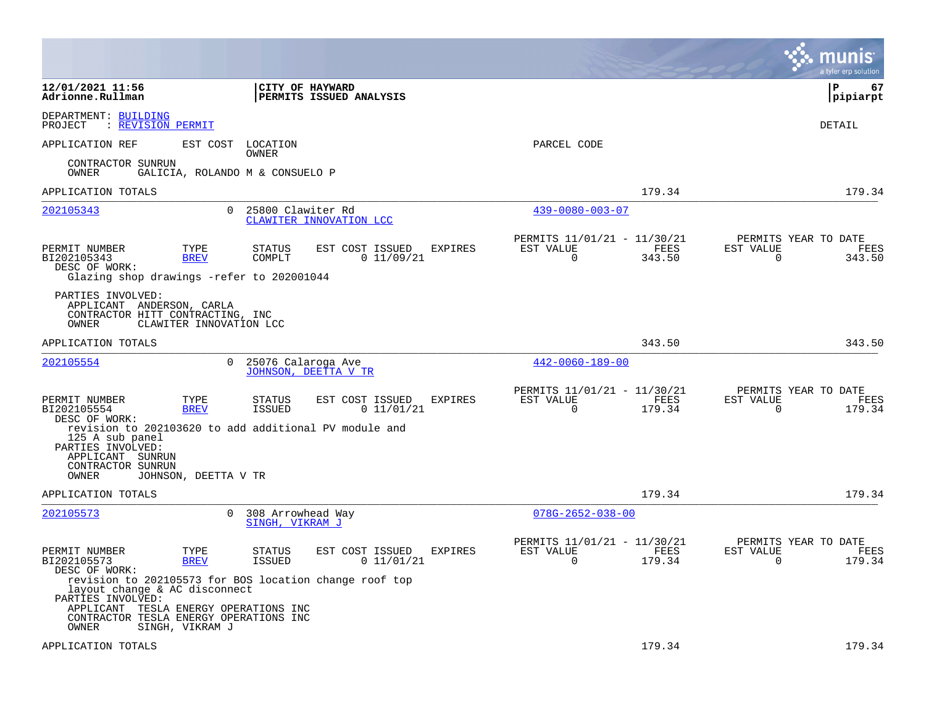|                                                                                                                                                                   |                                                                                                                                      |                                                                           | munis<br>a tyler erp solution                                   |
|-------------------------------------------------------------------------------------------------------------------------------------------------------------------|--------------------------------------------------------------------------------------------------------------------------------------|---------------------------------------------------------------------------|-----------------------------------------------------------------|
| 12/01/2021 11:56<br>Adrionne.Rullman                                                                                                                              | <b>CITY OF HAYWARD</b><br>PERMITS ISSUED ANALYSIS                                                                                    |                                                                           | l P<br>67<br> pipiarpt                                          |
| DEPARTMENT: BUILDING<br>PROJECT<br>: REVISION PERMIT                                                                                                              |                                                                                                                                      |                                                                           | DETAIL                                                          |
| EST COST<br>APPLICATION REF                                                                                                                                       | LOCATION<br>OWNER                                                                                                                    | PARCEL CODE                                                               |                                                                 |
| CONTRACTOR SUNRUN<br>OWNER                                                                                                                                        | GALICIA, ROLANDO M & CONSUELO P                                                                                                      |                                                                           |                                                                 |
| APPLICATION TOTALS                                                                                                                                                |                                                                                                                                      | 179.34                                                                    | 179.34                                                          |
| 202105343                                                                                                                                                         | 25800 Clawiter Rd<br>$\Omega$<br>CLAWITER INNOVATION LCC                                                                             | $439 - 0080 - 003 - 07$                                                   |                                                                 |
| PERMIT NUMBER<br>TYPE<br>BI202105343<br><b>BREV</b><br>DESC OF WORK:<br>Glazing shop drawings -refer to 202001044                                                 | <b>STATUS</b><br>EST COST ISSUED<br><b>EXPIRES</b><br>0 11/09/21<br>COMPLT                                                           | PERMITS 11/01/21 - 11/30/21<br>EST VALUE<br>FEES<br>$\Omega$<br>343.50    | PERMITS YEAR TO DATE<br>EST VALUE<br>FEES<br>$\Omega$<br>343.50 |
| PARTIES INVOLVED:<br>APPLICANT ANDERSON, CARLA<br>CONTRACTOR HITT CONTRACTING, INC<br>OWNER<br>CLAWITER INNOVATION LCC                                            |                                                                                                                                      |                                                                           |                                                                 |
| APPLICATION TOTALS                                                                                                                                                |                                                                                                                                      | 343.50                                                                    | 343.50                                                          |
| 202105554                                                                                                                                                         | 0<br>25076 Calaroga Ave<br>JOHNSON, DEETTA V TR                                                                                      | $442 - 0060 - 189 - 00$                                                   |                                                                 |
| PERMIT NUMBER<br>TYPE<br>BI202105554<br><b>BREV</b><br>DESC OF WORK:<br>125 A sub panel                                                                           | EST COST ISSUED<br>EXPIRES<br>STATUS<br><b>ISSUED</b><br>0 11/01/21<br>revision to 202103620 to add additional PV module and         | PERMITS 11/01/21 - 11/30/21<br>FEES<br>EST VALUE<br>$\mathbf 0$<br>179.34 | PERMITS YEAR TO DATE<br>EST VALUE<br>FEES<br>$\Omega$<br>179.34 |
| PARTIES INVOLVED:<br>APPLICANT SUNRUN<br>CONTRACTOR SUNRUN<br>OWNER<br>JOHNSON, DEETTA V TR                                                                       |                                                                                                                                      |                                                                           |                                                                 |
| APPLICATION TOTALS                                                                                                                                                |                                                                                                                                      | 179.34                                                                    | 179.34                                                          |
| 202105573                                                                                                                                                         | 0<br>308 Arrowhead Way<br>SINGH, VIKRAM J                                                                                            | $078G - 2652 - 038 - 00$                                                  |                                                                 |
| TYPE<br>PERMIT NUMBER<br>BI202105573<br><b>BREV</b><br>DESC OF WORK:                                                                                              | EST COST ISSUED<br><b>STATUS</b><br>EXPIRES<br><b>ISSUED</b><br>0 11/01/21<br>revision to 202105573 for BOS location change roof top | PERMITS 11/01/21 - 11/30/21<br>EST VALUE<br>FEES<br>$\Omega$<br>179.34    | PERMITS YEAR TO DATE<br>EST VALUE<br>FEES<br>$\Omega$<br>179.34 |
| layout change & AC disconnect<br>PARTIES INVOLVED:<br>APPLICANT TESLA ENERGY OPERATIONS INC<br>CONTRACTOR TESLA ENERGY OPERATIONS INC<br>OWNER<br>SINGH, VIKRAM J |                                                                                                                                      |                                                                           |                                                                 |
| APPLICATION TOTALS                                                                                                                                                |                                                                                                                                      | 179.34                                                                    | 179.34                                                          |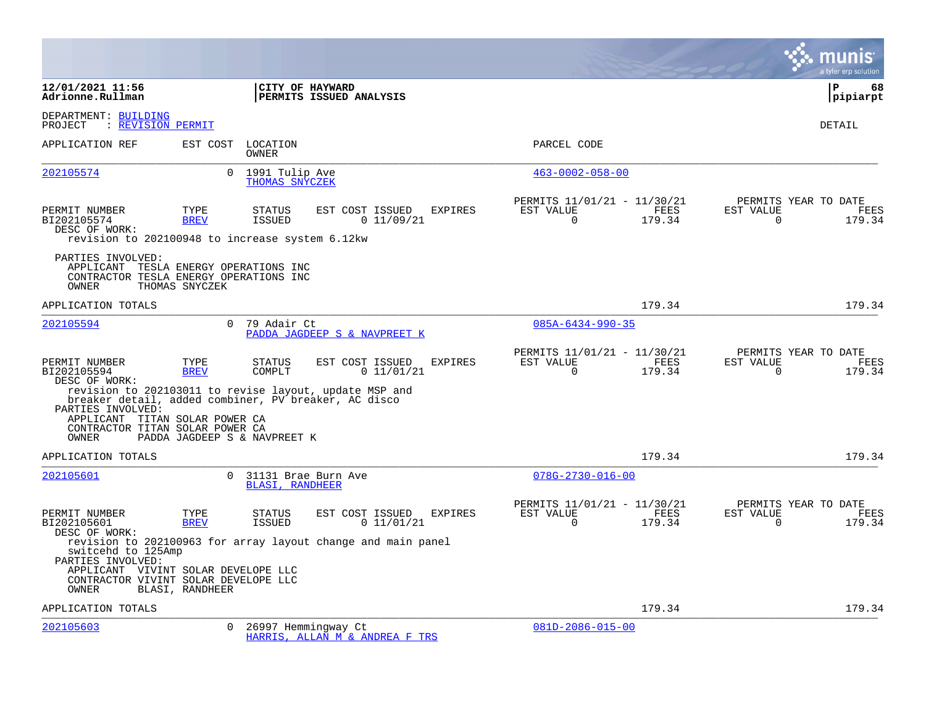|                                                                                                                                 |                     |                                               |                                                                                         |                |                                                         |                       |                       | a tyler erp solution                   |
|---------------------------------------------------------------------------------------------------------------------------------|---------------------|-----------------------------------------------|-----------------------------------------------------------------------------------------|----------------|---------------------------------------------------------|-----------------------|-----------------------|----------------------------------------|
| 12/01/2021 11:56<br>Adrionne.Rullman                                                                                            |                     | CITY OF HAYWARD                               | <b>PERMITS ISSUED ANALYSIS</b>                                                          |                |                                                         |                       |                       | l P<br>68<br> pipiarpt                 |
| DEPARTMENT: BUILDING<br>: REVISION PERMIT<br>PROJECT                                                                            |                     |                                               |                                                                                         |                |                                                         |                       |                       | <b>DETAIL</b>                          |
| APPLICATION REF                                                                                                                 | EST COST            | LOCATION<br>OWNER                             |                                                                                         |                | PARCEL CODE                                             |                       |                       |                                        |
| 202105574                                                                                                                       | $\Omega$            | 1991 Tulip Ave<br>THOMAS SNYCZEK              |                                                                                         |                | $463 - 0002 - 058 - 00$                                 |                       |                       |                                        |
| PERMIT NUMBER<br>BI202105574<br>DESC OF WORK:<br>revision to 202100948 to increase system 6.12kw                                | TYPE<br><b>BREV</b> | <b>STATUS</b><br>ISSUED                       | EST COST ISSUED<br>0 11/09/21                                                           | <b>EXPIRES</b> | PERMITS 11/01/21 - 11/30/21<br>EST VALUE<br>$\mathbf 0$ | FEES<br>179.34        | EST VALUE<br>$\Omega$ | PERMITS YEAR TO DATE<br>FEES<br>179.34 |
| PARTIES INVOLVED:<br>APPLICANT TESLA ENERGY OPERATIONS INC<br>CONTRACTOR TESLA ENERGY OPERATIONS INC<br>OWNER                   | THOMAS SNYCZEK      |                                               |                                                                                         |                |                                                         |                       |                       |                                        |
| APPLICATION TOTALS                                                                                                              |                     |                                               |                                                                                         |                |                                                         | 179.34                |                       | 179.34                                 |
| 202105594                                                                                                                       | $\Omega$            | 79 Adair Ct                                   | PADDA JAGDEEP S & NAVPREET K                                                            |                | $085A - 6434 - 990 - 35$                                |                       |                       |                                        |
| PERMIT NUMBER<br>BI202105594<br>DESC OF WORK:<br>breaker detail, added combiner, PV breaker, AC disco<br>PARTIES INVOLVED:      | TYPE<br><b>BREV</b> | STATUS<br>COMPLT                              | EST COST ISSUED<br>0 11/01/21<br>revision to 202103011 to revise layout, update MSP and | <b>EXPIRES</b> | PERMITS 11/01/21 - 11/30/21<br>EST VALUE<br>$\Omega$    | <b>FEES</b><br>179.34 | EST VALUE<br>$\Omega$ | PERMITS YEAR TO DATE<br>FEES<br>179.34 |
| APPLICANT TITAN SOLAR POWER CA<br>CONTRACTOR TITAN SOLAR POWER CA<br>OWNER                                                      |                     | PADDA JAGDEEP S & NAVPREET K                  |                                                                                         |                |                                                         |                       |                       |                                        |
| APPLICATION TOTALS                                                                                                              |                     |                                               |                                                                                         |                |                                                         | 179.34                |                       | 179.34                                 |
| 202105601                                                                                                                       | $\Omega$            | 31131 Brae Burn Ave<br><b>BLASI, RANDHEER</b> |                                                                                         |                | $078G - 2730 - 016 - 00$                                |                       |                       |                                        |
| PERMIT NUMBER<br>BI202105601<br>DESC OF WORK:                                                                                   | TYPE<br><b>BREV</b> | <b>STATUS</b><br>ISSUED                       | EST COST ISSUED<br>0 11/01/21                                                           | <b>EXPIRES</b> | PERMITS 11/01/21 - 11/30/21<br>EST VALUE<br>$\Omega$    | FEES<br>179.34        | EST VALUE<br>$\Omega$ | PERMITS YEAR TO DATE<br>FEES<br>179.34 |
| switcehd to 125Amp<br>PARTIES INVOLVED:<br>APPLICANT VIVINT SOLAR DEVELOPE LLC<br>CONTRACTOR VIVINT SOLAR DEVELOPE LLC<br>OWNER | BLASI, RANDHEER     |                                               | revision to 202100963 for array layout change and main panel                            |                |                                                         |                       |                       |                                        |
| APPLICATION TOTALS                                                                                                              |                     |                                               |                                                                                         |                |                                                         | 179.34                |                       | 179.34                                 |
| 202105603                                                                                                                       | $\Omega$            | 26997 Hemmingway Ct                           | HARRIS, ALLAN M & ANDREA F TRS                                                          |                | $081D - 2086 - 015 - 00$                                |                       |                       |                                        |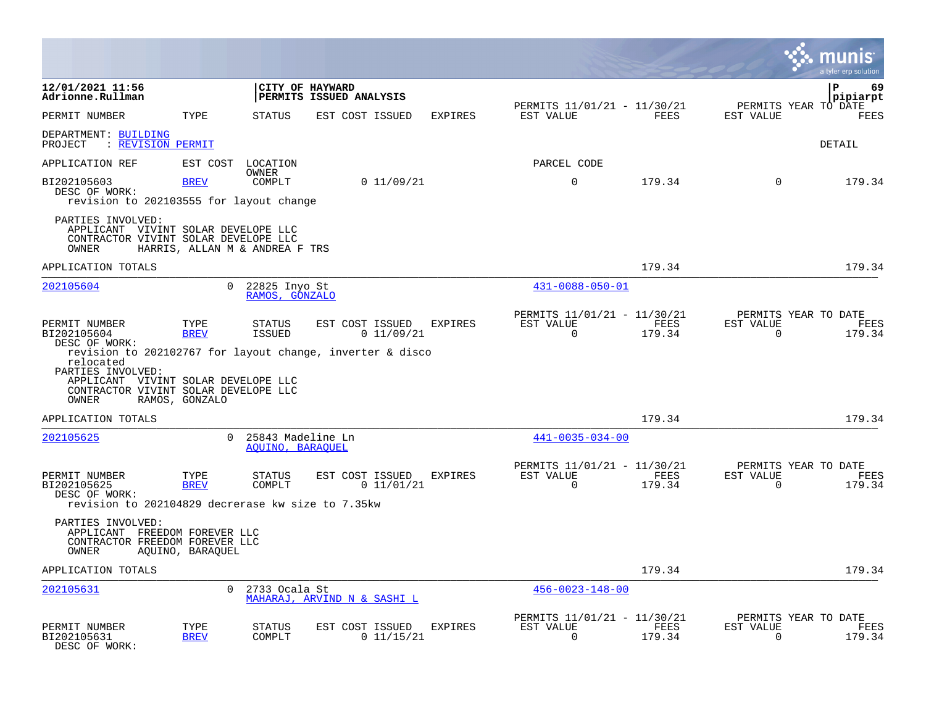|                                                                                                           |                     |                                       |                                                                                            |         |                                                         |                |                                               | a tyler erp solutior |
|-----------------------------------------------------------------------------------------------------------|---------------------|---------------------------------------|--------------------------------------------------------------------------------------------|---------|---------------------------------------------------------|----------------|-----------------------------------------------|----------------------|
| 12/01/2021 11:56<br>Adrionne.Rullman                                                                      |                     | CITY OF HAYWARD                       | PERMITS ISSUED ANALYSIS                                                                    |         |                                                         |                |                                               | P<br>69<br>pipiarpt  |
| PERMIT NUMBER                                                                                             | TYPE                | STATUS                                | EST COST ISSUED                                                                            | EXPIRES | PERMITS 11/01/21 - 11/30/21<br>EST VALUE                | FEES           | PERMITS YEAR TO DATE<br>EST VALUE             | FEES                 |
| DEPARTMENT: BUILDING<br>PROJECT<br>: REVISION PERMIT                                                      |                     |                                       |                                                                                            |         |                                                         |                |                                               | DETAIL               |
| APPLICATION REF                                                                                           | EST COST            | LOCATION                              |                                                                                            |         | PARCEL CODE                                             |                |                                               |                      |
| BI202105603<br>DESC OF WORK:<br>revision to 202103555 for layout change                                   | <b>BREV</b>         | OWNER<br>COMPLT                       | 0 11/09/21                                                                                 |         | $\mathbf 0$                                             | 179.34         | $\mathbf 0$                                   | 179.34               |
| PARTIES INVOLVED:<br>APPLICANT VIVINT SOLAR DEVELOPE LLC<br>CONTRACTOR VIVINT SOLAR DEVELOPE LLC<br>OWNER |                     | HARRIS, ALLAN M & ANDREA F TRS        |                                                                                            |         |                                                         |                |                                               |                      |
| APPLICATION TOTALS                                                                                        |                     |                                       |                                                                                            |         |                                                         | 179.34         |                                               | 179.34               |
| 202105604                                                                                                 | $\Omega$            | 22825 Inyo St<br>RAMOS, GONZALO       |                                                                                            |         | $431 - 0088 - 050 - 01$                                 |                |                                               |                      |
| PERMIT NUMBER<br>BI202105604<br>DESC OF WORK:<br>relocated                                                | TYPE<br><b>BREV</b> | STATUS<br><b>ISSUED</b>               | EST COST ISSUED<br>0 11/09/21<br>revision to 202102767 for layout change, inverter & disco | EXPIRES | PERMITS 11/01/21 - 11/30/21<br>EST VALUE<br>$\Omega$    | FEES<br>179.34 | PERMITS YEAR TO DATE<br>EST VALUE<br>$\Omega$ | FEES<br>179.34       |
| PARTIES INVOLVED:<br>APPLICANT VIVINT SOLAR DEVELOPE LLC<br>CONTRACTOR VIVINT SOLAR DEVELOPE LLC<br>OWNER | RAMOS, GONZALO      |                                       |                                                                                            |         |                                                         |                |                                               |                      |
| APPLICATION TOTALS                                                                                        |                     |                                       |                                                                                            |         |                                                         | 179.34         |                                               | 179.34               |
| 202105625                                                                                                 |                     | 25843 Madeline Ln<br>AQUINO, BARAQUEL |                                                                                            |         | $441 - 0035 - 034 - 00$                                 |                |                                               |                      |
| PERMIT NUMBER<br>BI202105625<br>DESC OF WORK:<br>revision to 202104829 decrerase kw size to 7.35kw        | TYPE<br><b>BREV</b> | STATUS<br>COMPLT                      | EST COST ISSUED<br>0 11/01/21                                                              | EXPIRES | PERMITS 11/01/21 - 11/30/21<br>EST VALUE<br>$\Omega$    | FEES<br>179.34 | PERMITS YEAR TO DATE<br>EST VALUE<br>$\Omega$ | FEES<br>179.34       |
| PARTIES INVOLVED:<br>APPLICANT FREEDOM FOREVER LLC<br>CONTRACTOR FREEDOM FOREVER LLC<br>OWNER             | AQUINO, BARAQUEL    |                                       |                                                                                            |         |                                                         |                |                                               |                      |
| APPLICATION TOTALS                                                                                        |                     |                                       |                                                                                            |         |                                                         | 179.34         |                                               | 179.34               |
| 202105631                                                                                                 | $\Omega$            | 2733 Ocala St                         | MAHARAJ, ARVIND N & SASHI L                                                                |         | $456 - 0023 - 148 - 00$                                 |                |                                               |                      |
| PERMIT NUMBER<br>BI202105631<br>DESC OF WORK:                                                             | TYPE<br><b>BREV</b> | STATUS<br>COMPLT                      | EST COST ISSUED<br>0 11/15/21                                                              | EXPIRES | PERMITS 11/01/21 - 11/30/21<br>EST VALUE<br>$\mathbf 0$ | FEES<br>179.34 | PERMITS YEAR TO DATE<br>EST VALUE<br>$\Omega$ | FEES<br>179.34       |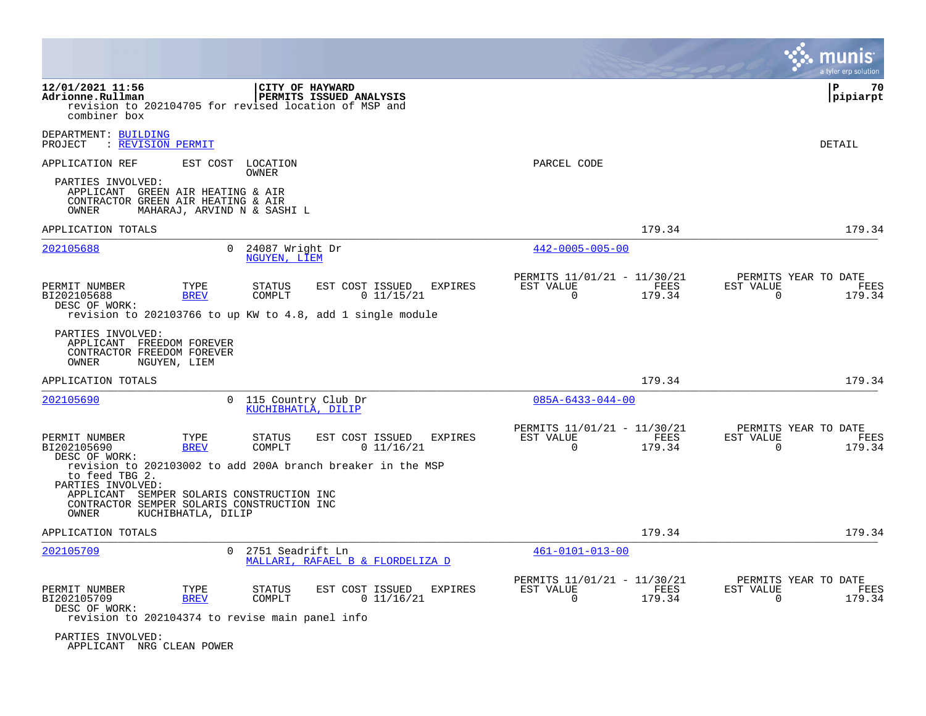|                                                                                                               |                                                       |                                 |                                                             |         |                                                      |                |                       | a tyler erp solution                   |
|---------------------------------------------------------------------------------------------------------------|-------------------------------------------------------|---------------------------------|-------------------------------------------------------------|---------|------------------------------------------------------|----------------|-----------------------|----------------------------------------|
| 12/01/2021 11:56<br>Adrionne.Rullman<br>revision to 202104705 for revised location of MSP and<br>combiner box |                                                       |                                 | CITY OF HAYWARD<br>PERMITS ISSUED ANALYSIS                  |         |                                                      |                |                       | P<br>70<br> pipiarpt                   |
| DEPARTMENT: BUILDING<br>PROJECT<br>: REVISION PERMIT                                                          |                                                       |                                 |                                                             |         |                                                      |                |                       | DETAIL                                 |
| APPLICATION REF                                                                                               |                                                       | EST COST LOCATION<br>OWNER      |                                                             |         | PARCEL CODE                                          |                |                       |                                        |
| PARTIES INVOLVED:<br>APPLICANT GREEN AIR HEATING & AIR<br>CONTRACTOR GREEN AIR HEATING & AIR<br>OWNER         | MAHARAJ, ARVIND N & SASHI L                           |                                 |                                                             |         |                                                      |                |                       |                                        |
| APPLICATION TOTALS                                                                                            |                                                       |                                 |                                                             |         |                                                      | 179.34         |                       | 179.34                                 |
| 202105688                                                                                                     | $\Omega$                                              | 24087 Wright Dr<br>NGUYEN, LIEM |                                                             |         | $442 - 0005 - 005 - 00$                              |                |                       |                                        |
| PERMIT NUMBER<br>BI202105688<br>DESC OF WORK:                                                                 | TYPE<br><b>BREV</b>                                   | <b>STATUS</b><br>COMPLT         | EST COST ISSUED<br>0 11/15/21                               | EXPIRES | PERMITS 11/01/21 - 11/30/21<br>EST VALUE<br>$\Omega$ | FEES<br>179.34 | EST VALUE<br>$\Omega$ | PERMITS YEAR TO DATE<br>FEES<br>179.34 |
|                                                                                                               |                                                       |                                 | revision to 202103766 to up KW to 4.8, add 1 single module  |         |                                                      |                |                       |                                        |
| PARTIES INVOLVED:<br>APPLICANT FREEDOM FOREVER<br>CONTRACTOR FREEDOM FOREVER<br>OWNER                         | NGUYEN, LIEM                                          |                                 |                                                             |         |                                                      |                |                       |                                        |
| APPLICATION TOTALS                                                                                            |                                                       |                                 |                                                             |         |                                                      | 179.34         |                       | 179.34                                 |
| 202105690                                                                                                     | $\Omega$                                              | KUCHIBHATLA, DILIP              | 115 Country Club Dr                                         |         | $085A - 6433 - 044 - 00$                             |                |                       |                                        |
| PERMIT NUMBER<br>BI202105690                                                                                  | TYPE<br><b>BREV</b>                                   | STATUS<br>COMPLT                | EST COST ISSUED<br>0 11/16/21                               | EXPIRES | PERMITS 11/01/21 - 11/30/21<br>EST VALUE<br>$\Omega$ | FEES<br>179.34 | EST VALUE<br>$\Omega$ | PERMITS YEAR TO DATE<br>FEES<br>179.34 |
| DESC OF WORK:<br>to feed TBG 2.                                                                               |                                                       |                                 | revision to 202103002 to add 200A branch breaker in the MSP |         |                                                      |                |                       |                                        |
| PARTIES INVOLVED:<br>APPLICANT<br>CONTRACTOR SEMPER SOLARIS CONSTRUCTION INC<br>OWNER                         | SEMPER SOLARIS CONSTRUCTION INC<br>KUCHIBHATLA, DILIP |                                 |                                                             |         |                                                      |                |                       |                                        |
| APPLICATION TOTALS                                                                                            |                                                       |                                 |                                                             |         |                                                      | 179.34         |                       | 179.34                                 |
| 202105709                                                                                                     | $\Omega$                                              | 2751 Seadrift Ln                | MALLARI, RAFAEL B & FLORDELIZA D                            |         | $461 - 0101 - 013 - 00$                              |                |                       |                                        |
| PERMIT NUMBER<br>BI202105709<br>DESC OF WORK:<br>revision to 202104374 to revise main panel info              | TYPE<br><b>BREV</b>                                   | STATUS<br>COMPLT                | EST COST ISSUED<br>0 11/16/21                               | EXPIRES | PERMITS 11/01/21 - 11/30/21<br>EST VALUE<br>0        | FEES<br>179.34 | EST VALUE<br>0        | PERMITS YEAR TO DATE<br>FEES<br>179.34 |
| PARTIES INVOLVED:                                                                                             |                                                       |                                 |                                                             |         |                                                      |                |                       |                                        |

APPLICANT NRG CLEAN POWER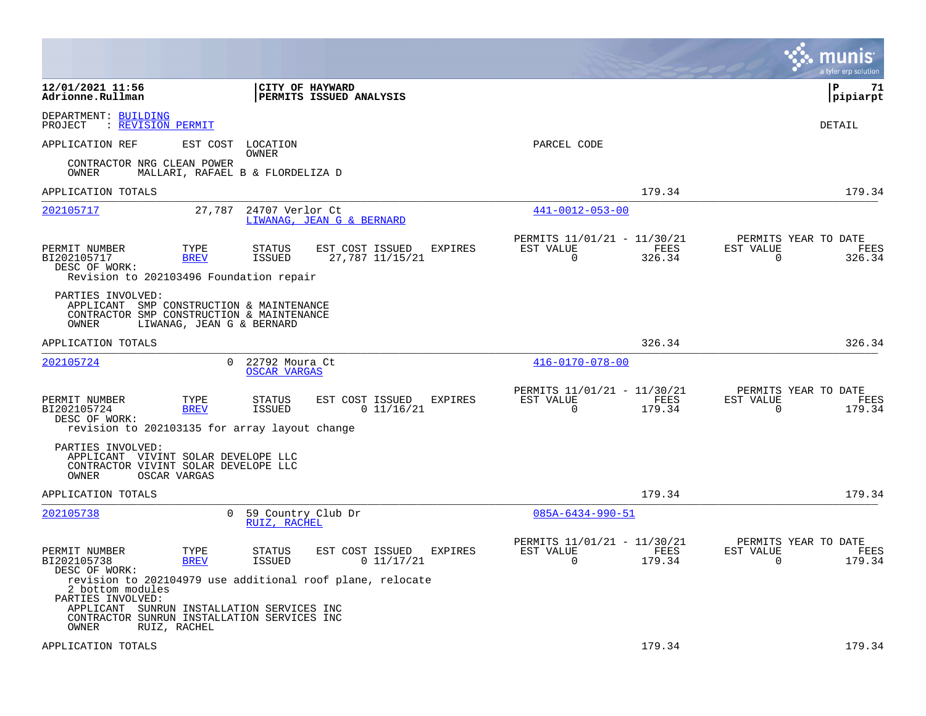|                                                                   |                                                                                                                    |                                                                                                              |                                                                        | a tyler erp solution                                            |
|-------------------------------------------------------------------|--------------------------------------------------------------------------------------------------------------------|--------------------------------------------------------------------------------------------------------------|------------------------------------------------------------------------|-----------------------------------------------------------------|
| 12/01/2021 11:56<br>Adrionne.Rullman                              |                                                                                                                    | CITY OF HAYWARD<br><b>PERMITS ISSUED ANALYSIS</b>                                                            |                                                                        | l P<br>71<br> pipiarpt                                          |
| DEPARTMENT: BUILDING<br>PROJECT<br>: REVISION PERMIT              |                                                                                                                    |                                                                                                              |                                                                        | DETAIL                                                          |
| APPLICATION REF                                                   | EST COST<br>LOCATION<br>OWNER                                                                                      |                                                                                                              | PARCEL CODE                                                            |                                                                 |
| CONTRACTOR NRG CLEAN POWER<br>OWNER                               | MALLARI, RAFAEL B & FLORDELIZA D                                                                                   |                                                                                                              |                                                                        |                                                                 |
| APPLICATION TOTALS                                                |                                                                                                                    |                                                                                                              | 179.34                                                                 | 179.34                                                          |
| 202105717                                                         | 24707 Verlor Ct<br>27,787                                                                                          | LIWANAG, JEAN G & BERNARD                                                                                    | $441 - 0012 - 053 - 00$                                                |                                                                 |
| PERMIT NUMBER<br>BI202105717<br>DESC OF WORK:                     | TYPE<br><b>STATUS</b><br><b>BREV</b><br>ISSUED<br>Revision to 202103496 Foundation repair                          | EST COST ISSUED<br><b>EXPIRES</b><br>27,787 11/15/21                                                         | PERMITS 11/01/21 - 11/30/21<br>EST VALUE<br>FEES<br>$\Omega$<br>326.34 | PERMITS YEAR TO DATE<br>EST VALUE<br>FEES<br>$\Omega$<br>326.34 |
| PARTIES INVOLVED:<br>OWNER                                        | APPLICANT SMP CONSTRUCTION & MAINTENANCE<br>CONTRACTOR SMP CONSTRUCTION & MAINTENANCE<br>LIWANAG, JEAN G & BERNARD |                                                                                                              |                                                                        |                                                                 |
| APPLICATION TOTALS                                                |                                                                                                                    |                                                                                                              | 326.34                                                                 | 326.34                                                          |
| 202105724                                                         | $\Omega$<br>22792 Moura Ct<br><b>OSCAR VARGAS</b>                                                                  |                                                                                                              | $416 - 0170 - 078 - 00$                                                |                                                                 |
| PERMIT NUMBER<br>BI202105724<br>DESC OF WORK:                     | TYPE<br><b>STATUS</b><br><b>BREV</b><br>ISSUED<br>revision to 202103135 for array layout change                    | EST COST ISSUED<br><b>EXPIRES</b><br>0 11/16/21                                                              | PERMITS 11/01/21 - 11/30/21<br>FEES<br>EST VALUE<br>$\Omega$<br>179.34 | PERMITS YEAR TO DATE<br>FEES<br>EST VALUE<br>$\Omega$<br>179.34 |
| PARTIES INVOLVED:<br>OWNER<br>OSCAR VARGAS                        | APPLICANT VIVINT SOLAR DEVELOPE LLC<br>CONTRACTOR VIVINT SOLAR DEVELOPE LLC                                        |                                                                                                              |                                                                        |                                                                 |
| APPLICATION TOTALS                                                |                                                                                                                    |                                                                                                              | 179.34                                                                 | 179.34                                                          |
| 202105738                                                         | $\overline{0}$<br>59 Country Club Dr<br>RUIZ, RACHEL                                                               |                                                                                                              | 085A-6434-990-51                                                       |                                                                 |
| PERMIT NUMBER<br>BI202105738<br>DESC OF WORK:<br>2 bottom modules | TYPE<br><b>STATUS</b><br>ISSUED<br><b>BREV</b>                                                                     | EST COST ISSUED<br><b>EXPIRES</b><br>0 11/17/21<br>revision to 202104979 use additional roof plane, relocate | PERMITS 11/01/21 - 11/30/21<br>EST VALUE<br>FEES<br>$\Omega$<br>179.34 | PERMITS YEAR TO DATE<br>EST VALUE<br>FEES<br>179.34<br>$\Omega$ |
| PARTIES INVOLVED:<br>OWNER<br>RUIZ, RACHEL                        | APPLICANT SUNRUN INSTALLATION SERVICES INC<br>CONTRACTOR SUNRUN INSTALLATION SERVICES INC                          |                                                                                                              |                                                                        |                                                                 |
| APPLICATION TOTALS                                                |                                                                                                                    |                                                                                                              | 179.34                                                                 | 179.34                                                          |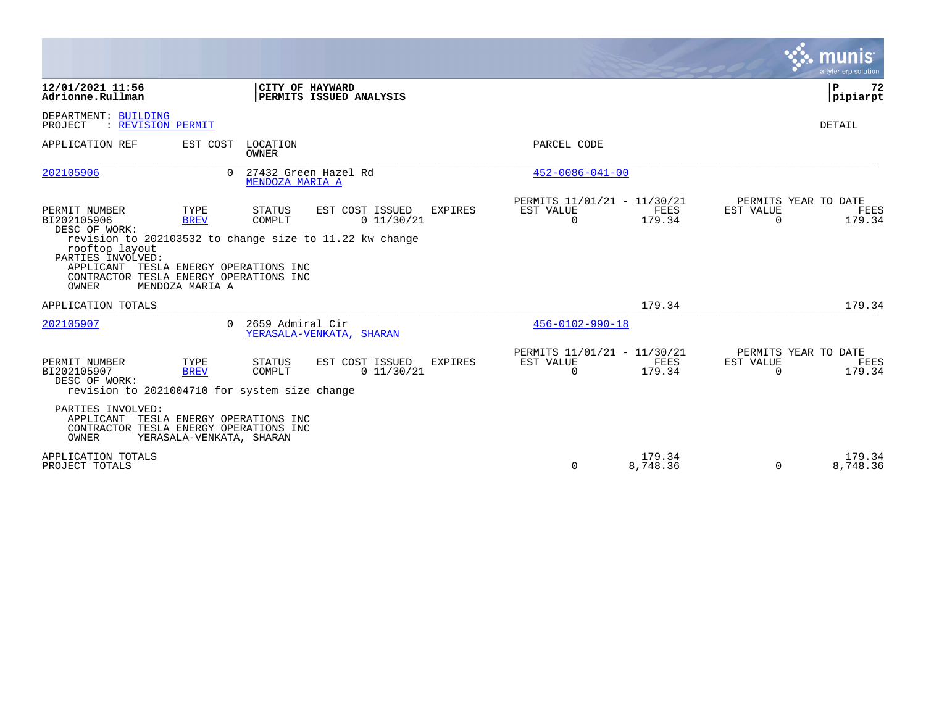|                                                                                                   |                                                         |                          |                                                                                          |                |                                                      |                    |                       | munis<br>a tyler erp solution          |
|---------------------------------------------------------------------------------------------------|---------------------------------------------------------|--------------------------|------------------------------------------------------------------------------------------|----------------|------------------------------------------------------|--------------------|-----------------------|----------------------------------------|
| 12/01/2021 11:56<br>Adrionne.Rullman                                                              |                                                         |                          | CITY OF HAYWARD<br><b>PERMITS ISSUED ANALYSIS</b>                                        |                |                                                      |                    |                       | l P<br>72<br> pipiarpt                 |
| DEPARTMENT: BUILDING<br>: REVISION PERMIT<br>PROJECT                                              |                                                         |                          |                                                                                          |                |                                                      |                    |                       | DETAIL                                 |
| APPLICATION REF                                                                                   | EST COST                                                | LOCATION<br><b>OWNER</b> |                                                                                          |                | PARCEL CODE                                          |                    |                       |                                        |
| 202105906                                                                                         |                                                         | MENDOZA MARIA A          | 0 27432 Green Hazel Rd                                                                   |                | $452 - 0086 - 041 - 00$                              |                    |                       |                                        |
| PERMIT NUMBER<br>BI202105906<br>DESC OF WORK:<br>rooftop layout<br>PARTIES INVOLVED:<br>APPLICANT | TYPE<br><b>BREV</b><br>TESLA ENERGY OPERATIONS INC      | STATUS<br>COMPLT         | EST COST ISSUED<br>0 11/30/21<br>revision to 202103532 to change size to 11.22 kw change | <b>EXPIRES</b> | PERMITS 11/01/21 - 11/30/21<br>EST VALUE<br>$\Omega$ | FEES<br>179.34     | EST VALUE<br>$\Omega$ | PERMITS YEAR TO DATE<br>FEES<br>179.34 |
| CONTRACTOR TESLA ENERGY OPERATIONS INC<br>OWNER                                                   | MENDOZA MARIA A                                         |                          |                                                                                          |                |                                                      |                    |                       |                                        |
| APPLICATION TOTALS                                                                                |                                                         |                          |                                                                                          |                |                                                      | 179.34             |                       | 179.34                                 |
| 202105907                                                                                         | $\cap$                                                  | 2659 Admiral Cir         | YERASALA-VENKATA, SHARAN                                                                 |                | $456 - 0102 - 990 - 18$                              |                    |                       |                                        |
| PERMIT NUMBER<br>BI202105907<br>DESC OF WORK:<br>revision to 2021004710 for system size change    | TYPE<br><b>BREV</b>                                     | STATUS<br>COMPLT         | EST COST ISSUED<br>0 11/30/21                                                            | <b>EXPIRES</b> | PERMITS 11/01/21 - 11/30/21<br>EST VALUE<br>$\Omega$ | FEES<br>179.34     | EST VALUE<br>$\Omega$ | PERMITS YEAR TO DATE<br>FEES<br>179.34 |
| PARTIES INVOLVED:<br>APPLICANT<br>CONTRACTOR TESLA ENERGY OPERATIONS INC<br>OWNER                 | TESLA ENERGY OPERATIONS INC<br>YERASALA-VENKATA, SHARAN |                          |                                                                                          |                |                                                      |                    |                       |                                        |
| APPLICATION TOTALS<br>PROJECT TOTALS                                                              |                                                         |                          |                                                                                          |                | $\Omega$                                             | 179.34<br>8,748.36 | $\Omega$              | 179.34<br>8,748.36                     |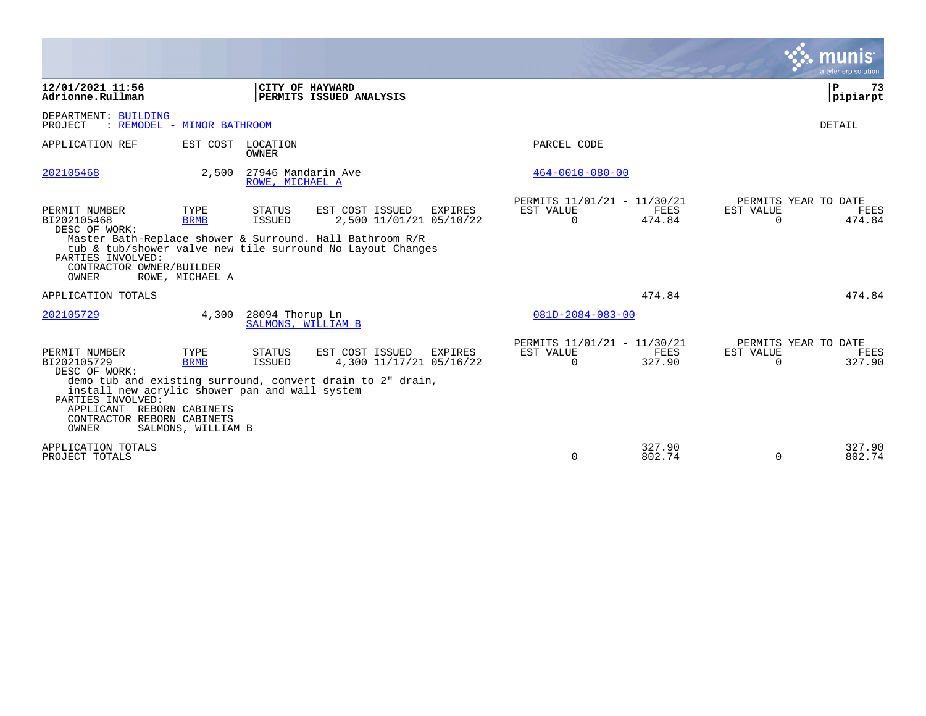|                                                                                                                                                                                          |                                           |                                       |                                                                                                                                                                                 |                                                      |                       |                       | munis<br>a tyler erp solution          |
|------------------------------------------------------------------------------------------------------------------------------------------------------------------------------------------|-------------------------------------------|---------------------------------------|---------------------------------------------------------------------------------------------------------------------------------------------------------------------------------|------------------------------------------------------|-----------------------|-----------------------|----------------------------------------|
| 12/01/2021 11:56<br>Adrionne.Rullman                                                                                                                                                     |                                           |                                       | CITY OF HAYWARD<br>PERMITS ISSUED ANALYSIS                                                                                                                                      |                                                      |                       |                       | ΙP<br>73<br>pipiarpt                   |
| DEPARTMENT: BUILDING<br>PROJECT                                                                                                                                                          | : REMODEL - MINOR BATHROOM                |                                       |                                                                                                                                                                                 |                                                      |                       |                       | <b>DETAIL</b>                          |
| APPLICATION REF                                                                                                                                                                          | EST COST                                  | LOCATION<br>OWNER                     |                                                                                                                                                                                 | PARCEL CODE                                          |                       |                       |                                        |
| 202105468                                                                                                                                                                                | 2,500                                     | 27946 Mandarin Ave<br>ROWE, MICHAEL A |                                                                                                                                                                                 | $464 - 0010 - 080 - 00$                              |                       |                       |                                        |
| PERMIT NUMBER<br>BI202105468<br>DESC OF WORK:<br>PARTIES INVOLVED:<br>CONTRACTOR OWNER/BUILDER<br>OWNER                                                                                  | TYPE<br><b>BRMB</b><br>ROWE, MICHAEL A    | STATUS<br>ISSUED                      | EST COST ISSUED<br>EXPIRES<br>2,500 11/01/21 05/10/22<br>Master Bath-Replace shower & Surround. Hall Bathroom R/R<br>tub & tub/shower valve new tile surround No Layout Changes | PERMITS 11/01/21 - 11/30/21<br>EST VALUE<br>$\Omega$ | <b>FEES</b><br>474.84 | EST VALUE<br>$\Omega$ | PERMITS YEAR TO DATE<br>FEES<br>474.84 |
| APPLICATION TOTALS                                                                                                                                                                       |                                           |                                       |                                                                                                                                                                                 |                                                      | 474.84                |                       | 474.84                                 |
| 202105729                                                                                                                                                                                | 4,300                                     | 28094 Thorup Ln<br>SALMONS, WILLIAM B |                                                                                                                                                                                 | $081D - 2084 - 083 - 00$                             |                       |                       |                                        |
| PERMIT NUMBER<br>BI202105729<br>DESC OF WORK:<br>install new acrylic shower pan and wall system<br>PARTIES INVOLVED:<br>APPLICANT REBORN CABINETS<br>CONTRACTOR REBORN CABINETS<br>OWNER | TYPE<br><b>BRMB</b><br>SALMONS, WILLIAM B | STATUS<br>ISSUED                      | EST COST ISSUED<br>EXPIRES<br>4,300 11/17/21 05/16/22<br>demo tub and existing surround, convert drain to 2" drain,                                                             | PERMITS 11/01/21 - 11/30/21<br>EST VALUE<br>$\Omega$ | <b>FEES</b><br>327.90 | EST VALUE<br>0        | PERMITS YEAR TO DATE<br>FEES<br>327.90 |
| APPLICATION TOTALS<br>PROJECT TOTALS                                                                                                                                                     |                                           |                                       |                                                                                                                                                                                 | $\Omega$                                             | 327.90<br>802.74      | $\Omega$              | 327.90<br>802.74                       |

 $\mathcal{L}^{\text{max}}$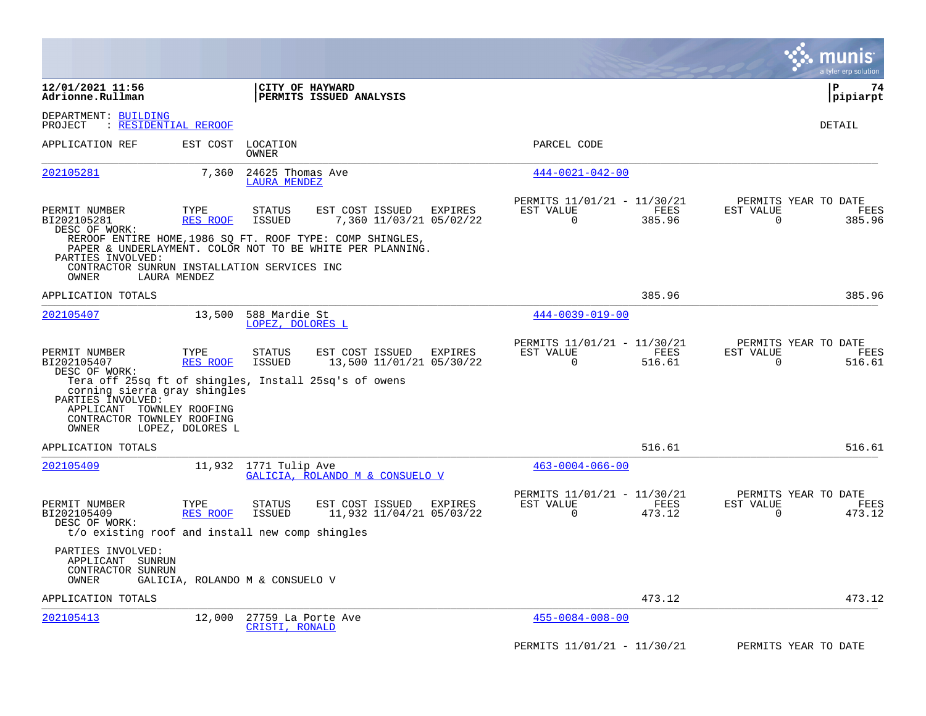|                                                                                                                                                                                |                                 |                                         |                                                                                                                        |                |                                                      |                |                       | a tyler erp solution                   |
|--------------------------------------------------------------------------------------------------------------------------------------------------------------------------------|---------------------------------|-----------------------------------------|------------------------------------------------------------------------------------------------------------------------|----------------|------------------------------------------------------|----------------|-----------------------|----------------------------------------|
| 12/01/2021 11:56<br>Adrionne.Rullman                                                                                                                                           |                                 | CITY OF HAYWARD                         | PERMITS ISSUED ANALYSIS                                                                                                |                |                                                      |                |                       | l P<br>74<br> pipiarpt                 |
| DEPARTMENT: BUILDING<br><b>RESIDENTIAL REROOF</b><br>PROJECT                                                                                                                   |                                 |                                         |                                                                                                                        |                |                                                      |                |                       | DETAIL                                 |
| APPLICATION REF                                                                                                                                                                | EST COST                        | LOCATION<br>OWNER                       |                                                                                                                        |                | PARCEL CODE                                          |                |                       |                                        |
| 202105281                                                                                                                                                                      | 7,360                           | 24625 Thomas Ave<br><b>LAURA MENDEZ</b> |                                                                                                                        |                | $444 - 0021 - 042 - 00$                              |                |                       |                                        |
| PERMIT NUMBER<br>BI202105281<br>DESC OF WORK:                                                                                                                                  | TYPE<br>RES ROOF                | <b>STATUS</b><br>ISSUED                 | EST COST ISSUED<br>7,360 11/03/21 05/02/22                                                                             | EXPIRES        | PERMITS 11/01/21 - 11/30/21<br>EST VALUE<br>$\Omega$ | FEES<br>385.96 | EST VALUE<br>$\Omega$ | PERMITS YEAR TO DATE<br>FEES<br>385.96 |
| PARTIES INVOLVED:                                                                                                                                                              |                                 |                                         | REROOF ENTIRE HOME, 1986 SQ FT. ROOF TYPE: COMP SHINGLES,<br>PAPER & UNDERLAYMENT. COLOR NOT TO BE WHITE PER PLANNING. |                |                                                      |                |                       |                                        |
| CONTRACTOR SUNRUN INSTALLATION SERVICES INC<br>OWNER                                                                                                                           | LAURA MENDEZ                    |                                         |                                                                                                                        |                |                                                      |                |                       |                                        |
| APPLICATION TOTALS                                                                                                                                                             |                                 |                                         |                                                                                                                        |                |                                                      | 385.96         |                       | 385.96                                 |
| 202105407                                                                                                                                                                      | 13,500                          | 588 Mardie St<br>LOPEZ, DOLORES L       |                                                                                                                        |                | $444 - 0039 - 019 - 00$                              |                |                       |                                        |
| PERMIT NUMBER<br>BI202105407<br>DESC OF WORK:                                                                                                                                  | TYPE<br><b>RES ROOF</b>         | <b>STATUS</b><br>ISSUED                 | EST COST ISSUED<br>13,500 11/01/21 05/30/22                                                                            | <b>EXPIRES</b> | PERMITS 11/01/21 - 11/30/21<br>EST VALUE<br>$\Omega$ | FEES<br>516.61 | EST VALUE<br>0        | PERMITS YEAR TO DATE<br>FEES<br>516.61 |
| Tera off 25sq ft of shingles, Install 25sq's of owens<br>corning sierra gray shingles<br>PARTIES INVOLVED:<br>APPLICANT TOWNLEY ROOFING<br>CONTRACTOR TOWNLEY ROOFING<br>OWNER | LOPEZ, DOLORES L                |                                         |                                                                                                                        |                |                                                      |                |                       |                                        |
| APPLICATION TOTALS                                                                                                                                                             |                                 |                                         |                                                                                                                        |                |                                                      | 516.61         |                       | 516.61                                 |
| 202105409                                                                                                                                                                      | 11,932                          | 1771 Tulip Ave                          | GALICIA, ROLANDO M & CONSUELO V                                                                                        |                | $463 - 0004 - 066 - 00$                              |                |                       |                                        |
| PERMIT NUMBER<br>BI202105409<br>DESC OF WORK:                                                                                                                                  | TYPE<br>RES ROOF                | <b>STATUS</b><br>ISSUED                 | EST COST ISSUED<br>11,932 11/04/21 05/03/22                                                                            | EXPIRES        | PERMITS 11/01/21 - 11/30/21<br>EST VALUE<br>$\Omega$ | FEES<br>473.12 | EST VALUE<br>$\Omega$ | PERMITS YEAR TO DATE<br>FEES<br>473.12 |
| t/o existing roof and install new comp shingles                                                                                                                                |                                 |                                         |                                                                                                                        |                |                                                      |                |                       |                                        |
| PARTIES INVOLVED:<br>APPLICANT SUNRUN<br>CONTRACTOR SUNRUN<br>OWNER                                                                                                            | GALICIA, ROLANDO M & CONSUELO V |                                         |                                                                                                                        |                |                                                      |                |                       |                                        |
| APPLICATION TOTALS                                                                                                                                                             |                                 |                                         |                                                                                                                        |                |                                                      | 473.12         |                       | 473.12                                 |
| 202105413                                                                                                                                                                      | 12,000                          | 27759 La Porte Ave<br>CRISTI, RONALD    |                                                                                                                        |                | $455 - 0084 - 008 - 00$                              |                |                       |                                        |
|                                                                                                                                                                                |                                 |                                         |                                                                                                                        |                | PERMITS 11/01/21 - 11/30/21                          |                |                       | PERMITS YEAR TO DATE                   |

**Contract**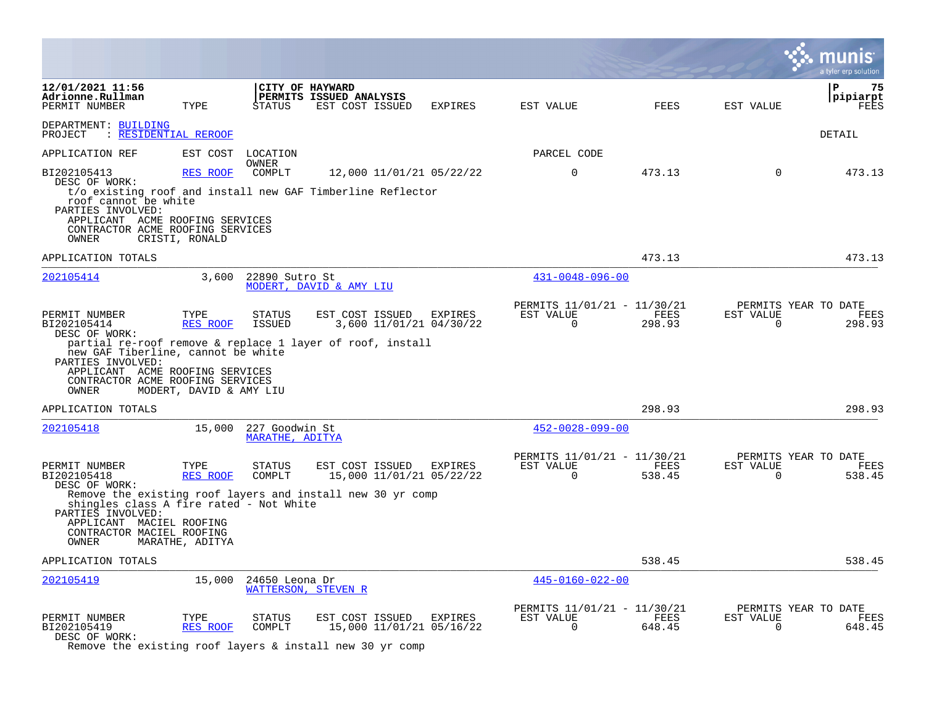|                                                                                                                                                                                          |                                             |                                                 |                                                                                                                   |                |                                                      |                |                       | a tyler erp solution                   |
|------------------------------------------------------------------------------------------------------------------------------------------------------------------------------------------|---------------------------------------------|-------------------------------------------------|-------------------------------------------------------------------------------------------------------------------|----------------|------------------------------------------------------|----------------|-----------------------|----------------------------------------|
| 12/01/2021 11:56<br>Adrionne.Rullman<br>PERMIT NUMBER                                                                                                                                    | TYPE                                        | STATUS                                          | CITY OF HAYWARD<br>PERMITS ISSUED ANALYSIS<br>EST COST ISSUED                                                     | EXPIRES        | EST VALUE                                            | FEES           | EST VALUE             | l P<br>75<br> pipiarpt<br>FEES         |
| DEPARTMENT: BUILDING<br>PROJECT : RESIDENTIAL REROOF                                                                                                                                     |                                             |                                                 |                                                                                                                   |                |                                                      |                |                       | DETAIL                                 |
| APPLICATION REF                                                                                                                                                                          |                                             | EST COST LOCATION                               |                                                                                                                   |                | PARCEL CODE                                          |                |                       |                                        |
| BI202105413<br>DESC OF WORK:<br>roof cannot be white<br>PARTIES INVOLVED:<br>APPLICANT ACME ROOFING SERVICES<br>CONTRACTOR ACME ROOFING SERVICES<br>OWNER                                | RES ROOF<br>CRISTI, RONALD                  | OWNER<br>COMPLT                                 | 12,000 11/01/21 05/22/22<br>t/o existing roof and install new GAF Timberline Reflector                            |                | $\mathbf 0$                                          | 473.13         | $\mathbf 0$           | 473.13                                 |
| APPLICATION TOTALS                                                                                                                                                                       |                                             |                                                 |                                                                                                                   |                |                                                      | 473.13         |                       | 473.13                                 |
| 202105414                                                                                                                                                                                |                                             | 3,600 22890 Sutro St                            | MODERT, DAVID & AMY LIU                                                                                           |                | $431 - 0048 - 096 - 00$                              |                |                       |                                        |
| PERMIT NUMBER<br>BI202105414<br>DESC OF WORK:<br>new GAF Tiberline, cannot be white<br>PARTIES INVOLVED:<br>APPLICANT ACME ROOFING SERVICES<br>CONTRACTOR ACME ROOFING SERVICES<br>OWNER | TYPE<br>RES ROOF<br>MODERT, DAVID & AMY LIU | STATUS<br><b>ISSUED</b>                         | EST COST ISSUED<br>3,600 11/01/21 04/30/22<br>partial re-roof remove & replace 1 layer of roof, install           | <b>EXPIRES</b> | PERMITS 11/01/21 - 11/30/21<br>EST VALUE<br>$\Omega$ | FEES<br>298.93 | EST VALUE<br>$\Omega$ | PERMITS YEAR TO DATE<br>FEES<br>298.93 |
| APPLICATION TOTALS                                                                                                                                                                       |                                             |                                                 |                                                                                                                   |                |                                                      | 298.93         |                       | 298.93                                 |
| 202105418                                                                                                                                                                                |                                             | 15,000 227 Goodwin St<br><b>MARATHE, ADITYA</b> |                                                                                                                   |                | $452 - 0028 - 099 - 00$                              |                |                       |                                        |
| PERMIT NUMBER<br>BI202105418<br>DESC OF WORK:<br>shingles class A fire rated - Not White<br>PARTIES INVOLVED:<br>APPLICANT MACIEL ROOFING<br>CONTRACTOR MACIEL ROOFING<br>OWNER          | TYPE<br>RES ROOF<br>MARATHE, ADITYA         | STATUS<br>COMPLT                                | EST COST ISSUED EXPIRES<br>15,000 11/01/21 05/22/22<br>Remove the existing roof layers and install new 30 yr comp |                | PERMITS 11/01/21 - 11/30/21<br>EST VALUE<br>$\Omega$ | FEES<br>538.45 | EST VALUE<br>$\Omega$ | PERMITS YEAR TO DATE<br>FEES<br>538.45 |
| APPLICATION TOTALS                                                                                                                                                                       |                                             |                                                 |                                                                                                                   |                |                                                      | 538.45         |                       | 538.45                                 |
| 202105419                                                                                                                                                                                |                                             | 15,000 24650 Leona Dr                           | WATTERSON, STEVEN R                                                                                               |                | $445 - 0160 - 022 - 00$                              |                |                       |                                        |
| PERMIT NUMBER<br>BI202105419<br>DESC OF WORK:                                                                                                                                            | TYPE<br><b>RES ROOF</b>                     | <b>STATUS</b><br>COMPLT                         | EST COST ISSUED EXPIRES<br>15,000 11/01/21 05/16/22<br>Remove the existing roof layers & install new 30 yr comp   |                | PERMITS 11/01/21 - 11/30/21<br>EST VALUE<br>0        | FEES<br>648.45 | EST VALUE<br>0        | PERMITS YEAR TO DATE<br>FEES<br>648.45 |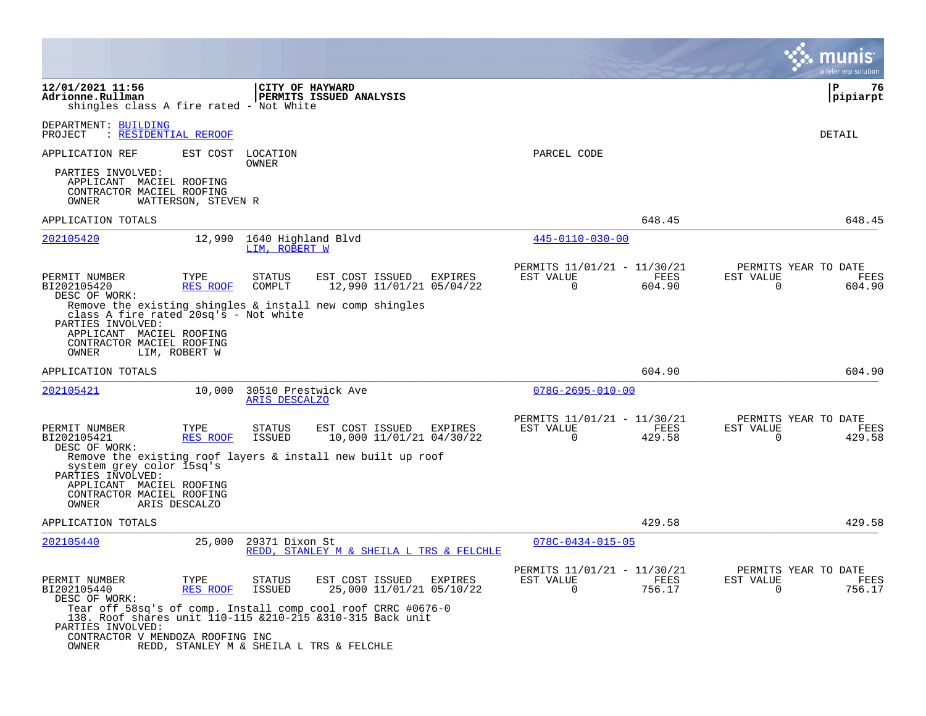|                                                                                                                              |                         |                                      |                                                                                                                             |         |                                                            |                |                          | a tyler erp solution                   |
|------------------------------------------------------------------------------------------------------------------------------|-------------------------|--------------------------------------|-----------------------------------------------------------------------------------------------------------------------------|---------|------------------------------------------------------------|----------------|--------------------------|----------------------------------------|
| 12/01/2021 11:56<br>Adrionne.Rullman<br>shingles class A fire rated - Not White                                              |                         | CITY OF HAYWARD                      | PERMITS ISSUED ANALYSIS                                                                                                     |         |                                                            |                |                          | l P<br>76<br> pipiarpt                 |
| DEPARTMENT: BUILDING<br>PROJECT<br>: RESIDENTIAL REROOF                                                                      |                         |                                      |                                                                                                                             |         |                                                            |                |                          | DETAIL                                 |
| APPLICATION REF                                                                                                              | EST COST                | LOCATION<br>OWNER                    |                                                                                                                             |         | PARCEL CODE                                                |                |                          |                                        |
| PARTIES INVOLVED:<br>APPLICANT MACIEL ROOFING<br>CONTRACTOR MACIEL ROOFING<br>OWNER                                          | WATTERSON, STEVEN R     |                                      |                                                                                                                             |         |                                                            |                |                          |                                        |
| APPLICATION TOTALS                                                                                                           |                         |                                      |                                                                                                                             |         |                                                            | 648.45         |                          | 648.45                                 |
| 202105420                                                                                                                    | 12,990                  | 1640 Highland Blvd<br>LIM, ROBERT W  |                                                                                                                             |         | 445-0110-030-00                                            |                |                          |                                        |
| PERMIT NUMBER<br>BI202105420<br>DESC OF WORK:                                                                                | TYPE<br>RES ROOF        | <b>STATUS</b><br>COMPLT              | EST COST ISSUED<br>12,990 11/01/21 05/04/22                                                                                 | EXPIRES | PERMITS 11/01/21 - 11/30/21<br>EST VALUE<br>0              | FEES<br>604.90 | EST VALUE<br>0           | PERMITS YEAR TO DATE<br>FEES<br>604.90 |
| class A fire rated 20sq's - Not white<br>PARTIES INVOLVED:<br>APPLICANT MACIEL ROOFING<br>CONTRACTOR MACIEL ROOFING<br>OWNER | LIM, ROBERT W           |                                      | Remove the existing shingles & install new comp shingles                                                                    |         |                                                            |                |                          |                                        |
| APPLICATION TOTALS                                                                                                           |                         |                                      |                                                                                                                             |         |                                                            | 604.90         |                          | 604.90                                 |
| 202105421                                                                                                                    | 10,000                  | 30510 Prestwick Ave<br>ARIS DESCALZO |                                                                                                                             |         | $078G - 2695 - 010 - 00$                                   |                |                          |                                        |
| PERMIT NUMBER<br>BI202105421<br>DESC OF WORK:                                                                                | TYPE<br>RES ROOF        | <b>STATUS</b><br>ISSUED              | EST COST ISSUED<br>10,000 11/01/21 04/30/22                                                                                 | EXPIRES | PERMITS 11/01/21 - 11/30/21<br>EST VALUE<br>$\overline{0}$ | FEES<br>429.58 | EST VALUE<br>$\mathbf 0$ | PERMITS YEAR TO DATE<br>FEES<br>429.58 |
| system grey color 15sq's<br>PARTIES INVOLVED:                                                                                |                         |                                      | Remove the existing roof layers & install new built up roof                                                                 |         |                                                            |                |                          |                                        |
| APPLICANT MACIEL ROOFING<br>CONTRACTOR MACIEL ROOFING<br>OWNER                                                               | ARIS DESCALZO           |                                      |                                                                                                                             |         |                                                            |                |                          |                                        |
| APPLICATION TOTALS                                                                                                           |                         |                                      |                                                                                                                             |         |                                                            | 429.58         |                          | 429.58                                 |
| 202105440                                                                                                                    | 25,000                  | 29371 Dixon St                       | REDD, STANLEY M & SHEILA L TRS & FELCHLE                                                                                    |         | $078C - 0434 - 015 - 05$                                   |                |                          |                                        |
| PERMIT NUMBER<br>BI202105440<br>DESC OF WORK:                                                                                | TYPE<br><b>RES ROOF</b> | <b>STATUS</b><br>ISSUED              | EST COST ISSUED<br>25,000 11/01/21 05/10/22                                                                                 | EXPIRES | PERMITS 11/01/21 - 11/30/21<br>EST VALUE<br>$\Omega$       | FEES<br>756.17 | EST VALUE<br>0           | PERMITS YEAR TO DATE<br>FEES<br>756.17 |
| PARTIES INVOLVED:                                                                                                            |                         |                                      | Tear off 58sq's of comp. Install comp cool roof CRRC #0676-0<br>138. Roof shares unit 110-115 & 210-215 & 310-315 Back unit |         |                                                            |                |                          |                                        |
| CONTRACTOR V MENDOZA ROOFING INC<br>OWNER                                                                                    |                         |                                      | REDD, STANLEY M & SHEILA L TRS & FELCHLE                                                                                    |         |                                                            |                |                          |                                        |

 $\mathcal{L}^{\text{max}}$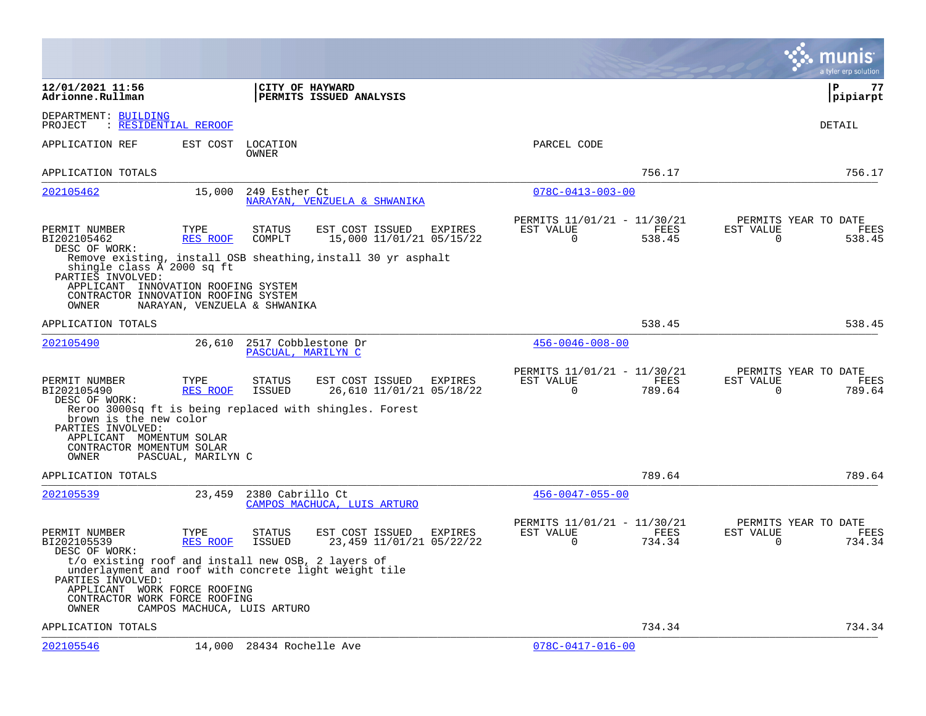|                                                                                                                                                                                                   |                    |                                           |                                                               |         |                                                      |                |                       | a tyler erp solution                   |
|---------------------------------------------------------------------------------------------------------------------------------------------------------------------------------------------------|--------------------|-------------------------------------------|---------------------------------------------------------------|---------|------------------------------------------------------|----------------|-----------------------|----------------------------------------|
| 12/01/2021 11:56<br>Adrionne.Rullman                                                                                                                                                              |                    | CITY OF HAYWARD                           | PERMITS ISSUED ANALYSIS                                       |         |                                                      |                |                       | l P<br>77<br> pipiarpt                 |
| DEPARTMENT: BUILDING<br>: RESIDENTIAL REROOF<br>PROJECT                                                                                                                                           |                    |                                           |                                                               |         |                                                      |                |                       | DETAIL                                 |
| APPLICATION REF                                                                                                                                                                                   | EST COST           | LOCATION<br>OWNER                         |                                                               |         | PARCEL CODE                                          |                |                       |                                        |
| APPLICATION TOTALS                                                                                                                                                                                |                    |                                           |                                                               |         |                                                      | 756.17         |                       | 756.17                                 |
| 202105462                                                                                                                                                                                         | 15,000             | 249 Esther Ct                             | NARAYAN, VENZUELA & SHWANIKA                                  |         | $078C - 0413 - 003 - 00$                             |                |                       |                                        |
| PERMIT NUMBER<br>BI202105462<br>DESC OF WORK:                                                                                                                                                     | TYPE<br>RES ROOF   | STATUS<br>COMPLT                          | EST COST ISSUED<br>15,000 11/01/21 05/15/22                   | EXPIRES | PERMITS 11/01/21 - 11/30/21<br>EST VALUE<br>0        | FEES<br>538.45 | EST VALUE<br>0        | PERMITS YEAR TO DATE<br>FEES<br>538.45 |
| shingle class A 2000 sq ft<br>PARTIES INVOLVED:                                                                                                                                                   |                    |                                           | Remove existing, install OSB sheathing, install 30 yr asphalt |         |                                                      |                |                       |                                        |
| APPLICANT INNOVATION ROOFING SYSTEM<br>CONTRACTOR INNOVATION ROOFING SYSTEM<br>OWNER                                                                                                              |                    | NARAYAN, VENZUELA & SHWANIKA              |                                                               |         |                                                      |                |                       |                                        |
| APPLICATION TOTALS                                                                                                                                                                                |                    |                                           |                                                               |         |                                                      | 538.45         |                       | 538.45                                 |
| 202105490                                                                                                                                                                                         | 26,610             | 2517 Cobblestone Dr<br>PASCUAL, MARILYN C |                                                               |         | $456 - 0046 - 008 - 00$                              |                |                       |                                        |
| PERMIT NUMBER<br>BI202105490<br>DESC OF WORK:                                                                                                                                                     | TYPE<br>RES ROOF   | STATUS<br>ISSUED                          | EST COST ISSUED<br>26,610 11/01/21 05/18/22                   | EXPIRES | PERMITS 11/01/21 - 11/30/21<br>EST VALUE<br>0        | FEES<br>789.64 | EST VALUE<br>0        | PERMITS YEAR TO DATE<br>FEES<br>789.64 |
| brown is the new color<br>PARTIES INVOLVED:<br>APPLICANT MOMENTUM SOLAR                                                                                                                           |                    |                                           | Reroo 3000sq ft is being replaced with shingles. Forest       |         |                                                      |                |                       |                                        |
| CONTRACTOR MOMENTUM SOLAR<br>OWNER                                                                                                                                                                | PASCUAL, MARILYN C |                                           |                                                               |         |                                                      |                |                       |                                        |
| APPLICATION TOTALS                                                                                                                                                                                |                    |                                           |                                                               |         |                                                      | 789.64         |                       | 789.64                                 |
| 202105539                                                                                                                                                                                         | 23,459             | 2380 Cabrillo Ct                          | CAMPOS MACHUCA, LUIS ARTURO                                   |         | $456 - 0047 - 055 - 00$                              |                |                       |                                        |
| PERMIT NUMBER<br>BI202105539<br>DESC OF WORK:                                                                                                                                                     | TYPE<br>RES ROOF   | <b>STATUS</b><br>ISSUED                   | EST COST ISSUED<br>23,459 11/01/21 05/22/22                   | EXPIRES | PERMITS 11/01/21 - 11/30/21<br>EST VALUE<br>$\Omega$ | FEES<br>734.34 | EST VALUE<br>$\Omega$ | PERMITS YEAR TO DATE<br>FEES<br>734.34 |
| t/o existing roof and install new OSB, 2 layers of<br>underlayment and roof with concrete light weight tile<br>PARTIES INVOLVED:<br>APPLICANT WORK FORCE ROOFING<br>CONTRACTOR WORK FORCE ROOFING |                    |                                           |                                                               |         |                                                      |                |                       |                                        |
| OWNER                                                                                                                                                                                             |                    | CAMPOS MACHUCA, LUIS ARTURO               |                                                               |         |                                                      |                |                       |                                        |
| APPLICATION TOTALS                                                                                                                                                                                |                    |                                           |                                                               |         |                                                      | 734.34         |                       | 734.34                                 |
| 202105546                                                                                                                                                                                         |                    | 14,000 28434 Rochelle Ave                 |                                                               |         | $078C - 0417 - 016 - 00$                             |                |                       |                                        |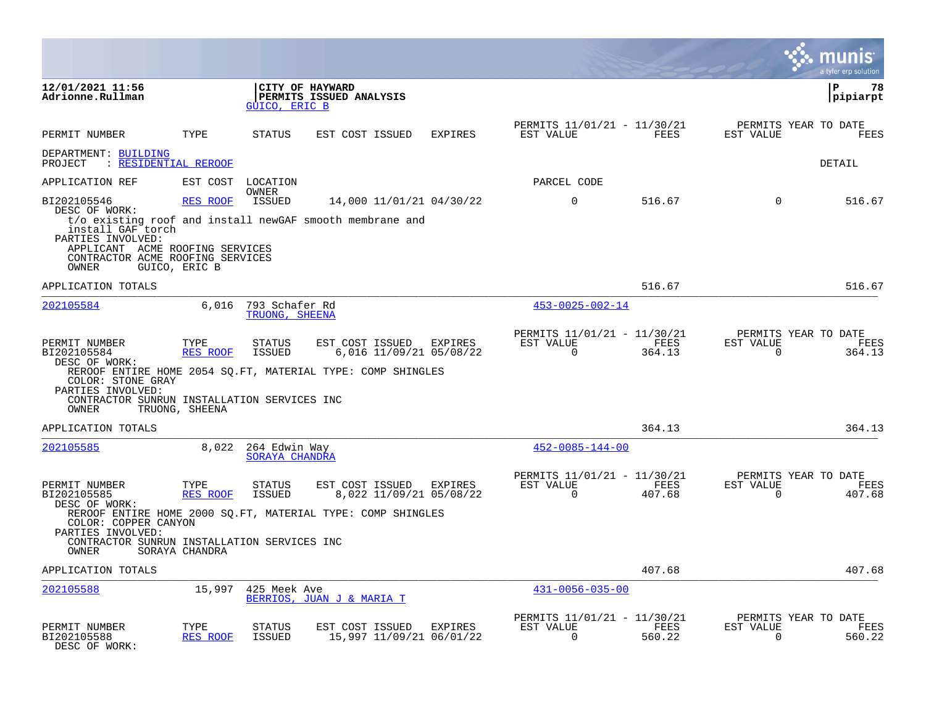|                                                                                                                                                 |                                    |                                        |                                                                                                           |                |                                                      |                |                       | munis<br>a tyler erp solution          |
|-------------------------------------------------------------------------------------------------------------------------------------------------|------------------------------------|----------------------------------------|-----------------------------------------------------------------------------------------------------------|----------------|------------------------------------------------------|----------------|-----------------------|----------------------------------------|
| 12/01/2021 11:56<br>Adrionne.Rullman                                                                                                            |                                    | GUICO, ERIC B                          | CITY OF HAYWARD<br>PERMITS ISSUED ANALYSIS                                                                |                |                                                      |                |                       | $\mathbf{P}$<br>78<br>pipiarpt         |
| PERMIT NUMBER                                                                                                                                   | TYPE                               | <b>STATUS</b>                          | EST COST ISSUED                                                                                           | <b>EXPIRES</b> | PERMITS 11/01/21 - 11/30/21<br>EST VALUE             | FEES           | EST VALUE             | PERMITS YEAR TO DATE<br>FEES           |
| DEPARTMENT: BUILDING<br>: RESIDENTIAL REROOF<br>PROJECT                                                                                         |                                    |                                        |                                                                                                           |                |                                                      |                |                       | DETAIL                                 |
| APPLICATION REF                                                                                                                                 | EST COST                           | LOCATION                               |                                                                                                           |                | PARCEL CODE                                          |                |                       |                                        |
| BI202105546<br>DESC OF WORK:<br>install GAF torch<br>PARTIES INVOLVED:                                                                          | RES ROOF                           | OWNER<br>ISSUED                        | 14,000 11/01/21 04/30/22<br>t/o existing roof and install newGAF smooth membrane and                      |                | $\Omega$                                             | 516.67         | $\Omega$              | 516.67                                 |
| APPLICANT ACME ROOFING SERVICES<br>CONTRACTOR ACME ROOFING SERVICES<br>OWNER                                                                    | GUICO, ERIC B                      |                                        |                                                                                                           |                |                                                      |                |                       |                                        |
| APPLICATION TOTALS                                                                                                                              |                                    |                                        |                                                                                                           |                |                                                      | 516.67         |                       | 516.67                                 |
| 202105584                                                                                                                                       | 6,016                              | 793 Schafer Rd<br>TRUONG, SHEENA       |                                                                                                           |                | $453 - 0025 - 002 - 14$                              |                |                       |                                        |
| PERMIT NUMBER<br>BI202105584<br>DESC OF WORK:<br>COLOR: STONE GRAY<br>PARTIES INVOLVED:<br>CONTRACTOR SUNRUN INSTALLATION SERVICES INC<br>OWNER | TYPE<br>RES ROOF<br>TRUONG, SHEENA | <b>STATUS</b><br>ISSUED                | EST COST ISSUED<br>6,016 11/09/21 05/08/22<br>REROOF ENTIRE HOME 2054 SQ.FT, MATERIAL TYPE: COMP SHINGLES | EXPIRES        | PERMITS 11/01/21 - 11/30/21<br>EST VALUE<br>$\Omega$ | FEES<br>364.13 | EST VALUE<br>$\Omega$ | PERMITS YEAR TO DATE<br>FEES<br>364.13 |
| APPLICATION TOTALS                                                                                                                              |                                    |                                        |                                                                                                           |                |                                                      | 364.13         |                       | 364.13                                 |
| 202105585                                                                                                                                       | 8,022                              | 264 Edwin Way<br><b>SORAYA CHANDRA</b> |                                                                                                           |                | $452 - 0085 - 144 - 00$                              |                |                       |                                        |
| PERMIT NUMBER<br>BI202105585<br>DESC OF WORK:                                                                                                   | TYPE<br><b>RES ROOF</b>            | <b>STATUS</b><br><b>ISSUED</b>         | EST COST ISSUED<br>8,022 11/09/21 05/08/22                                                                | EXPIRES        | PERMITS 11/01/21 - 11/30/21<br>EST VALUE<br>$\Omega$ | FEES<br>407.68 | EST VALUE<br>$\Omega$ | PERMITS YEAR TO DATE<br>FEES<br>407.68 |
| COLOR: COPPER CANYON<br>PARTIES INVOLVED:<br>CONTRACTOR SUNRUN INSTALLATION SERVICES INC<br>OWNER                                               | SORAYA CHANDRA                     |                                        | REROOF ENTIRE HOME 2000 SQ.FT, MATERIAL TYPE: COMP SHINGLES                                               |                |                                                      |                |                       |                                        |
| APPLICATION TOTALS                                                                                                                              |                                    |                                        |                                                                                                           |                |                                                      | 407.68         |                       | 407.68                                 |
| 202105588                                                                                                                                       | 15,997                             | 425 Meek Ave                           | BERRIOS, JUAN J & MARIA T                                                                                 |                | $431 - 0056 - 035 - 00$                              |                |                       |                                        |
| PERMIT NUMBER<br>BI202105588<br>DESC OF WORK:                                                                                                   | TYPE<br><b>RES ROOF</b>            | STATUS<br><b>ISSUED</b>                | EST COST ISSUED<br>15,997 11/09/21 06/01/22                                                               | EXPIRES        | PERMITS 11/01/21 - 11/30/21<br>EST VALUE<br>$\Omega$ | FEES<br>560.22 | EST VALUE<br>$\Omega$ | PERMITS YEAR TO DATE<br>FEES<br>560.22 |

 $\mathcal{L}^{\text{c}}$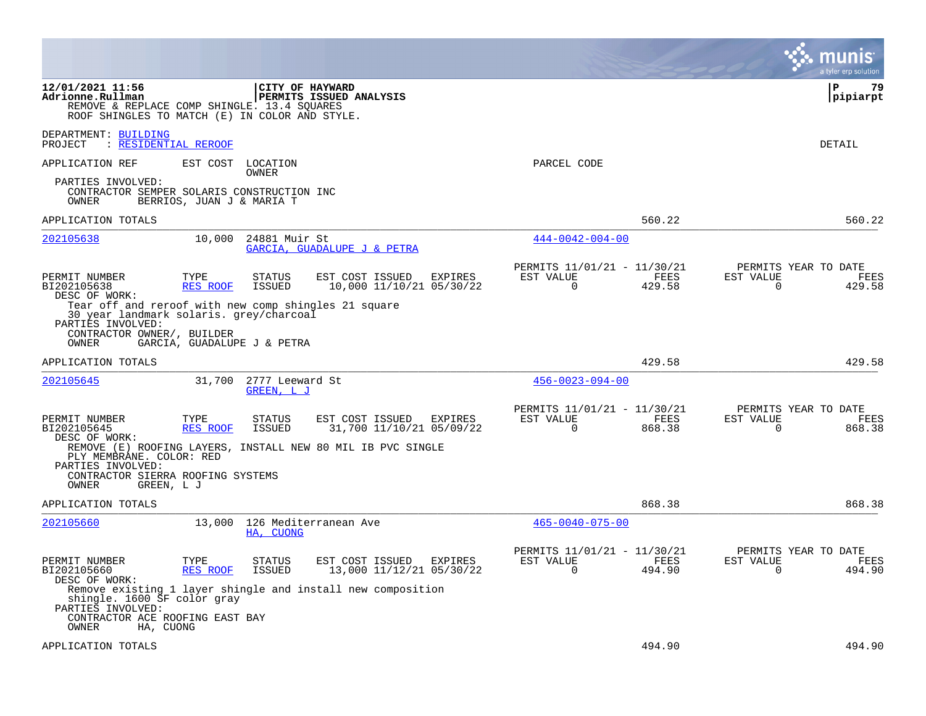|                                                           |                                                                                               |                                                                                |         |                                                         |                |                          | a tyler erp solution                   |
|-----------------------------------------------------------|-----------------------------------------------------------------------------------------------|--------------------------------------------------------------------------------|---------|---------------------------------------------------------|----------------|--------------------------|----------------------------------------|
| 12/01/2021 11:56<br>Adrionne.Rullman                      | REMOVE & REPLACE COMP SHINGLE. 13.4 SQUARES<br>ROOF SHINGLES TO MATCH (E) IN COLOR AND STYLE. | CITY OF HAYWARD<br>PERMITS ISSUED ANALYSIS                                     |         |                                                         |                |                          | P<br>79<br> pipiarpt                   |
| DEPARTMENT: BUILDING<br>PROJECT                           | : RESIDENTIAL REROOF                                                                          |                                                                                |         |                                                         |                |                          | DETAIL                                 |
| APPLICATION REF                                           | EST COST LOCATION                                                                             | OWNER                                                                          |         | PARCEL CODE                                             |                |                          |                                        |
| PARTIES INVOLVED:<br>OWNER                                | CONTRACTOR SEMPER SOLARIS CONSTRUCTION INC<br>BERRIOS, JUAN J & MARIA T                       |                                                                                |         |                                                         |                |                          |                                        |
| APPLICATION TOTALS                                        |                                                                                               |                                                                                |         |                                                         | 560.22         |                          | 560.22                                 |
| 202105638                                                 | 10,000                                                                                        | 24881 Muir St<br>GARCIA, GUADALUPE J & PETRA                                   |         | $444 - 0042 - 004 - 00$                                 |                |                          |                                        |
| PERMIT NUMBER<br>BI202105638<br>DESC OF WORK:             | TYPE<br>RES ROOF                                                                              | EST COST ISSUED<br>STATUS<br><b>ISSUED</b><br>10,000 11/10/21 05/30/22         | EXPIRES | PERMITS 11/01/21 - 11/30/21<br>EST VALUE<br>0           | FEES<br>429.58 | EST VALUE<br>0           | PERMITS YEAR TO DATE<br>FEES<br>429.58 |
| PARTIES INVOLVED:                                         | 30 year landmark solaris. grey/charcoal                                                       | Tear off and reroof with new comp shingles 21 square                           |         |                                                         |                |                          |                                        |
| CONTRACTOR OWNER/, BUILDER<br>OWNER                       | GARCIA, GUADALUPE J & PETRA                                                                   |                                                                                |         |                                                         |                |                          |                                        |
| APPLICATION TOTALS                                        |                                                                                               |                                                                                |         |                                                         | 429.58         |                          | 429.58                                 |
| 202105645                                                 | 31,700                                                                                        | 2777 Leeward St<br>GREEN, L J                                                  |         | $456 - 0023 - 094 - 00$                                 |                |                          |                                        |
| PERMIT NUMBER<br>BI202105645<br>DESC OF WORK:             | TYPE<br><b>RES ROOF</b>                                                                       | EST COST ISSUED EXPIRES<br>STATUS<br><b>ISSUED</b><br>31,700 11/10/21 05/09/22 |         | PERMITS 11/01/21 - 11/30/21<br>EST VALUE<br>$\mathbf 0$ | FEES<br>868.38 | EST VALUE<br>$\mathbf 0$ | PERMITS YEAR TO DATE<br>FEES<br>868.38 |
| PLY MEMBRANE. COLOR: RED<br>PARTIES INVOLVED:             |                                                                                               | REMOVE (E) ROOFING LAYERS, INSTALL NEW 80 MIL IB PVC SINGLE                    |         |                                                         |                |                          |                                        |
| OWNER                                                     | CONTRACTOR SIERRA ROOFING SYSTEMS<br>GREEN, L J                                               |                                                                                |         |                                                         |                |                          |                                        |
| APPLICATION TOTALS                                        |                                                                                               |                                                                                |         |                                                         | 868.38         |                          | 868.38                                 |
| 202105660                                                 | 13,000                                                                                        | 126 Mediterranean Ave<br>HA, CUONG                                             |         | $465 - 0040 - 075 - 00$                                 |                |                          |                                        |
| PERMIT NUMBER<br>BI202105660<br>DESC OF WORK:             | TYPE<br>RES ROOF                                                                              | EST COST ISSUED<br>STATUS<br>13,000 11/12/21 05/30/22<br>ISSUED                | EXPIRES | PERMITS 11/01/21 - 11/30/21<br>EST VALUE<br>$\Omega$    | FEES<br>494.90 | EST VALUE<br>$\Omega$    | PERMITS YEAR TO DATE<br>FEES<br>494.90 |
| shingle. 1600 SF color gray<br>PARTIES INVOLVED:<br>OWNER | CONTRACTOR ACE ROOFING EAST BAY<br>HA, CUONG                                                  | Remove existing 1 layer shingle and install new composition                    |         |                                                         |                |                          |                                        |
| APPLICATION TOTALS                                        |                                                                                               |                                                                                |         |                                                         | 494.90         |                          | 494.90                                 |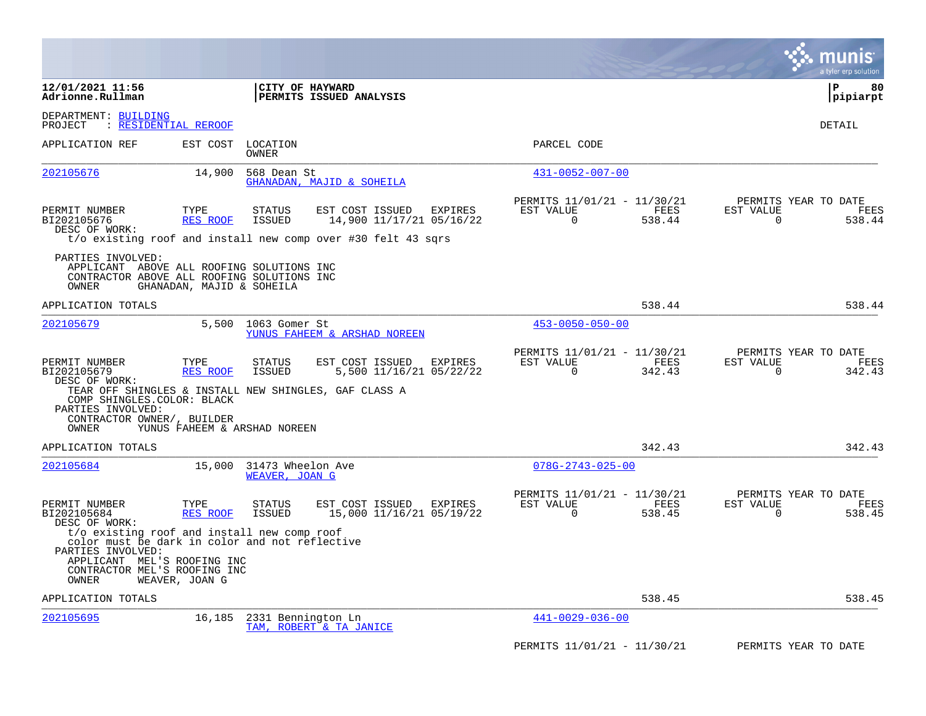|                                                                                                                       |                           |                                                                                                                                                   |                                                                              | munis<br>a tyler erp solution                                      |
|-----------------------------------------------------------------------------------------------------------------------|---------------------------|---------------------------------------------------------------------------------------------------------------------------------------------------|------------------------------------------------------------------------------|--------------------------------------------------------------------|
| 12/01/2021 11:56<br>Adrionne.Rullman                                                                                  |                           | CITY OF HAYWARD<br>PERMITS ISSUED ANALYSIS                                                                                                        |                                                                              | P<br>80<br>$ $ pipiarpt                                            |
| DEPARTMENT: BUILDING<br><u>: RESIDENTIAL REROOF</u><br>PROJECT                                                        |                           |                                                                                                                                                   |                                                                              | DETAIL                                                             |
| APPLICATION REF                                                                                                       | EST COST                  | LOCATION<br>OWNER                                                                                                                                 | PARCEL CODE                                                                  |                                                                    |
| 202105676                                                                                                             | 14,900                    | 568 Dean St<br>GHANADAN, MAJID & SOHEILA                                                                                                          | $431 - 0052 - 007 - 00$                                                      |                                                                    |
| PERMIT NUMBER<br>BI202105676<br>DESC OF WORK:                                                                         | TYPE<br>RES ROOF          | STATUS<br>EST COST ISSUED<br>EXPIRES<br>14,900 11/17/21 05/16/22<br><b>ISSUED</b><br>t/o existing roof and install new comp over #30 felt 43 sgrs | PERMITS 11/01/21 - 11/30/21<br>EST VALUE<br>FEES<br>538.44<br>0              | PERMITS YEAR TO DATE<br>EST VALUE<br>FEES<br>0<br>538.44           |
| PARTIES INVOLVED:<br>APPLICANT ABOVE ALL ROOFING SOLUTIONS INC<br>CONTRACTOR ABOVE ALL ROOFING SOLUTIONS INC<br>OWNER | GHANADAN, MAJID & SOHEILA |                                                                                                                                                   |                                                                              |                                                                    |
| APPLICATION TOTALS                                                                                                    |                           |                                                                                                                                                   | 538.44                                                                       | 538.44                                                             |
| 202105679                                                                                                             | 5,500                     | 1063 Gomer St<br>YUNUS FAHEEM & ARSHAD NOREEN                                                                                                     | $453 - 0050 - 050 - 00$                                                      |                                                                    |
| PERMIT NUMBER<br>BI202105679<br>DESC OF WORK:                                                                         | TYPE<br>RES ROOF          | STATUS<br>EST COST ISSUED<br>EXPIRES<br>5,500 11/16/21 05/22/22<br><b>ISSUED</b><br>TEAR OFF SHINGLES & INSTALL NEW SHINGLES, GAF CLASS A         | PERMITS 11/01/21 - 11/30/21<br>EST VALUE<br>FEES<br>$\overline{0}$<br>342.43 | PERMITS YEAR TO DATE<br>EST VALUE<br>FEES<br>$\mathbf 0$<br>342.43 |
| COMP SHINGLES. COLOR: BLACK<br>PARTIES INVOLVED:<br>CONTRACTOR OWNER/, BUILDER<br>OWNER                               |                           | YUNUS FAHEEM & ARSHAD NOREEN                                                                                                                      |                                                                              |                                                                    |
| APPLICATION TOTALS                                                                                                    |                           |                                                                                                                                                   | 342.43                                                                       | 342.43                                                             |
| 202105684                                                                                                             | 15,000                    | 31473 Wheelon Ave<br>WEAVER, JOAN G                                                                                                               | $078G - 2743 - 025 - 00$                                                     |                                                                    |
| PERMIT NUMBER<br>BI202105684<br>DESC OF WORK:                                                                         | TYPE<br>RES ROOF          | <b>STATUS</b><br>EST COST ISSUED<br>EXPIRES<br>15,000 11/16/21 05/19/22<br><b>ISSUED</b>                                                          | PERMITS 11/01/21 - 11/30/21<br>EST VALUE<br>FEES<br>$\overline{0}$<br>538.45 | PERMITS YEAR TO DATE<br>EST VALUE<br>FEES<br>$\Omega$<br>538.45    |
| PARTIES INVOLVED:<br>APPLICANT MEL'S ROOFING INC<br>CONTRACTOR MEL'S ROOFING INC<br>OWNER                             | WEAVER, JOAN G            | t/o existing roof and install new comp roof<br>color must be dark in color and not reflective                                                     |                                                                              |                                                                    |
| APPLICATION TOTALS                                                                                                    |                           |                                                                                                                                                   | 538.45                                                                       | 538.45                                                             |
| 202105695                                                                                                             | 16,185                    | 2331 Bennington Ln<br>TAM, ROBERT & TA JANICE                                                                                                     | $441 - 0029 - 036 - 00$                                                      |                                                                    |
|                                                                                                                       |                           |                                                                                                                                                   | PERMITS 11/01/21 - 11/30/21                                                  | PERMITS YEAR TO DATE                                               |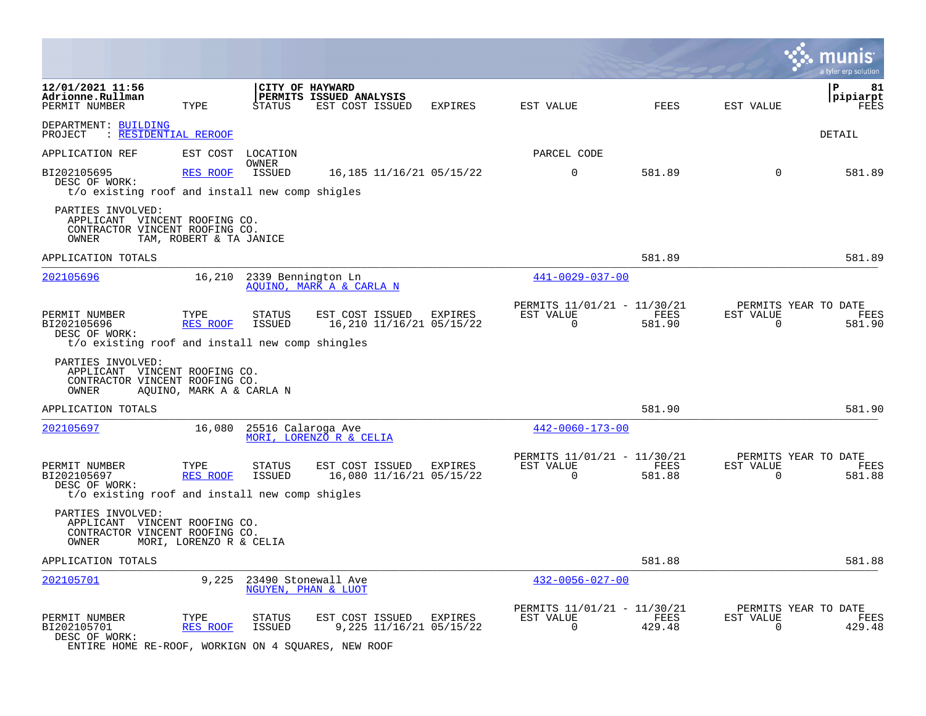|                                                                                                      |                          |                         |                                                               |                                     |                                                         |                |                             | a tyler erp solution                   |
|------------------------------------------------------------------------------------------------------|--------------------------|-------------------------|---------------------------------------------------------------|-------------------------------------|---------------------------------------------------------|----------------|-----------------------------|----------------------------------------|
| 12/01/2021 11:56<br>Adrionne.Rullman<br>PERMIT NUMBER                                                | TYPE                     | <b>STATUS</b>           | CITY OF HAYWARD<br>PERMITS ISSUED ANALYSIS<br>EST COST ISSUED | EXPIRES                             | EST VALUE                                               | FEES           | EST VALUE                   | P<br>81<br>pipiarpt<br>FEES            |
| DEPARTMENT: BUILDING<br>PROJECT : RESIDENTIAL REROOF                                                 |                          |                         |                                                               |                                     |                                                         |                |                             | DETAIL                                 |
| APPLICATION REF                                                                                      | EST COST                 | LOCATION                |                                                               |                                     | PARCEL CODE                                             |                |                             |                                        |
| BI202105695<br>DESC OF WORK:<br>t/o existing roof and install new comp shigles                       | <b>RES ROOF</b>          | OWNER<br>ISSUED         |                                                               | 16, 185 11/16/21 05/15/22           | $\mathbf 0$                                             | 581.89         | 0                           | 581.89                                 |
| PARTIES INVOLVED:<br>APPLICANT VINCENT ROOFING CO.<br>CONTRACTOR VINCENT ROOFING CO.<br>OWNER        | TAM, ROBERT & TA JANICE  |                         |                                                               |                                     |                                                         |                |                             |                                        |
| APPLICATION TOTALS                                                                                   |                          |                         |                                                               |                                     |                                                         | 581.89         |                             | 581.89                                 |
| 202105696                                                                                            | 16,210                   | 2339 Bennington Ln      | AOUINO, MARK A & CARLA N                                      |                                     | 441-0029-037-00                                         |                |                             |                                        |
| PERMIT NUMBER<br>BI202105696<br>DESC OF WORK:<br>t/o existing roof and install new comp shingles     | TYPE<br>RES ROOF         | <b>STATUS</b><br>ISSUED | EST COST ISSUED                                               | EXPIRES<br>16,210 11/16/21 05/15/22 | PERMITS 11/01/21 - 11/30/21<br>EST VALUE<br>$\mathbf 0$ | FEES<br>581.90 | EST VALUE<br>$\mathbf 0$    | PERMITS YEAR TO DATE<br>FEES<br>581.90 |
| PARTIES INVOLVED:<br>APPLICANT VINCENT ROOFING CO.<br>CONTRACTOR VINCENT ROOFING CO.<br>OWNER        | AOUINO, MARK A & CARLA N |                         |                                                               |                                     |                                                         |                |                             |                                        |
| APPLICATION TOTALS                                                                                   |                          |                         |                                                               |                                     |                                                         | 581.90         |                             | 581.90                                 |
| 202105697                                                                                            | 16,080                   | 25516 Calaroga Ave      | MORI, LORENZO R & CELIA                                       |                                     | $442 - 0060 - 173 - 00$                                 |                |                             |                                        |
| PERMIT NUMBER<br>BI202105697<br>DESC OF WORK:<br>t/o existing roof and install new comp shigles      | TYPE<br><b>RES ROOF</b>  | STATUS<br><b>ISSUED</b> | EST COST ISSUED                                               | EXPIRES<br>16,080 11/16/21 05/15/22 | PERMITS 11/01/21 - 11/30/21<br>EST VALUE<br>$\mathbf 0$ | FEES<br>581.88 | EST VALUE<br>$\overline{0}$ | PERMITS YEAR TO DATE<br>FEES<br>581.88 |
| PARTIES INVOLVED:<br>APPLICANT VINCENT ROOFING CO.<br>CONTRACTOR VINCENT ROOFING CO.<br>OWNER        | MORI, LORENZO R & CELIA  |                         |                                                               |                                     |                                                         |                |                             |                                        |
| APPLICATION TOTALS                                                                                   |                          |                         |                                                               |                                     |                                                         | 581.88         |                             | 581.88                                 |
| 202105701                                                                                            | 9,225                    |                         | 23490 Stonewall Ave<br>NGUYEN, PHAN & LUOT                    |                                     | $432 - 0056 - 027 - 00$                                 |                |                             |                                        |
| PERMIT NUMBER<br>BI202105701<br>DESC OF WORK:<br>ENTIRE HOME RE-ROOF, WORKIGN ON 4 SQUARES, NEW ROOF | TYPE<br>RES ROOF         | <b>STATUS</b><br>ISSUED | EST COST ISSUED                                               | EXPIRES<br>9,225 11/16/21 05/15/22  | PERMITS 11/01/21 - 11/30/21<br>EST VALUE<br>$\mathbf 0$ | FEES<br>429.48 | EST VALUE<br>$\mathbf 0$    | PERMITS YEAR TO DATE<br>FEES<br>429.48 |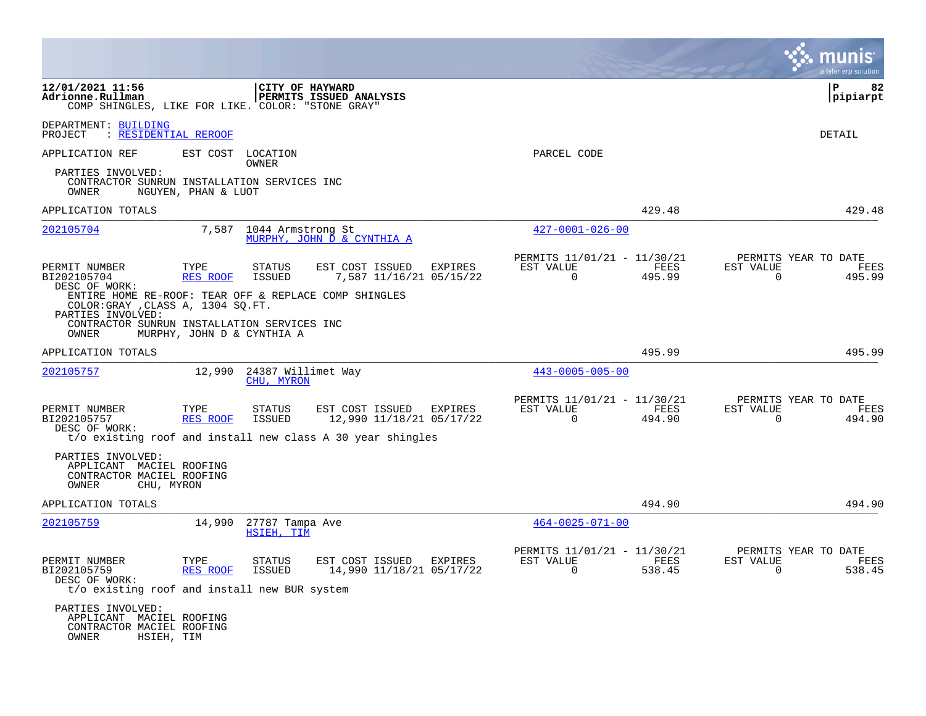|                                                                                                                                                                          |                     |                                  |                                                                                                                   |         |                                                            |                | a tyler erp solution                                               |
|--------------------------------------------------------------------------------------------------------------------------------------------------------------------------|---------------------|----------------------------------|-------------------------------------------------------------------------------------------------------------------|---------|------------------------------------------------------------|----------------|--------------------------------------------------------------------|
| 12/01/2021 11:56<br>Adrionne.Rullman<br>COMP SHINGLES, LIKE FOR LIKE. COLOR: "STONE GRAY"                                                                                |                     | CITY OF HAYWARD                  | PERMITS ISSUED ANALYSIS                                                                                           |         |                                                            |                | Р<br>82<br> pipiarpt                                               |
| DEPARTMENT: BUILDING<br>: RESIDENTIAL REROOF<br>PROJECT                                                                                                                  |                     |                                  |                                                                                                                   |         |                                                            |                | DETAIL                                                             |
| APPLICATION REF                                                                                                                                                          | EST COST LOCATION   | OWNER                            |                                                                                                                   |         | PARCEL CODE                                                |                |                                                                    |
| PARTIES INVOLVED:<br>CONTRACTOR SUNRUN INSTALLATION SERVICES INC<br>OWNER                                                                                                | NGUYEN, PHAN & LUOT |                                  |                                                                                                                   |         |                                                            |                |                                                                    |
| APPLICATION TOTALS                                                                                                                                                       |                     |                                  |                                                                                                                   |         |                                                            | 429.48         | 429.48                                                             |
| 202105704                                                                                                                                                                |                     | 7,587 1044 Armstrong St          | MURPHY, JOHN D & CYNTHIA A                                                                                        |         | $427 - 0001 - 026 - 00$                                    |                |                                                                    |
| PERMIT NUMBER<br>BI202105704<br>DESC OF WORK:                                                                                                                            | TYPE<br>RES ROOF    | STATUS<br>ISSUED                 | EST COST ISSUED<br>7,587 11/16/21 05/15/22                                                                        | EXPIRES | PERMITS 11/01/21 - 11/30/21<br>EST VALUE<br>$\Omega$       | FEES<br>495.99 | PERMITS YEAR TO DATE<br>EST VALUE<br>FEES<br>$\Omega$<br>495.99    |
| ENTIRE HOME RE-ROOF: TEAR OFF & REPLACE COMP SHINGLES<br>COLOR: GRAY , CLASS A, 1304 SQ.FT.<br>PARTIES INVOLVED:<br>CONTRACTOR SUNRUN INSTALLATION SERVICES INC<br>OWNER |                     | MURPHY, JOHN D & CYNTHIA A       |                                                                                                                   |         |                                                            |                |                                                                    |
| APPLICATION TOTALS                                                                                                                                                       |                     |                                  |                                                                                                                   |         |                                                            | 495.99         | 495.99                                                             |
| 202105757                                                                                                                                                                | 12,990              | 24387 Willimet Way<br>CHU, MYRON |                                                                                                                   |         | $443 - 0005 - 005 - 00$                                    |                |                                                                    |
| PERMIT NUMBER<br>BI202105757<br>DESC OF WORK:                                                                                                                            | TYPE<br>RES ROOF    | STATUS<br>ISSUED                 | EST COST ISSUED EXPIRES<br>12,990 11/18/21 05/17/22<br>t/o existing roof and install new class A 30 year shingles |         | PERMITS 11/01/21 - 11/30/21<br>EST VALUE<br>$\overline{0}$ | FEES<br>494.90 | PERMITS YEAR TO DATE<br>EST VALUE<br>FEES<br>$\mathbf 0$<br>494.90 |
| PARTIES INVOLVED:<br>APPLICANT MACIEL ROOFING<br>CONTRACTOR MACIEL ROOFING<br>OWNER<br>CHU, MYRON                                                                        |                     |                                  |                                                                                                                   |         |                                                            |                |                                                                    |
| APPLICATION TOTALS                                                                                                                                                       |                     |                                  |                                                                                                                   |         |                                                            | 494.90         | 494.90                                                             |
| 202105759                                                                                                                                                                | 14,990              | 27787 Tampa Ave<br>HSIEH, TIM    |                                                                                                                   |         | $464 - 0025 - 071 - 00$                                    |                |                                                                    |
| PERMIT NUMBER<br>BI202105759<br>DESC OF WORK:                                                                                                                            | TYPE<br>RES ROOF    | STATUS<br>ISSUED                 | EST COST ISSUED EXPIRES<br>14,990 11/18/21 05/17/22                                                               |         | PERMITS 11/01/21 - 11/30/21<br>EST VALUE<br>$\overline{0}$ | FEES<br>538.45 | PERMITS YEAR TO DATE<br>EST VALUE<br>FEES<br>$\mathbf 0$<br>538.45 |
| t/o existing roof and install new BUR system                                                                                                                             |                     |                                  |                                                                                                                   |         |                                                            |                |                                                                    |
| PARTIES INVOLVED:<br>APPLICANT MACIEL ROOFING<br>CONTRACTOR MACIEL ROOFING<br>OWNER<br>HSIEH, TIM                                                                        |                     |                                  |                                                                                                                   |         |                                                            |                |                                                                    |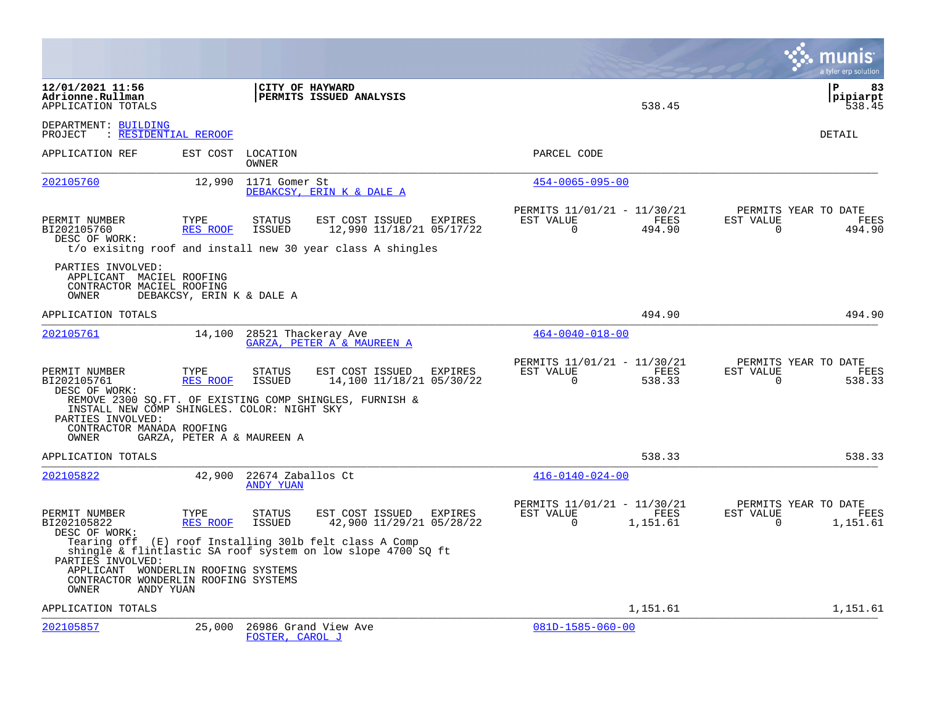|                                                                                                                        |                            |                                |                                                                                                                          |           |                         |                                                 |                          | a tyler erp solution                          |
|------------------------------------------------------------------------------------------------------------------------|----------------------------|--------------------------------|--------------------------------------------------------------------------------------------------------------------------|-----------|-------------------------|-------------------------------------------------|--------------------------|-----------------------------------------------|
| 12/01/2021 11:56<br>Adrionne.Rullman<br>APPLICATION TOTALS                                                             |                            | CITY OF HAYWARD                | PERMITS ISSUED ANALYSIS                                                                                                  |           |                         | 538.45                                          |                          | l P<br>83<br> pipiarpt<br>538.45              |
| DEPARTMENT: BUILDING<br>PROJECT<br>: RESIDENTIAL REROOF                                                                |                            |                                |                                                                                                                          |           |                         |                                                 |                          | <b>DETAIL</b>                                 |
| APPLICATION REF                                                                                                        | EST COST LOCATION          | OWNER                          |                                                                                                                          |           | PARCEL CODE             |                                                 |                          |                                               |
| 202105760                                                                                                              | 12,990                     | 1171 Gomer St                  | DEBAKCSY, ERIN K & DALE A                                                                                                |           | $454 - 0065 - 095 - 00$ |                                                 |                          |                                               |
| PERMIT NUMBER<br>BI202105760<br>DESC OF WORK:                                                                          | TYPE<br>RES ROOF           | <b>STATUS</b><br><b>ISSUED</b> | EST COST ISSUED<br>EXPIRES<br>12,990 11/18/21 05/17/22<br>t/o exisitng roof and install new 30 year class A shingles     | EST VALUE | $\Omega$                | PERMITS 11/01/21 - 11/30/21<br>FEES<br>494.90   | EST VALUE<br>$\Omega$    | PERMITS YEAR TO DATE<br>FEES<br>494.90        |
| PARTIES INVOLVED:<br>APPLICANT MACIEL ROOFING<br>CONTRACTOR MACIEL ROOFING<br>OWNER                                    | DEBAKCSY, ERIN K & DALE A  |                                |                                                                                                                          |           |                         |                                                 |                          |                                               |
| APPLICATION TOTALS                                                                                                     |                            |                                |                                                                                                                          |           |                         | 494.90                                          |                          | 494.90                                        |
| 202105761                                                                                                              | 14,100                     | 28521 Thackeray Ave            | GARZA, PETER A & MAUREEN A                                                                                               |           | $464 - 0040 - 018 - 00$ |                                                 |                          |                                               |
| PERMIT NUMBER<br>BI202105761<br>DESC OF WORK:<br>INSTALL NEW COMP SHINGLES. COLOR: NIGHT SKY<br>PARTIES INVOLVED:      | TYPE<br>RES ROOF           | STATUS<br><b>ISSUED</b>        | EST COST ISSUED<br><b>EXPIRES</b><br>14,100 11/18/21 05/30/22<br>REMOVE 2300 SQ.FT. OF EXISTING COMP SHINGLES, FURNISH & | EST VALUE | 0                       | PERMITS 11/01/21 - 11/30/21<br>FEES<br>538.33   | EST VALUE<br>$\mathbf 0$ | PERMITS YEAR TO DATE<br><b>FEES</b><br>538.33 |
| CONTRACTOR MANADA ROOFING<br>OWNER                                                                                     | GARZA, PETER A & MAUREEN A |                                |                                                                                                                          |           |                         |                                                 |                          |                                               |
| APPLICATION TOTALS                                                                                                     |                            |                                |                                                                                                                          |           |                         | 538.33                                          |                          | 538.33                                        |
| 202105822                                                                                                              | 42,900                     | 22674 Zaballos Ct<br>ANDY YUAN |                                                                                                                          |           | $416 - 0140 - 024 - 00$ |                                                 |                          |                                               |
| PERMIT NUMBER<br>BI202105822<br>DESC OF WORK:                                                                          | TYPE<br><b>RES ROOF</b>    | <b>STATUS</b><br><b>ISSUED</b> | EST COST ISSUED<br><b>EXPIRES</b><br>42,900 11/29/21 05/28/22                                                            | EST VALUE | $\Omega$                | PERMITS 11/01/21 - 11/30/21<br>FEES<br>1,151.61 | EST VALUE<br>$\Omega$    | PERMITS YEAR TO DATE<br>FEES<br>1,151.61      |
| PARTIES INVOLVED:<br>APPLICANT WONDERLIN ROOFING SYSTEMS<br>CONTRACTOR WONDERLIN ROOFING SYSTEMS<br>ANDY YUAN<br>OWNER |                            |                                | Tearing off (E) roof Installing 301b felt class A Comp<br>shingle & flintlastic SA roof system on low slope 4700 SQ ft   |           |                         |                                                 |                          |                                               |
| APPLICATION TOTALS                                                                                                     |                            |                                |                                                                                                                          |           |                         | 1,151.61                                        |                          | 1,151.61                                      |
| 202105857                                                                                                              | 25,000                     | FOSTER, CAROL J                | 26986 Grand View Ave                                                                                                     |           | $081D-1585-060-00$      |                                                 |                          |                                               |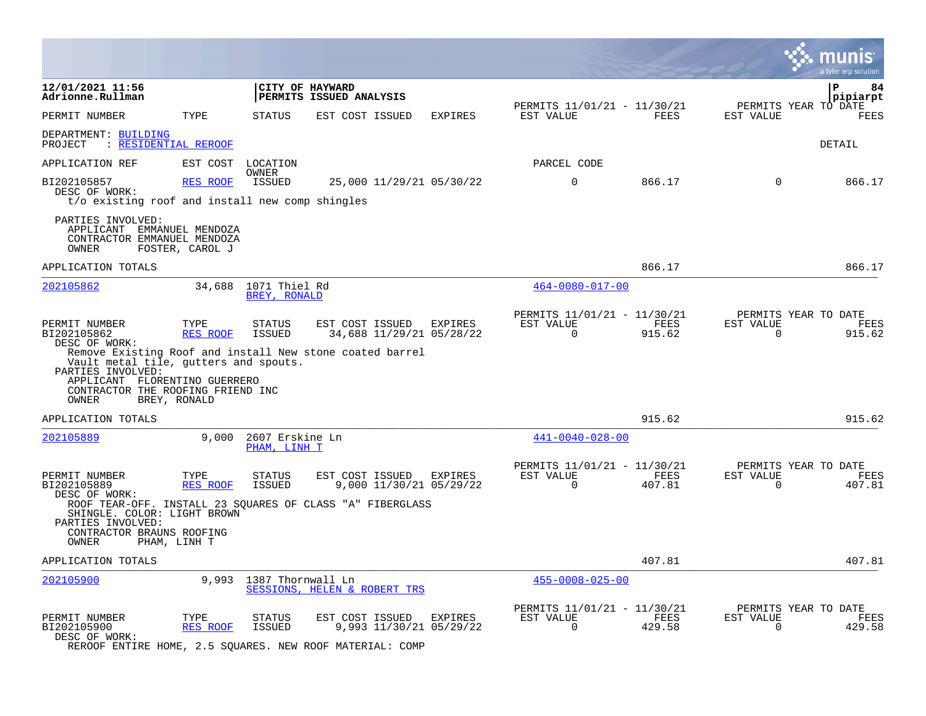|                                                                                                                                                    |                  |                                      |                              |                                            |                                                            |                |                          | munis<br>a tyler er <u>p solution</u>  |
|----------------------------------------------------------------------------------------------------------------------------------------------------|------------------|--------------------------------------|------------------------------|--------------------------------------------|------------------------------------------------------------|----------------|--------------------------|----------------------------------------|
| 12/01/2021 11:56<br>Adrionne.Rullman                                                                                                               |                  | CITY OF HAYWARD                      | PERMITS ISSUED ANALYSIS      |                                            |                                                            |                |                          | 84<br>∣P<br> pipiarpt                  |
| PERMIT NUMBER                                                                                                                                      | TYPE             | <b>STATUS</b>                        | EST COST ISSUED              | EXPIRES                                    | PERMITS 11/01/21 - 11/30/21<br>EST VALUE                   | FEES           | EST VALUE                | PERMITS YEAR TO DATE<br>FEES           |
| DEPARTMENT: BUILDING<br><u>: RESIDENTIAL REROOF</u><br>PROJECT                                                                                     |                  |                                      |                              |                                            |                                                            |                |                          | DETAIL                                 |
| APPLICATION REF                                                                                                                                    | EST COST         | LOCATION                             |                              |                                            | PARCEL CODE                                                |                |                          |                                        |
| BI202105857<br>DESC OF WORK:                                                                                                                       | RES ROOF         | OWNER<br>ISSUED                      |                              | 25,000 11/29/21 05/30/22                   | $\Omega$                                                   | 866.17         | $\Omega$                 | 866.17                                 |
| t/o existing roof and install new comp shingles                                                                                                    |                  |                                      |                              |                                            |                                                            |                |                          |                                        |
| PARTIES INVOLVED:<br>APPLICANT EMMANUEL MENDOZA<br>CONTRACTOR EMMANUEL MENDOZA<br>OWNER                                                            | FOSTER, CAROL J  |                                      |                              |                                            |                                                            |                |                          |                                        |
| APPLICATION TOTALS                                                                                                                                 |                  |                                      |                              |                                            |                                                            | 866.17         |                          | 866.17                                 |
| 202105862                                                                                                                                          |                  | 34,688 1071 Thiel Rd<br>BREY, RONALD |                              |                                            | $464 - 0080 - 017 - 00$                                    |                |                          |                                        |
| PERMIT NUMBER<br>BI202105862<br>DESC OF WORK:<br>Remove Existing Roof and install New stone coated barrel<br>Vault metal tile, gutters and spouts. | TYPE<br>RES ROOF | <b>STATUS</b><br><b>ISSUED</b>       | EST COST ISSUED              | <b>EXPIRES</b><br>34,688 11/29/21 05/28/22 | PERMITS 11/01/21 - 11/30/21<br>EST VALUE<br>$\Omega$       | FEES<br>915.62 | EST VALUE<br>$\Omega$    | PERMITS YEAR TO DATE<br>FEES<br>915.62 |
| PARTIES INVOLVED:<br>APPLICANT FLORENTINO GUERRERO<br>CONTRACTOR THE ROOFING FRIEND INC<br>OWNER                                                   | BREY, RONALD     |                                      |                              |                                            |                                                            |                |                          |                                        |
| APPLICATION TOTALS                                                                                                                                 |                  |                                      |                              |                                            |                                                            | 915.62         |                          | 915.62                                 |
| 202105889                                                                                                                                          | 9,000            | 2607 Erskine Ln<br>PHAM, LINH T      |                              |                                            | $441 - 0040 - 028 - 00$                                    |                |                          |                                        |
| PERMIT NUMBER<br>BI202105889<br>DESC OF WORK:                                                                                                      | TYPE<br>RES ROOF | STATUS<br>ISSUED                     | EST COST ISSUED              | EXPIRES<br>9,000 11/30/21 05/29/22         | PERMITS 11/01/21 - 11/30/21<br>EST VALUE<br>$\overline{0}$ | FEES<br>407.81 | EST VALUE<br>$\mathbf 0$ | PERMITS YEAR TO DATE<br>FEES<br>407.81 |
| ROOF TEAR-OFF. INSTALL 23 SQUARES OF CLASS "A" FIBERGLASS<br>SHINGLE. COLOR: LIGHT BROWN<br>PARTIES INVOLVED:                                      |                  |                                      |                              |                                            |                                                            |                |                          |                                        |
| CONTRACTOR BRAUNS ROOFING<br><b>OWNER</b>                                                                                                          | PHAM, LINH T     |                                      |                              |                                            |                                                            |                |                          |                                        |
| APPLICATION TOTALS                                                                                                                                 |                  |                                      |                              |                                            |                                                            | 407.81         |                          | 407.81                                 |
| 202105900                                                                                                                                          |                  | 9,993 1387 Thornwall Ln              | SESSIONS, HELEN & ROBERT TRS |                                            | $455 - 0008 - 025 - 00$                                    |                |                          |                                        |
| PERMIT NUMBER<br>BI202105900<br>DESC OF WORK:<br>REROOF ENTIRE HOME, 2.5 SQUARES. NEW ROOF MATERIAL: COMP                                          | TYPE<br>RES ROOF | STATUS<br>ISSUED                     | EST COST ISSUED              | EXPIRES<br>9,993 11/30/21 05/29/22         | PERMITS 11/01/21 - 11/30/21<br>EST VALUE<br>$\Omega$       | FEES<br>429.58 | EST VALUE<br>$\Omega$    | PERMITS YEAR TO DATE<br>FEES<br>429.58 |

 $\sim$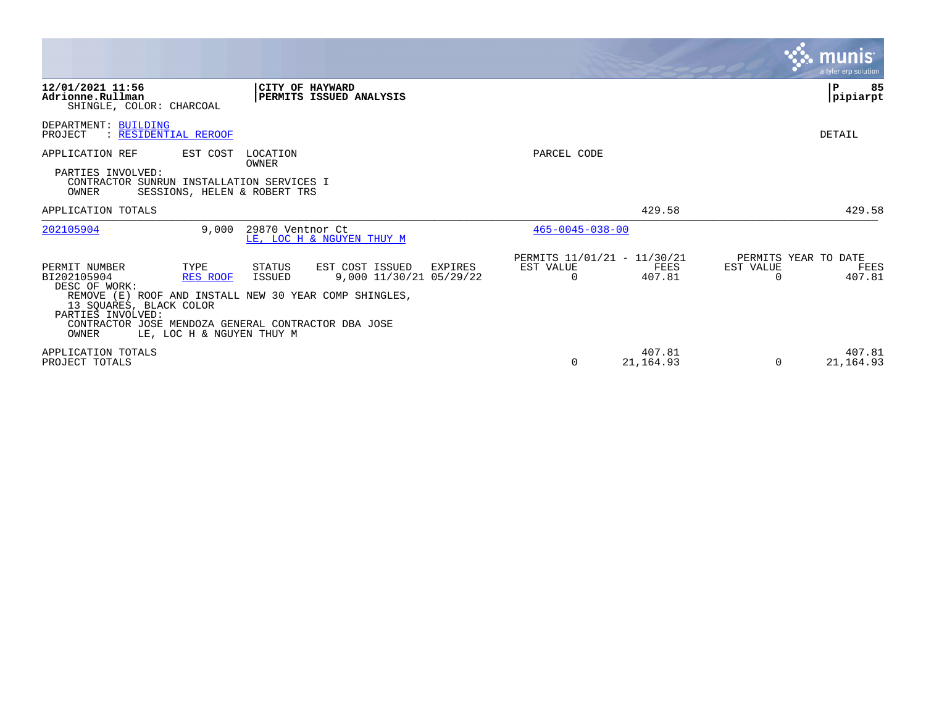|                                                                                                                                                                                                                                                                                                                                                              |                                                                 | <b>munis</b><br>a tyler erp solution                            |
|--------------------------------------------------------------------------------------------------------------------------------------------------------------------------------------------------------------------------------------------------------------------------------------------------------------------------------------------------------------|-----------------------------------------------------------------|-----------------------------------------------------------------|
| 12/01/2021 11:56<br>CITY OF HAYWARD<br>PERMITS ISSUED ANALYSIS<br>Adrionne.Rullman<br>SHINGLE, COLOR: CHARCOAL                                                                                                                                                                                                                                               |                                                                 | 85<br>Р<br>pipiarpt                                             |
| DEPARTMENT: BUILDING<br>: RESIDENTIAL REROOF<br>PROJECT                                                                                                                                                                                                                                                                                                      |                                                                 | DETAIL                                                          |
| APPLICATION REF<br>EST COST<br>LOCATION                                                                                                                                                                                                                                                                                                                      | PARCEL CODE                                                     |                                                                 |
| OWNER<br>PARTIES INVOLVED:<br>CONTRACTOR SUNRUN INSTALLATION SERVICES I<br>OWNER<br>SESSIONS, HELEN & ROBERT TRS                                                                                                                                                                                                                                             |                                                                 |                                                                 |
| APPLICATION TOTALS                                                                                                                                                                                                                                                                                                                                           | 429.58                                                          | 429.58                                                          |
| 202105904<br>29870 Ventnor Ct<br>9,000<br>LE, LOC H & NGUYEN THUY M                                                                                                                                                                                                                                                                                          | $465 - 0045 - 038 - 00$                                         |                                                                 |
| STATUS<br>EST COST ISSUED<br>PERMIT NUMBER<br>TYPE<br>EXPIRES<br><b>ISSUED</b><br>9,000 11/30/21 05/29/22<br>BI202105904<br>RES ROOF<br>DESC OF WORK:<br>REMOVE (E) ROOF AND INSTALL NEW 30 YEAR COMP SHINGLES,<br>13 SQUARES, BLACK COLOR<br>PARTIES INVOLVED:<br>CONTRACTOR JOSE MENDOZA GENERAL CONTRACTOR DBA JOSE<br>OWNER<br>LE, LOC H & NGUYEN THUY M | PERMITS 11/01/21 - 11/30/21<br>EST VALUE<br>FEES<br>407.81<br>0 | PERMITS YEAR TO DATE<br>EST VALUE<br>FEES<br>407.81<br>$\Omega$ |
| APPLICATION TOTALS<br>PROJECT TOTALS                                                                                                                                                                                                                                                                                                                         | 407.81<br>21, 164.93<br>$\Omega$                                | 407.81<br>21, 164.93<br>$\Omega$                                |

 $\mathcal{L}^{\text{max}}$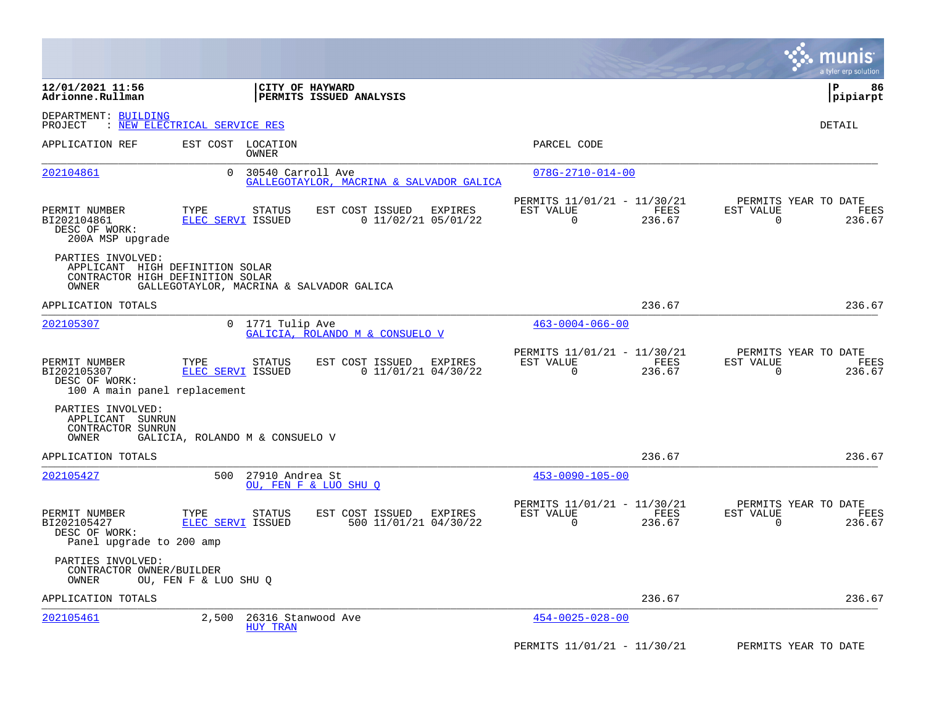|                                                                                                   |                                                |                                                     |                                                                           | munis<br>a tyler erp solution                                      |
|---------------------------------------------------------------------------------------------------|------------------------------------------------|-----------------------------------------------------|---------------------------------------------------------------------------|--------------------------------------------------------------------|
| 12/01/2021 11:56<br>Adrionne.Rullman                                                              |                                                | CITY OF HAYWARD<br>PERMITS ISSUED ANALYSIS          |                                                                           | P<br>86<br> pipiarpt                                               |
| DEPARTMENT: BUILDING<br>PROJECT                                                                   | : NEW ELECTRICAL SERVICE RES                   |                                                     |                                                                           | DETAIL                                                             |
| APPLICATION REF                                                                                   | EST COST LOCATION<br>OWNER                     |                                                     | PARCEL CODE                                                               |                                                                    |
| 202104861                                                                                         | $\Omega$<br>30540 Carroll Ave                  | GALLEGOTAYLOR, MACRINA & SALVADOR GALICA            | $078G - 2710 - 014 - 00$                                                  |                                                                    |
| PERMIT NUMBER<br>BI202104861<br>DESC OF WORK:<br>200A MSP upgrade                                 | TYPE<br><b>STATUS</b><br>ELEC SERVI ISSUED     | EST COST ISSUED<br>EXPIRES<br>$0$ 11/02/21 05/01/22 | PERMITS 11/01/21 - 11/30/21<br>EST VALUE<br>FEES<br>236.67<br>$\Omega$    | PERMITS YEAR TO DATE<br>EST VALUE<br>FEES<br>$\Omega$<br>236.67    |
| PARTIES INVOLVED:<br>APPLICANT HIGH DEFINITION SOLAR<br>CONTRACTOR HIGH DEFINITION SOLAR<br>OWNER | GALLEGOTAYLOR, MACRINA & SALVADOR GALICA       |                                                     |                                                                           |                                                                    |
| APPLICATION TOTALS                                                                                |                                                |                                                     | 236.67                                                                    | 236.67                                                             |
| 202105307                                                                                         | $\overline{0}$<br>1771 Tulip Ave               | GALICIA, ROLANDO M & CONSUELO V                     | $463 - 0004 - 066 - 00$                                                   |                                                                    |
| PERMIT NUMBER<br>BI202105307<br>DESC OF WORK:<br>100 A main panel replacement                     | TYPE<br>STATUS<br>ELEC SERVI ISSUED            | EST COST ISSUED<br>EXPIRES<br>$0$ 11/01/21 04/30/22 | PERMITS 11/01/21 - 11/30/21<br>EST VALUE<br>FEES<br>$\mathbf 0$<br>236.67 | PERMITS YEAR TO DATE<br>EST VALUE<br>FEES<br>$\mathbf 0$<br>236.67 |
| PARTIES INVOLVED:<br>APPLICANT SUNRUN<br>CONTRACTOR SUNRUN<br>OWNER                               | GALICIA, ROLANDO M & CONSUELO V                |                                                     |                                                                           |                                                                    |
| APPLICATION TOTALS                                                                                |                                                |                                                     | 236.67                                                                    | 236.67                                                             |
| 202105427                                                                                         | 27910 Andrea St<br>500                         | OU, FEN F & LUO SHU O                               | $453 - 0090 - 105 - 00$                                                   |                                                                    |
| PERMIT NUMBER<br>BI202105427<br>DESC OF WORK:<br>Panel upgrade to 200 amp                         | TYPE<br>STATUS<br>ELEC SERVI ISSUED            | EST COST ISSUED<br>EXPIRES<br>500 11/01/21 04/30/22 | PERMITS 11/01/21 - 11/30/21<br>FEES<br>EST VALUE<br>$\Omega$<br>236.67    | PERMITS YEAR TO DATE<br>EST VALUE<br>FEES<br>$\Omega$<br>236.67    |
| PARTIES INVOLVED:<br>CONTRACTOR OWNER/BUILDER<br>OWNER                                            | OU, FEN F & LUO SHU Q                          |                                                     |                                                                           |                                                                    |
| APPLICATION TOTALS                                                                                |                                                |                                                     | 236.67                                                                    | 236.67                                                             |
| 202105461                                                                                         | 2,500<br>26316 Stanwood Ave<br><b>HUY TRAN</b> |                                                     | $454 - 0025 - 028 - 00$                                                   |                                                                    |
|                                                                                                   |                                                |                                                     | PERMITS 11/01/21 - 11/30/21                                               | PERMITS YEAR TO DATE                                               |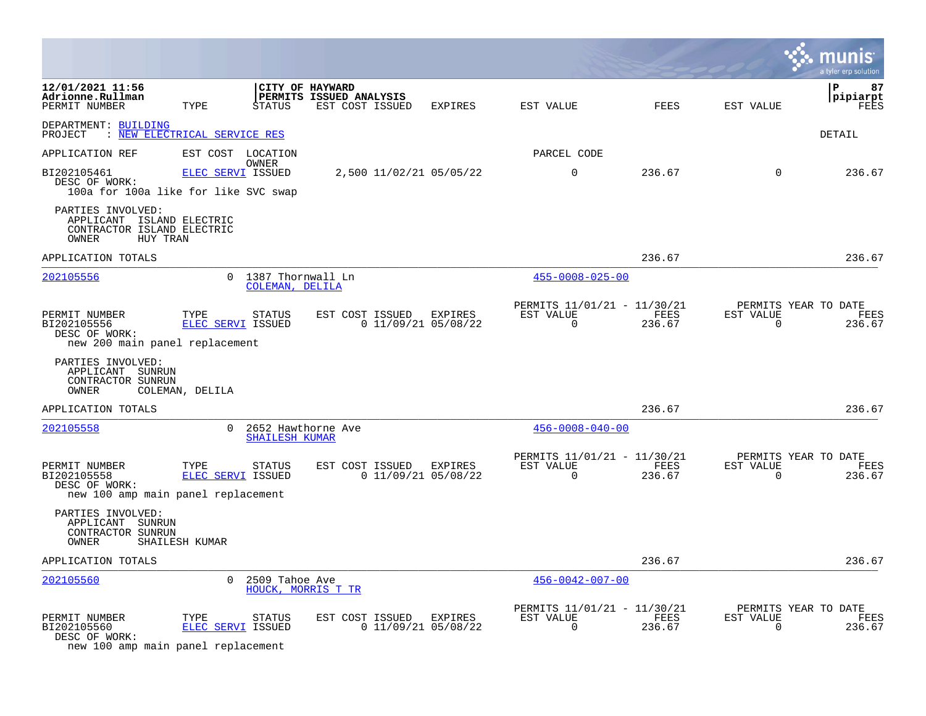|                                                                                                   |                                  |                                               |                                                               |         |                                                      |                |                       | a tyler erp solution                   |
|---------------------------------------------------------------------------------------------------|----------------------------------|-----------------------------------------------|---------------------------------------------------------------|---------|------------------------------------------------------|----------------|-----------------------|----------------------------------------|
| 12/01/2021 11:56<br>Adrionne.Rullman<br>PERMIT NUMBER                                             | TYPE                             | <b>STATUS</b>                                 | CITY OF HAYWARD<br>PERMITS ISSUED ANALYSIS<br>EST COST ISSUED | EXPIRES | EST VALUE                                            | FEES           | EST VALUE             | l P<br>87<br> pipiarpt<br>FEES         |
| DEPARTMENT: BUILDING<br>PROJECT : NEW ELECTRICAL SERVICE RES                                      |                                  |                                               |                                                               |         |                                                      |                |                       | DETAIL                                 |
| APPLICATION REF                                                                                   | EST COST LOCATION                |                                               |                                                               |         | PARCEL CODE                                          |                |                       |                                        |
| BI202105461<br>DESC OF WORK:<br>100a for 100a like for like SVC swap                              | ELEC SERVI ISSUED                | OWNER                                         | 2,500 11/02/21 05/05/22                                       |         | $\mathbf 0$                                          | 236.67         | $\overline{0}$        | 236.67                                 |
| PARTIES INVOLVED:<br>APPLICANT ISLAND ELECTRIC<br>CONTRACTOR ISLAND ELECTRIC<br>HUY TRAN<br>OWNER |                                  |                                               |                                                               |         |                                                      |                |                       |                                        |
| APPLICATION TOTALS                                                                                |                                  |                                               |                                                               |         |                                                      | 236.67         |                       | 236.67                                 |
| 202105556                                                                                         |                                  | 0 1387 Thornwall Ln<br>COLEMAN, DELILA        |                                                               |         | $455 - 0008 - 025 - 00$                              |                |                       |                                        |
| PERMIT NUMBER<br>BI202105556<br>DESC OF WORK:<br>new 200 main panel replacement                   | TYPE<br>ELEC SERVI ISSUED        | STATUS                                        | EST COST ISSUED<br>$0$ 11/09/21 05/08/22                      | EXPIRES | PERMITS 11/01/21 - 11/30/21<br>EST VALUE<br>$\Omega$ | FEES<br>236.67 | EST VALUE<br>$\Omega$ | PERMITS YEAR TO DATE<br>FEES<br>236.67 |
| PARTIES INVOLVED:<br>APPLICANT SUNRUN<br>CONTRACTOR SUNRUN<br>OWNER                               | COLEMAN, DELILA                  |                                               |                                                               |         |                                                      |                |                       |                                        |
| APPLICATION TOTALS                                                                                |                                  |                                               |                                                               |         |                                                      | 236.67         |                       | 236.67                                 |
| 202105558                                                                                         |                                  | 0 2652 Hawthorne Ave<br><b>SHAILESH KUMAR</b> |                                                               |         | $456 - 0008 - 040 - 00$                              |                |                       |                                        |
| PERMIT NUMBER<br>BI202105558<br>DESC OF WORK:<br>new 100 amp main panel replacement               | TYPE<br>ELEC SERVI ISSUED        | STATUS                                        | EST COST ISSUED<br>$0$ 11/09/21 05/08/22                      | EXPIRES | PERMITS 11/01/21 - 11/30/21<br>EST VALUE<br>$\Omega$ | FEES<br>236.67 | EST VALUE<br>$\Omega$ | PERMITS YEAR TO DATE<br>FEES<br>236.67 |
| PARTIES INVOLVED:<br>APPLICANT SUNRUN<br>CONTRACTOR SUNRUN<br>OWNER                               | SHAILESH KUMAR                   |                                               |                                                               |         |                                                      |                |                       |                                        |
| APPLICATION TOTALS                                                                                |                                  |                                               |                                                               |         |                                                      | 236.67         |                       | 236.67                                 |
| 202105560                                                                                         |                                  | 0 2509 Tahoe Ave<br>HOUCK, MORRIS T TR        |                                                               |         | $456 - 0042 - 007 - 00$                              |                |                       |                                        |
| PERMIT NUMBER<br>BI202105560<br>DESC OF WORK:<br>new 100 amp main panel replacement               | TYPE<br><b>ELEC SERVI ISSUED</b> | <b>STATUS</b>                                 | EST COST ISSUED EXPIRES<br>$0$ 11/09/21 05/08/22              |         | PERMITS 11/01/21 - 11/30/21<br>EST VALUE<br>0        | FEES<br>236.67 | EST VALUE<br>0        | PERMITS YEAR TO DATE<br>FEES<br>236.67 |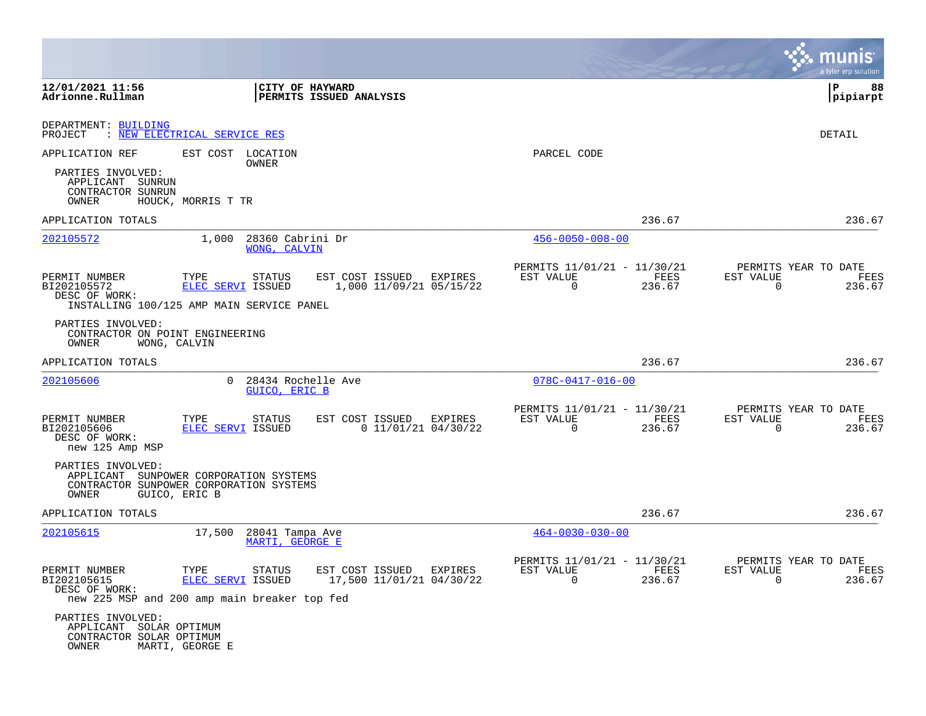|                                                                                        |                                                                                                                                       |                                                                                             |                | a tyler erp solution                                               |
|----------------------------------------------------------------------------------------|---------------------------------------------------------------------------------------------------------------------------------------|---------------------------------------------------------------------------------------------|----------------|--------------------------------------------------------------------|
| 12/01/2021 11:56<br>Adrionne.Rullman                                                   | CITY OF HAYWARD<br>PERMITS ISSUED ANALYSIS                                                                                            |                                                                                             |                | ΙP<br>88<br> pipiarpt                                              |
| DEPARTMENT: BUILDING<br>PROJECT                                                        | : NEW ELECTRICAL SERVICE RES                                                                                                          |                                                                                             |                | DETAIL                                                             |
| APPLICATION REF<br>PARTIES INVOLVED:<br>APPLICANT SUNRUN<br>CONTRACTOR SUNRUN<br>OWNER | EST COST LOCATION<br>OWNER<br>HOUCK, MORRIS T TR                                                                                      | PARCEL CODE                                                                                 |                |                                                                    |
| APPLICATION TOTALS                                                                     |                                                                                                                                       |                                                                                             | 236.67         | 236.67                                                             |
| 202105572                                                                              | 1,000<br>28360 Cabrini Dr<br>WONG, CALVIN                                                                                             | $456 - 0050 - 008 - 00$                                                                     |                |                                                                    |
| PERMIT NUMBER<br>BI202105572<br>DESC OF WORK:                                          | TYPE<br><b>STATUS</b><br>EST COST ISSUED<br>1,000 11/09/21 05/15/22<br>ELEC SERVI ISSUED<br>INSTALLING 100/125 AMP MAIN SERVICE PANEL | PERMITS 11/01/21 - 11/30/21<br>EXPIRES<br>EST VALUE<br>$\Omega$                             | FEES<br>236.67 | PERMITS YEAR TO DATE<br>EST VALUE<br>FEES<br>$\mathbf 0$<br>236.67 |
| PARTIES INVOLVED:<br>CONTRACTOR ON POINT ENGINEERING<br>OWNER                          | WONG, CALVIN                                                                                                                          |                                                                                             |                |                                                                    |
| APPLICATION TOTALS                                                                     |                                                                                                                                       |                                                                                             | 236.67         | 236.67                                                             |
| 202105606                                                                              | 28434 Rochelle Ave<br>0<br>GUICO, ERIC B                                                                                              | $078C - 0417 - 016 - 00$                                                                    |                |                                                                    |
| PERMIT NUMBER<br>BI202105606<br>DESC OF WORK:<br>new 125 Amp MSP                       | TYPE<br>EST COST ISSUED<br>STATUS<br>ELEC SERVI ISSUED                                                                                | PERMITS 11/01/21 - 11/30/21<br>EXPIRES<br>EST VALUE<br>$0$ 11/01/21 04/30/22<br>$\mathbf 0$ | FEES<br>236.67 | PERMITS YEAR TO DATE<br>EST VALUE<br>FEES<br>$\Omega$<br>236.67    |
| PARTIES INVOLVED:<br>OWNER                                                             | APPLICANT SUNPOWER CORPORATION SYSTEMS<br>CONTRACTOR SUNPOWER CORPORATION SYSTEMS<br>GUICO, ERIC B                                    |                                                                                             |                |                                                                    |
| APPLICATION TOTALS                                                                     |                                                                                                                                       |                                                                                             | 236.67         | 236.67                                                             |
| 202105615                                                                              | 17,500<br>28041 Tampa Ave<br>MARTI, GEORGE E                                                                                          | $464 - 0030 - 030 - 00$                                                                     |                |                                                                    |
| PERMIT NUMBER<br>BI202105615<br>DESC OF WORK:                                          | TYPE<br>STATUS<br>EST COST ISSUED<br>17,500 11/01/21 04/30/22<br>ELEC SERVI ISSUED<br>new 225 MSP and 200 amp main breaker top fed    | PERMITS 11/01/21 - 11/30/21<br>EST VALUE<br>EXPIRES<br>0                                    | FEES<br>236.67 | PERMITS YEAR TO DATE<br>EST VALUE<br>FEES<br>$\mathbf 0$<br>236.67 |
| PARTIES INVOLVED:<br>APPLICANT<br>CONTRACTOR SOLAR OPTIMUM<br>OWNER                    | SOLAR OPTIMUM<br>MARTI, GEORGE E                                                                                                      |                                                                                             |                |                                                                    |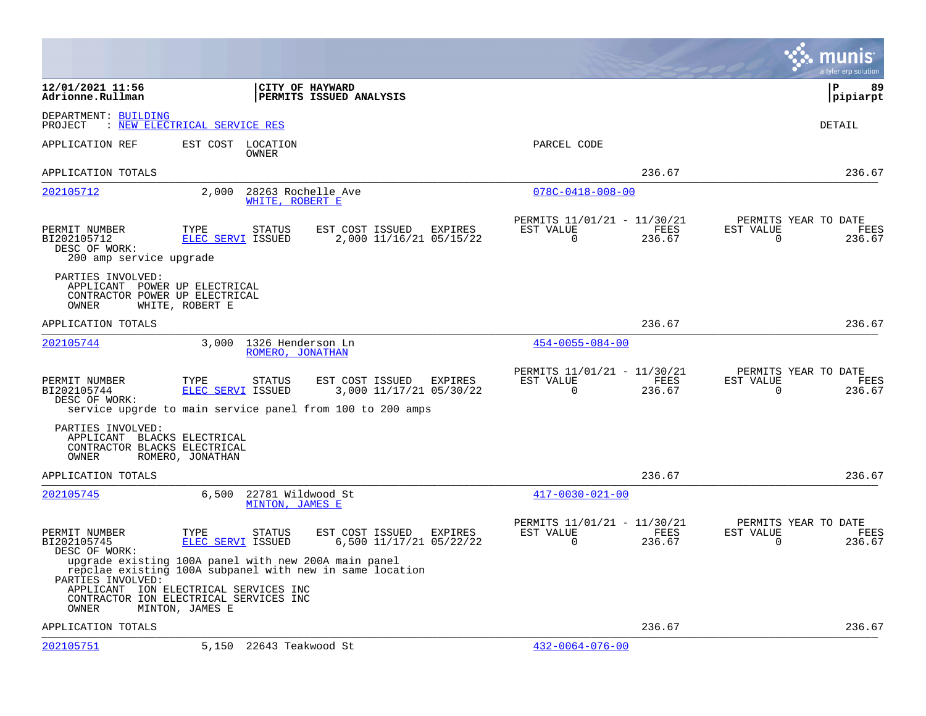|                                                                                               |                                                                                                                                                         |                                                       |                                                         |                |                          | a tyler erp solution                   |
|-----------------------------------------------------------------------------------------------|---------------------------------------------------------------------------------------------------------------------------------------------------------|-------------------------------------------------------|---------------------------------------------------------|----------------|--------------------------|----------------------------------------|
| 12/01/2021 11:56<br>Adrionne.Rullman                                                          | CITY OF HAYWARD                                                                                                                                         | PERMITS ISSUED ANALYSIS                               |                                                         |                |                          | P<br>89<br> pipiarpt                   |
| DEPARTMENT: BUILDING<br>PROJECT                                                               | : NEW ELECTRICAL SERVICE RES                                                                                                                            |                                                       |                                                         |                |                          | DETAIL                                 |
| APPLICATION REF                                                                               | EST COST<br>LOCATION<br>OWNER                                                                                                                           |                                                       | PARCEL CODE                                             |                |                          |                                        |
| APPLICATION TOTALS                                                                            |                                                                                                                                                         |                                                       |                                                         | 236.67         |                          | 236.67                                 |
| 202105712                                                                                     | 2,000<br>28263 Rochelle Ave<br>WHITE, ROBERT E                                                                                                          |                                                       | $078C - 0418 - 008 - 00$                                |                |                          |                                        |
| PERMIT NUMBER<br>BI202105712<br>DESC OF WORK:<br>200 amp service upgrade                      | TYPE<br>STATUS<br>ELEC SERVI ISSUED                                                                                                                     | EST COST ISSUED<br>EXPIRES<br>2,000 11/16/21 05/15/22 | PERMITS 11/01/21 - 11/30/21<br>EST VALUE<br>$\mathbf 0$ | FEES<br>236.67 | EST VALUE<br>$\mathbf 0$ | PERMITS YEAR TO DATE<br>FEES<br>236.67 |
| PARTIES INVOLVED:<br>APPLICANT POWER UP ELECTRICAL<br>CONTRACTOR POWER UP ELECTRICAL<br>OWNER | WHITE, ROBERT E                                                                                                                                         |                                                       |                                                         |                |                          |                                        |
| APPLICATION TOTALS                                                                            |                                                                                                                                                         |                                                       |                                                         | 236.67         |                          | 236.67                                 |
| 202105744                                                                                     | 1326 Henderson Ln<br>3,000<br>ROMERO, JONATHAN                                                                                                          |                                                       | $454 - 0055 - 084 - 00$                                 |                |                          |                                        |
| PERMIT NUMBER<br>BI202105744<br>DESC OF WORK:                                                 | TYPE<br><b>STATUS</b><br>ELEC SERVI ISSUED<br>service upgrde to main service panel from 100 to 200 amps                                                 | EST COST ISSUED<br>EXPIRES<br>3,000 11/17/21 05/30/22 | PERMITS 11/01/21 - 11/30/21<br>EST VALUE<br>$\Omega$    | FEES<br>236.67 | EST VALUE<br>$\Omega$    | PERMITS YEAR TO DATE<br>FEES<br>236.67 |
| PARTIES INVOLVED:<br>APPLICANT BLACKS ELECTRICAL<br>CONTRACTOR BLACKS ELECTRICAL<br>OWNER     | ROMERO, JONATHAN                                                                                                                                        |                                                       |                                                         |                |                          |                                        |
| APPLICATION TOTALS                                                                            |                                                                                                                                                         |                                                       |                                                         | 236.67         |                          | 236.67                                 |
| 202105745                                                                                     | 6,500<br>22781 Wildwood St<br>MINTON, JAMES E                                                                                                           |                                                       | $417 - 0030 - 021 - 00$                                 |                |                          |                                        |
| PERMIT NUMBER<br>BI202105745<br>DESC OF WORK:<br>PARTIES INVOLVED:                            | TYPE<br>STATUS<br>ELEC SERVI ISSUED<br>upgrade existing 100A panel with new 200A main panel<br>repclae existing 100A subpanel with new in same location | EST COST ISSUED<br>EXPIRES<br>6,500 11/17/21 05/22/22 | PERMITS 11/01/21 - 11/30/21<br>EST VALUE<br>0           | FEES<br>236.67 | EST VALUE<br>0           | PERMITS YEAR TO DATE<br>FEES<br>236.67 |
| OWNER                                                                                         | APPLICANT ION ELECTRICAL SERVICES INC<br>CONTRACTOR ION ELECTRICAL SERVICES INC<br>MINTON, JAMES E                                                      |                                                       |                                                         |                |                          |                                        |
| APPLICATION TOTALS                                                                            |                                                                                                                                                         |                                                       |                                                         | 236.67         |                          | 236.67                                 |
| 202105751                                                                                     | 5,150 22643 Teakwood St                                                                                                                                 |                                                       | $432 - 0064 - 076 - 00$                                 |                |                          |                                        |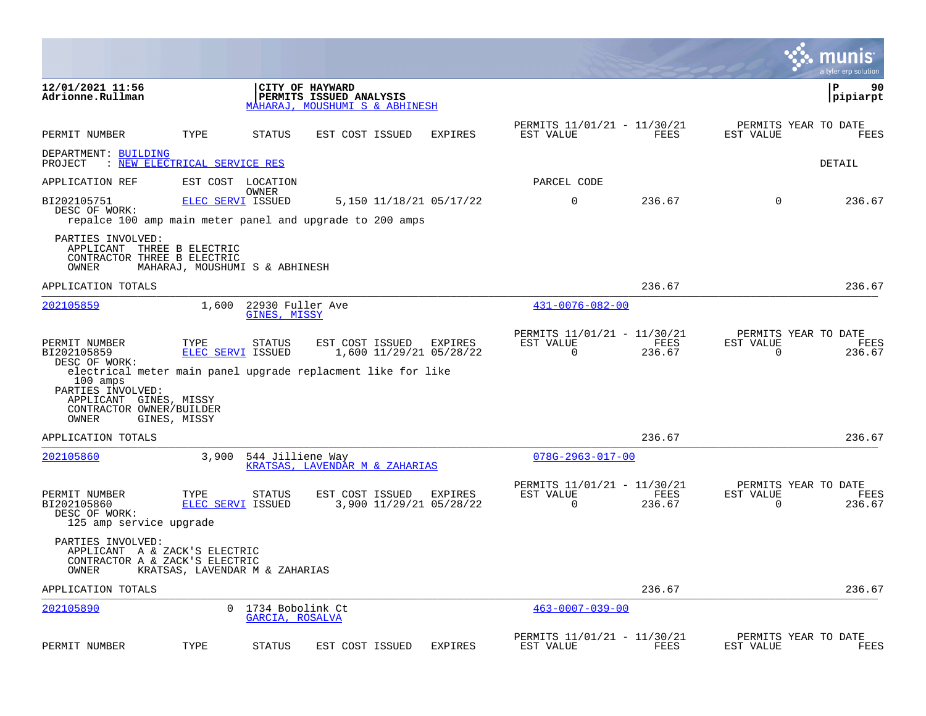|                                                                                                                                      |                                |                                        |                                                                                                                    |                |                                                      |                |                       | munis<br>a tyler erp solution                 |
|--------------------------------------------------------------------------------------------------------------------------------------|--------------------------------|----------------------------------------|--------------------------------------------------------------------------------------------------------------------|----------------|------------------------------------------------------|----------------|-----------------------|-----------------------------------------------|
| 12/01/2021 11:56<br>Adrionne.Rullman                                                                                                 |                                |                                        | CITY OF HAYWARD<br>PERMITS ISSUED ANALYSIS<br>MAHARAJ, MOUSHUMI S & ABHINESH                                       |                |                                                      |                |                       | ∣P<br>90<br> pipiarpt                         |
| PERMIT NUMBER                                                                                                                        | TYPE                           | STATUS                                 | EST COST ISSUED                                                                                                    | <b>EXPIRES</b> | PERMITS 11/01/21 - 11/30/21<br>EST VALUE             | FEES           | EST VALUE             | PERMITS YEAR TO DATE<br>FEES                  |
| DEPARTMENT: BUILDING<br>PROJECT                                                                                                      | : NEW ELECTRICAL SERVICE RES   |                                        |                                                                                                                    |                |                                                      |                |                       | DETAIL                                        |
| APPLICATION REF                                                                                                                      |                                | EST COST LOCATION                      |                                                                                                                    |                | PARCEL CODE                                          |                |                       |                                               |
| BI202105751<br>DESC OF WORK:                                                                                                         | <b>ELEC SERVI ISSUED</b>       | OWNER                                  | 5,150 11/18/21 05/17/22<br>repalce 100 amp main meter panel and upgrade to 200 amps                                |                | $\mathbf 0$                                          | 236.67         | $\mathbf 0$           | 236.67                                        |
| PARTIES INVOLVED:<br>APPLICANT THREE B ELECTRIC<br>CONTRACTOR THREE B ELECTRIC<br>OWNER                                              | MAHARAJ, MOUSHUMI S & ABHINESH |                                        |                                                                                                                    |                |                                                      |                |                       |                                               |
| APPLICATION TOTALS                                                                                                                   |                                |                                        |                                                                                                                    |                |                                                      | 236.67         |                       | 236.67                                        |
| 202105859                                                                                                                            |                                | 1,600 22930 Fuller Ave<br>GINES, MISSY |                                                                                                                    |                | $431 - 0076 - 082 - 00$                              |                |                       |                                               |
| PERMIT NUMBER<br>BI202105859<br>DESC OF WORK:<br>100 amps<br>PARTIES INVOLVED:<br>APPLICANT GINES, MISSY<br>CONTRACTOR OWNER/BUILDER | TYPE<br>ELEC SERVI ISSUED      | STATUS                                 | EST COST ISSUED EXPIRES<br>1,600 11/29/21 05/28/22<br>electrical meter main panel upgrade replacment like for like |                | PERMITS 11/01/21 - 11/30/21<br>EST VALUE<br>0        | FEES<br>236.67 | EST VALUE<br>0        | PERMITS YEAR TO DATE<br>FEES<br>236.67        |
| OWNER<br>APPLICATION TOTALS                                                                                                          | GINES, MISSY                   |                                        |                                                                                                                    |                |                                                      | 236.67         |                       | 236.67                                        |
| 202105860                                                                                                                            | 3,900                          | 544 Jilliene Way                       | KRATSAS, LAVENDAR M & ZAHARIAS                                                                                     |                | $078G - 2963 - 017 - 00$                             |                |                       |                                               |
| PERMIT NUMBER<br>BI202105860<br>DESC OF WORK:<br>125 amp service upgrade                                                             | TYPE<br>ELEC SERVI ISSUED      | <b>STATUS</b>                          | EST COST ISSUED<br>3,900 11/29/21 05/28/22                                                                         | EXPIRES        | PERMITS 11/01/21 - 11/30/21<br>EST VALUE<br>$\Omega$ | FEES<br>236.67 | EST VALUE<br>$\Omega$ | PERMITS YEAR TO DATE<br><b>FEES</b><br>236.67 |
| PARTIES INVOLVED:<br>APPLICANT A & ZACK'S ELECTRIC<br>CONTRACTOR A & ZACK'S ELECTRIC<br>OWNER                                        | KRATSAS, LAVENDAR M & ZAHARIAS |                                        |                                                                                                                    |                |                                                      |                |                       |                                               |
| APPLICATION TOTALS                                                                                                                   |                                |                                        |                                                                                                                    |                |                                                      | 236.67         |                       | 236.67                                        |
| 202105890                                                                                                                            |                                | 0 1734 Bobolink Ct<br>GARCIA, ROSALVA  |                                                                                                                    |                | $463 - 0007 - 039 - 00$                              |                |                       |                                               |
| PERMIT NUMBER                                                                                                                        | TYPE                           | <b>STATUS</b>                          | EST COST ISSUED                                                                                                    | <b>EXPIRES</b> | PERMITS 11/01/21 - 11/30/21<br>EST VALUE             | FEES           | EST VALUE             | PERMITS YEAR TO DATE<br>FEES                  |

and the contract of the contract of the contract of the contract of the contract of the contract of the contract of

the property of the control of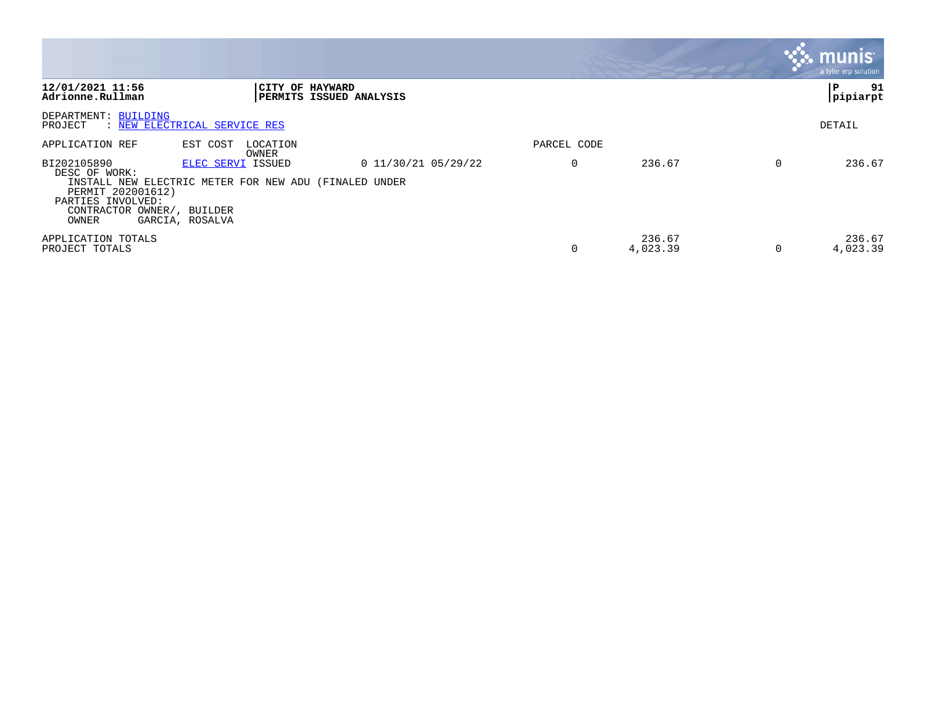|                                                                                                               |                                                                                               |                         |             |                    | <b>munis</b><br>a tyler erp solution |
|---------------------------------------------------------------------------------------------------------------|-----------------------------------------------------------------------------------------------|-------------------------|-------------|--------------------|--------------------------------------|
| 12/01/2021 11:56<br>Adrionne.Rullman                                                                          | CITY OF HAYWARD                                                                               | PERMITS ISSUED ANALYSIS |             |                    | 91<br>P<br> pipiarpt                 |
| DEPARTMENT: BUILDING<br>PROJECT                                                                               | : NEW ELECTRICAL SERVICE RES                                                                  |                         |             |                    | DETAIL                               |
| APPLICATION REF                                                                                               | EST COST<br>LOCATION<br>OWNER                                                                 |                         | PARCEL CODE |                    |                                      |
| BI202105890<br>DESC OF WORK:<br>PERMIT 202001612)<br>PARTIES INVOLVED:<br>CONTRACTOR OWNER/, BUILDER<br>OWNER | ELEC SERVI ISSUED<br>INSTALL NEW ELECTRIC METER FOR NEW ADU (FINALED UNDER<br>GARCIA, ROSALVA | $0$ 11/30/21 05/29/22   | $\Omega$    | 236.67             | 236.67                               |
| APPLICATION TOTALS<br>PROJECT TOTALS                                                                          |                                                                                               |                         | $\Omega$    | 236.67<br>4,023.39 | 236.67<br>4,023.39                   |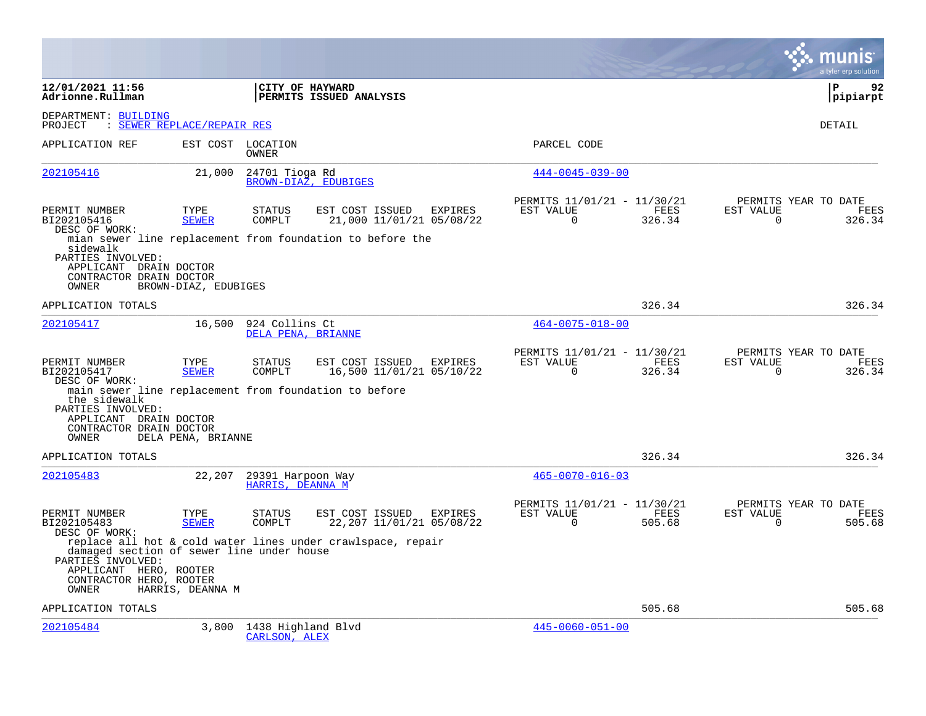|                                                                                                                                                                                                  |                            |                                            |                                                             |         |                                                      |                |                       | a tyler erp solution                   |
|--------------------------------------------------------------------------------------------------------------------------------------------------------------------------------------------------|----------------------------|--------------------------------------------|-------------------------------------------------------------|---------|------------------------------------------------------|----------------|-----------------------|----------------------------------------|
| 12/01/2021 11:56<br>Adrionne.Rullman                                                                                                                                                             |                            | CITY OF HAYWARD<br>PERMITS ISSUED ANALYSIS |                                                             |         |                                                      |                |                       | ΙP<br>92<br> pipiarpt                  |
| DEPARTMENT: BUILDING<br>PROJECT                                                                                                                                                                  | : SEWER REPLACE/REPAIR RES |                                            |                                                             |         |                                                      |                |                       | <b>DETAIL</b>                          |
| APPLICATION REF                                                                                                                                                                                  |                            | EST COST LOCATION<br>OWNER                 |                                                             |         | PARCEL CODE                                          |                |                       |                                        |
| 202105416                                                                                                                                                                                        | 21,000                     | 24701 Tioga Rd<br>BROWN-DIAZ, EDUBIGES     |                                                             |         | $444 - 0045 - 039 - 00$                              |                |                       |                                        |
| PERMIT NUMBER<br>BI202105416<br>DESC OF WORK:                                                                                                                                                    | TYPE<br><b>SEWER</b>       | <b>STATUS</b><br>COMPLT                    | EST COST ISSUED<br>21,000 11/01/21 05/08/22                 | EXPIRES | PERMITS 11/01/21 - 11/30/21<br>EST VALUE<br>$\Omega$ | FEES<br>326.34 | EST VALUE<br>$\Omega$ | PERMITS YEAR TO DATE<br>FEES<br>326.34 |
| mian sewer line replacement from foundation to before the<br>sidewalk<br>PARTIES INVOLVED:<br>APPLICANT DRAIN DOCTOR<br>CONTRACTOR DRAIN DOCTOR<br>OWNER                                         | BROWN-DIAZ, EDUBIGES       |                                            |                                                             |         |                                                      |                |                       |                                        |
| APPLICATION TOTALS                                                                                                                                                                               |                            |                                            |                                                             |         |                                                      | 326.34         |                       | 326.34                                 |
| 202105417                                                                                                                                                                                        | 16,500                     | 924 Collins Ct<br>DELA PENA, BRIANNE       |                                                             |         | $464 - 0075 - 018 - 00$                              |                |                       |                                        |
| PERMIT NUMBER<br>BI202105417<br>DESC OF WORK:<br>main sewer line replacement from foundation to before<br>the sidewalk<br>PARTIES INVOLVED:<br>APPLICANT DRAIN DOCTOR<br>CONTRACTOR DRAIN DOCTOR | TYPE<br><b>SEWER</b>       | <b>STATUS</b><br>COMPLT                    | EST COST ISSUED<br>16,500 11/01/21 05/10/22                 | EXPIRES | PERMITS 11/01/21 - 11/30/21<br>EST VALUE<br>$\Omega$ | FEES<br>326.34 | EST VALUE<br>$\Omega$ | PERMITS YEAR TO DATE<br>FEES<br>326.34 |
| OWNER                                                                                                                                                                                            | DELA PENA, BRIANNE         |                                            |                                                             |         |                                                      |                |                       |                                        |
| APPLICATION TOTALS                                                                                                                                                                               |                            |                                            |                                                             |         |                                                      | 326.34         |                       | 326.34                                 |
| 202105483                                                                                                                                                                                        | 22,207                     | 29391 Harpoon Way<br>HARRIS, DEANNA M      |                                                             |         | $465 - 0070 - 016 - 03$                              |                |                       |                                        |
| PERMIT NUMBER<br>BI202105483<br>DESC OF WORK:                                                                                                                                                    | TYPE<br><b>SEWER</b>       | <b>STATUS</b><br>COMPLT                    | EST COST ISSUED EXPIRES<br>22, 207 11/01/21 05/08/22        |         | PERMITS 11/01/21 - 11/30/21<br>EST VALUE<br>$\Omega$ | FEES<br>505.68 | EST VALUE<br>$\Omega$ | PERMITS YEAR TO DATE<br>FEES<br>505.68 |
| damaged section of sewer line under house<br>PARTIES INVOLVED:<br>APPLICANT HERO, ROOTER<br>CONTRACTOR HERO, ROOTER<br>OWNER                                                                     | HARRIS, DEANNA M           |                                            | replace all hot & cold water lines under crawlspace, repair |         |                                                      |                |                       |                                        |
| APPLICATION TOTALS                                                                                                                                                                               |                            |                                            |                                                             |         |                                                      | 505.68         |                       | 505.68                                 |
| 202105484                                                                                                                                                                                        | 3,800                      | 1438 Highland Blvd<br>CARLSON, ALEX        |                                                             |         | $445 - 0060 - 051 - 00$                              |                |                       |                                        |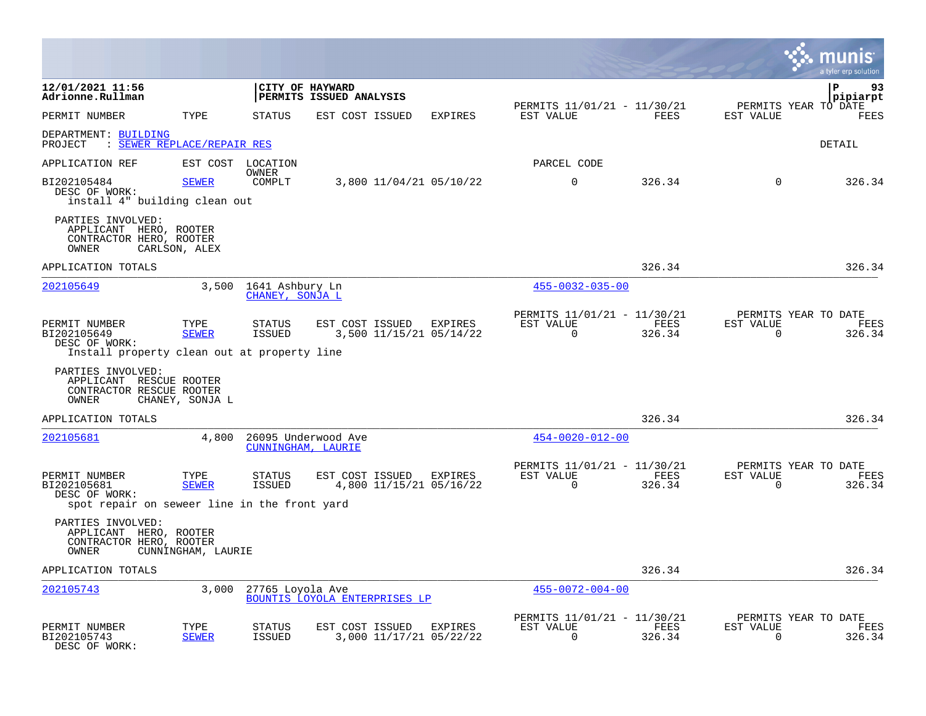|                                                                                               |                      |                                          |                                            |                                    |                                                            |                |                          | INIS<br>a tyler erp solution           |
|-----------------------------------------------------------------------------------------------|----------------------|------------------------------------------|--------------------------------------------|------------------------------------|------------------------------------------------------------|----------------|--------------------------|----------------------------------------|
| 12/01/2021 11:56<br>Adrionne.Rullman                                                          |                      |                                          | CITY OF HAYWARD<br>PERMITS ISSUED ANALYSIS |                                    |                                                            |                |                          | P<br>93<br>pipiarpt                    |
| PERMIT NUMBER                                                                                 | TYPE                 | <b>STATUS</b>                            | EST COST ISSUED                            | <b>EXPIRES</b>                     | PERMITS 11/01/21 - 11/30/21<br>EST VALUE                   | FEES           | EST VALUE                | PERMITS YEAR TO DATE<br>FEES           |
| DEPARTMENT: BUILDING<br>: SEWER REPLACE/REPAIR RES<br>PROJECT                                 |                      |                                          |                                            |                                    |                                                            |                |                          | DETAIL                                 |
| APPLICATION REF                                                                               |                      | EST COST LOCATION                        |                                            |                                    | PARCEL CODE                                                |                |                          |                                        |
| BI202105484<br>DESC OF WORK:<br>install 4" building clean out                                 | <b>SEWER</b>         | <b>OWNER</b><br>COMPLT                   |                                            | 3,800 11/04/21 05/10/22            | $\mathbf 0$                                                | 326.34         | $\Omega$                 | 326.34                                 |
| PARTIES INVOLVED:<br>APPLICANT HERO, ROOTER<br>CONTRACTOR HERO, ROOTER<br>OWNER               | CARLSON, ALEX        |                                          |                                            |                                    |                                                            |                |                          |                                        |
| APPLICATION TOTALS                                                                            |                      |                                          |                                            |                                    |                                                            | 326.34         |                          | 326.34                                 |
| 202105649                                                                                     |                      | 3,500 1641 Ashbury Ln<br>CHANEY, SONJA L |                                            |                                    | $455 - 0032 - 035 - 00$                                    |                |                          |                                        |
| PERMIT NUMBER<br>BI202105649<br>DESC OF WORK:<br>Install property clean out at property line  | TYPE<br><b>SEWER</b> | <b>STATUS</b><br><b>ISSUED</b>           | EST COST ISSUED                            | EXPIRES<br>3,500 11/15/21 05/14/22 | PERMITS 11/01/21 - 11/30/21<br>EST VALUE<br>$\Omega$       | FEES<br>326.34 | EST VALUE<br>$\Omega$    | PERMITS YEAR TO DATE<br>FEES<br>326.34 |
| PARTIES INVOLVED:<br>APPLICANT RESCUE ROOTER<br>CONTRACTOR RESCUE ROOTER<br>OWNER             | CHANEY, SONJA L      |                                          |                                            |                                    |                                                            |                |                          |                                        |
| APPLICATION TOTALS                                                                            |                      |                                          |                                            |                                    |                                                            | 326.34         |                          | 326.34                                 |
| 202105681                                                                                     | 4,800                | CUNNINGHAM, LAURIE                       | 26095 Underwood Ave                        |                                    | $454 - 0020 - 012 - 00$                                    |                |                          |                                        |
| PERMIT NUMBER<br>BI202105681<br>DESC OF WORK:<br>spot repair on seweer line in the front yard | TYPE<br><b>SEWER</b> | STATUS<br><b>ISSUED</b>                  | EST COST ISSUED EXPIRES                    | 4,800 11/15/21 05/16/22            | PERMITS 11/01/21 - 11/30/21<br>EST VALUE<br>$\overline{0}$ | FEES<br>326.34 | EST VALUE<br>$\mathbf 0$ | PERMITS YEAR TO DATE<br>FEES<br>326.34 |
| PARTIES INVOLVED:<br>APPLICANT HERO, ROOTER<br>CONTRACTOR HERO, ROOTER<br>OWNER               | CUNNINGHAM, LAURIE   |                                          |                                            |                                    |                                                            |                |                          |                                        |
| APPLICATION TOTALS                                                                            |                      |                                          |                                            |                                    |                                                            | 326.34         |                          | 326.34                                 |
| 202105743                                                                                     | 3,000                | 27765 Loyola Ave                         | <b>BOUNTIS LOYOLA ENTERPRISES LP</b>       |                                    | $455 - 0072 - 004 - 00$                                    |                |                          |                                        |
| PERMIT NUMBER<br>BI202105743<br>DESC OF WORK:                                                 | TYPE<br><b>SEWER</b> | STATUS<br><b>ISSUED</b>                  | EST COST ISSUED EXPIRES                    | 3,000 11/17/21 05/22/22            | PERMITS 11/01/21 - 11/30/21<br>EST VALUE<br>$\mathbf 0$    | FEES<br>326.34 | EST VALUE<br>$\mathbf 0$ | PERMITS YEAR TO DATE<br>FEES<br>326.34 |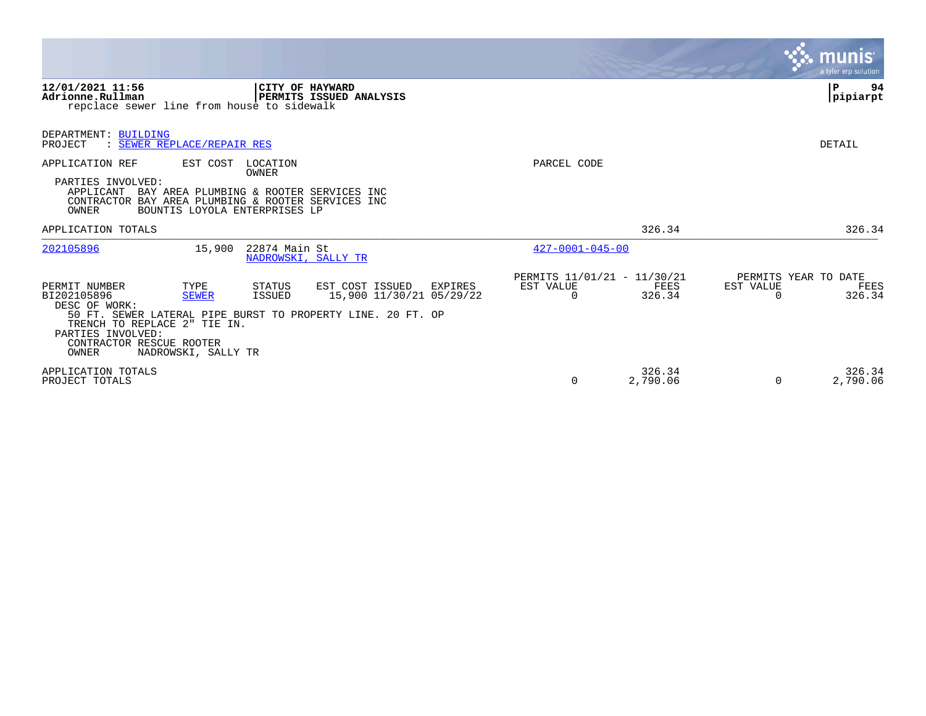|                                                                                                                                                                                                                                                                                                                                     |                                                                      | munis<br>a tyler erp solution                                   |
|-------------------------------------------------------------------------------------------------------------------------------------------------------------------------------------------------------------------------------------------------------------------------------------------------------------------------------------|----------------------------------------------------------------------|-----------------------------------------------------------------|
| 12/01/2021 11:56<br><b>CITY OF HAYWARD</b><br>PERMITS ISSUED ANALYSIS<br>Adrionne.Rullman<br>repclace sewer line from house to sidewalk                                                                                                                                                                                             |                                                                      | 94<br>P<br>pipiarpt                                             |
| DEPARTMENT: BUILDING<br>: SEWER REPLACE/REPAIR RES<br>PROJECT                                                                                                                                                                                                                                                                       |                                                                      | DETAIL                                                          |
| APPLICATION REF<br>EST COST<br>LOCATION<br><b>OWNER</b><br>PARTIES INVOLVED:<br>APPLICANT<br>BAY AREA PLUMBING & ROOTER SERVICES INC<br>CONTRACTOR BAY AREA PLUMBING & ROOTER SERVICES INC<br>OWNER<br>BOUNTIS LOYOLA ENTERPRISES LP                                                                                                | PARCEL CODE                                                          |                                                                 |
| APPLICATION TOTALS                                                                                                                                                                                                                                                                                                                  | 326.34                                                               | 326.34                                                          |
| 202105896<br>22874 Main St<br>15,900<br>NADROWSKI, SALLY TR                                                                                                                                                                                                                                                                         | $427 - 0001 - 045 - 00$                                              |                                                                 |
| PERMIT NUMBER<br>TYPE<br>STATUS<br>EST COST ISSUED<br>EXPIRES<br>15,900 11/30/21 05/29/22<br>BI202105896<br><b>SEWER</b><br>ISSUED<br>DESC OF WORK:<br>50 FT. SEWER LATERAL PIPE BURST TO PROPERTY LINE, 20 FT. OP<br>TRENCH TO REPLACE 2" TIE IN.<br>PARTIES INVOLVED:<br>CONTRACTOR RESCUE ROOTER<br>OWNER<br>NADROWSKI, SALLY TR | PERMITS 11/01/21 - 11/30/21<br>EST VALUE<br>FEES<br>326.34<br>$\cap$ | PERMITS YEAR TO DATE<br>EST VALUE<br>FEES<br>326.34<br>$\Omega$ |
| APPLICATION TOTALS<br>PROJECT TOTALS                                                                                                                                                                                                                                                                                                | 326.34<br>2,790.06<br>$\Omega$                                       | 326.34<br>2,790.06<br>$\Omega$                                  |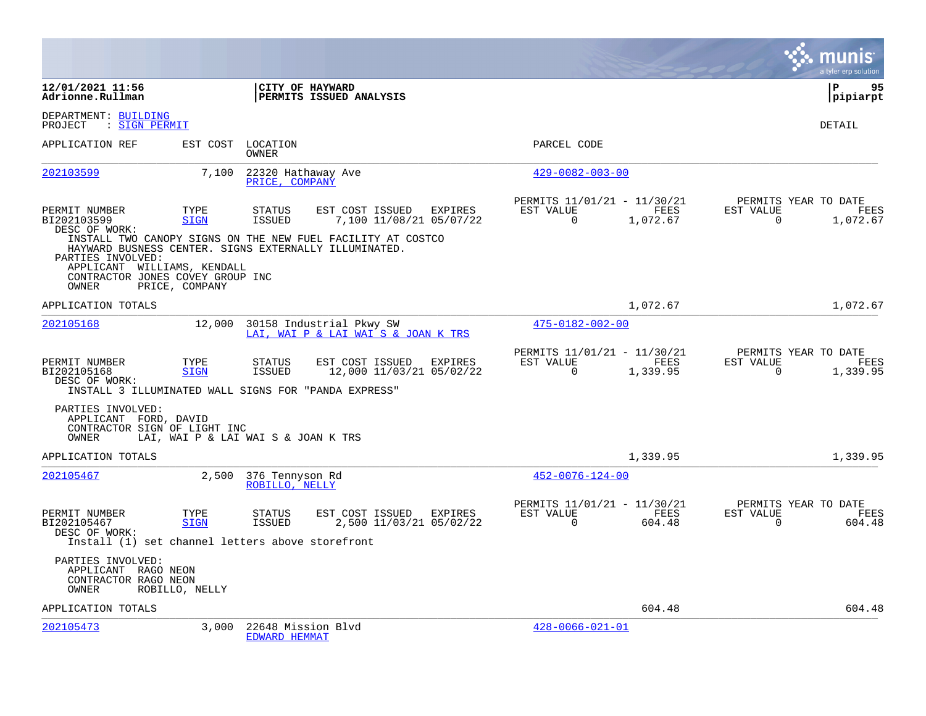|                                                                                                       |                                     |                                      |                                                                                                           |         |                                                         |                  |                       | munis<br>a tyler erp solution            |
|-------------------------------------------------------------------------------------------------------|-------------------------------------|--------------------------------------|-----------------------------------------------------------------------------------------------------------|---------|---------------------------------------------------------|------------------|-----------------------|------------------------------------------|
| 12/01/2021 11:56<br>Adrionne.Rullman                                                                  |                                     | CITY OF HAYWARD                      | PERMITS ISSUED ANALYSIS                                                                                   |         |                                                         |                  |                       | l P<br>95<br> pipiarpt                   |
| DEPARTMENT: BUILDING<br>PROJECT<br>: SIGN PERMIT                                                      |                                     |                                      |                                                                                                           |         |                                                         |                  |                       | <b>DETAIL</b>                            |
| APPLICATION REF                                                                                       | EST COST                            | LOCATION<br>OWNER                    |                                                                                                           |         | PARCEL CODE                                             |                  |                       |                                          |
| 202103599                                                                                             | 7,100                               | 22320 Hathaway Ave<br>PRICE, COMPANY |                                                                                                           |         | $429 - 0082 - 003 - 00$                                 |                  |                       |                                          |
| PERMIT NUMBER<br>BI202103599<br>DESC OF WORK:                                                         | TYPE<br><b>SIGN</b>                 | STATUS<br><b>ISSUED</b>              | EST COST ISSUED<br>7,100 11/08/21 05/07/22<br>INSTALL TWO CANOPY SIGNS ON THE NEW FUEL FACILITY AT COSTCO | EXPIRES | PERMITS 11/01/21 - 11/30/21<br>EST VALUE<br>$\Omega$    | FEES<br>1,072.67 | EST VALUE<br>$\Omega$ | PERMITS YEAR TO DATE<br>FEES<br>1,072.67 |
| PARTIES INVOLVED:<br>APPLICANT WILLIAMS, KENDALL<br>CONTRACTOR JONES COVEY GROUP INC<br>OWNER         | PRICE, COMPANY                      |                                      | HAYWARD BUSNESS CENTER. SIGNS EXTERNALLY ILLUMINATED.                                                     |         |                                                         |                  |                       |                                          |
| APPLICATION TOTALS                                                                                    |                                     |                                      |                                                                                                           |         |                                                         | 1,072.67         |                       | 1,072.67                                 |
| 202105168                                                                                             | 12,000                              |                                      | 30158 Industrial Pkwy SW<br>LAI, WAI P & LAI WAI S & JOAN K TRS                                           |         | 475-0182-002-00                                         |                  |                       |                                          |
| PERMIT NUMBER<br>BI202105168<br>DESC OF WORK:<br>INSTALL 3 ILLUMINATED WALL SIGNS FOR "PANDA EXPRESS" | TYPE<br><b>SIGN</b>                 | <b>STATUS</b><br>ISSUED              | EST COST ISSUED<br>12,000 11/03/21 05/02/22                                                               | EXPIRES | PERMITS 11/01/21 - 11/30/21<br>EST VALUE<br>$\Omega$    | FEES<br>1,339.95 | EST VALUE<br>$\Omega$ | PERMITS YEAR TO DATE<br>FEES<br>1,339.95 |
| PARTIES INVOLVED:<br>APPLICANT FORD, DAVID<br>CONTRACTOR SIGN OF LIGHT INC<br>OWNER                   | LAI, WAI P & LAI WAI S & JOAN K TRS |                                      |                                                                                                           |         |                                                         |                  |                       |                                          |
| APPLICATION TOTALS                                                                                    |                                     |                                      |                                                                                                           |         |                                                         | 1,339.95         |                       | 1,339.95                                 |
| 202105467                                                                                             | 2,500                               | 376 Tennyson Rd<br>ROBILLO, NELLY    |                                                                                                           |         | $452 - 0076 - 124 - 00$                                 |                  |                       |                                          |
| PERMIT NUMBER<br>BI202105467<br>DESC OF WORK:<br>Install (1) set channel letters above storefront     | TYPE<br><b>SIGN</b>                 | <b>STATUS</b><br>ISSUED              | EST COST ISSUED EXPIRES<br>2,500 11/03/21 05/02/22                                                        |         | PERMITS 11/01/21 - 11/30/21<br>EST VALUE<br>$\mathbf 0$ | FEES<br>604.48   | EST VALUE<br>$\Omega$ | PERMITS YEAR TO DATE<br>FEES<br>604.48   |
| PARTIES INVOLVED:<br>APPLICANT RAGO NEON<br>CONTRACTOR RAGO NEON<br>OWNER                             | ROBILLO, NELLY                      |                                      |                                                                                                           |         |                                                         |                  |                       |                                          |
| APPLICATION TOTALS                                                                                    |                                     |                                      |                                                                                                           |         |                                                         | 604.48           |                       | 604.48                                   |
| 202105473                                                                                             | 3,000                               | 22648 Mission Blvd<br>EDWARD HEMMAT  |                                                                                                           |         | $428 - 0066 - 021 - 01$                                 |                  |                       |                                          |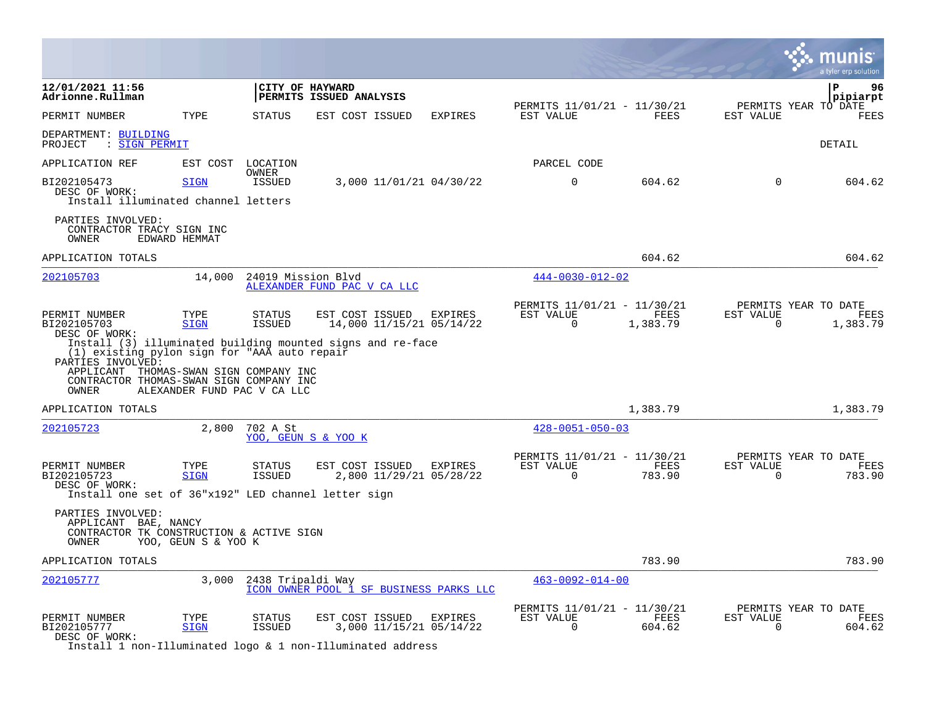|                                                                                                                                                                 |                             |                                |                                                            |         |                                                         |                  |                          | a tyler erp solution                     |
|-----------------------------------------------------------------------------------------------------------------------------------------------------------------|-----------------------------|--------------------------------|------------------------------------------------------------|---------|---------------------------------------------------------|------------------|--------------------------|------------------------------------------|
| 12/01/2021 11:56<br>Adrionne.Rullman                                                                                                                            |                             |                                | CITY OF HAYWARD<br>PERMITS ISSUED ANALYSIS                 |         |                                                         |                  |                          | P<br>96<br>pipiarpt                      |
| PERMIT NUMBER                                                                                                                                                   | TYPE                        | <b>STATUS</b>                  | EST COST ISSUED                                            | EXPIRES | PERMITS 11/01/21 - 11/30/21<br>EST VALUE                | FEES             | EST VALUE                | PERMITS YEAR TO DATE<br>FEES             |
| DEPARTMENT: BUILDING<br>: SIGN PERMIT<br>PROJECT                                                                                                                |                             |                                |                                                            |         |                                                         |                  |                          | <b>DETAIL</b>                            |
| APPLICATION REF                                                                                                                                                 | EST COST                    | LOCATION<br><b>OWNER</b>       |                                                            |         | PARCEL CODE                                             |                  |                          |                                          |
| BI202105473<br>DESC OF WORK:<br>Install illuminated channel letters                                                                                             | <b>SIGN</b>                 | <b>ISSUED</b>                  | 3,000 11/01/21 04/30/22                                    |         | $\mathbf 0$                                             | 604.62           | $\mathbf 0$              | 604.62                                   |
| PARTIES INVOLVED:<br>CONTRACTOR TRACY SIGN INC<br>OWNER                                                                                                         | EDWARD HEMMAT               |                                |                                                            |         |                                                         |                  |                          |                                          |
| APPLICATION TOTALS                                                                                                                                              |                             |                                |                                                            |         |                                                         | 604.62           |                          | 604.62                                   |
| 202105703                                                                                                                                                       | 14,000                      | 24019 Mission Blvd             | ALEXANDER FUND PAC V CA LLC                                |         | $444 - 0030 - 012 - 02$                                 |                  |                          |                                          |
| PERMIT NUMBER<br>BI202105703<br>DESC OF WORK:                                                                                                                   | TYPE<br><b>SIGN</b>         | STATUS<br><b>ISSUED</b>        | EST COST ISSUED<br>14,000 11/15/21 05/14/22                | EXPIRES | PERMITS 11/01/21 - 11/30/21<br>EST VALUE<br>$\Omega$    | FEES<br>1,383.79 | EST VALUE<br>$\mathbf 0$ | PERMITS YEAR TO DATE<br>FEES<br>1,383.79 |
| (1) existing pylon sign for "AAA auto repair<br>PARTIES INVOLVED:<br>APPLICANT THOMAS-SWAN SIGN COMPANY INC<br>CONTRACTOR THOMAS-SWAN SIGN COMPANY INC<br>OWNER | ALEXANDER FUND PAC V CA LLC |                                | Install (3) illuminated building mounted signs and re-face |         |                                                         |                  |                          |                                          |
| APPLICATION TOTALS                                                                                                                                              |                             |                                |                                                            |         |                                                         | 1,383.79         |                          | 1,383.79                                 |
| 202105723                                                                                                                                                       | 2,800                       | 702 A St                       | YOO, GEUN S & YOO K                                        |         | $428 - 0051 - 050 - 03$                                 |                  |                          |                                          |
| PERMIT NUMBER<br>BI202105723<br>DESC OF WORK:                                                                                                                   | TYPE<br><b>SIGN</b>         | <b>STATUS</b><br><b>ISSUED</b> | EST COST ISSUED<br>2,800 11/29/21 05/28/22                 | EXPIRES | PERMITS 11/01/21 - 11/30/21<br>EST VALUE<br>$\Omega$    | FEES<br>783.90   | EST VALUE<br>$\mathbf 0$ | PERMITS YEAR TO DATE<br>FEES<br>783.90   |
| Install one set of 36"x192" LED channel letter sign                                                                                                             |                             |                                |                                                            |         |                                                         |                  |                          |                                          |
| PARTIES INVOLVED:<br>APPLICANT BAE, NANCY<br>CONTRACTOR TK CONSTRUCTION & ACTIVE SIGN<br>OWNER                                                                  | YOO, GEUN S & YOO K         |                                |                                                            |         |                                                         |                  |                          |                                          |
| APPLICATION TOTALS                                                                                                                                              |                             |                                |                                                            |         |                                                         | 783.90           |                          | 783.90                                   |
| 202105777                                                                                                                                                       | 3.000                       | 2438 Tripaldi Way              | ICON OWNER POOL 1 SF BUSINESS PARKS LLC                    |         | $463 - 0092 - 014 - 00$                                 |                  |                          |                                          |
| PERMIT NUMBER<br>BI202105777<br>DESC OF WORK:                                                                                                                   | TYPE<br><b>SIGN</b>         | <b>STATUS</b><br><b>ISSUED</b> | EST COST ISSUED<br>3,000 11/15/21 05/14/22                 | EXPIRES | PERMITS 11/01/21 - 11/30/21<br>EST VALUE<br>$\mathbf 0$ | FEES<br>604.62   | EST VALUE<br>$\mathbf 0$ | PERMITS YEAR TO DATE<br>FEES<br>604.62   |

Install 1 non-Illuminated logo & 1 non-Illuminated address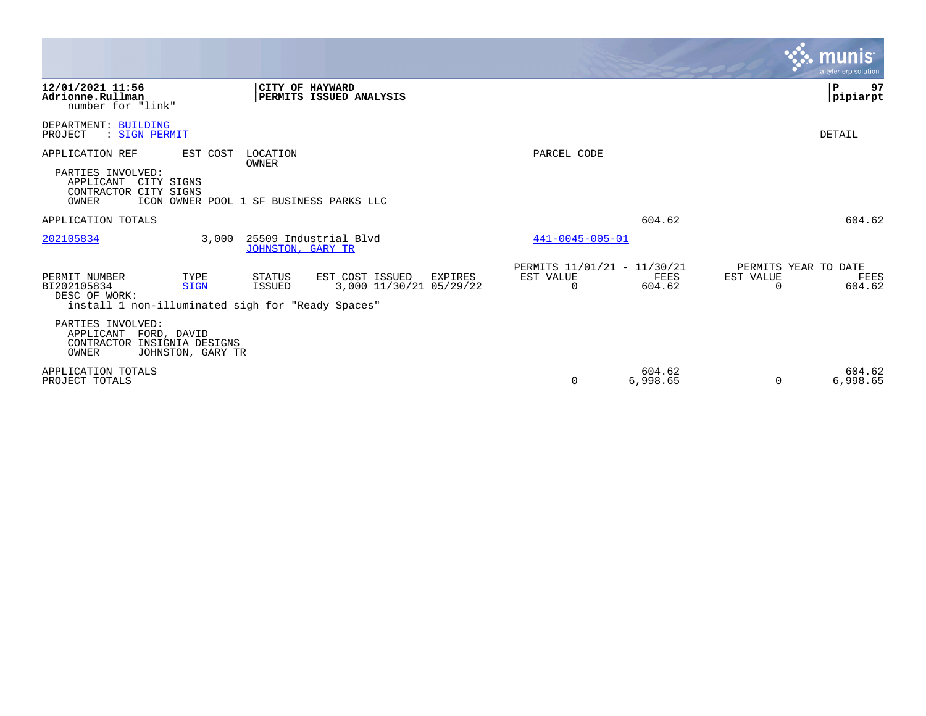|                                                                                                    |                                  |                                |                                                              |                         |                                               |                       | <b>munis</b><br>a tyler erp solution.  |
|----------------------------------------------------------------------------------------------------|----------------------------------|--------------------------------|--------------------------------------------------------------|-------------------------|-----------------------------------------------|-----------------------|----------------------------------------|
| 12/01/2021 11:56<br>Adrionne.Rullman<br>number for "link"                                          |                                  |                                | CITY OF HAYWARD<br>PERMITS ISSUED ANALYSIS                   |                         |                                               |                       | 97<br>${\bf P}$<br>pipiarpt            |
| DEPARTMENT: BUILDING<br>: SIGN PERMIT<br>PROJECT                                                   |                                  |                                |                                                              |                         |                                               |                       | DETAIL                                 |
| APPLICATION REF                                                                                    | EST COST                         | LOCATION                       |                                                              | PARCEL CODE             |                                               |                       |                                        |
| PARTIES INVOLVED:<br>APPLICANT<br>CONTRACTOR CITY SIGNS<br>OWNER                                   | CITY SIGNS                       | OWNER                          | ICON OWNER POOL 1 SF BUSINESS PARKS LLC                      |                         |                                               |                       |                                        |
| APPLICATION TOTALS                                                                                 |                                  |                                |                                                              |                         | 604.62                                        |                       | 604.62                                 |
| 202105834                                                                                          | 3.000                            | <b>JOHNSTON, GARY TR</b>       | 25509 Industrial Blvd                                        | $441 - 0045 - 005 - 01$ |                                               |                       |                                        |
| PERMIT NUMBER<br>BI202105834<br>DESC OF WORK:<br>install 1 non-illuminated sigh for "Ready Spaces" | TYPE<br><b>SIGN</b>              | <b>STATUS</b><br><b>ISSUED</b> | EST COST ISSUED<br><b>EXPIRES</b><br>3,000 11/30/21 05/29/22 | EST VALUE<br>0          | PERMITS 11/01/21 - 11/30/21<br>FEES<br>604.62 | EST VALUE<br>$\Omega$ | PERMITS YEAR TO DATE<br>FEES<br>604.62 |
| PARTIES INVOLVED:<br>APPLICANT<br>CONTRACTOR INSIGNIA DESIGNS<br>OWNER                             | FORD, DAVID<br>JOHNSTON, GARY TR |                                |                                                              |                         |                                               |                       |                                        |
| APPLICATION TOTALS<br>PROJECT TOTALS                                                               |                                  |                                |                                                              | 0                       | 604.62<br>6,998.65                            | $\Omega$              | 604.62<br>6,998.65                     |

**Contract**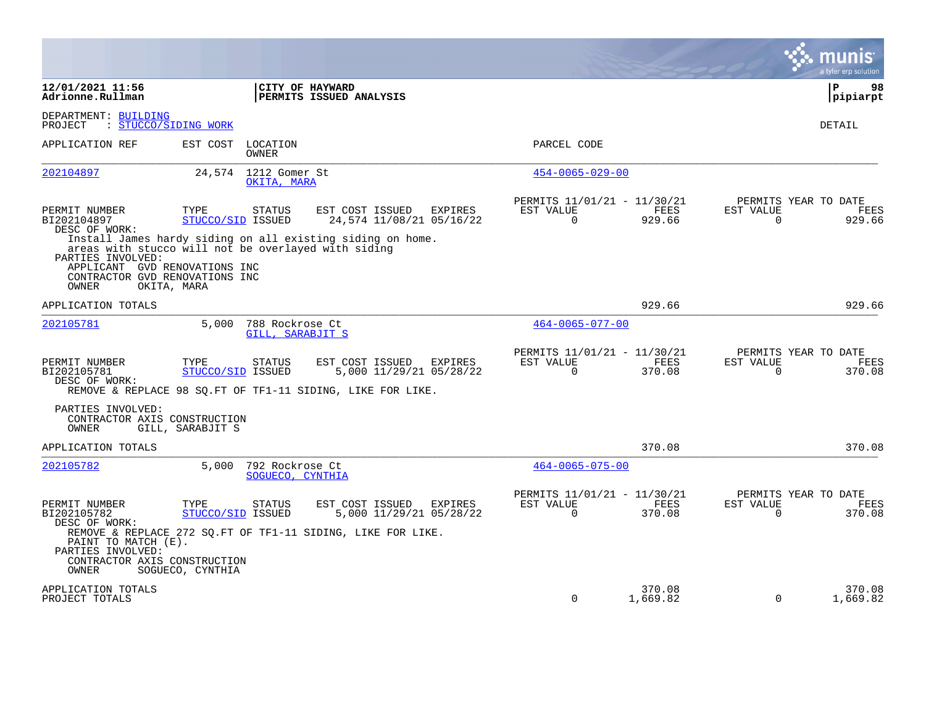|                                                                                               |                                            |                                                                                                                   |                |                                                      |                       |                       | a tyler erp solution                          |
|-----------------------------------------------------------------------------------------------|--------------------------------------------|-------------------------------------------------------------------------------------------------------------------|----------------|------------------------------------------------------|-----------------------|-----------------------|-----------------------------------------------|
| 12/01/2021 11:56<br>Adrionne.Rullman                                                          |                                            | CITY OF HAYWARD<br>PERMITS ISSUED ANALYSIS                                                                        |                |                                                      |                       |                       | l P<br>98<br> pipiarpt                        |
| DEPARTMENT: BUILDING<br>PROJECT<br>: STUCCO/SIDING WORK                                       |                                            |                                                                                                                   |                |                                                      |                       |                       | DETAIL                                        |
| APPLICATION REF                                                                               | EST COST<br>LOCATION<br>OWNER              |                                                                                                                   |                | PARCEL CODE                                          |                       |                       |                                               |
| 202104897                                                                                     | 24,574                                     | 1212 Gomer St<br>OKITA, MARA                                                                                      |                | $454 - 0065 - 029 - 00$                              |                       |                       |                                               |
| PERMIT NUMBER<br>BI202104897<br>DESC OF WORK:                                                 | TYPE<br><b>STATUS</b><br>STUCCO/SID ISSUED | EST COST ISSUED<br>24,574 11/08/21 05/16/22                                                                       | EXPIRES        | PERMITS 11/01/21 - 11/30/21<br>EST VALUE<br>$\Omega$ | FEES<br>929.66        | EST VALUE<br>$\Omega$ | PERMITS YEAR TO DATE<br>FEES<br>929.66        |
| PARTIES INVOLVED:<br>APPLICANT GVD RENOVATIONS INC<br>CONTRACTOR GVD RENOVATIONS INC<br>OWNER | OKITA, MARA                                | Install James hardy siding on all existing siding on home.<br>areas with stucco will not be overlayed with siding |                |                                                      |                       |                       |                                               |
| APPLICATION TOTALS                                                                            |                                            |                                                                                                                   |                |                                                      | 929.66                |                       | 929.66                                        |
| 202105781                                                                                     | 5.000                                      | 788 Rockrose Ct<br>GILL, SARABJIT S                                                                               |                | $464 - 0065 - 077 - 00$                              |                       |                       |                                               |
| PERMIT NUMBER<br>BI202105781<br>DESC OF WORK:                                                 | TYPE<br><b>STATUS</b><br>STUCCO/SID ISSUED | EST COST ISSUED<br>5,000 11/29/21 05/28/22<br>REMOVE & REPLACE 98 SQ. FT OF TF1-11 SIDING, LIKE FOR LIKE.         | <b>EXPIRES</b> | PERMITS 11/01/21 - 11/30/21<br>EST VALUE<br>$\Omega$ | <b>FEES</b><br>370.08 | EST VALUE<br>0        | PERMITS YEAR TO DATE<br><b>FEES</b><br>370.08 |
| PARTIES INVOLVED:<br>CONTRACTOR AXIS CONSTRUCTION<br>OWNER                                    | GILL, SARABJIT S                           |                                                                                                                   |                |                                                      |                       |                       |                                               |
| APPLICATION TOTALS                                                                            |                                            |                                                                                                                   |                |                                                      | 370.08                |                       | 370.08                                        |
| 202105782                                                                                     | 5.000                                      | 792 Rockrose Ct<br>SOGUECO, CYNTHIA                                                                               |                | $464 - 0065 - 075 - 00$                              |                       |                       |                                               |
| PERMIT NUMBER<br>BI202105782<br>DESC OF WORK:<br>PAINT TO MATCH (E).                          | TYPE<br><b>STATUS</b><br>STUCCO/SID ISSUED | EST COST ISSUED<br>5,000 11/29/21 05/28/22<br>REMOVE & REPLACE 272 SQ.FT OF TF1-11 SIDING, LIKE FOR LIKE.         | EXPIRES        | PERMITS 11/01/21 - 11/30/21<br>EST VALUE<br>$\Omega$ | FEES<br>370.08        | EST VALUE<br>$\Omega$ | PERMITS YEAR TO DATE<br>FEES<br>370.08        |
| PARTIES INVOLVED:<br>CONTRACTOR AXIS CONSTRUCTION<br>OWNER                                    | SOGUECO, CYNTHIA                           |                                                                                                                   |                |                                                      |                       |                       |                                               |
| APPLICATION TOTALS<br>PROJECT TOTALS                                                          |                                            |                                                                                                                   |                | 0                                                    | 370.08<br>1,669.82    | 0                     | 370.08<br>1,669.82                            |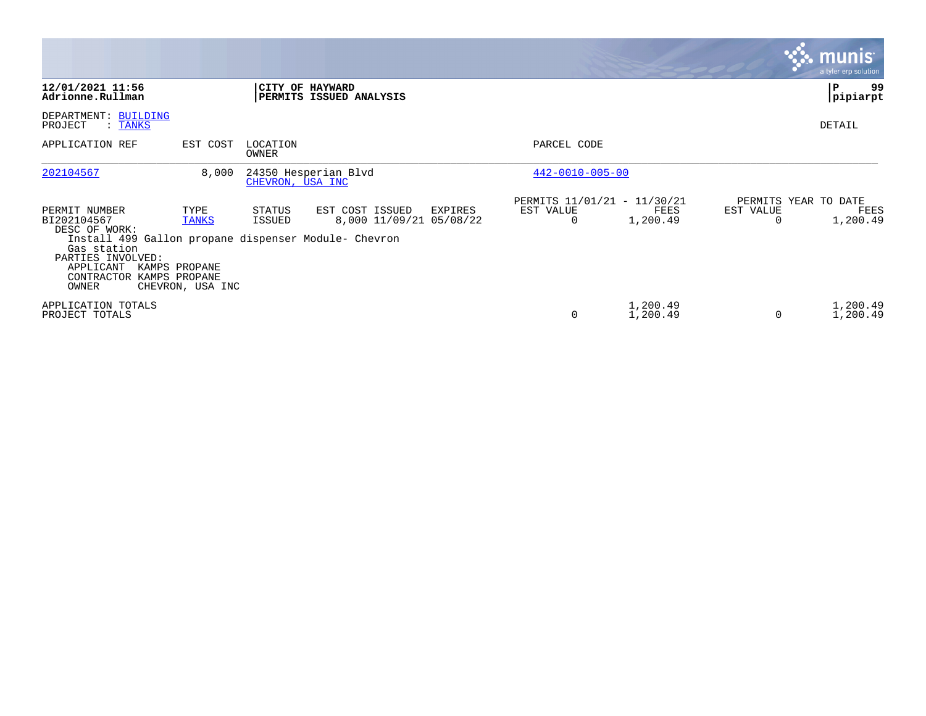|                                                                                                                                                                                             |                                                    |                   |                                                              |                                               |                      |                | munis <sup>®</sup><br>a tyler erp solution |
|---------------------------------------------------------------------------------------------------------------------------------------------------------------------------------------------|----------------------------------------------------|-------------------|--------------------------------------------------------------|-----------------------------------------------|----------------------|----------------|--------------------------------------------|
| 12/01/2021 11:56<br>Adrionne.Rullman                                                                                                                                                        |                                                    |                   | CITY OF HAYWARD<br>PERMITS ISSUED ANALYSIS                   |                                               |                      |                | 99<br>P<br>pipiarpt                        |
| DEPARTMENT: BUILDING<br>PROJECT<br>: TANKS                                                                                                                                                  |                                                    |                   |                                                              |                                               |                      |                | DETAIL                                     |
| APPLICATION REF                                                                                                                                                                             | EST COST                                           | LOCATION<br>OWNER |                                                              | PARCEL CODE                                   |                      |                |                                            |
| 202104567                                                                                                                                                                                   | 8,000                                              | CHEVRON, USA INC  | 24350 Hesperian Blvd                                         | $442 - 0010 - 005 - 00$                       |                      |                |                                            |
| PERMIT NUMBER<br>BI202104567<br>DESC OF WORK:<br>Install 499 Gallon propane dispenser Module- Chevron<br>Gas station<br>PARTIES INVOLVED:<br>APPLICANT<br>CONTRACTOR KAMPS PROPANE<br>OWNER | TYPE<br>TANKS<br>KAMPS PROPANE<br>CHEVRON, USA INC | STATUS<br>ISSUED  | EST COST ISSUED<br><b>EXPIRES</b><br>8,000 11/09/21 05/08/22 | PERMITS 11/01/21 - 11/30/21<br>EST VALUE<br>0 | FEES<br>1,200.49     | EST VALUE<br>0 | PERMITS YEAR TO DATE<br>FEES<br>1,200.49   |
| APPLICATION TOTALS<br>PROJECT TOTALS                                                                                                                                                        |                                                    |                   |                                                              | 0                                             | 1,200.49<br>1,200.49 | $\Omega$       | 1,200.49<br>1,200.49                       |

**Contract**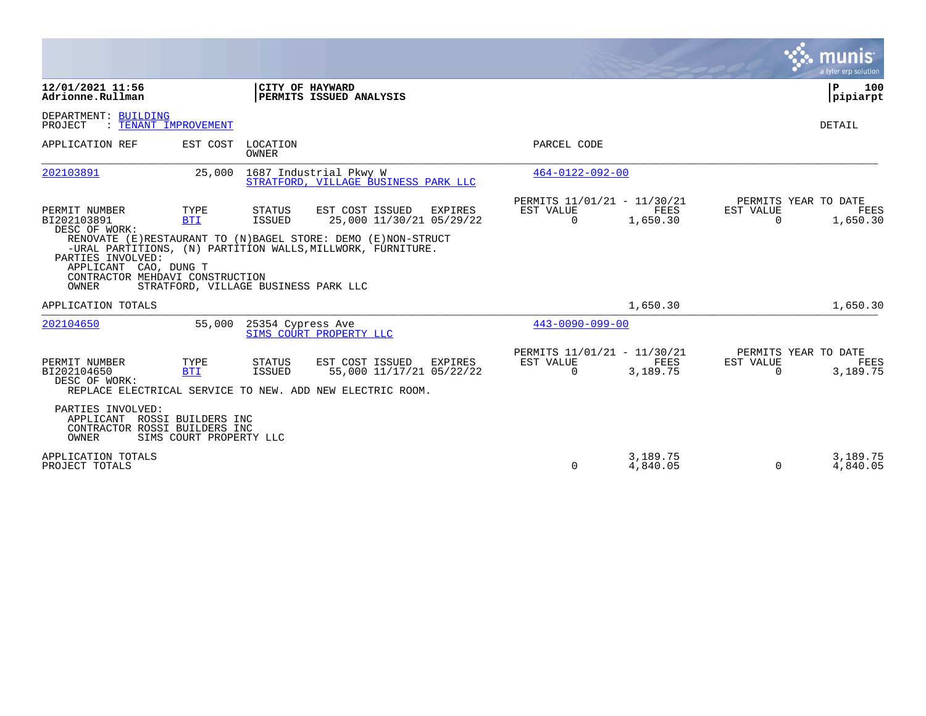|                                                                                 |                                               |                          |                                                                                                                                                                                                 |                                                          |                         |                       | munis<br>a tyler erp solution                   |
|---------------------------------------------------------------------------------|-----------------------------------------------|--------------------------|-------------------------------------------------------------------------------------------------------------------------------------------------------------------------------------------------|----------------------------------------------------------|-------------------------|-----------------------|-------------------------------------------------|
| 12/01/2021 11:56<br>Adrionne.Rullman                                            |                                               | CITY OF HAYWARD          | PERMITS ISSUED ANALYSIS                                                                                                                                                                         |                                                          |                         |                       | ΙP<br>100<br> pipiarpt                          |
| DEPARTMENT: BUILDING<br>PROJECT<br>: TENANT IMPROVEMENT                         |                                               |                          |                                                                                                                                                                                                 |                                                          |                         |                       | <b>DETAIL</b>                                   |
| APPLICATION REF                                                                 | EST COST                                      | LOCATION<br><b>OWNER</b> |                                                                                                                                                                                                 | PARCEL CODE                                              |                         |                       |                                                 |
| 202103891                                                                       | 25,000                                        |                          | 1687 Industrial Pkwy W<br>STRATFORD, VILLAGE BUSINESS PARK LLC                                                                                                                                  | $464 - 0122 - 092 - 00$                                  |                         |                       |                                                 |
| PERMIT NUMBER<br>BI202103891<br>DESC OF WORK:<br>PARTIES INVOLVED:              | TYPE<br><b>BTI</b>                            | <b>STATUS</b><br>ISSUED  | EST COST ISSUED<br><b>EXPIRES</b><br>25,000 11/30/21 05/29/22<br>RENOVATE (E) RESTAURANT TO (N) BAGEL STORE: DEMO (E) NON-STRUCT<br>-URAL PARTITIONS, (N) PARTITION WALLS, MILLWORK, FURNITURE. | PERMITS 11/01/21 - 11/30/21<br>EST VALUE<br>$\Omega$     | FEES<br>1,650.30        | EST VALUE<br>$\Omega$ | PERMITS YEAR TO DATE<br>FEES<br>1,650.30        |
| APPLICANT<br>CAO, DUNG T<br>CONTRACTOR MEHDAVI CONSTRUCTION<br><b>OWNER</b>     | STRATFORD, VILLAGE BUSINESS PARK LLC          |                          |                                                                                                                                                                                                 |                                                          |                         |                       |                                                 |
| APPLICATION TOTALS                                                              |                                               |                          |                                                                                                                                                                                                 |                                                          | 1,650.30                |                       | 1,650.30                                        |
| 202104650                                                                       | 55,000                                        | 25354 Cypress Ave        | SIMS COURT PROPERTY LLC                                                                                                                                                                         | $443 - 0090 - 099 - 00$                                  |                         |                       |                                                 |
| PERMIT NUMBER<br>BI202104650<br>DESC OF WORK:                                   | TYPE<br><b>BTI</b>                            | STATUS<br><b>ISSUED</b>  | EST COST ISSUED<br><b>EXPIRES</b><br>55,000 11/17/21 05/22/22<br>REPLACE ELECTRICAL SERVICE TO NEW. ADD NEW ELECTRIC ROOM.                                                                      | PERMITS 11/01/21 - 11/30/21<br>EST VALUE<br>$\mathbf{0}$ | <b>FEES</b><br>3,189.75 | EST VALUE<br>0        | PERMITS YEAR TO DATE<br><b>FEES</b><br>3,189.75 |
| PARTIES INVOLVED:<br>APPLICANT<br>CONTRACTOR ROSSI BUILDERS INC<br><b>OWNER</b> | ROSSI BUILDERS INC<br>SIMS COURT PROPERTY LLC |                          |                                                                                                                                                                                                 |                                                          |                         |                       |                                                 |
| APPLICATION TOTALS<br>PROJECT TOTALS                                            |                                               |                          |                                                                                                                                                                                                 | 0                                                        | 3,189.75<br>4,840.05    | 0                     | 3,189.75<br>4,840.05                            |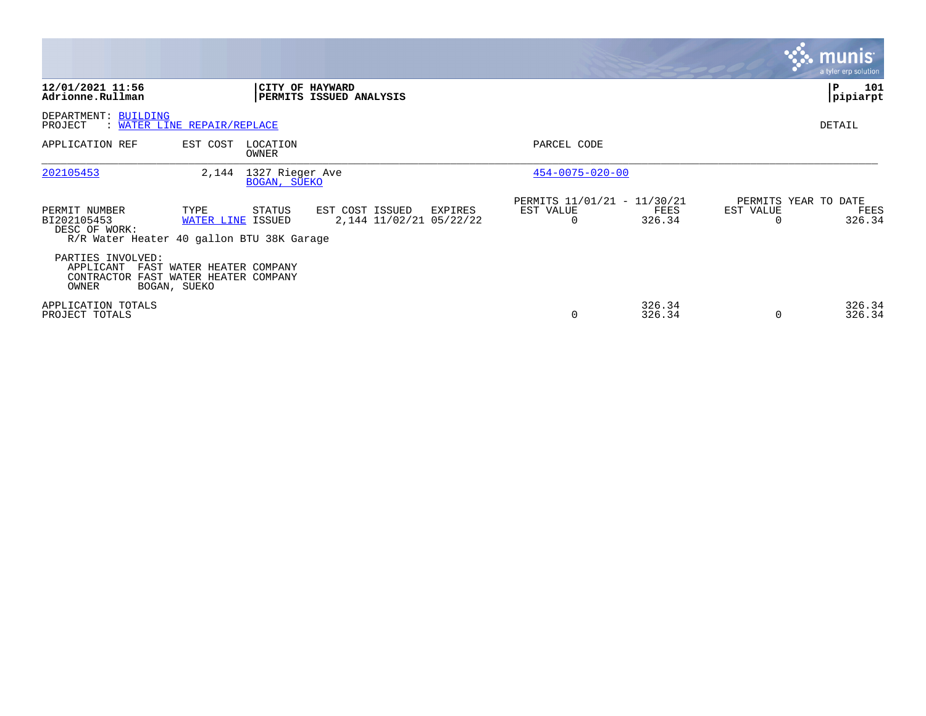|                                                                                                           |                           |                                       |                                            |         |                                                      |                  |                       | <b>munis</b><br>a tyler erp solution   |
|-----------------------------------------------------------------------------------------------------------|---------------------------|---------------------------------------|--------------------------------------------|---------|------------------------------------------------------|------------------|-----------------------|----------------------------------------|
| 12/01/2021 11:56<br>Adrionne.Rullman                                                                      |                           | CITY OF HAYWARD                       | PERMITS ISSUED ANALYSIS                    |         |                                                      |                  |                       | ΙP<br>101<br> pipiarpt                 |
| DEPARTMENT: BUILDING<br>PROJECT<br>WATER LINE REPAIR/REPLACE                                              |                           |                                       |                                            |         |                                                      |                  |                       | DETAIL                                 |
| APPLICATION REF                                                                                           | EST COST                  | LOCATION<br>OWNER                     |                                            |         | PARCEL CODE                                          |                  |                       |                                        |
| 202105453                                                                                                 |                           | 2,144 1327 Rieger Ave<br>BOGAN, SUEKO |                                            |         | $454 - 0075 - 020 - 00$                              |                  |                       |                                        |
| PERMIT NUMBER<br>BI202105453<br>DESC OF WORK:<br>R/R Water Heater 40 gallon BTU 38K Garage                | TYPE<br>WATER LINE ISSUED | STATUS                                | EST COST ISSUED<br>2,144 11/02/21 05/22/22 | EXPIRES | PERMITS 11/01/21 - 11/30/21<br>EST VALUE<br>$\Omega$ | FEES<br>326.34   | EST VALUE<br>$\Omega$ | PERMITS YEAR TO DATE<br>FEES<br>326.34 |
| PARTIES INVOLVED:<br>APPLICANT FAST WATER HEATER COMPANY<br>CONTRACTOR FAST WATER HEATER COMPANY<br>OWNER | BOGAN, SUEKO              |                                       |                                            |         |                                                      |                  |                       |                                        |
| APPLICATION TOTALS<br>PROJECT TOTALS                                                                      |                           |                                       |                                            |         | $\Omega$                                             | 326.34<br>326.34 | $\Omega$              | 326.34<br>326.34                       |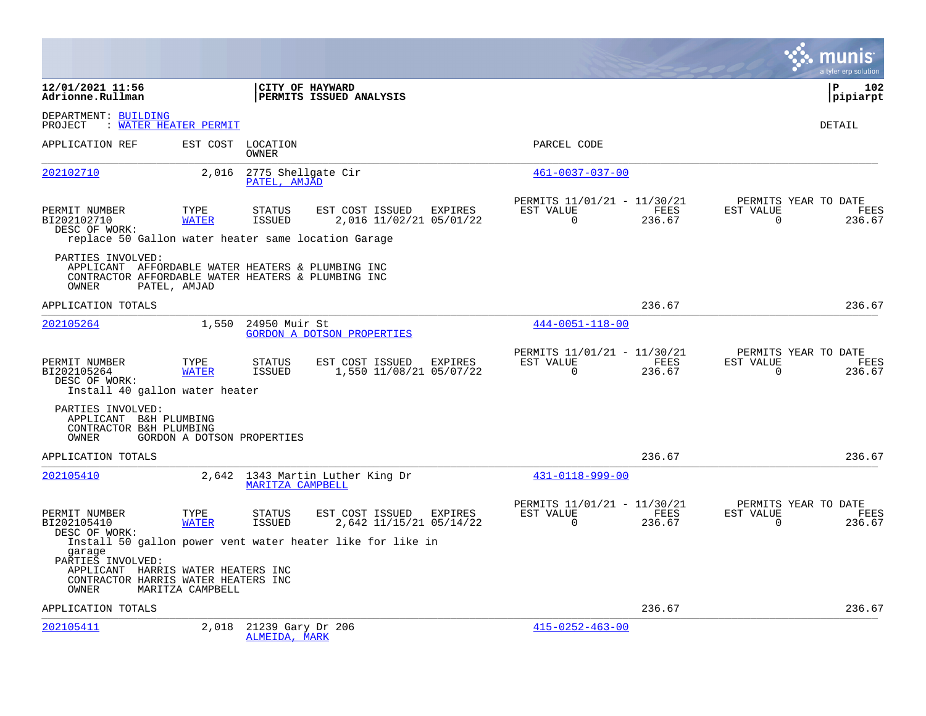|                                                                                                                                       |                            |                                    |                                                            |                |                                                      |                       |                       | a tyler erp solution                   |
|---------------------------------------------------------------------------------------------------------------------------------------|----------------------------|------------------------------------|------------------------------------------------------------|----------------|------------------------------------------------------|-----------------------|-----------------------|----------------------------------------|
| 12/01/2021 11:56<br>Adrionne.Rullman                                                                                                  |                            |                                    | CITY OF HAYWARD<br>PERMITS ISSUED ANALYSIS                 |                |                                                      |                       |                       | l P<br>102<br> pipiarpt                |
| DEPARTMENT: BUILDING<br>PROJECT                                                                                                       | : WATER HEATER PERMIT      |                                    |                                                            |                |                                                      |                       |                       | DETAIL                                 |
| APPLICATION REF                                                                                                                       |                            | EST COST LOCATION<br>OWNER         |                                                            |                | PARCEL CODE                                          |                       |                       |                                        |
| 202102710                                                                                                                             | 2,016                      | 2775 Shellgate Cir<br>PATEL, AMJAD |                                                            |                | $461 - 0037 - 037 - 00$                              |                       |                       |                                        |
| PERMIT NUMBER<br>BI202102710<br>DESC OF WORK:<br>replace 50 Gallon water heater same location Garage                                  | TYPE<br><b>WATER</b>       | <b>STATUS</b><br><b>ISSUED</b>     | EST COST ISSUED<br>2,016 11/02/21 05/01/22                 | EXPIRES        | PERMITS 11/01/21 - 11/30/21<br>EST VALUE<br>$\Omega$ | FEES<br>236.67        | EST VALUE<br>$\Omega$ | PERMITS YEAR TO DATE<br>FEES<br>236.67 |
| PARTIES INVOLVED:<br>APPLICANT AFFORDABLE WATER HEATERS & PLUMBING INC<br>CONTRACTOR AFFORDABLE WATER HEATERS & PLUMBING INC<br>OWNER | PATEL, AMJAD               |                                    |                                                            |                |                                                      |                       |                       |                                        |
| APPLICATION TOTALS                                                                                                                    |                            |                                    |                                                            |                |                                                      | 236.67                |                       | 236.67                                 |
| 202105264                                                                                                                             | 1,550                      | 24950 Muir St                      | <b>GORDON A DOTSON PROPERTIES</b>                          |                | $444 - 0051 - 118 - 00$                              |                       |                       |                                        |
| PERMIT NUMBER<br>BI202105264<br>DESC OF WORK:<br>Install 40 gallon water heater                                                       | TYPE<br><b>WATER</b>       | <b>STATUS</b><br>ISSUED            | EST COST ISSUED<br>1,550 11/08/21 05/07/22                 | <b>EXPIRES</b> | PERMITS 11/01/21 - 11/30/21<br>EST VALUE<br>$\Omega$ | <b>FEES</b><br>236.67 | EST VALUE<br>$\Omega$ | PERMITS YEAR TO DATE<br>FEES<br>236.67 |
| PARTIES INVOLVED:<br>APPLICANT B&H PLUMBING<br>CONTRACTOR B&H PLUMBING<br>OWNER                                                       | GORDON A DOTSON PROPERTIES |                                    |                                                            |                |                                                      |                       |                       |                                        |
| APPLICATION TOTALS                                                                                                                    |                            |                                    |                                                            |                |                                                      | 236.67                |                       | 236.67                                 |
| 202105410                                                                                                                             |                            | MARITZA CAMPBELL                   | 2,642 1343 Martin Luther King Dr                           |                | $431 - 0118 - 999 - 00$                              |                       |                       |                                        |
| PERMIT NUMBER<br>BI202105410<br>DESC OF WORK:                                                                                         | TYPE<br><b>WATER</b>       | <b>STATUS</b><br>ISSUED            | EST COST ISSUED<br>2,642 11/15/21 05/14/22                 | <b>EXPIRES</b> | PERMITS 11/01/21 - 11/30/21<br>EST VALUE<br>$\Omega$ | FEES<br>236.67        | EST VALUE<br>$\Omega$ | PERMITS YEAR TO DATE<br>FEES<br>236.67 |
| garage<br>PARTIES INVOLVED:<br>APPLICANT HARRIS WATER HEATERS INC<br>CONTRACTOR HARRIS WATER HEATERS INC<br>OWNER                     | MARITZA CAMPBELL           |                                    | Install 50 gallon power vent water heater like for like in |                |                                                      |                       |                       |                                        |
| APPLICATION TOTALS                                                                                                                    |                            |                                    |                                                            |                |                                                      | 236.67                |                       | 236.67                                 |
| 202105411                                                                                                                             | 2,018                      | 21239 Gary Dr 206<br>ALMEIDA, MARK |                                                            |                | $415 - 0252 - 463 - 00$                              |                       |                       |                                        |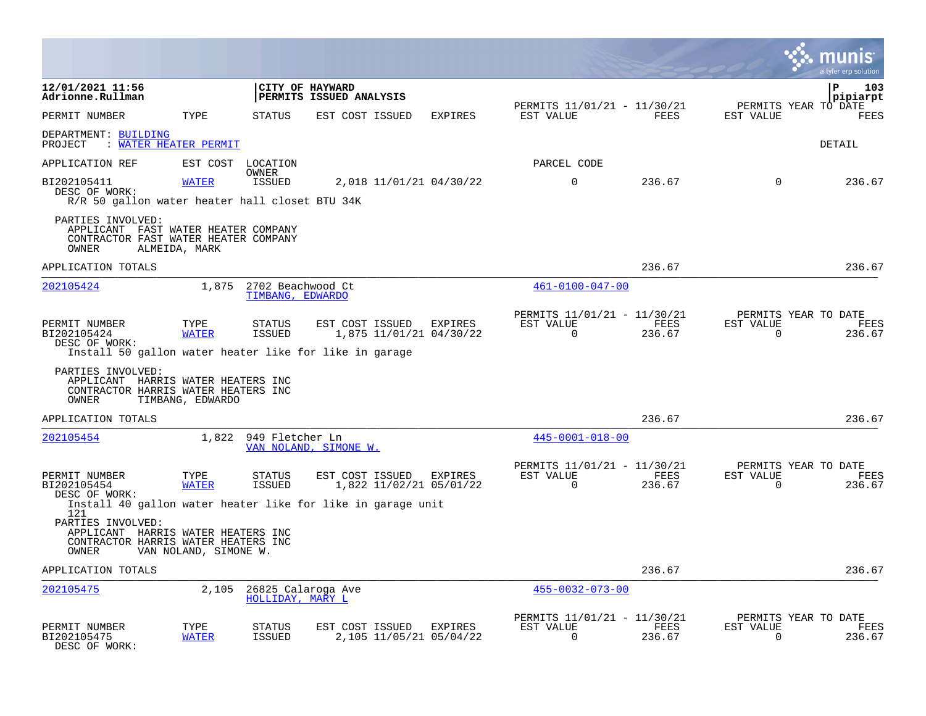|                                                                                                                                                                               |                       |                                             |                         |                         |                                    |                                                         |                |                          | a tyler erp solution                   |
|-------------------------------------------------------------------------------------------------------------------------------------------------------------------------------|-----------------------|---------------------------------------------|-------------------------|-------------------------|------------------------------------|---------------------------------------------------------|----------------|--------------------------|----------------------------------------|
| 12/01/2021 11:56<br>Adrionne.Rullman                                                                                                                                          |                       | CITY OF HAYWARD                             | PERMITS ISSUED ANALYSIS |                         |                                    |                                                         |                |                          | P<br>103<br>pipiarpt                   |
| PERMIT NUMBER                                                                                                                                                                 | TYPE                  | <b>STATUS</b>                               | EST COST ISSUED         |                         | <b>EXPIRES</b>                     | PERMITS 11/01/21 - 11/30/21<br>EST VALUE                | <b>FEES</b>    | EST VALUE                | PERMITS YEAR TO DATE<br><b>FEES</b>    |
| DEPARTMENT: BUILDING<br>: WATER HEATER PERMIT<br>PROJECT                                                                                                                      |                       |                                             |                         |                         |                                    |                                                         |                |                          | DETAIL                                 |
| APPLICATION REF                                                                                                                                                               | EST COST              | LOCATION                                    |                         |                         |                                    | PARCEL CODE                                             |                |                          |                                        |
| BI202105411<br>DESC OF WORK:<br>R/R 50 gallon water heater hall closet BTU 34K                                                                                                | <b>WATER</b>          | OWNER<br><b>ISSUED</b>                      |                         |                         | 2,018 11/01/21 04/30/22            | $\mathbf 0$                                             | 236.67         | $\Omega$                 | 236.67                                 |
| PARTIES INVOLVED:<br>APPLICANT FAST WATER HEATER COMPANY<br>CONTRACTOR FAST WATER HEATER COMPANY<br>OWNER                                                                     | ALMEIDA, MARK         |                                             |                         |                         |                                    |                                                         |                |                          |                                        |
| APPLICATION TOTALS                                                                                                                                                            |                       |                                             |                         |                         |                                    |                                                         | 236.67         |                          | 236.67                                 |
| 202105424                                                                                                                                                                     |                       | 1,875 2702 Beachwood Ct<br>TIMBANG, EDWARDO |                         |                         |                                    | $461 - 0100 - 047 - 00$                                 |                |                          |                                        |
| PERMIT NUMBER<br>BI202105424<br>DESC OF WORK:<br>Install 50 gallon water heater like for like in garage                                                                       | TYPE<br><b>WATER</b>  | <b>STATUS</b><br>ISSUED                     | EST COST ISSUED         |                         | EXPIRES<br>1,875 11/01/21 04/30/22 | PERMITS 11/01/21 - 11/30/21<br>EST VALUE<br>$\mathbf 0$ | FEES<br>236.67 | EST VALUE<br>$\mathbf 0$ | PERMITS YEAR TO DATE<br>FEES<br>236.67 |
| PARTIES INVOLVED:<br>APPLICANT HARRIS WATER HEATERS INC<br>CONTRACTOR HARRIS WATER HEATERS INC<br>OWNER                                                                       | TIMBANG, EDWARDO      |                                             |                         |                         |                                    |                                                         |                |                          |                                        |
| APPLICATION TOTALS                                                                                                                                                            |                       |                                             |                         |                         |                                    |                                                         | 236.67         |                          | 236.67                                 |
| 202105454                                                                                                                                                                     | 1,822                 | 949 Fletcher Ln                             | VAN NOLAND, SIMONE W.   |                         |                                    | $445 - 0001 - 018 - 00$                                 |                |                          |                                        |
| PERMIT NUMBER<br>BI202105454<br>DESC OF WORK:                                                                                                                                 | TYPE<br><b>WATER</b>  | <b>STATUS</b><br>ISSUED                     | EST COST ISSUED         |                         | EXPIRES<br>1,822 11/02/21 05/01/22 | PERMITS 11/01/21 - 11/30/21<br>EST VALUE<br>$\Omega$    | FEES<br>236.67 | EST VALUE<br>$\Omega$    | PERMITS YEAR TO DATE<br>FEES<br>236.67 |
| Install 40 gallon water heater like for like in garage unit<br>121<br>PARTIES INVOLVED:<br>APPLICANT HARRIS WATER HEATERS INC<br>CONTRACTOR HARRIS WATER HEATERS INC<br>OWNER | VAN NOLAND, SIMONE W. |                                             |                         |                         |                                    |                                                         |                |                          |                                        |
| APPLICATION TOTALS                                                                                                                                                            |                       |                                             |                         |                         |                                    |                                                         | 236.67         |                          | 236.67                                 |
| 202105475                                                                                                                                                                     | 2,105                 | 26825 Calaroga Ave<br>HOLLIDAY, MARY L      |                         |                         |                                    | $455 - 0032 - 073 - 00$                                 |                |                          |                                        |
| PERMIT NUMBER<br>BI202105475<br>DESC OF WORK:                                                                                                                                 | TYPE<br>WATER         | STATUS<br><b>ISSUED</b>                     |                         | EST COST ISSUED EXPIRES | 2,105 11/05/21 05/04/22            | PERMITS 11/01/21 - 11/30/21<br>EST VALUE<br>$\Omega$    | FEES<br>236.67 | EST VALUE<br>$\Omega$    | PERMITS YEAR TO DATE<br>FEES<br>236.67 |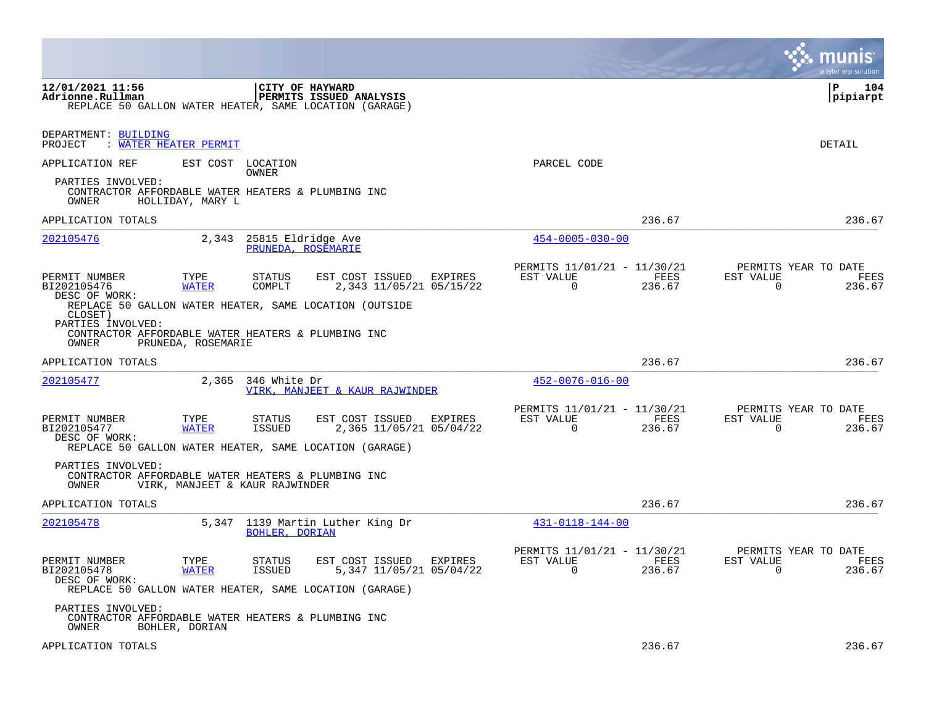|                                                                                                                                              |                                            |                                                |                                                                                                              |         |                                                           |                |                          | a tyler erp solution                   |
|----------------------------------------------------------------------------------------------------------------------------------------------|--------------------------------------------|------------------------------------------------|--------------------------------------------------------------------------------------------------------------|---------|-----------------------------------------------------------|----------------|--------------------------|----------------------------------------|
| 12/01/2021 11:56<br>Adrionne.Rullman<br>REPLACE 50 GALLON WATER HEATER, SAME LOCATION (GARAGE)                                               |                                            |                                                | CITY OF HAYWARD<br>PERMITS ISSUED ANALYSIS                                                                   |         |                                                           |                |                          | ΙP<br>104<br> pipiarpt                 |
| DEPARTMENT: BUILDING<br>PROJECT<br>: WATER HEATER PERMIT                                                                                     |                                            |                                                |                                                                                                              |         |                                                           |                |                          | DETAIL                                 |
| APPLICATION REF<br>PARTIES INVOLVED:<br>CONTRACTOR AFFORDABLE WATER HEATERS & PLUMBING INC<br>OWNER                                          | HOLLIDAY, MARY L                           | EST COST LOCATION<br>OWNER                     |                                                                                                              |         | PARCEL CODE                                               |                |                          |                                        |
| APPLICATION TOTALS                                                                                                                           |                                            |                                                |                                                                                                              |         |                                                           | 236.67         |                          | 236.67                                 |
| 202105476                                                                                                                                    |                                            | 2,343 25815 Eldridge Ave<br>PRUNEDA, ROSEMARIE |                                                                                                              |         | $454 - 0005 - 030 - 00$                                   |                |                          |                                        |
| PERMIT NUMBER<br>BI202105476<br>DESC OF WORK:<br>CLOSET)<br>PARTIES INVOLVED:<br>CONTRACTOR AFFORDABLE WATER HEATERS & PLUMBING INC<br>OWNER | TYPE<br><b>WATER</b><br>PRUNEDA, ROSEMARIE | STATUS<br>COMPLT                               | EST COST ISSUED EXPIRES<br>2,343 11/05/21 05/15/22<br>REPLACE 50 GALLON WATER HEATER, SAME LOCATION (OUTSIDE |         | PERMITS 11/01/21 - 11/30/21<br>EST VALUE<br>$\Omega$      | FEES<br>236.67 | EST VALUE<br>$\mathbf 0$ | PERMITS YEAR TO DATE<br>FEES<br>236.67 |
| APPLICATION TOTALS                                                                                                                           |                                            |                                                |                                                                                                              |         |                                                           | 236.67         |                          | 236.67                                 |
| 202105477                                                                                                                                    |                                            | 2,365 346 White Dr                             | VIRK, MANJEET & KAUR RAJWINDER                                                                               |         | $452 - 0076 - 016 - 00$                                   |                |                          |                                        |
| PERMIT NUMBER<br>BI202105477<br>DESC OF WORK:<br>REPLACE 50 GALLON WATER HEATER, SAME LOCATION (GARAGE)                                      | TYPE<br><b>WATER</b>                       | STATUS<br>ISSUED                               | EST COST ISSUED<br>2,365 11/05/21 05/04/22                                                                   | EXPIRES | PERMITS 11/01/21 - 11/30/21<br>EST VALUE<br>$\Omega$      | FEES<br>236.67 | EST VALUE<br>0           | PERMITS YEAR TO DATE<br>FEES<br>236.67 |
| PARTIES INVOLVED:<br>CONTRACTOR AFFORDABLE WATER HEATERS & PLUMBING INC<br>OWNER                                                             | VIRK, MANJEET & KAUR RAJWINDER             |                                                |                                                                                                              |         |                                                           |                |                          |                                        |
| APPLICATION TOTALS                                                                                                                           |                                            |                                                |                                                                                                              |         |                                                           | 236.67         |                          | 236.67                                 |
| 202105478                                                                                                                                    |                                            | BOHLER, DORIAN                                 | 5,347 1139 Martin Luther King Dr                                                                             |         | 431-0118-144-00                                           |                |                          |                                        |
| PERMIT NUMBER<br>BI202105478<br>DESC OF WORK:<br>REPLACE 50 GALLON WATER HEATER, SAME LOCATION (GARAGE)                                      | TYPE<br><b>WATER</b>                       | STATUS<br>ISSUED                               | EST COST ISSUED EXPIRES<br>5,347 11/05/21 05/04/22                                                           |         | PERMITS 11/01/21 - 11/30/21<br>EST VALUE FEES<br>$\Omega$ | 236.67         | EST VALUE<br>$\Omega$    | PERMITS YEAR TO DATE<br>FEES<br>236.67 |
| PARTIES INVOLVED:<br>CONTRACTOR AFFORDABLE WATER HEATERS & PLUMBING INC<br>OWNER                                                             | BOHLER, DORIAN                             |                                                |                                                                                                              |         |                                                           |                |                          |                                        |
| APPLICATION TOTALS                                                                                                                           |                                            |                                                |                                                                                                              |         |                                                           | 236.67         |                          | 236.67                                 |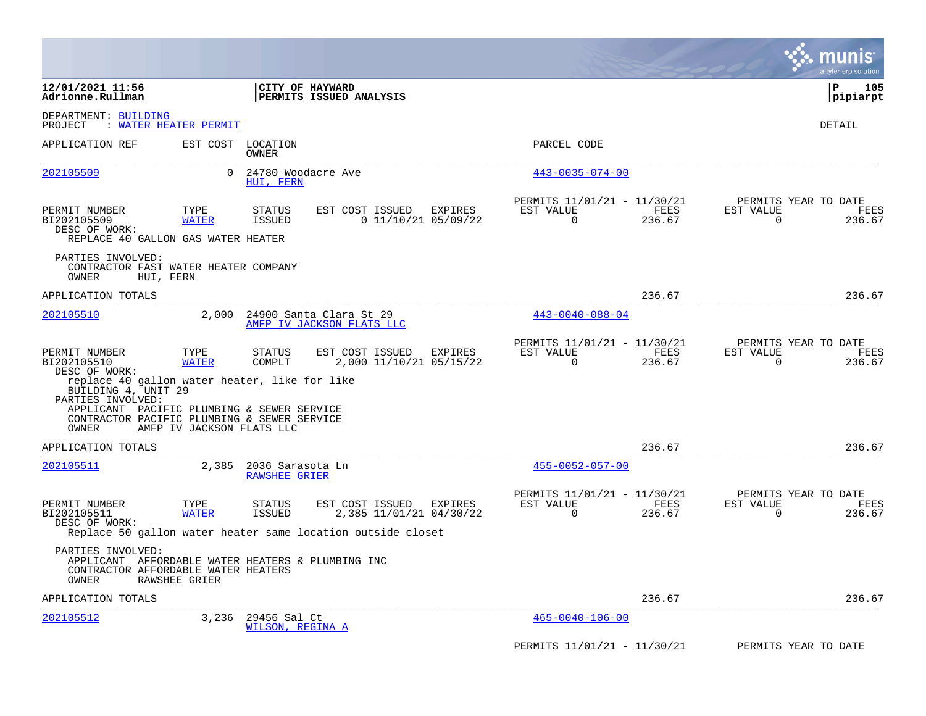|                                                                                                                                                |                           |                                          |                                                      |         |                                                            |                |                          | a tyler erp solution                   |
|------------------------------------------------------------------------------------------------------------------------------------------------|---------------------------|------------------------------------------|------------------------------------------------------|---------|------------------------------------------------------------|----------------|--------------------------|----------------------------------------|
| 12/01/2021 11:56<br>Adrionne.Rullman                                                                                                           |                           | CITY OF HAYWARD                          | PERMITS ISSUED ANALYSIS                              |         |                                                            |                |                          | P<br>105<br> pipiarpt                  |
| DEPARTMENT: BUILDING<br>: WATER HEATER PERMIT<br>PROJECT                                                                                       |                           |                                          |                                                      |         |                                                            |                |                          | DETAIL                                 |
| APPLICATION REF                                                                                                                                | EST COST                  | LOCATION<br>OWNER                        |                                                      |         | PARCEL CODE                                                |                |                          |                                        |
| 202105509                                                                                                                                      | $\Omega$                  | 24780 Woodacre Ave<br>HUI, FERN          |                                                      |         | $443 - 0035 - 074 - 00$                                    |                |                          |                                        |
| PERMIT NUMBER<br>BI202105509<br>DESC OF WORK:<br>REPLACE 40 GALLON GAS WATER HEATER                                                            | TYPE<br><b>WATER</b>      | STATUS<br><b>ISSUED</b>                  | EST COST ISSUED<br>$0$ 11/10/21 05/09/22             | EXPIRES | PERMITS 11/01/21 - 11/30/21<br>EST VALUE<br>0              | FEES<br>236.67 | EST VALUE<br>0           | PERMITS YEAR TO DATE<br>FEES<br>236.67 |
| PARTIES INVOLVED:<br>CONTRACTOR FAST WATER HEATER COMPANY<br>OWNER<br>HUI, FERN                                                                |                           |                                          |                                                      |         |                                                            |                |                          |                                        |
| APPLICATION TOTALS                                                                                                                             |                           |                                          |                                                      |         |                                                            | 236.67         |                          | 236.67                                 |
| 202105510                                                                                                                                      | 2.000                     |                                          | 24900 Santa Clara St 29<br>AMFP IV JACKSON FLATS LLC |         | $443 - 0040 - 088 - 04$                                    |                |                          |                                        |
| PERMIT NUMBER<br>BI202105510<br>DESC OF WORK:<br>replace 40 gallon water heater, like for like                                                 | TYPE<br><b>WATER</b>      | <b>STATUS</b><br>COMPLT                  | EST COST ISSUED<br>2,000 11/10/21 05/15/22           | EXPIRES | PERMITS 11/01/21 - 11/30/21<br>EST VALUE<br>$\mathbf 0$    | FEES<br>236.67 | EST VALUE<br>$\mathbf 0$ | PERMITS YEAR TO DATE<br>FEES<br>236.67 |
| BUILDING 4, UNIT 29<br>PARTIES INVOLVED:<br>APPLICANT PACIFIC PLUMBING & SEWER SERVICE<br>CONTRACTOR PACIFIC PLUMBING & SEWER SERVICE<br>OWNER | AMFP IV JACKSON FLATS LLC |                                          |                                                      |         |                                                            |                |                          |                                        |
| APPLICATION TOTALS                                                                                                                             |                           |                                          |                                                      |         |                                                            | 236.67         |                          | 236.67                                 |
| 202105511                                                                                                                                      | 2,385                     | 2036 Sarasota Ln<br><b>RAWSHEE GRIER</b> |                                                      |         | $455 - 0052 - 057 - 00$                                    |                |                          |                                        |
| PERMIT NUMBER<br>BI202105511<br>DESC OF WORK:<br>Replace 50 gallon water heater same location outside closet                                   | TYPE<br><b>WATER</b>      | STATUS<br><b>ISSUED</b>                  | EST COST ISSUED<br>2,385 11/01/21 04/30/22           | EXPIRES | PERMITS 11/01/21 - 11/30/21<br>EST VALUE<br>$\overline{0}$ | FEES<br>236.67 | EST VALUE<br>$\Omega$    | PERMITS YEAR TO DATE<br>FEES<br>236.67 |
| PARTIES INVOLVED:<br>APPLICANT AFFORDABLE WATER HEATERS & PLUMBING INC<br>CONTRACTOR AFFORDABLE WATER HEATERS<br>OWNER<br><b>RAWSHEE GRIER</b> |                           |                                          |                                                      |         |                                                            |                |                          |                                        |
| APPLICATION TOTALS                                                                                                                             |                           |                                          |                                                      |         |                                                            | 236.67         |                          | 236.67                                 |
| 202105512                                                                                                                                      | 3,236                     | 29456 Sal Ct<br>WILSON, REGINA A         |                                                      |         | $465 - 0040 - 106 - 00$                                    |                |                          |                                        |
|                                                                                                                                                |                           |                                          |                                                      |         | PERMITS 11/01/21 - 11/30/21                                |                |                          | PERMITS YEAR TO DATE                   |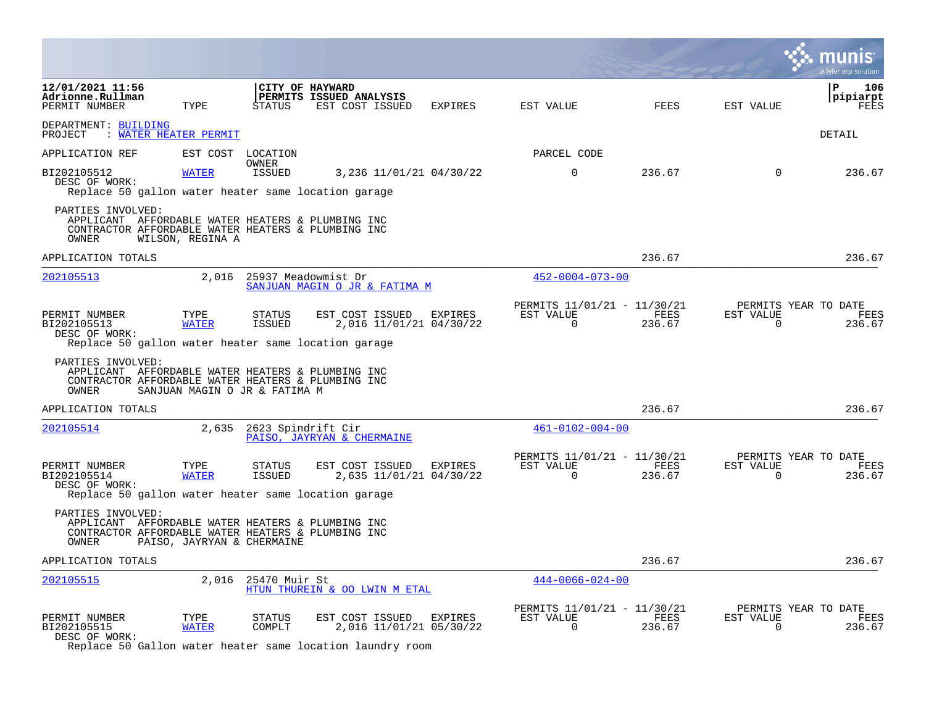|                                                                                                                                       |                               |                                |                                                               |                |                                                      |                |                       | a tyler erp solution                   |
|---------------------------------------------------------------------------------------------------------------------------------------|-------------------------------|--------------------------------|---------------------------------------------------------------|----------------|------------------------------------------------------|----------------|-----------------------|----------------------------------------|
| 12/01/2021 11:56<br>Adrionne.Rullman<br>PERMIT NUMBER                                                                                 | TYPE                          | STATUS                         | CITY OF HAYWARD<br>PERMITS ISSUED ANALYSIS<br>EST COST ISSUED | EXPIRES        | EST VALUE                                            | <b>FEES</b>    | EST VALUE             | ΙP<br>106<br> pipiarpt<br>FEES         |
| DEPARTMENT: BUILDING<br>PROJECT<br>: WATER HEATER PERMIT                                                                              |                               |                                |                                                               |                |                                                      |                |                       | <b>DETAIL</b>                          |
| APPLICATION REF                                                                                                                       | EST COST LOCATION             |                                |                                                               |                | PARCEL CODE                                          |                |                       |                                        |
| BI202105512<br>DESC OF WORK:<br>Replace 50 gallon water heater same location garage                                                   | <b>WATER</b>                  | OWNER<br><b>ISSUED</b>         | 3,236 11/01/21 04/30/22                                       |                | $\mathbf 0$                                          | 236.67         | $\mathbf 0$           | 236.67                                 |
| PARTIES INVOLVED:<br>APPLICANT AFFORDABLE WATER HEATERS & PLUMBING INC<br>CONTRACTOR AFFORDABLE WATER HEATERS & PLUMBING INC<br>OWNER | WILSON, REGINA A              |                                |                                                               |                |                                                      |                |                       |                                        |
| APPLICATION TOTALS                                                                                                                    |                               |                                |                                                               |                |                                                      | 236.67         |                       | 236.67                                 |
| 202105513                                                                                                                             | 2,016                         | 25937 Meadowmist Dr            | SANJUAN MAGIN O JR & FATIMA M                                 |                | $452 - 0004 - 073 - 00$                              |                |                       |                                        |
| PERMIT NUMBER<br>BI202105513<br>DESC OF WORK:<br>Replace 50 gallon water heater same location garage                                  | TYPE<br><b>WATER</b>          | <b>STATUS</b><br><b>ISSUED</b> | EST COST ISSUED<br>2,016 11/01/21 04/30/22                    | EXPIRES        | PERMITS 11/01/21 - 11/30/21<br>EST VALUE<br>$\Omega$ | FEES<br>236.67 | EST VALUE<br>$\Omega$ | PERMITS YEAR TO DATE<br>FEES<br>236.67 |
| PARTIES INVOLVED:<br>APPLICANT AFFORDABLE WATER HEATERS & PLUMBING INC<br>CONTRACTOR AFFORDABLE WATER HEATERS & PLUMBING INC<br>OWNER | SANJUAN MAGIN O JR & FATIMA M |                                |                                                               |                |                                                      |                |                       |                                        |
| APPLICATION TOTALS                                                                                                                    |                               |                                |                                                               |                |                                                      | 236.67         |                       | 236.67                                 |
| 202105514                                                                                                                             | 2,635                         | 2623 Spindrift Cir             | PAISO, JAYRYAN & CHERMAINE                                    |                | $461 - 0102 - 004 - 00$                              |                |                       |                                        |
| PERMIT NUMBER<br>BI202105514<br>DESC OF WORK:                                                                                         | TYPE<br><b>WATER</b>          | <b>STATUS</b><br><b>ISSUED</b> | EST COST ISSUED EXPIRES<br>2,635 11/01/21 04/30/22            |                | PERMITS 11/01/21 - 11/30/21<br>EST VALUE<br>$\Omega$ | FEES<br>236.67 | EST VALUE<br>$\Omega$ | PERMITS YEAR TO DATE<br>FEES<br>236.67 |
| Replace 50 gallon water heater same location garage                                                                                   |                               |                                |                                                               |                |                                                      |                |                       |                                        |
| PARTIES INVOLVED:<br>APPLICANT AFFORDABLE WATER HEATERS & PLUMBING INC<br>CONTRACTOR AFFORDABLE WATER HEATERS & PLUMBING INC<br>OWNER | PAISO, JAYRYAN & CHERMAINE    |                                |                                                               |                |                                                      |                |                       |                                        |
| APPLICATION TOTALS                                                                                                                    |                               |                                |                                                               |                |                                                      | 236.67         |                       | 236.67                                 |
| 202105515                                                                                                                             | 2,016                         | 25470 Muir St                  | HTUN THUREIN & OO LWIN M ETAL                                 |                | $444 - 0066 - 024 - 00$                              |                |                       |                                        |
| PERMIT NUMBER<br>BI202105515<br>DESC OF WORK:                                                                                         | TYPE<br><b>WATER</b>          | STATUS<br>COMPLT               | EST COST ISSUED<br>2,016 11/01/21 05/30/22                    | <b>EXPIRES</b> | PERMITS 11/01/21 - 11/30/21<br>EST VALUE<br>$\Omega$ | FEES<br>236.67 | EST VALUE<br>$\Omega$ | PERMITS YEAR TO DATE<br>FEES<br>236.67 |

Replace 50 Gallon water heater same location laundry room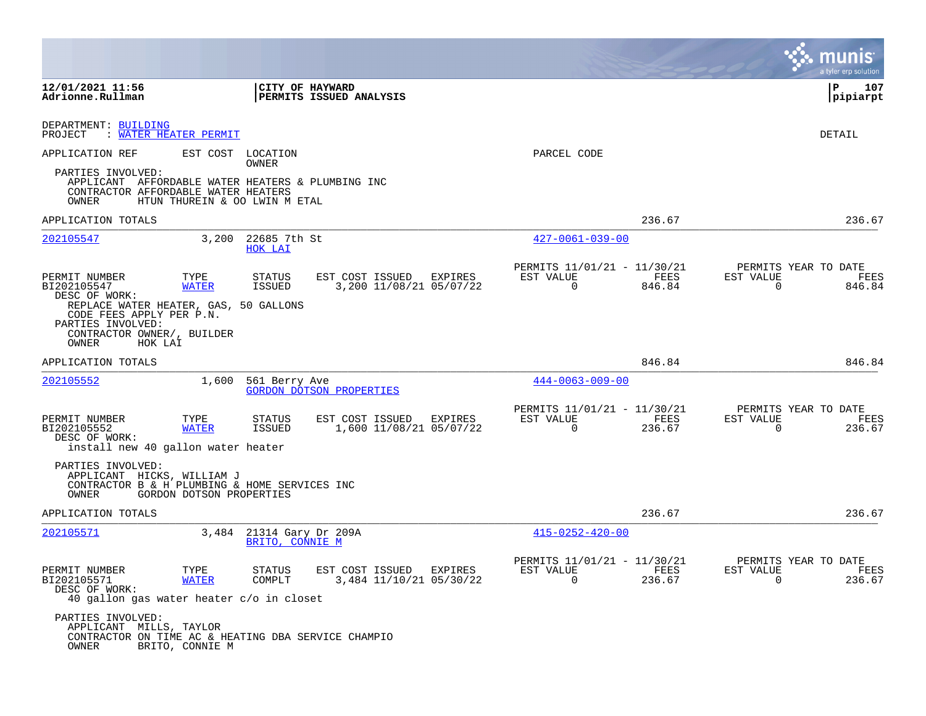|                                                                                                                                                                                           |                          |                                             |                                                    |                |                                                      |                |                       | munis<br>a tyler erp solution          |
|-------------------------------------------------------------------------------------------------------------------------------------------------------------------------------------------|--------------------------|---------------------------------------------|----------------------------------------------------|----------------|------------------------------------------------------|----------------|-----------------------|----------------------------------------|
| 12/01/2021 11:56<br>Adrionne.Rullman                                                                                                                                                      |                          |                                             | CITY OF HAYWARD<br>PERMITS ISSUED ANALYSIS         |                |                                                      |                |                       | ΙP<br>107<br> pipiarpt                 |
| DEPARTMENT: BUILDING<br>PROJECT<br>: WATER HEATER PERMIT                                                                                                                                  |                          |                                             |                                                    |                |                                                      |                |                       | DETAIL                                 |
| APPLICATION REF                                                                                                                                                                           | EST COST LOCATION        | <b>OWNER</b>                                |                                                    |                | PARCEL CODE                                          |                |                       |                                        |
| PARTIES INVOLVED:<br>APPLICANT AFFORDABLE WATER HEATERS & PLUMBING INC<br>CONTRACTOR AFFORDABLE WATER HEATERS<br>OWNER                                                                    |                          | HTUN THUREIN & OO LWIN M ETAL               |                                                    |                |                                                      |                |                       |                                        |
| APPLICATION TOTALS                                                                                                                                                                        |                          |                                             |                                                    |                |                                                      | 236.67         |                       | 236.67                                 |
| 202105547                                                                                                                                                                                 | 3,200                    | 22685 7th St<br>HOK LAI                     |                                                    |                | $427 - 0061 - 039 - 00$                              |                |                       |                                        |
| PERMIT NUMBER<br>BI202105547<br>DESC OF WORK:<br>REPLACE WATER HEATER, GAS, 50 GALLONS<br>CODE FEES APPLY PER P.N.<br>PARTIES INVOLVED:<br>CONTRACTOR OWNER/, BUILDER<br>OWNER<br>HOK LAI | TYPE<br>WATER            | STATUS<br>ISSUED                            | EST COST ISSUED<br>3,200 11/08/21 05/07/22         | <b>EXPIRES</b> | PERMITS 11/01/21 - 11/30/21<br>EST VALUE<br>$\Omega$ | FEES<br>846.84 | EST VALUE<br>0        | PERMITS YEAR TO DATE<br>FEES<br>846.84 |
| APPLICATION TOTALS                                                                                                                                                                        |                          |                                             |                                                    |                |                                                      | 846.84         |                       | 846.84                                 |
| 202105552                                                                                                                                                                                 | 1,600                    | 561 Berry Ave                               | <b>GORDON DOTSON PROPERTIES</b>                    |                | $444 - 0063 - 009 - 00$                              |                |                       |                                        |
| PERMIT NUMBER<br>BI202105552<br>DESC OF WORK:<br>install new 40 gallon water heater                                                                                                       | TYPE<br><b>WATER</b>     | STATUS<br>ISSUED                            | EST COST ISSUED<br>1,600 11/08/21 05/07/22         | EXPIRES        | PERMITS 11/01/21 - 11/30/21<br>EST VALUE<br>0        | FEES<br>236.67 | EST VALUE<br>$\Omega$ | PERMITS YEAR TO DATE<br>FEES<br>236.67 |
| PARTIES INVOLVED:<br>APPLICANT HICKS, WILLIAM J<br>CONTRACTOR B & H PLUMBING & HOME SERVICES INC<br>OWNER                                                                                 | GORDON DOTSON PROPERTIES |                                             |                                                    |                |                                                      |                |                       |                                        |
| APPLICATION TOTALS                                                                                                                                                                        |                          |                                             |                                                    |                |                                                      | 236.67         |                       | 236.67                                 |
| 202105571                                                                                                                                                                                 |                          | 3,484 21314 Gary Dr 209A<br>BRITO, CONNIE M |                                                    |                | $415 - 0252 - 420 - 00$                              |                |                       |                                        |
| PERMIT NUMBER<br>BI202105571<br>DESC OF WORK:<br>40 gallon gas water heater c/o in closet                                                                                                 | TYPE<br><b>WATER</b>     | STATUS<br>COMPLT                            | EST COST ISSUED EXPIRES<br>3,484 11/10/21 05/30/22 |                | PERMITS 11/01/21 - 11/30/21<br>EST VALUE<br>$\Omega$ | FEES<br>236.67 | EST VALUE<br>$\Omega$ | PERMITS YEAR TO DATE<br>FEES<br>236.67 |
| PARTIES INVOLVED:<br>APPLICANT MILLS, TAYLOR<br>CONTRACTOR ON TIME AC & HEATING DBA SERVICE CHAMPIO<br>OWNER                                                                              | BRITO, CONNIE M          |                                             |                                                    |                |                                                      |                |                       |                                        |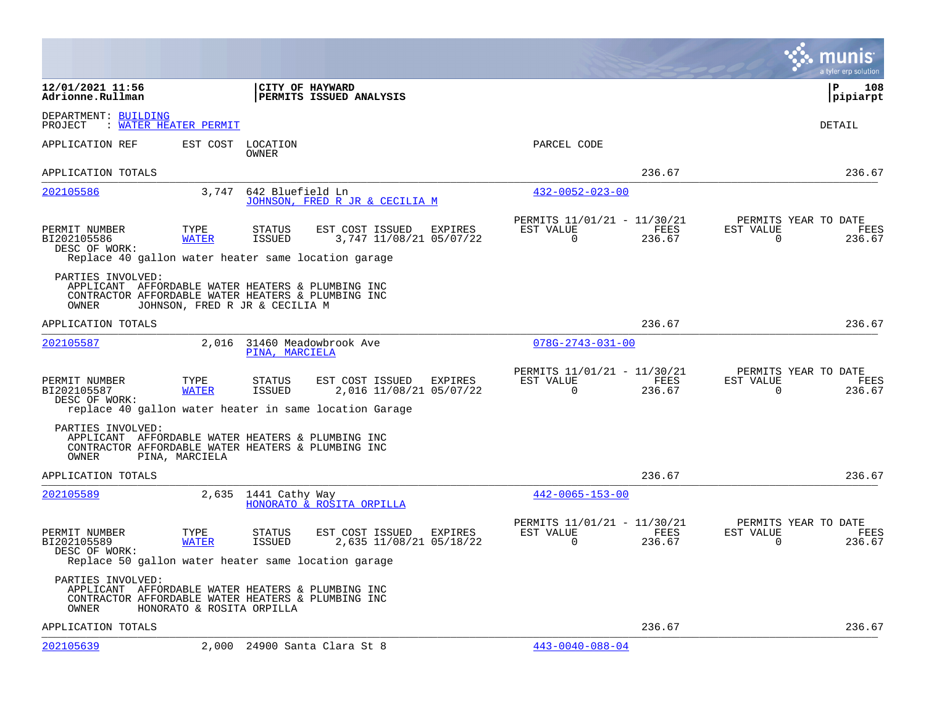|                                                                                                                                       |                                |                         |                                                                                                      |         |                                                         |                |                       | munis<br>a tyler erp solution          |
|---------------------------------------------------------------------------------------------------------------------------------------|--------------------------------|-------------------------|------------------------------------------------------------------------------------------------------|---------|---------------------------------------------------------|----------------|-----------------------|----------------------------------------|
| 12/01/2021 11:56<br>Adrionne.Rullman                                                                                                  |                                |                         | CITY OF HAYWARD<br>PERMITS ISSUED ANALYSIS                                                           |         |                                                         |                |                       | P<br>108<br> pipiarpt                  |
| DEPARTMENT: BUILDING<br>: WATER HEATER PERMIT<br>PROJECT                                                                              |                                |                         |                                                                                                      |         |                                                         |                |                       | DETAIL                                 |
| APPLICATION REF                                                                                                                       | EST COST                       | LOCATION<br>OWNER       |                                                                                                      |         | PARCEL CODE                                             |                |                       |                                        |
| APPLICATION TOTALS                                                                                                                    |                                |                         |                                                                                                      |         |                                                         | 236.67         |                       | 236.67                                 |
| 202105586                                                                                                                             | 3,747                          | 642 Bluefield Ln        | JOHNSON, FRED R JR & CECILIA M                                                                       |         | $432 - 0052 - 023 - 00$                                 |                |                       |                                        |
| PERMIT NUMBER<br>BI202105586<br>DESC OF WORK:<br>Replace 40 gallon water heater same location garage                                  | TYPE<br><b>WATER</b>           | STATUS<br><b>ISSUED</b> | EST COST ISSUED<br>3,747 11/08/21 05/07/22                                                           | EXPIRES | PERMITS 11/01/21 - 11/30/21<br>EST VALUE<br>$\mathbf 0$ | FEES<br>236.67 | EST VALUE<br>$\Omega$ | PERMITS YEAR TO DATE<br>FEES<br>236.67 |
| PARTIES INVOLVED:<br>APPLICANT AFFORDABLE WATER HEATERS & PLUMBING INC<br>CONTRACTOR AFFORDABLE WATER HEATERS & PLUMBING INC<br>OWNER | JOHNSON, FRED R JR & CECILIA M |                         |                                                                                                      |         |                                                         |                |                       |                                        |
| APPLICATION TOTALS                                                                                                                    |                                |                         |                                                                                                      |         |                                                         | 236.67         |                       | 236.67                                 |
| 202105587                                                                                                                             |                                | PINA, MARCIELA          | 2,016 31460 Meadowbrook Ave                                                                          |         | $078G - 2743 - 031 - 00$                                |                |                       |                                        |
| PERMIT NUMBER<br>BI202105587<br>DESC OF WORK:                                                                                         | TYPE<br><b>WATER</b>           | STATUS<br>ISSUED        | EST COST ISSUED<br>2,016 11/08/21 05/07/22<br>replace 40 gallon water heater in same location Garage | EXPIRES | PERMITS 11/01/21 - 11/30/21<br>EST VALUE<br>0           | FEES<br>236.67 | EST VALUE<br>$\Omega$ | PERMITS YEAR TO DATE<br>FEES<br>236.67 |
| PARTIES INVOLVED:<br>APPLICANT AFFORDABLE WATER HEATERS & PLUMBING INC<br>CONTRACTOR AFFORDABLE WATER HEATERS & PLUMBING INC<br>OWNER | PINA, MARCIELA                 |                         |                                                                                                      |         |                                                         |                |                       |                                        |
| APPLICATION TOTALS                                                                                                                    |                                |                         |                                                                                                      |         |                                                         | 236.67         |                       | 236.67                                 |
| 202105589                                                                                                                             | 2,635                          | 1441 Cathy Way          | HONORATO & ROSITA ORPILLA                                                                            |         | $442 - 0065 - 153 - 00$                                 |                |                       |                                        |
| PERMIT NUMBER<br>BI202105589<br>DESC OF WORK:<br>Replace 50 gallon water heater same location garage                                  | TYPE<br><b>WATER</b>           | STATUS<br>ISSUED        | EST COST ISSUED<br>2,635 11/08/21 05/18/22                                                           | EXPIRES | PERMITS 11/01/21 - 11/30/21<br>EST VALUE<br>0           | FEES<br>236.67 | EST VALUE<br>$\Omega$ | PERMITS YEAR TO DATE<br>FEES<br>236.67 |
| PARTIES INVOLVED:<br>APPLICANT AFFORDABLE WATER HEATERS & PLUMBING INC<br>CONTRACTOR AFFORDABLE WATER HEATERS & PLUMBING INC<br>OWNER | HONORATO & ROSITA ORPILLA      |                         |                                                                                                      |         |                                                         |                |                       |                                        |
| APPLICATION TOTALS                                                                                                                    |                                |                         |                                                                                                      |         |                                                         | 236.67         |                       | 236.67                                 |
| 202105639                                                                                                                             |                                |                         | 2,000 24900 Santa Clara St 8                                                                         |         | $443 - 0040 - 088 - 04$                                 |                |                       |                                        |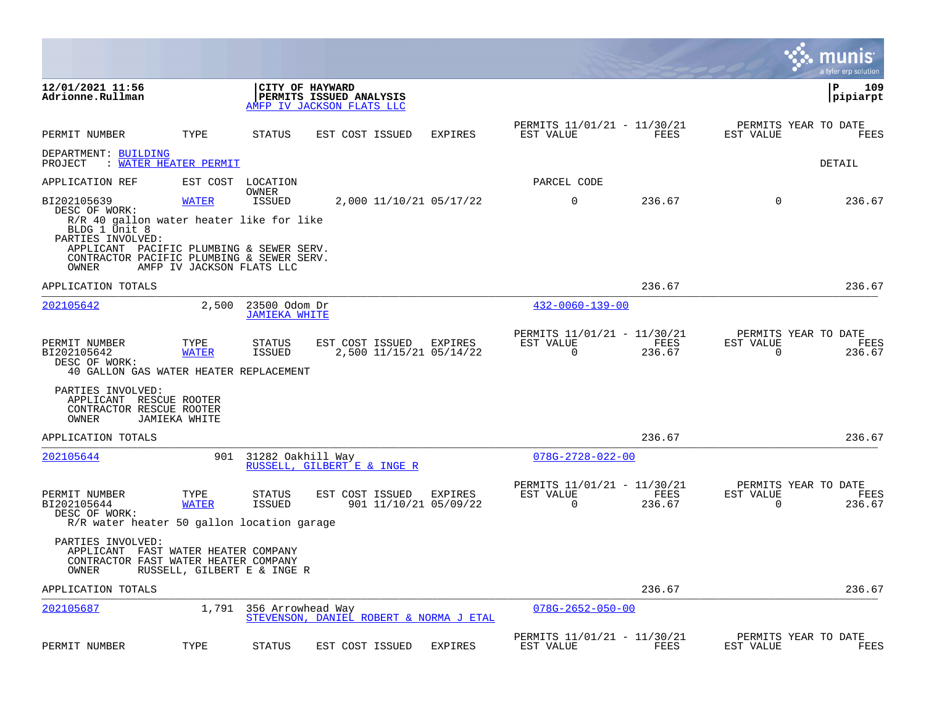|                                                                                                                                                                                  |                             |                                       |                                                                         |                                  |                                                         |                |                       | munis<br>a tyler erp solution          |
|----------------------------------------------------------------------------------------------------------------------------------------------------------------------------------|-----------------------------|---------------------------------------|-------------------------------------------------------------------------|----------------------------------|---------------------------------------------------------|----------------|-----------------------|----------------------------------------|
| 12/01/2021 11:56<br>Adrionne.Rullman                                                                                                                                             |                             |                                       | CITY OF HAYWARD<br>PERMITS ISSUED ANALYSIS<br>AMFP IV JACKSON FLATS LLC |                                  |                                                         |                |                       | $\mathbf{P}$<br>109<br> pipiarpt       |
| PERMIT NUMBER                                                                                                                                                                    | TYPE                        | STATUS                                | EST COST ISSUED                                                         | <b>EXPIRES</b>                   | PERMITS 11/01/21 - 11/30/21<br>EST VALUE                | FEES           | EST VALUE             | PERMITS YEAR TO DATE<br>FEES           |
| DEPARTMENT: BUILDING<br>PROJECT                                                                                                                                                  | : WATER HEATER PERMIT       |                                       |                                                                         |                                  |                                                         |                |                       | <b>DETAIL</b>                          |
| APPLICATION REF                                                                                                                                                                  |                             | EST COST LOCATION<br>OWNER            |                                                                         |                                  | PARCEL CODE                                             |                |                       |                                        |
| BI202105639<br>DESC OF WORK:                                                                                                                                                     | <b>WATER</b>                | <b>ISSUED</b>                         |                                                                         | 2,000 11/10/21 05/17/22          | $\Omega$                                                | 236.67         | $\Omega$              | 236.67                                 |
| R/R 40 gallon water heater like for like<br>BLDG 1 Unit 8<br>PARTIES INVOLVED:<br>APPLICANT PACIFIC PLUMBING & SEWER SERV.<br>CONTRACTOR PACIFIC PLUMBING & SEWER SERV.<br>OWNER | AMFP IV JACKSON FLATS LLC   |                                       |                                                                         |                                  |                                                         |                |                       |                                        |
| APPLICATION TOTALS                                                                                                                                                               |                             |                                       |                                                                         |                                  |                                                         | 236.67         |                       | 236.67                                 |
| 202105642                                                                                                                                                                        | 2,500                       | 23500 Odom Dr<br><b>JAMIEKA WHITE</b> |                                                                         |                                  | $432 - 0060 - 139 - 00$                                 |                |                       |                                        |
| PERMIT NUMBER<br>BI202105642<br>DESC OF WORK:<br>40 GALLON GAS WATER HEATER REPLACEMENT                                                                                          | TYPE<br><b>WATER</b>        | STATUS<br>ISSUED                      | EST COST ISSUED EXPIRES                                                 | 2,500 11/15/21 05/14/22          | PERMITS 11/01/21 - 11/30/21<br>EST VALUE<br>$\Omega$    | FEES<br>236.67 | EST VALUE<br>$\Omega$ | PERMITS YEAR TO DATE<br>FEES<br>236.67 |
| PARTIES INVOLVED:<br>APPLICANT RESCUE ROOTER<br>CONTRACTOR RESCUE ROOTER<br>OWNER                                                                                                | <b>JAMIEKA WHITE</b>        |                                       |                                                                         |                                  |                                                         |                |                       |                                        |
| APPLICATION TOTALS                                                                                                                                                               |                             |                                       |                                                                         |                                  |                                                         | 236.67         |                       | 236.67                                 |
| 202105644                                                                                                                                                                        |                             | 901 31282 Oakhill Way                 | RUSSELL, GILBERT E & INGE R                                             |                                  | $078G - 2728 - 022 - 00$                                |                |                       |                                        |
| PERMIT NUMBER<br>BI202105644<br>DESC OF WORK:<br>R/R water heater 50 gallon location garage                                                                                      | TYPE<br><b>WATER</b>        | STATUS<br>ISSUED                      | EST COST ISSUED                                                         | EXPIRES<br>901 11/10/21 05/09/22 | PERMITS 11/01/21 - 11/30/21<br>EST VALUE<br>$\mathbf 0$ | FEES<br>236.67 | EST VALUE<br>0        | PERMITS YEAR TO DATE<br>FEES<br>236.67 |
| PARTIES INVOLVED:<br>APPLICANT FAST WATER HEATER COMPANY<br>CONTRACTOR FAST WATER HEATER COMPANY<br>OWNER                                                                        | RUSSELL, GILBERT E & INGE R |                                       |                                                                         |                                  |                                                         |                |                       |                                        |
| APPLICATION TOTALS                                                                                                                                                               |                             |                                       |                                                                         |                                  |                                                         | 236.67         |                       | 236.67                                 |
| 202105687                                                                                                                                                                        | 1,791                       | 356 Arrowhead Way                     | STEVENSON, DANIEL ROBERT & NORMA J ETAL                                 |                                  | $078G - 2652 - 050 - 00$                                |                |                       |                                        |
| PERMIT NUMBER                                                                                                                                                                    | TYPE                        | <b>STATUS</b>                         | EST COST ISSUED                                                         | <b>EXPIRES</b>                   | PERMITS 11/01/21 - 11/30/21<br>EST VALUE                | FEES           | EST VALUE             | PERMITS YEAR TO DATE<br>FEES           |

**Contract**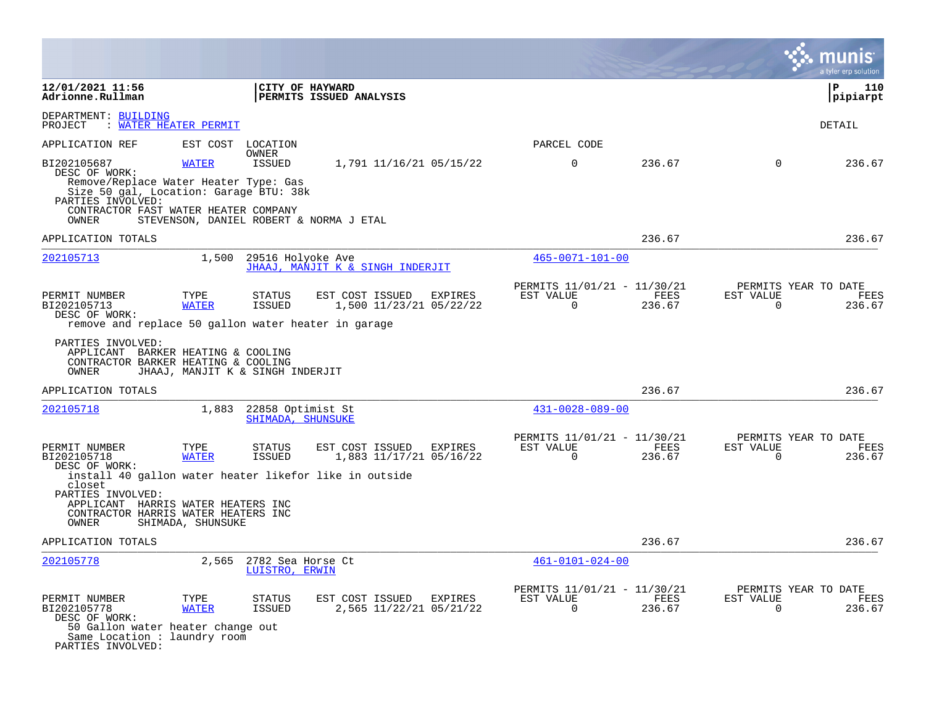|                                                                                                                                                                                       |                            |                                        |                                                                    |         |                                                         |                |                          | a tyler erp solution                   |
|---------------------------------------------------------------------------------------------------------------------------------------------------------------------------------------|----------------------------|----------------------------------------|--------------------------------------------------------------------|---------|---------------------------------------------------------|----------------|--------------------------|----------------------------------------|
| 12/01/2021 11:56<br>Adrionne.Rullman                                                                                                                                                  |                            | CITY OF HAYWARD                        | PERMITS ISSUED ANALYSIS                                            |         |                                                         |                |                          | l P<br>110<br> pipiarpt                |
| DEPARTMENT: BUILDING<br>PROJECT                                                                                                                                                       | <b>WATER HEATER PERMIT</b> |                                        |                                                                    |         |                                                         |                |                          | DETAIL                                 |
| APPLICATION REF                                                                                                                                                                       | EST COST                   | LOCATION                               |                                                                    |         | PARCEL CODE                                             |                |                          |                                        |
| BI202105687<br>DESC OF WORK:<br>Remove/Replace Water Heater Type: Gas<br>Size 50 gal, Location: Garage BTU: 38k<br>PARTIES INVOLVED:<br>CONTRACTOR FAST WATER HEATER COMPANY<br>OWNER | <b>WATER</b>               | OWNER<br>ISSUED                        | 1,791 11/16/21 05/15/22<br>STEVENSON, DANIEL ROBERT & NORMA J ETAL |         | $\mathbf 0$                                             | 236.67         | $\Omega$                 | 236.67                                 |
| APPLICATION TOTALS                                                                                                                                                                    |                            |                                        |                                                                    |         |                                                         | 236.67         |                          | 236.67                                 |
| 202105713                                                                                                                                                                             | 1,500                      | 29516 Holyoke Ave                      | JHAAJ, MANJIT K & SINGH INDERJIT                                   |         | $465 - 0071 - 101 - 00$                                 |                |                          |                                        |
| PERMIT NUMBER<br>BI202105713<br>DESC OF WORK:<br>remove and replace 50 gallon water heater in garage                                                                                  | TYPE<br><b>WATER</b>       | STATUS<br>ISSUED                       | EST COST ISSUED<br>1,500 11/23/21 05/22/22                         | EXPIRES | PERMITS 11/01/21 - 11/30/21<br>EST VALUE<br>$\mathbf 0$ | FEES<br>236.67 | EST VALUE<br>$\mathbf 0$ | PERMITS YEAR TO DATE<br>FEES<br>236.67 |
| PARTIES INVOLVED:<br>APPLICANT BARKER HEATING & COOLING<br>CONTRACTOR BARKER HEATING & COOLING<br>OWNER                                                                               |                            | JHAAJ, MANJIT K & SINGH INDERJIT       |                                                                    |         |                                                         |                |                          |                                        |
| APPLICATION TOTALS                                                                                                                                                                    |                            |                                        |                                                                    |         |                                                         | 236.67         |                          | 236.67                                 |
| <u>202105718</u>                                                                                                                                                                      | 1,883                      | 22858 Optimist St<br>SHIMADA, SHUNSUKE |                                                                    |         | $431 - 0028 - 089 - 00$                                 |                |                          |                                        |
| PERMIT NUMBER<br>BI202105718<br>DESC OF WORK:                                                                                                                                         | TYPE<br><b>WATER</b>       | STATUS<br>ISSUED                       | EST COST ISSUED<br>1,883 11/17/21 05/16/22                         | EXPIRES | PERMITS 11/01/21 - 11/30/21<br>EST VALUE<br>$\Omega$    | FEES<br>236.67 | EST VALUE<br>$\Omega$    | PERMITS YEAR TO DATE<br>FEES<br>236.67 |
| closet                                                                                                                                                                                |                            |                                        | install 40 gallon water heater likefor like in outside             |         |                                                         |                |                          |                                        |
| PARTIES INVOLVED:<br>APPLICANT HARRIS WATER HEATERS INC<br>CONTRACTOR HARRIS WATER HEATERS INC<br>OWNER                                                                               | SHIMADA, SHUNSUKE          |                                        |                                                                    |         |                                                         |                |                          |                                        |
| APPLICATION TOTALS                                                                                                                                                                    |                            |                                        |                                                                    |         |                                                         | 236.67         |                          | 236.67                                 |
| 202105778                                                                                                                                                                             | 2,565                      | 2782 Sea Horse Ct<br>LUISTRO, ERWIN    |                                                                    |         | $461 - 0101 - 024 - 00$                                 |                |                          |                                        |
| PERMIT NUMBER<br>BI202105778<br>DESC OF WORK:<br>50 Gallon water heater change out<br>Same Location : laundry room<br>PARTIES INVOLVED:                                               | TYPE<br><b>WATER</b>       | <b>STATUS</b><br><b>ISSUED</b>         | EST COST ISSUED<br>2,565 11/22/21 05/21/22                         | EXPIRES | PERMITS 11/01/21 - 11/30/21<br>EST VALUE<br>$\Omega$    | FEES<br>236.67 | EST VALUE<br>$\Omega$    | PERMITS YEAR TO DATE<br>FEES<br>236.67 |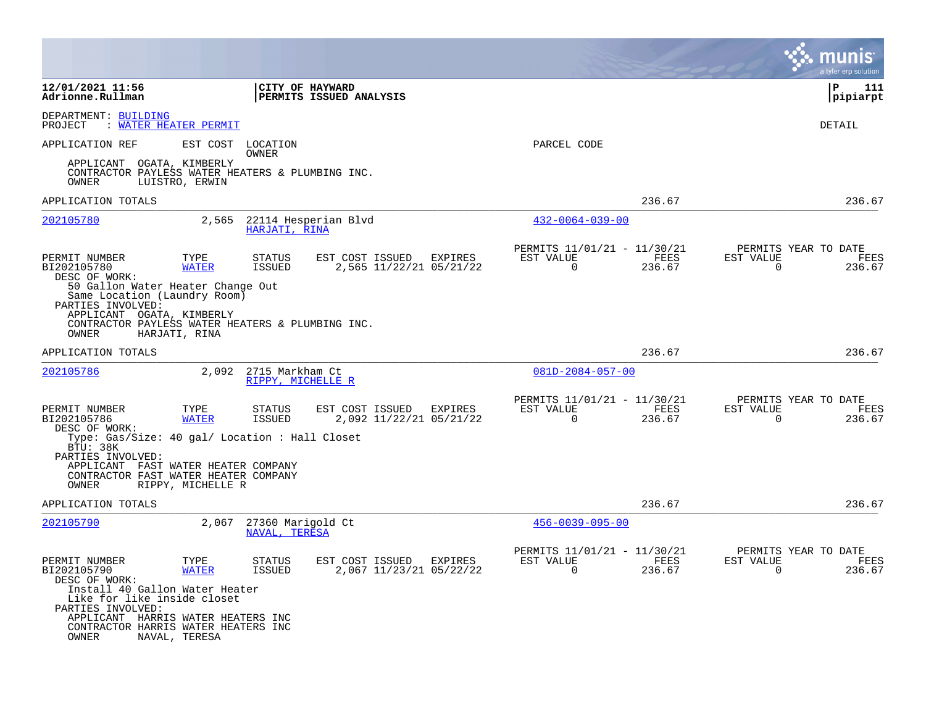|                                                                                                                                                                                                                                                                    |                                                |                                                              |                                                         |                | a tyler erp solution                                            |
|--------------------------------------------------------------------------------------------------------------------------------------------------------------------------------------------------------------------------------------------------------------------|------------------------------------------------|--------------------------------------------------------------|---------------------------------------------------------|----------------|-----------------------------------------------------------------|
| 12/01/2021 11:56<br>Adrionne.Rullman                                                                                                                                                                                                                               | <b>CITY OF HAYWARD</b>                         | <b>PERMITS ISSUED ANALYSIS</b>                               |                                                         |                | ΙP<br>111<br> pipiarpt                                          |
| DEPARTMENT: BUILDING<br>PROJECT<br><b>WATER HEATER PERMIT</b>                                                                                                                                                                                                      |                                                |                                                              |                                                         |                | DETAIL                                                          |
| APPLICATION REF                                                                                                                                                                                                                                                    | EST COST LOCATION<br>OWNER                     |                                                              | PARCEL CODE                                             |                |                                                                 |
| APPLICANT OGATA, KIMBERLY<br>CONTRACTOR PAYLESS WATER HEATERS & PLUMBING INC.<br>OWNER<br>LUISTRO, ERWIN                                                                                                                                                           |                                                |                                                              |                                                         |                |                                                                 |
| APPLICATION TOTALS                                                                                                                                                                                                                                                 |                                                |                                                              |                                                         | 236.67         | 236.67                                                          |
| 202105780                                                                                                                                                                                                                                                          | 2,565<br>22114 Hesperian Blvd<br>HARJATI, RINA |                                                              | $432 - 0064 - 039 - 00$                                 |                |                                                                 |
| PERMIT NUMBER<br>TYPE<br>BI202105780<br><b>WATER</b><br>DESC OF WORK:<br>50 Gallon Water Heater Change Out                                                                                                                                                         | <b>STATUS</b><br><b>ISSUED</b>                 | EST COST ISSUED<br><b>EXPIRES</b><br>2,565 11/22/21 05/21/22 | PERMITS 11/01/21 - 11/30/21<br>EST VALUE<br>$\Omega$    | FEES<br>236.67 | PERMITS YEAR TO DATE<br>EST VALUE<br>FEES<br>$\Omega$<br>236.67 |
| Same Location (Laundry Room)<br>PARTIES INVOLVED:<br>APPLICANT OGATA, KIMBERLY<br>CONTRACTOR PAYLESS WATER HEATERS & PLUMBING INC.<br>OWNER<br>HARJATI, RINA                                                                                                       |                                                |                                                              |                                                         |                |                                                                 |
| APPLICATION TOTALS                                                                                                                                                                                                                                                 |                                                |                                                              |                                                         | 236.67         | 236.67                                                          |
| 202105786                                                                                                                                                                                                                                                          | 2,092<br>2715 Markham Ct<br>RIPPY, MICHELLE R  |                                                              | $081D - 2084 - 057 - 00$                                |                |                                                                 |
| PERMIT NUMBER<br>TYPE<br>BI202105786<br><b>WATER</b><br>DESC OF WORK:                                                                                                                                                                                              | STATUS<br>ISSUED                               | EST COST ISSUED<br>EXPIRES<br>2,092 11/22/21 05/21/22        | PERMITS 11/01/21 - 11/30/21<br>EST VALUE<br>$\mathbf 0$ | FEES<br>236.67 | PERMITS YEAR TO DATE<br>EST VALUE<br>FEES<br>0<br>236.67        |
| Type: Gas/Size: 40 gal/ Location : Hall Closet<br>BTU: 38K<br>PARTIES INVOLVED:<br>APPLICANT FAST WATER HEATER COMPANY<br>CONTRACTOR FAST WATER HEATER COMPANY<br>OWNER<br>RIPPY, MICHELLE R                                                                       |                                                |                                                              |                                                         |                |                                                                 |
| APPLICATION TOTALS                                                                                                                                                                                                                                                 |                                                |                                                              |                                                         | 236.67         | 236.67                                                          |
| 202105790                                                                                                                                                                                                                                                          | 2,067<br>27360 Marigold Ct<br>NAVAL, TERESA    |                                                              | $456 - 0039 - 095 - 00$                                 |                |                                                                 |
| PERMIT NUMBER<br>TYPE<br>BI202105790<br><b>WATER</b><br>DESC OF WORK:<br>Install 40 Gallon Water Heater<br>Like for like inside closet<br>PARTIES INVOLVED:<br>APPLICANT HARRIS WATER HEATERS INC<br>CONTRACTOR HARRIS WATER HEATERS INC<br>OWNER<br>NAVAL, TERESA | <b>STATUS</b><br><b>ISSUED</b>                 | EST COST ISSUED<br>EXPIRES<br>2,067 11/23/21 05/22/22        | PERMITS 11/01/21 - 11/30/21<br>EST VALUE<br>$\Omega$    | FEES<br>236.67 | PERMITS YEAR TO DATE<br>EST VALUE<br>FEES<br>$\Omega$<br>236.67 |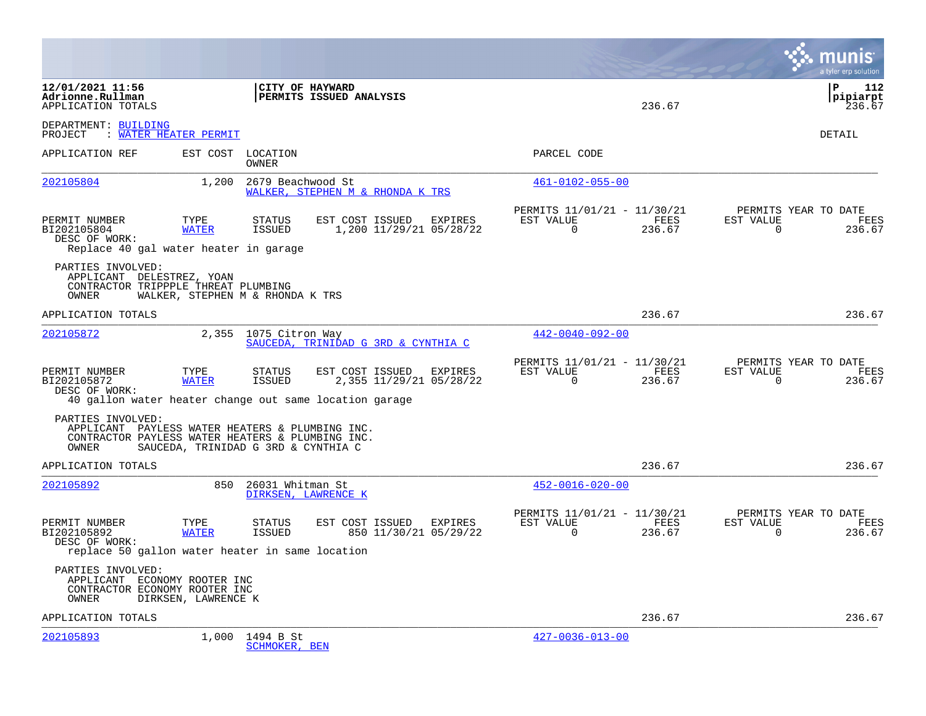|                                                                                                                                   |                                           |                                         |                                            |         |                                                      |                |                       | munis<br>a tyler erp solution                 |
|-----------------------------------------------------------------------------------------------------------------------------------|-------------------------------------------|-----------------------------------------|--------------------------------------------|---------|------------------------------------------------------|----------------|-----------------------|-----------------------------------------------|
| 12/01/2021 11:56<br>Adrionne.Rullman<br>APPLICATION TOTALS                                                                        |                                           | CITY OF HAYWARD                         | PERMITS ISSUED ANALYSIS                    |         |                                                      | 236.67         |                       | l P<br>112<br> pipiarpt<br>236.67             |
| DEPARTMENT: BUILDING<br>: WATER HEATER PERMIT<br>PROJECT                                                                          |                                           |                                         |                                            |         |                                                      |                |                       | DETAIL                                        |
| APPLICATION REF                                                                                                                   |                                           | EST COST LOCATION<br>OWNER              |                                            |         | PARCEL CODE                                          |                |                       |                                               |
| 202105804                                                                                                                         | 1,200                                     | 2679 Beachwood St                       | WALKER, STEPHEN M & RHONDA K TRS           |         | $461 - 0102 - 055 - 00$                              |                |                       |                                               |
| PERMIT NUMBER<br>BI202105804<br>DESC OF WORK:<br>Replace 40 gal water heater in garage                                            | TYPE<br><b>WATER</b>                      | STATUS<br>ISSUED                        | EST COST ISSUED<br>1,200 11/29/21 05/28/22 | EXPIRES | PERMITS 11/01/21 - 11/30/21<br>EST VALUE<br>$\Omega$ | FEES<br>236.67 | EST VALUE<br>$\Omega$ | PERMITS YEAR TO DATE<br>FEES<br>236.67        |
| PARTIES INVOLVED:<br>APPLICANT DELESTREZ, YOAN<br>CONTRACTOR TRIPPPLE THREAT PLUMBING<br>OWNER                                    |                                           | WALKER, STEPHEN M & RHONDA K TRS        |                                            |         |                                                      |                |                       |                                               |
| APPLICATION TOTALS                                                                                                                |                                           |                                         |                                            |         |                                                      | 236.67         |                       | 236.67                                        |
| 202105872                                                                                                                         | 2,355                                     | 1075 Citron Way                         | SAUCEDA, TRINIDAD G 3RD & CYNTHIA C        |         | $442 - 0040 - 092 - 00$                              |                |                       |                                               |
| PERMIT NUMBER<br>BI202105872<br>DESC OF WORK:<br>40 gallon water heater change out same location garage                           | TYPE<br><b>WATER</b>                      | STATUS<br>ISSUED                        | EST COST ISSUED<br>2,355 11/29/21 05/28/22 | EXPIRES | PERMITS 11/01/21 - 11/30/21<br>EST VALUE<br>$\Omega$ | FEES<br>236.67 | EST VALUE<br>$\Omega$ | PERMITS YEAR TO DATE<br>FEES<br>236.67        |
| PARTIES INVOLVED:<br>APPLICANT PAYLESS WATER HEATERS & PLUMBING INC.<br>CONTRACTOR PAYLESS WATER HEATERS & PLUMBING INC.<br>OWNER |                                           | SAUCEDA, TRINIDAD G 3RD & CYNTHIA C     |                                            |         |                                                      |                |                       |                                               |
| APPLICATION TOTALS                                                                                                                |                                           |                                         |                                            |         |                                                      | 236.67         |                       | 236.67                                        |
| 202105892                                                                                                                         | 850                                       | 26031 Whitman St<br>DIRKSEN, LAWRENCE K |                                            |         | $452 - 0016 - 020 - 00$                              |                |                       |                                               |
| PERMIT NUMBER<br>BI202105892<br>DESC OF WORK:<br>replace 50 gallon water heater in same location                                  | TYPE<br><b>WATER</b>                      | <b>STATUS</b><br>ISSUED                 | EST COST ISSUED<br>850 11/30/21 05/29/22   | EXPIRES | PERMITS 11/01/21 - 11/30/21<br>EST VALUE<br>$\Omega$ | FEES<br>236.67 | EST VALUE<br>0        | PERMITS YEAR TO DATE<br><b>FEES</b><br>236.67 |
| PARTIES INVOLVED:<br>APPLICANT<br>CONTRACTOR ECONOMY ROOTER INC<br>OWNER                                                          | ECONOMY ROOTER INC<br>DIRKSEN, LAWRENCE K |                                         |                                            |         |                                                      |                |                       |                                               |
| APPLICATION TOTALS                                                                                                                |                                           |                                         |                                            |         |                                                      | 236.67         |                       | 236.67                                        |
| 202105893                                                                                                                         | 1,000                                     | 1494 B St<br><b>SCHMOKER, BEN</b>       |                                            |         | $427 - 0036 - 013 - 00$                              |                |                       |                                               |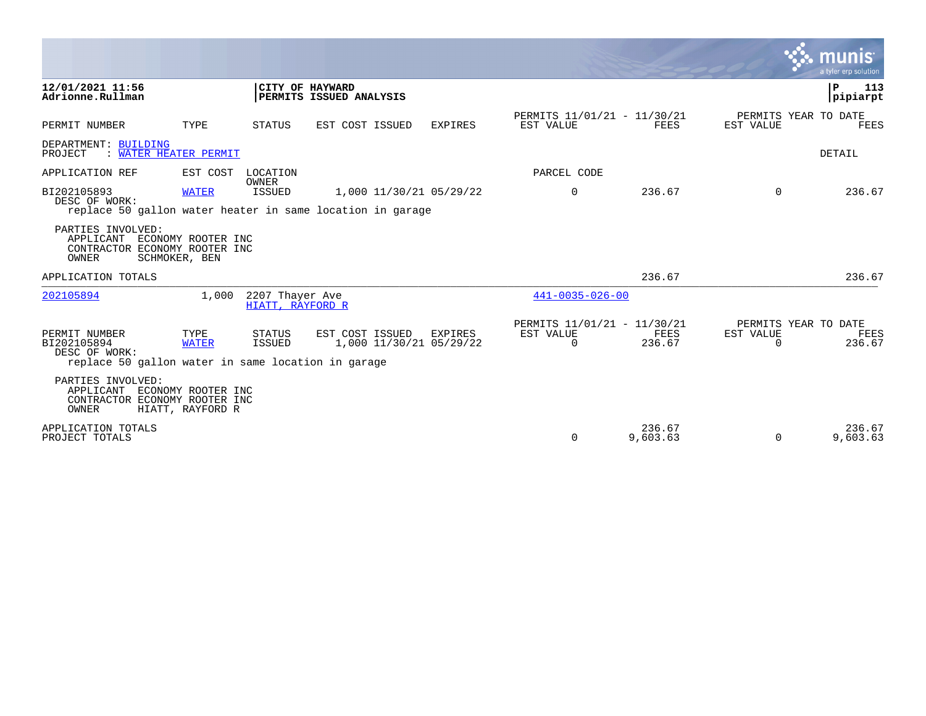|                                                                                                     |                                        |                                     |                                                                                      |                |                                                         |                    |                       | munis<br>a tyler erp solution          |
|-----------------------------------------------------------------------------------------------------|----------------------------------------|-------------------------------------|--------------------------------------------------------------------------------------|----------------|---------------------------------------------------------|--------------------|-----------------------|----------------------------------------|
| 12/01/2021 11:56<br>Adrionne.Rullman                                                                |                                        |                                     | CITY OF HAYWARD<br>PERMITS ISSUED ANALYSIS                                           |                |                                                         |                    |                       | P<br>113<br>pipiarpt                   |
| PERMIT NUMBER                                                                                       | TYPE                                   | STATUS                              | EST COST ISSUED                                                                      | <b>EXPIRES</b> | PERMITS 11/01/21 - 11/30/21<br>EST VALUE                | <b>FEES</b>        | EST VALUE             | PERMITS YEAR TO DATE<br>FEES           |
| DEPARTMENT: BUILDING<br>WATER HEATER PERMIT<br>PROJECT                                              |                                        |                                     |                                                                                      |                |                                                         |                    |                       | DETAIL                                 |
| APPLICATION REF                                                                                     | EST COST                               | LOCATION                            |                                                                                      |                | PARCEL CODE                                             |                    |                       |                                        |
| BI202105893<br>DESC OF WORK:                                                                        | <b>WATER</b>                           | <b>OWNER</b><br><b>ISSUED</b>       | 1,000 11/30/21 05/29/22<br>replace 50 gallon water heater in same location in garage |                | $\mathbf 0$                                             | 236.67             | $\Omega$              | 236.67                                 |
| PARTIES INVOLVED:<br>APPLICANT<br>CONTRACTOR ECONOMY ROOTER INC<br>OWNER                            | ECONOMY ROOTER INC<br>SCHMOKER, BEN    |                                     |                                                                                      |                |                                                         |                    |                       |                                        |
| APPLICATION TOTALS                                                                                  |                                        |                                     |                                                                                      |                |                                                         | 236.67             |                       | 236.67                                 |
| 202105894                                                                                           | 1,000                                  | 2207 Thayer Ave<br>HIATT, RAYFORD R |                                                                                      |                | $441 - 0035 - 026 - 00$                                 |                    |                       |                                        |
| PERMIT NUMBER<br>BI202105894<br>DESC OF WORK:<br>replace 50 gallon water in same location in garage | TYPE<br><b>WATER</b>                   | STATUS<br><b>ISSUED</b>             | EST COST ISSUED<br>1,000 11/30/21 05/29/22                                           | EXPIRES        | PERMITS 11/01/21 - 11/30/21<br>EST VALUE<br>$\mathbf 0$ | FEES<br>236.67     | EST VALUE<br>$\Omega$ | PERMITS YEAR TO DATE<br>FEES<br>236.67 |
| PARTIES INVOLVED:<br>APPLICANT<br>CONTRACTOR ECONOMY ROOTER INC<br>OWNER                            | ECONOMY ROOTER INC<br>HIATT, RAYFORD R |                                     |                                                                                      |                |                                                         |                    |                       |                                        |
| APPLICATION TOTALS<br>PROJECT TOTALS                                                                |                                        |                                     |                                                                                      |                | $\Omega$                                                | 236.67<br>9,603.63 | $\Omega$              | 236.67<br>9,603.63                     |

**Tara**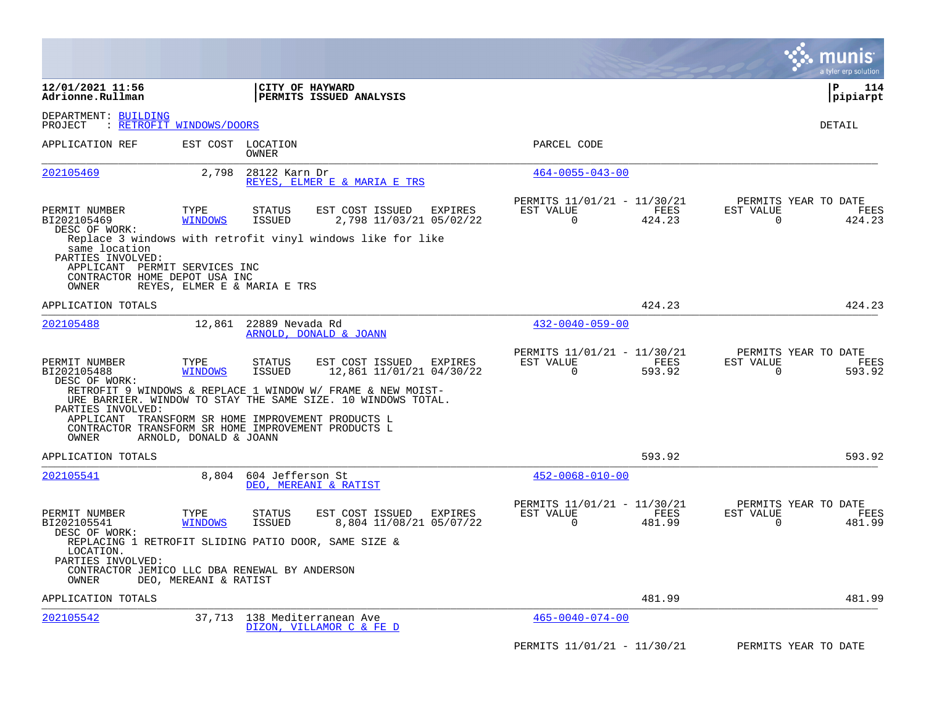|                                                                                                               |                          |                                                                                                                                                                                                                                          |         |                                                      |                | munis<br>a tyler erp solution                                   |
|---------------------------------------------------------------------------------------------------------------|--------------------------|------------------------------------------------------------------------------------------------------------------------------------------------------------------------------------------------------------------------------------------|---------|------------------------------------------------------|----------------|-----------------------------------------------------------------|
| 12/01/2021 11:56<br>Adrionne.Rullman                                                                          |                          | CITY OF HAYWARD<br><b>PERMITS ISSUED ANALYSIS</b>                                                                                                                                                                                        |         |                                                      |                | $\mathbf{P}$<br>114<br> pipiarpt                                |
| DEPARTMENT: BUILDING<br>PROJECT                                                                               | : RETROFIT WINDOWS/DOORS |                                                                                                                                                                                                                                          |         |                                                      |                | DETAIL                                                          |
| APPLICATION REF                                                                                               | EST COST                 | LOCATION<br>OWNER                                                                                                                                                                                                                        |         | PARCEL CODE                                          |                |                                                                 |
| 202105469                                                                                                     | 2,798                    | 28122 Karn Dr<br>REYES, ELMER E & MARIA E TRS                                                                                                                                                                                            |         | $464 - 0055 - 043 - 00$                              |                |                                                                 |
| PERMIT NUMBER<br>BI202105469<br>DESC OF WORK:                                                                 | TYPE<br><b>WINDOWS</b>   | STATUS<br>EST COST ISSUED<br><b>ISSUED</b><br>2,798 11/03/21 05/02/22                                                                                                                                                                    | EXPIRES | PERMITS 11/01/21 - 11/30/21<br>EST VALUE<br>$\Omega$ | FEES<br>424.23 | PERMITS YEAR TO DATE<br>EST VALUE<br>FEES<br>$\Omega$<br>424.23 |
| same location<br>PARTIES INVOLVED:<br>APPLICANT PERMIT SERVICES INC<br>CONTRACTOR HOME DEPOT USA INC<br>OWNER |                          | Replace 3 windows with retrofit vinyl windows like for like<br>REYES, ELMER E & MARIA E TRS                                                                                                                                              |         |                                                      |                |                                                                 |
| APPLICATION TOTALS                                                                                            |                          |                                                                                                                                                                                                                                          |         |                                                      | 424.23         | 424.23                                                          |
| 202105488                                                                                                     | 12,861                   | 22889 Nevada Rd<br>ARNOLD, DONALD & JOANN                                                                                                                                                                                                |         | $432 - 0040 - 059 - 00$                              |                |                                                                 |
| PERMIT NUMBER<br>BI202105488<br>DESC OF WORK:                                                                 | TYPE<br><b>WINDOWS</b>   | <b>STATUS</b><br>EST COST ISSUED<br><b>ISSUED</b><br>12,861 11/01/21 04/30/22                                                                                                                                                            | EXPIRES | PERMITS 11/01/21 - 11/30/21<br>EST VALUE<br>0        | FEES<br>593.92 | PERMITS YEAR TO DATE<br>FEES<br>EST VALUE<br>0<br>593.92        |
| PARTIES INVOLVED:<br>OWNER                                                                                    | ARNOLD, DONALD & JOANN   | RETROFIT 9 WINDOWS & REPLACE 1 WINDOW W/ FRAME & NEW MOIST-<br>URE BARRIER. WINDOW TO STAY THE SAME SIZE. 10 WINDOWS TOTAL.<br>APPLICANT TRANSFORM SR HOME IMPROVEMENT PRODUCTS L<br>CONTRACTOR TRANSFORM SR HOME IMPROVEMENT PRODUCTS L |         |                                                      |                |                                                                 |
| APPLICATION TOTALS                                                                                            |                          |                                                                                                                                                                                                                                          |         |                                                      | 593.92         | 593.92                                                          |
| 202105541                                                                                                     | 8,804                    | 604 Jefferson St<br>DEO, MEREANI & RATIST                                                                                                                                                                                                |         | $452 - 0068 - 010 - 00$                              |                |                                                                 |
| PERMIT NUMBER<br>BI202105541<br>DESC OF WORK:                                                                 | TYPE<br><b>WINDOWS</b>   | <b>STATUS</b><br>EST COST ISSUED<br><b>ISSUED</b><br>8,804 11/08/21 05/07/22                                                                                                                                                             | EXPIRES | PERMITS 11/01/21 - 11/30/21<br>EST VALUE<br>$\Omega$ | FEES<br>481.99 | PERMITS YEAR TO DATE<br>EST VALUE<br>FEES<br>$\Omega$<br>481.99 |
| LOCATION.<br>PARTIES INVOLVED:<br>OWNER                                                                       | DEO, MEREANI & RATIST    | REPLACING 1 RETROFIT SLIDING PATIO DOOR, SAME SIZE &<br>CONTRACTOR JEMICO LLC DBA RENEWAL BY ANDERSON                                                                                                                                    |         |                                                      |                |                                                                 |
| APPLICATION TOTALS                                                                                            |                          |                                                                                                                                                                                                                                          |         |                                                      | 481.99         | 481.99                                                          |
| 202105542                                                                                                     |                          | 37,713 138 Mediterranean Ave<br>DIZON, VILLAMOR C & FE D                                                                                                                                                                                 |         | $465 - 0040 - 074 - 00$                              |                |                                                                 |
|                                                                                                               |                          |                                                                                                                                                                                                                                          |         | PERMITS 11/01/21 - 11/30/21                          |                | PERMITS YEAR TO DATE                                            |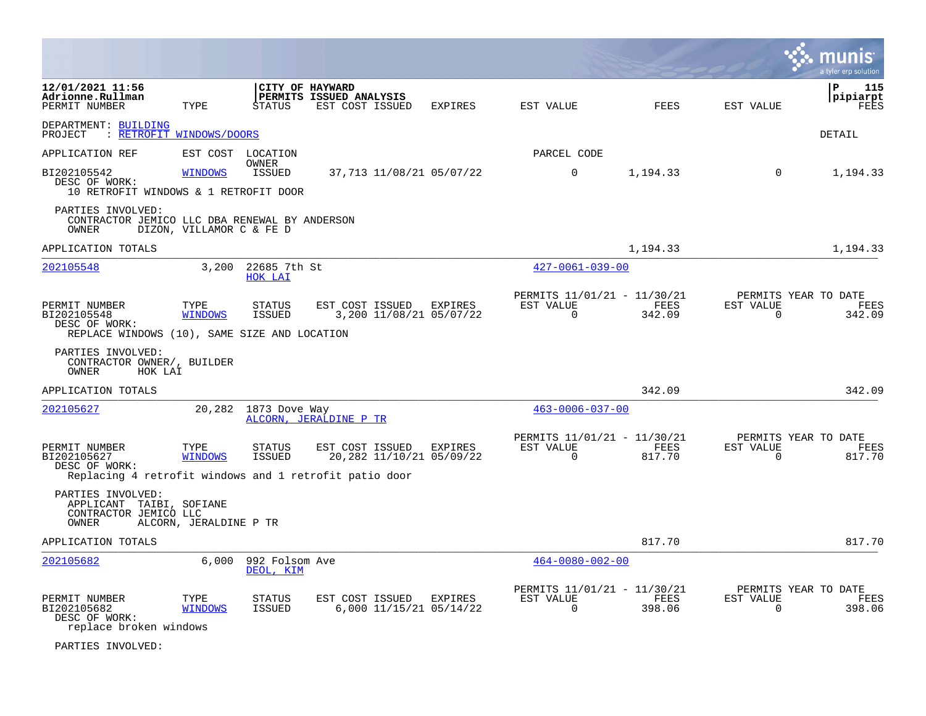|                                                                                                                                           |                          |                                  |                                            |                                     |                                                      |                       |                       | a tyler erp solution                   |
|-------------------------------------------------------------------------------------------------------------------------------------------|--------------------------|----------------------------------|--------------------------------------------|-------------------------------------|------------------------------------------------------|-----------------------|-----------------------|----------------------------------------|
| 12/01/2021 11:56<br>Adrionne.Rullman<br>PERMIT NUMBER                                                                                     | TYPE                     | CITY OF HAYWARD<br><b>STATUS</b> | PERMITS ISSUED ANALYSIS<br>EST COST ISSUED | EXPIRES                             | EST VALUE                                            | FEES                  | EST VALUE             | 115<br>∣P<br>pipiarpt<br>FEES          |
| DEPARTMENT: BUILDING<br>PROJECT : RETROFIT WINDOWS/DOORS                                                                                  |                          |                                  |                                            |                                     |                                                      |                       |                       | DETAIL                                 |
| APPLICATION REF                                                                                                                           | EST COST LOCATION        |                                  |                                            |                                     | PARCEL CODE                                          |                       |                       |                                        |
| BI202105542<br>DESC OF WORK:<br>10 RETROFIT WINDOWS & 1 RETROFIT DOOR                                                                     | <b>WINDOWS</b>           | OWNER<br><b>ISSUED</b>           |                                            | 37,713 11/08/21 05/07/22            | $\mathbf 0$                                          | 1,194.33              | $\Omega$              | 1,194.33                               |
| PARTIES INVOLVED:<br>CONTRACTOR JEMICO LLC DBA RENEWAL BY ANDERSON<br>OWNER                                                               | DIZON, VILLAMOR C & FE D |                                  |                                            |                                     |                                                      |                       |                       |                                        |
| APPLICATION TOTALS                                                                                                                        |                          |                                  |                                            |                                     |                                                      | 1,194.33              |                       | 1,194.33                               |
| 202105548                                                                                                                                 | 3,200                    | 22685 7th St<br>HOK LAI          |                                            |                                     | $427 - 0061 - 039 - 00$                              |                       |                       |                                        |
| PERMIT NUMBER<br>BI202105548<br>DESC OF WORK:<br>REPLACE WINDOWS (10), SAME SIZE AND LOCATION                                             | TYPE<br><b>WINDOWS</b>   | STATUS<br>ISSUED                 | EST COST ISSUED EXPIRES                    | 3,200 11/08/21 05/07/22             | PERMITS 11/01/21 - 11/30/21<br>EST VALUE<br>$\Omega$ | FEES<br>342.09        | EST VALUE<br>$\Omega$ | PERMITS YEAR TO DATE<br>FEES<br>342.09 |
| PARTIES INVOLVED:<br>CONTRACTOR OWNER/, BUILDER<br>OWNER<br>HOK LAI                                                                       |                          |                                  |                                            |                                     |                                                      |                       |                       |                                        |
| APPLICATION TOTALS                                                                                                                        |                          |                                  |                                            |                                     |                                                      | 342.09                |                       | 342.09                                 |
| 202105627                                                                                                                                 | 20,282                   | 1873 Dove Way                    | ALCORN, JERALDINE P TR                     |                                     | $463 - 0006 - 037 - 00$                              |                       |                       |                                        |
| PERMIT NUMBER<br>BI202105627<br>DESC OF WORK:                                                                                             | TYPE<br><b>WINDOWS</b>   | STATUS<br>ISSUED                 | EST COST ISSUED                            | EXPIRES<br>20,282 11/10/21 05/09/22 | PERMITS 11/01/21 - 11/30/21<br>EST VALUE<br>$\Omega$ | FEES<br>817.70        | EST VALUE<br>0        | PERMITS YEAR TO DATE<br>FEES<br>817.70 |
| Replacing 4 retrofit windows and 1 retrofit patio door<br>PARTIES INVOLVED:<br>APPLICANT TAIBI, SOFIANE<br>CONTRACTOR JEMICO LLC<br>OWNER | ALCORN, JERALDINE P TR   |                                  |                                            |                                     |                                                      |                       |                       |                                        |
| APPLICATION TOTALS                                                                                                                        |                          |                                  |                                            |                                     |                                                      | 817.70                |                       | 817.70                                 |
| 202105682                                                                                                                                 | 6,000                    | 992 Folsom Ave<br>DEOL, KIM      |                                            |                                     | $464 - 0080 - 002 - 00$                              |                       |                       |                                        |
| PERMIT NUMBER<br>BI202105682<br>DESC OF WORK:<br>replace broken windows                                                                   | TYPE<br><b>WINDOWS</b>   | STATUS<br>ISSUED                 | EST COST ISSUED                            | EXPIRES<br>6,000 11/15/21 05/14/22  | PERMITS 11/01/21 - 11/30/21<br>EST VALUE<br>$\Omega$ | <b>FEES</b><br>398.06 | EST VALUE<br>$\Omega$ | PERMITS YEAR TO DATE<br>FEES<br>398.06 |

PARTIES INVOLVED: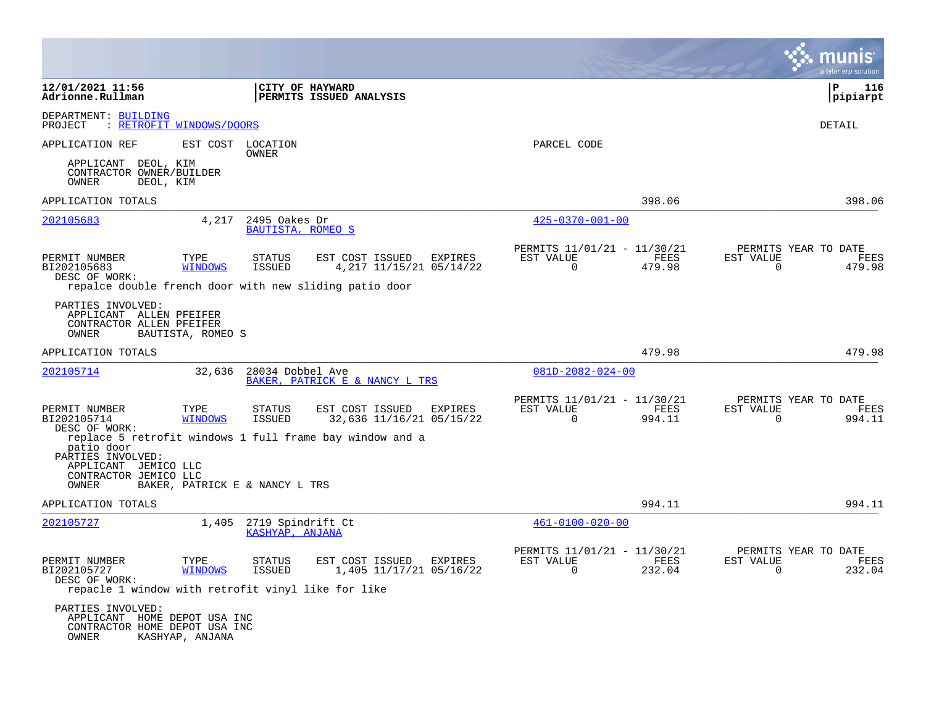|                                                                                                                               |                                                                                         |                                                                           | a tyler erp solution                                               |
|-------------------------------------------------------------------------------------------------------------------------------|-----------------------------------------------------------------------------------------|---------------------------------------------------------------------------|--------------------------------------------------------------------|
| 12/01/2021 11:56<br>Adrionne.Rullman                                                                                          | CITY OF HAYWARD<br>PERMITS ISSUED ANALYSIS                                              |                                                                           | l P<br>116<br> pipiarpt                                            |
| DEPARTMENT: BUILDING<br>: RETROFIT WINDOWS/DOORS<br>PROJECT                                                                   |                                                                                         |                                                                           | <b>DETAIL</b>                                                      |
| APPLICATION REF                                                                                                               | EST COST LOCATION<br><b>OWNER</b>                                                       | PARCEL CODE                                                               |                                                                    |
| APPLICANT DEOL, KIM<br>CONTRACTOR OWNER/BUILDER<br>OWNER<br>DEOL, KIM                                                         |                                                                                         |                                                                           |                                                                    |
| APPLICATION TOTALS                                                                                                            |                                                                                         | 398.06                                                                    | 398.06                                                             |
| 202105683<br>4,217                                                                                                            | 2495 Oakes Dr<br>BAUTISTA, ROMEO S                                                      | $425 - 0370 - 001 - 00$                                                   |                                                                    |
| PERMIT NUMBER<br>TYPE<br>BI202105683<br><b>WINDOWS</b><br>DESC OF WORK:                                                       | <b>STATUS</b><br>EST COST ISSUED<br>EXPIRES<br><b>ISSUED</b><br>4,217 11/15/21 05/14/22 | PERMITS 11/01/21 - 11/30/21<br>EST VALUE<br>FEES<br>0<br>479.98           | PERMITS YEAR TO DATE<br>FEES<br>EST VALUE<br>479.98<br>0           |
| PARTIES INVOLVED:<br>APPLICANT ALLEN PFEIFER<br>CONTRACTOR ALLEN PFEIFER<br>OWNER<br>BAUTISTA, ROMEO S                        | repalce double french door with new sliding patio door                                  |                                                                           |                                                                    |
| APPLICATION TOTALS                                                                                                            |                                                                                         | 479.98                                                                    | 479.98                                                             |
| 202105714<br>32,636                                                                                                           | 28034 Dobbel Ave<br>BAKER, PATRICK E & NANCY L TRS                                      | $081D - 2082 - 024 - 00$                                                  |                                                                    |
| PERMIT NUMBER<br>TYPE<br>BI202105714<br><b>WINDOWS</b><br>DESC OF WORK:                                                       | EST COST ISSUED<br><b>STATUS</b><br>EXPIRES<br>ISSUED<br>32,636 11/16/21 05/15/22       | PERMITS 11/01/21 - 11/30/21<br>EST VALUE<br>FEES<br>0<br>994.11           | PERMITS YEAR TO DATE<br>FEES<br>EST VALUE<br>0<br>994.11           |
| patio door<br>PARTIES INVOLVED:<br>APPLICANT JEMICO LLC<br>CONTRACTOR JEMICO LLC<br>BAKER, PATRICK E & NANCY L TRS<br>OWNER   | replace 5 retrofit windows 1 full frame bay window and a                                |                                                                           |                                                                    |
| APPLICATION TOTALS                                                                                                            |                                                                                         | 994.11                                                                    | 994.11                                                             |
| 202105727<br>1,405                                                                                                            | 2719 Spindrift Ct<br>KASHYAP, ANJANA                                                    | $461 - 0100 - 020 - 00$                                                   |                                                                    |
| PERMIT NUMBER<br>TYPE<br>BI202105727<br><b>WINDOWS</b><br>DESC OF WORK:<br>repacle 1 window with retrofit vinyl like for like | <b>STATUS</b><br>EST COST ISSUED<br>EXPIRES<br>1,405 11/17/21 05/16/22<br><b>ISSUED</b> | PERMITS 11/01/21 - 11/30/21<br>EST VALUE<br>FEES<br>$\mathbf 0$<br>232.04 | PERMITS YEAR TO DATE<br>EST VALUE<br>FEES<br>$\mathbf 0$<br>232.04 |
| PARTIES INVOLVED:<br>APPLICANT HOME DEPOT USA INC<br>CONTRACTOR HOME DEPOT USA INC<br>KASHYAP, ANJANA<br>OWNER                |                                                                                         |                                                                           |                                                                    |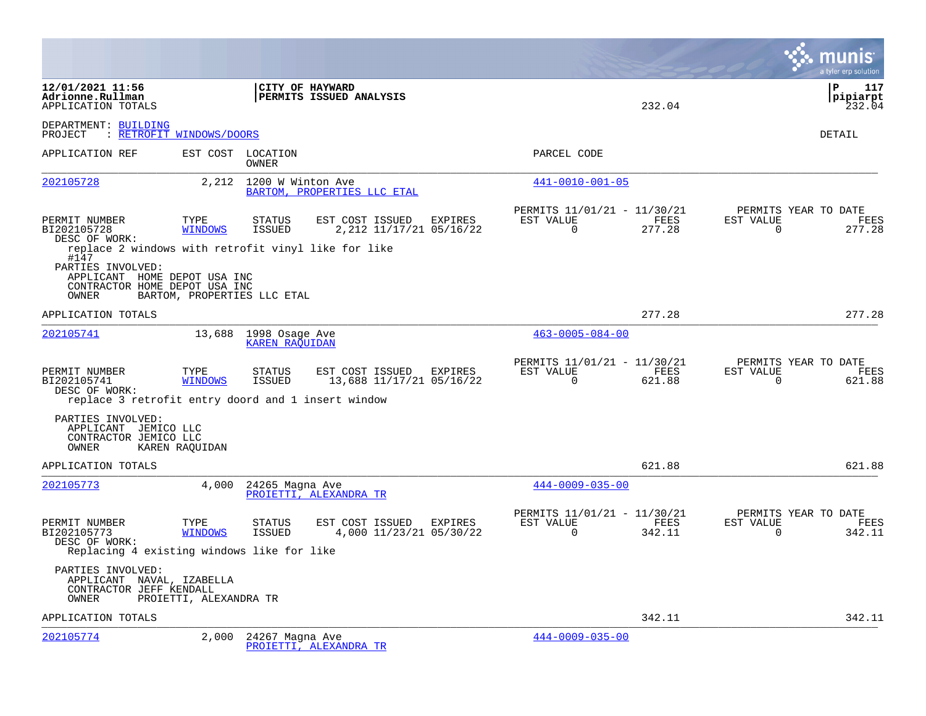|                                                                                                                                                            |                        |                                         |                                             |         |                                                         |                |                          | munis<br>a tyler erp solution                 |
|------------------------------------------------------------------------------------------------------------------------------------------------------------|------------------------|-----------------------------------------|---------------------------------------------|---------|---------------------------------------------------------|----------------|--------------------------|-----------------------------------------------|
| 12/01/2021 11:56<br>Adrionne.Rullman<br>APPLICATION TOTALS                                                                                                 |                        | CITY OF HAYWARD                         | PERMITS ISSUED ANALYSIS                     |         |                                                         | 232.04         |                          | l P<br>117<br> pipiarpt<br>232.04             |
| DEPARTMENT: BUILDING<br>: RETROFIT WINDOWS/DOORS<br>PROJECT                                                                                                |                        |                                         |                                             |         |                                                         |                |                          | DETAIL                                        |
| APPLICATION REF                                                                                                                                            | EST COST               | LOCATION<br>OWNER                       |                                             |         | PARCEL CODE                                             |                |                          |                                               |
| 202105728                                                                                                                                                  | 2,212                  | 1200 W Winton Ave                       | BARTOM, PROPERTIES LLC ETAL                 |         | 441-0010-001-05                                         |                |                          |                                               |
| PERMIT NUMBER<br>BI202105728<br>DESC OF WORK:                                                                                                              | TYPE<br><b>WINDOWS</b> | <b>STATUS</b><br>ISSUED                 | EST COST ISSUED<br>2, 212 11/17/21 05/16/22 | EXPIRES | PERMITS 11/01/21 - 11/30/21<br>EST VALUE<br>$\Omega$    | FEES<br>277.28 | EST VALUE<br>$\Omega$    | PERMITS YEAR TO DATE<br>FEES<br>277.28        |
| replace 2 windows with retrofit vinyl like for like<br>#147<br>PARTIES INVOLVED:<br>APPLICANT HOME DEPOT USA INC<br>CONTRACTOR HOME DEPOT USA INC<br>OWNER |                        | BARTOM, PROPERTIES LLC ETAL             |                                             |         |                                                         |                |                          |                                               |
| APPLICATION TOTALS                                                                                                                                         |                        |                                         |                                             |         |                                                         | 277.28         |                          | 277.28                                        |
| 202105741                                                                                                                                                  | 13,688                 | 1998 Osage Ave<br><b>KAREN RAOUIDAN</b> |                                             |         | $463 - 0005 - 084 - 00$                                 |                |                          |                                               |
| PERMIT NUMBER<br>BI202105741<br>DESC OF WORK:<br>replace 3 retrofit entry doord and 1 insert window                                                        | TYPE<br><b>WINDOWS</b> | <b>STATUS</b><br><b>ISSUED</b>          | EST COST ISSUED<br>13,688 11/17/21 05/16/22 | EXPIRES | PERMITS 11/01/21 - 11/30/21<br>EST VALUE<br>$\Omega$    | FEES<br>621.88 | EST VALUE<br>$\Omega$    | PERMITS YEAR TO DATE<br><b>FEES</b><br>621.88 |
| PARTIES INVOLVED:<br>APPLICANT JEMICO LLC<br>CONTRACTOR JEMICO LLC<br>OWNER                                                                                | KAREN RAQUIDAN         |                                         |                                             |         |                                                         |                |                          |                                               |
| APPLICATION TOTALS                                                                                                                                         |                        |                                         |                                             |         |                                                         | 621.88         |                          | 621.88                                        |
| 202105773                                                                                                                                                  | 4,000                  | 24265 Magna Ave                         | PROIETTI, ALEXANDRA TR                      |         | $444 - 0009 - 035 - 00$                                 |                |                          |                                               |
| PERMIT NUMBER<br>BI202105773<br>DESC OF WORK:<br>Replacing 4 existing windows like for like                                                                | TYPE<br><b>WINDOWS</b> | STATUS<br>ISSUED                        | EST COST ISSUED<br>4,000 11/23/21 05/30/22  | EXPIRES | PERMITS 11/01/21 - 11/30/21<br>EST VALUE<br>$\mathbf 0$ | FEES<br>342.11 | EST VALUE<br>$\mathbf 0$ | PERMITS YEAR TO DATE<br>FEES<br>342.11        |
| PARTIES INVOLVED:<br>APPLICANT NAVAL, IZABELLA<br>CONTRACTOR JEFF KENDALL<br>OWNER                                                                         | PROIETTI, ALEXANDRA TR |                                         |                                             |         |                                                         |                |                          |                                               |
| APPLICATION TOTALS                                                                                                                                         |                        |                                         |                                             |         |                                                         | 342.11         |                          | 342.11                                        |
| 202105774                                                                                                                                                  | 2,000                  | 24267 Magna Ave                         | PROIETTI, ALEXANDRA TR                      |         | $444 - 0009 - 035 - 00$                                 |                |                          |                                               |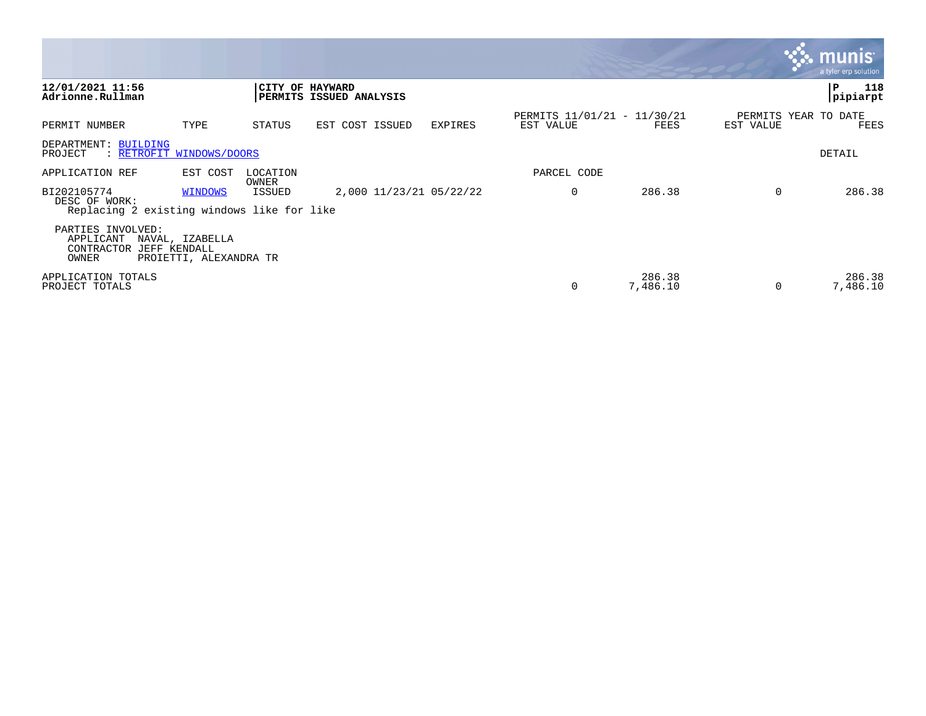|                                                                            |                                           |                 |                                |                         |                                          |                    |           | $\mathbf{S}$ . munist<br>a tyler erp solution |
|----------------------------------------------------------------------------|-------------------------------------------|-----------------|--------------------------------|-------------------------|------------------------------------------|--------------------|-----------|-----------------------------------------------|
| 12/01/2021 11:56<br>Adrionne.Rullman                                       |                                           | CITY OF HAYWARD | <b>PERMITS ISSUED ANALYSIS</b> |                         |                                          |                    |           | 118<br>P<br>pipiarpt                          |
| PERMIT NUMBER                                                              | TYPE                                      | STATUS          | EST COST ISSUED                | EXPIRES                 | PERMITS 11/01/21 - 11/30/21<br>EST VALUE | FEES               | EST VALUE | PERMITS YEAR TO DATE<br>FEES                  |
| DEPARTMENT: BUILDING<br>: RETROFIT WINDOWS/DOORS<br>PROJECT                |                                           |                 |                                |                         |                                          |                    |           | DETAIL                                        |
| APPLICATION REF                                                            | EST COST                                  | LOCATION        |                                |                         | PARCEL CODE                              |                    |           |                                               |
| BI202105774<br>DESC OF WORK:<br>Replacing 2 existing windows like for like | <b>WINDOWS</b>                            | OWNER<br>ISSUED |                                | 2,000 11/23/21 05/22/22 | $\Omega$                                 | 286.38             | $\Omega$  | 286.38                                        |
| PARTIES INVOLVED:<br>APPLICANT<br>CONTRACTOR JEFF KENDALL<br>OWNER         | NAVAL, IZABELLA<br>PROIETTI, ALEXANDRA TR |                 |                                |                         |                                          |                    |           |                                               |
| APPLICATION TOTALS<br>PROJECT TOTALS                                       |                                           |                 |                                |                         |                                          | 286.38<br>7,486.10 | $\Omega$  | 286.38<br>7,486.10                            |